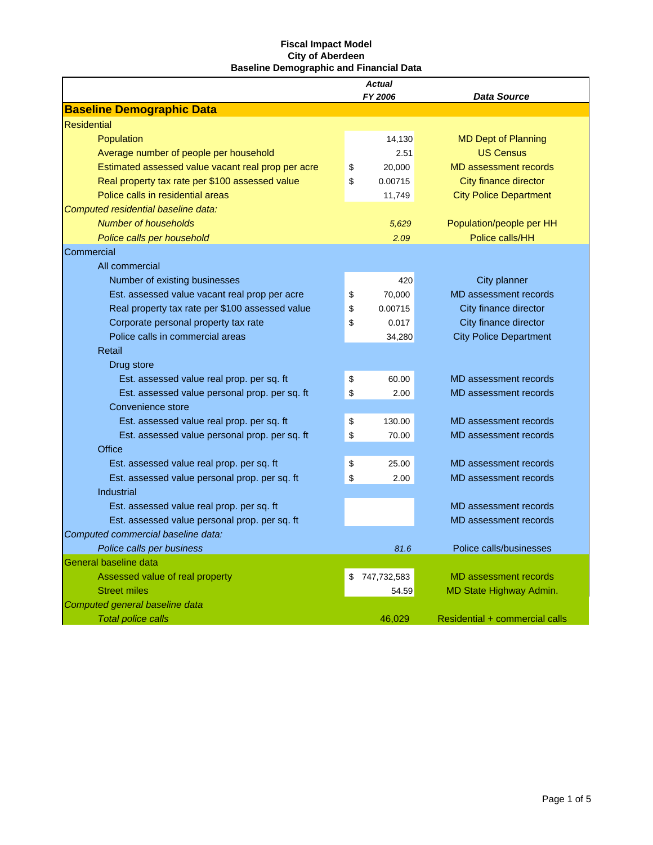|                                                    | <b>Actual</b>     |                                |
|----------------------------------------------------|-------------------|--------------------------------|
|                                                    | FY 2006           | <b>Data Source</b>             |
| <b>Baseline Demographic Data</b>                   |                   |                                |
| <b>Residential</b>                                 |                   |                                |
| Population                                         | 14,130            | <b>MD Dept of Planning</b>     |
| Average number of people per household             | 2.51              | <b>US Census</b>               |
| Estimated assessed value vacant real prop per acre | \$<br>20,000      | <b>MD</b> assessment records   |
| Real property tax rate per \$100 assessed value    | \$<br>0.00715     | <b>City finance director</b>   |
| Police calls in residential areas                  | 11,749            | <b>City Police Department</b>  |
| Computed residential baseline data:                |                   |                                |
| <b>Number of households</b>                        | 5,629             | Population/people per HH       |
| Police calls per household                         | 2.09              | Police calls/HH                |
| Commercial                                         |                   |                                |
| All commercial                                     |                   |                                |
| Number of existing businesses                      | 420               | City planner                   |
| Est. assessed value vacant real prop per acre      | \$<br>70,000      | MD assessment records          |
| Real property tax rate per \$100 assessed value    | \$<br>0.00715     | City finance director          |
| Corporate personal property tax rate               | \$<br>0.017       | City finance director          |
| Police calls in commercial areas                   | 34,280            | <b>City Police Department</b>  |
| Retail                                             |                   |                                |
| Drug store                                         |                   |                                |
| Est. assessed value real prop. per sq. ft          | \$<br>60.00       | MD assessment records          |
| Est. assessed value personal prop. per sq. ft      | \$<br>2.00        | MD assessment records          |
| Convenience store                                  |                   |                                |
| Est. assessed value real prop. per sq. ft          | \$<br>130.00      | MD assessment records          |
| Est. assessed value personal prop. per sq. ft      | \$<br>70.00       | MD assessment records          |
| Office                                             |                   |                                |
| Est. assessed value real prop. per sq. ft          | \$<br>25.00       | MD assessment records          |
| Est. assessed value personal prop. per sq. ft.     | \$<br>2.00        | MD assessment records          |
| Industrial                                         |                   |                                |
| Est. assessed value real prop. per sq. ft          |                   | MD assessment records          |
| Est. assessed value personal prop. per sq. ft.     |                   | MD assessment records          |
| Computed commercial baseline data:                 |                   |                                |
| Police calls per business                          | 81.6              | Police calls/businesses        |
| General baseline data                              |                   |                                |
| Assessed value of real property                    | \$<br>747,732,583 | <b>MD</b> assessment records   |
| <b>Street miles</b>                                | 54.59             | MD State Highway Admin.        |
| Computed general baseline data                     |                   |                                |
| <b>Total police calls</b>                          | 46,029            | Residential + commercial calls |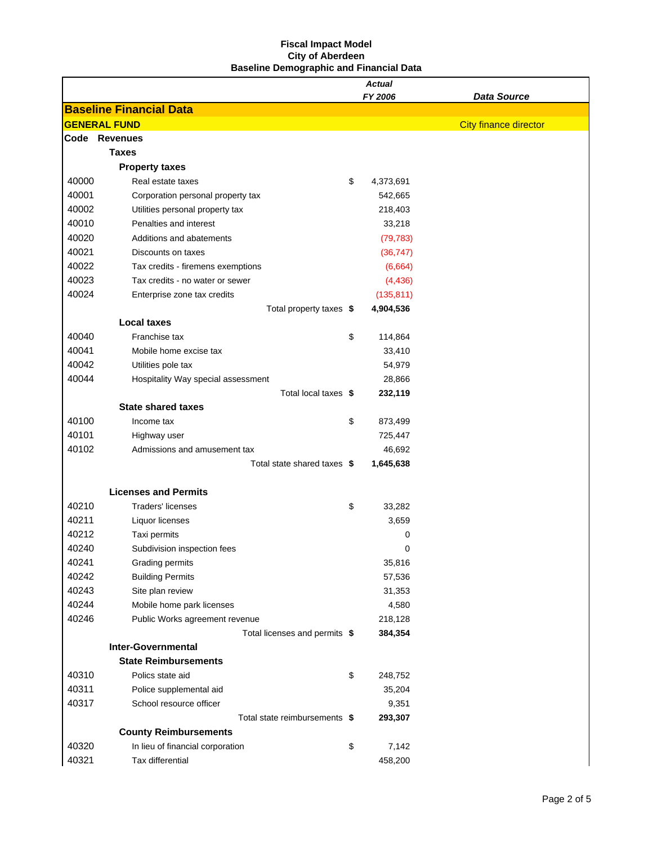|       |                                    | <b>Actual</b>   |                              |
|-------|------------------------------------|-----------------|------------------------------|
|       |                                    | FY 2006         | Data Source                  |
|       | <b>Baseline Financial Data</b>     |                 |                              |
|       | <b>GENERAL FUND</b>                |                 | <b>City finance director</b> |
|       | Code Revenues                      |                 |                              |
|       | <b>Taxes</b>                       |                 |                              |
|       | <b>Property taxes</b>              |                 |                              |
| 40000 | Real estate taxes                  | \$<br>4,373,691 |                              |
| 40001 | Corporation personal property tax  | 542,665         |                              |
| 40002 | Utilities personal property tax    | 218,403         |                              |
| 40010 | Penalties and interest             | 33,218          |                              |
| 40020 | Additions and abatements           | (79, 783)       |                              |
| 40021 | Discounts on taxes                 | (36, 747)       |                              |
| 40022 | Tax credits - firemens exemptions  | (6,664)         |                              |
| 40023 | Tax credits - no water or sewer    | (4, 436)        |                              |
| 40024 | Enterprise zone tax credits        | (135, 811)      |                              |
|       | Total property taxes \$            | 4,904,536       |                              |
|       | <b>Local taxes</b>                 |                 |                              |
| 40040 | Franchise tax                      | \$<br>114,864   |                              |
| 40041 | Mobile home excise tax             | 33,410          |                              |
| 40042 | Utilities pole tax                 | 54,979          |                              |
| 40044 | Hospitality Way special assessment | 28,866          |                              |
|       | Total local taxes \$               | 232,119         |                              |
|       | <b>State shared taxes</b>          |                 |                              |
| 40100 | Income tax                         | \$<br>873,499   |                              |
| 40101 | Highway user                       | 725,447         |                              |
| 40102 | Admissions and amusement tax       | 46,692          |                              |
|       | Total state shared taxes \$        | 1,645,638       |                              |
|       |                                    |                 |                              |
|       | <b>Licenses and Permits</b>        |                 |                              |
| 40210 | <b>Traders' licenses</b>           | \$<br>33,282    |                              |
| 40211 | Liquor licenses                    | 3,659           |                              |
| 40212 | Taxi permits                       | 0               |                              |
| 40240 | Subdivision inspection fees        | 0               |                              |
| 40241 | <b>Grading permits</b>             | 35,816          |                              |
| 40242 | <b>Building Permits</b>            | 57,536          |                              |
| 40243 | Site plan review                   | 31,353          |                              |
| 40244 | Mobile home park licenses          | 4,580           |                              |
| 40246 | Public Works agreement revenue     | 218,128         |                              |
|       | Total licenses and permits \$      | 384,354         |                              |
|       | <b>Inter-Governmental</b>          |                 |                              |
|       | <b>State Reimbursements</b>        |                 |                              |
| 40310 | Polics state aid                   | \$<br>248,752   |                              |
| 40311 | Police supplemental aid            | 35,204          |                              |
| 40317 | School resource officer            | 9,351           |                              |
|       | Total state reimbursements \$      | 293,307         |                              |
|       | <b>County Reimbursements</b>       |                 |                              |
| 40320 | In lieu of financial corporation   | \$<br>7,142     |                              |
| 40321 | Tax differential                   | 458,200         |                              |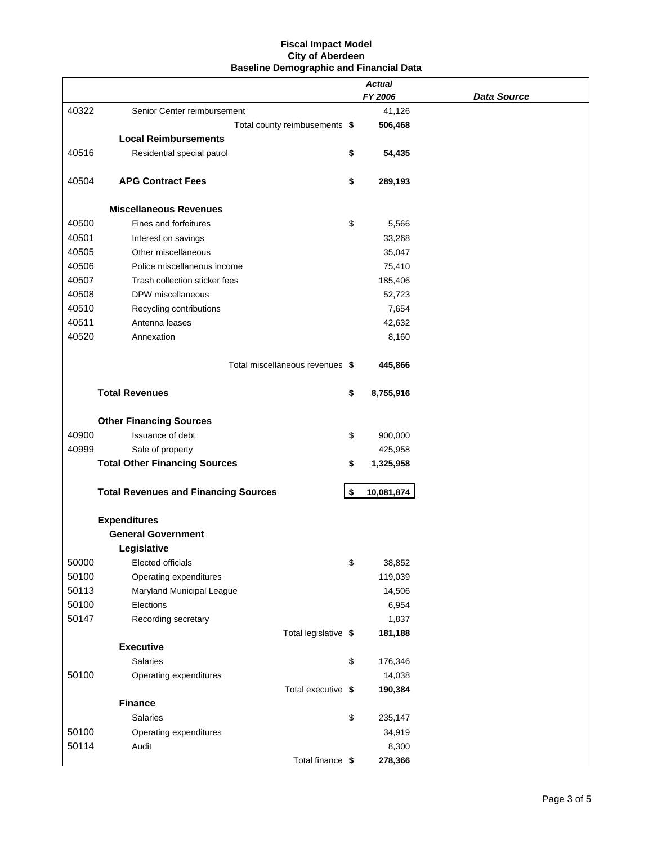|       |                                             | <b>Actual</b>    |                    |
|-------|---------------------------------------------|------------------|--------------------|
|       |                                             | FY 2006          | <b>Data Source</b> |
| 40322 | Senior Center reimbursement                 | 41,126           |                    |
|       | Total county reimbusements \$               | 506,468          |                    |
|       | <b>Local Reimbursements</b>                 |                  |                    |
| 40516 | Residential special patrol                  | \$<br>54,435     |                    |
| 40504 | <b>APG Contract Fees</b>                    | \$<br>289,193    |                    |
|       | <b>Miscellaneous Revenues</b>               |                  |                    |
| 40500 | Fines and forfeitures                       | \$<br>5,566      |                    |
| 40501 | Interest on savings                         | 33,268           |                    |
| 40505 | Other miscellaneous                         | 35,047           |                    |
| 40506 | Police miscellaneous income                 | 75,410           |                    |
| 40507 | Trash collection sticker fees               | 185,406          |                    |
| 40508 | DPW miscellaneous                           | 52,723           |                    |
| 40510 | Recycling contributions                     | 7,654            |                    |
| 40511 | Antenna leases                              | 42,632           |                    |
| 40520 | Annexation                                  | 8,160            |                    |
|       | Total miscellaneous revenues \$             | 445,866          |                    |
|       | <b>Total Revenues</b>                       | \$<br>8,755,916  |                    |
|       | <b>Other Financing Sources</b>              |                  |                    |
| 40900 | Issuance of debt                            | \$<br>900,000    |                    |
| 40999 | Sale of property                            | 425,958          |                    |
|       | <b>Total Other Financing Sources</b>        | \$<br>1,325,958  |                    |
|       | <b>Total Revenues and Financing Sources</b> | \$<br>10,081,874 |                    |
|       | <b>Expenditures</b>                         |                  |                    |
|       | <b>General Government</b>                   |                  |                    |
|       | Legislative                                 |                  |                    |
| 50000 | Elected officials                           | \$<br>38,852     |                    |
| 50100 | Operating expenditures                      | 119,039          |                    |
| 50113 | Maryland Municipal League                   | 14,506           |                    |
| 50100 | Elections                                   | 6,954            |                    |
| 50147 | Recording secretary                         | 1,837            |                    |
|       | Total legislative \$                        | 181,188          |                    |
|       | <b>Executive</b>                            |                  |                    |
|       | <b>Salaries</b>                             | \$<br>176,346    |                    |
| 50100 | Operating expenditures                      | 14,038           |                    |
|       | Total executive \$                          | 190,384          |                    |
|       | <b>Finance</b>                              |                  |                    |
|       | <b>Salaries</b>                             | \$<br>235,147    |                    |
| 50100 | Operating expenditures                      | 34,919           |                    |
| 50114 | Audit                                       | 8,300            |                    |
|       | Total finance \$                            | 278,366          |                    |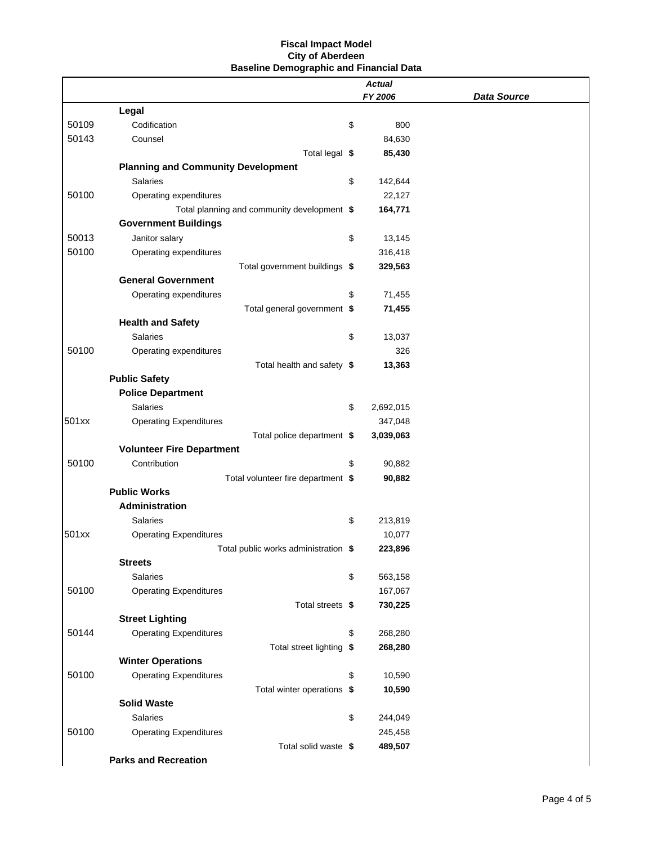|       |                                             | <b>Actual</b>   |                    |
|-------|---------------------------------------------|-----------------|--------------------|
|       |                                             | FY 2006         | <b>Data Source</b> |
| 50109 | Legal<br>Codification                       | 800             |                    |
| 50143 | Counsel                                     | \$<br>84,630    |                    |
|       | Total legal \$                              |                 |                    |
|       | <b>Planning and Community Development</b>   | 85,430          |                    |
|       | <b>Salaries</b>                             | \$<br>142,644   |                    |
| 50100 | Operating expenditures                      | 22,127          |                    |
|       | Total planning and community development \$ | 164,771         |                    |
|       | <b>Government Buildings</b>                 |                 |                    |
| 50013 | Janitor salary                              | \$<br>13,145    |                    |
| 50100 | Operating expenditures                      | 316,418         |                    |
|       | Total government buildings \$               | 329,563         |                    |
|       | <b>General Government</b>                   |                 |                    |
|       | Operating expenditures                      | \$<br>71,455    |                    |
|       | Total general government \$                 | 71,455          |                    |
|       | <b>Health and Safety</b>                    |                 |                    |
|       | <b>Salaries</b>                             | \$<br>13,037    |                    |
| 50100 | Operating expenditures                      | 326             |                    |
|       | Total health and safety \$                  | 13,363          |                    |
|       | <b>Public Safety</b>                        |                 |                    |
|       | <b>Police Department</b>                    |                 |                    |
|       | <b>Salaries</b>                             | \$<br>2,692,015 |                    |
| 501xx | <b>Operating Expenditures</b>               | 347,048         |                    |
|       | Total police department \$                  | 3,039,063       |                    |
|       | <b>Volunteer Fire Department</b>            |                 |                    |
| 50100 | Contribution                                | \$<br>90,882    |                    |
|       | Total volunteer fire department \$          | 90,882          |                    |
|       | <b>Public Works</b>                         |                 |                    |
|       | Administration                              |                 |                    |
|       | <b>Salaries</b>                             | \$<br>213,819   |                    |
| 501xx | <b>Operating Expenditures</b>               | 10,077          |                    |
|       | Total public works administration \$        | 223,896         |                    |
|       | <b>Streets</b>                              |                 |                    |
|       | <b>Salaries</b>                             | \$<br>563,158   |                    |
| 50100 | <b>Operating Expenditures</b>               | 167,067         |                    |
|       | Total streets \$                            | 730,225         |                    |
|       | <b>Street Lighting</b>                      |                 |                    |
| 50144 | <b>Operating Expenditures</b>               | \$<br>268,280   |                    |
|       | Total street lighting \$                    | 268,280         |                    |
|       | <b>Winter Operations</b>                    |                 |                    |
| 50100 | <b>Operating Expenditures</b>               | \$<br>10,590    |                    |
|       | Total winter operations \$                  | 10,590          |                    |
|       | <b>Solid Waste</b>                          |                 |                    |
|       | <b>Salaries</b>                             | \$<br>244,049   |                    |
| 50100 | <b>Operating Expenditures</b>               | 245,458         |                    |
|       | Total solid waste \$                        | 489,507         |                    |
|       | <b>Parks and Recreation</b>                 |                 |                    |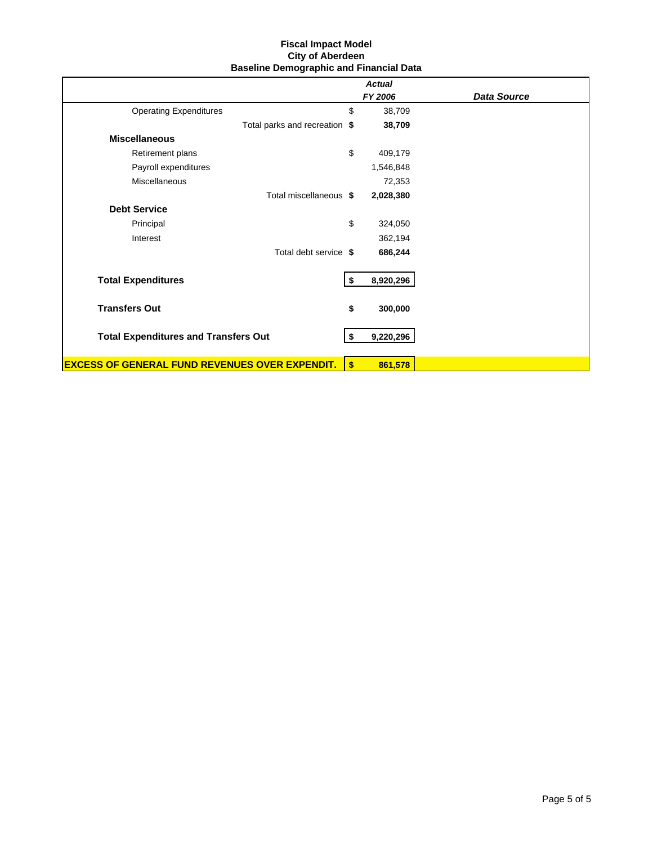|                                                       | <b>Actual</b>   |                    |
|-------------------------------------------------------|-----------------|--------------------|
|                                                       | FY 2006         | <b>Data Source</b> |
| <b>Operating Expenditures</b>                         | \$<br>38,709    |                    |
| Total parks and recreation \$                         | 38,709          |                    |
| <b>Miscellaneous</b>                                  |                 |                    |
| Retirement plans                                      | \$<br>409,179   |                    |
| Payroll expenditures                                  | 1,546,848       |                    |
| <b>Miscellaneous</b>                                  | 72,353          |                    |
| Total miscellaneous \$                                | 2,028,380       |                    |
| <b>Debt Service</b>                                   |                 |                    |
| Principal                                             | \$<br>324,050   |                    |
| Interest                                              | 362,194         |                    |
| Total debt service \$                                 | 686,244         |                    |
| <b>Total Expenditures</b>                             | \$<br>8,920,296 |                    |
| <b>Transfers Out</b>                                  | \$<br>300,000   |                    |
| <b>Total Expenditures and Transfers Out</b>           | \$<br>9,220,296 |                    |
| <b>EXCESS OF GENERAL FUND REVENUES OVER EXPENDIT.</b> | \$<br>861,578   |                    |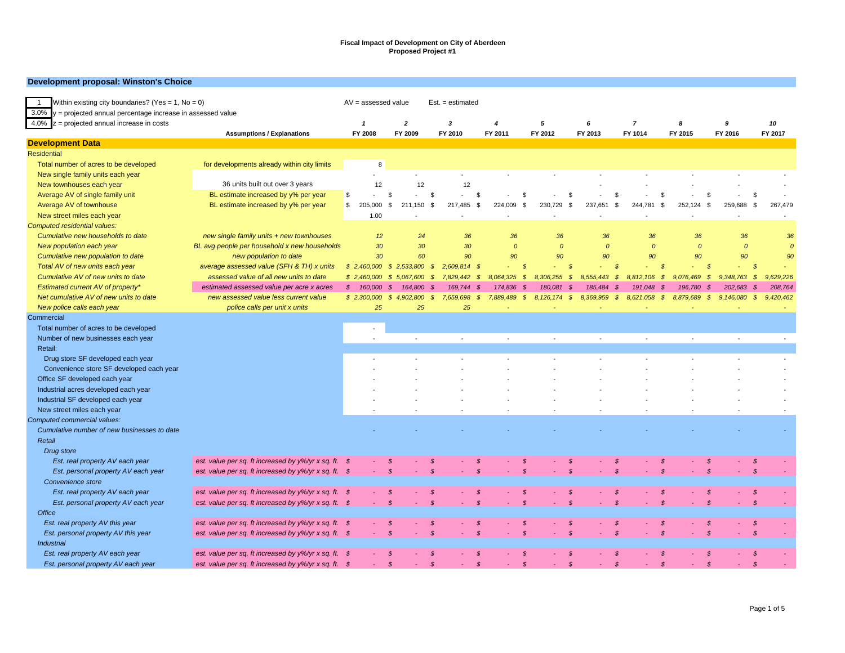#### **Development proposal: Winston's Choice**

| Within existing city boundaries? (Yes = $1$ , No = 0)<br>$\overline{1}$ |                                                       | $AV = assessed value$    |      |                                             | $Est. = estimated$            |                            |               |                            |               |                  |               |                            |               |               |                |
|-------------------------------------------------------------------------|-------------------------------------------------------|--------------------------|------|---------------------------------------------|-------------------------------|----------------------------|---------------|----------------------------|---------------|------------------|---------------|----------------------------|---------------|---------------|----------------|
| $3.0\%$ y = projected annual percentage increase in assessed value      |                                                       |                          |      |                                             |                               |                            |               |                            |               |                  |               |                            |               |               |                |
| 4.0% $z =$ projected annual increase in costs                           |                                                       | $\mathbf{1}$             |      | $\overline{2}$                              | 3                             | $\overline{4}$             |               | 5                          | 6             | $\overline{7}$   |               | 8                          | 9             |               | 10             |
|                                                                         | <b>Assumptions / Explanations</b>                     | FY 2008                  |      | FY 2009                                     | FY 2010                       | FY 2011                    |               | FY 2012                    | FY 2013       | FY 1014          |               | FY 2015                    | FY 2016       |               | FY 2017        |
| <b>Development Data</b>                                                 |                                                       |                          |      |                                             |                               |                            |               |                            |               |                  |               |                            |               |               |                |
| <b>Residential</b>                                                      |                                                       |                          |      |                                             |                               |                            |               |                            |               |                  |               |                            |               |               |                |
| Total number of acres to be developed                                   | for developments already within city limits           |                          | 8    |                                             |                               |                            |               |                            |               |                  |               |                            |               |               |                |
| New single family units each year                                       |                                                       |                          |      |                                             |                               |                            |               |                            |               |                  |               |                            |               |               |                |
| New townhouses each year                                                | 36 units built out over 3 years                       |                          | 12   | 12                                          | 12                            |                            |               |                            |               |                  |               |                            |               |               |                |
| Average AV of single family unit                                        | BL estimate increased by y% per year                  | \$                       | \$   | Ŝ.                                          |                               | -S                         | $\mathbf{s}$  | $\mathcal{F}$              |               | £.               | $\mathcal{S}$ | <sup>\$</sup>              |               | \$            |                |
| Average AV of townhouse                                                 | BL estimate increased by y% per year                  | \$<br>205.000            | \$   | 211,150<br>\$                               | 217,485                       | $\mathbb{S}$<br>224,009    | \$            | \$<br>230,729              | 237,651       | \$<br>244,781    | \$            | 252,124<br>$\mathbb{S}$    | 259,688       | \$            | 267,479        |
| New street miles each year                                              |                                                       |                          | 1.00 |                                             |                               |                            |               |                            |               |                  |               |                            |               |               |                |
| <b>Computed residential values:</b>                                     |                                                       |                          |      |                                             |                               |                            |               |                            |               |                  |               |                            |               |               |                |
| Cumulative new households to date                                       | new single family units + new townhouses              |                          | 12   | 24                                          | 36                            |                            | 36            | 36                         | 36            |                  | 36            | 36                         | 36            |               | 36             |
| New population each year                                                | BL avg people per household x new households          |                          | 30   | 30                                          | 30                            |                            | $\Omega$      | $\Omega$                   | $\mathcal{O}$ |                  | $\Omega$      | $\mathcal{O}$              | $\mathcal{O}$ |               | $\overline{0}$ |
| Cumulative new population to date                                       | new population to date                                |                          | 30   | 60                                          | 90                            |                            | 90            | 90                         | 90            |                  | 90            | 90                         | 90            |               | 90             |
| Total AV of new units each year                                         | average assessed value (SFH & TH) x units             | \$2,460,000              |      | $\mathcal{S}$<br>2,533,800                  | $\mathcal{S}$<br>2,609,814 \$ |                            | <b>S</b>      | - \$                       |               | $\mathcal{S}$    | - \$          | <b>S</b>                   |               | $\mathcal{S}$ |                |
| Cumulative AV of new units to date                                      | assessed value of all new units to date               | \$2,460,000              |      | $\mathcal{S}$<br>5,067,600<br>$\mathcal{S}$ | 7,829,442                     | 8,064,325<br>- \$          | $\mathcal{S}$ | $\mathcal{S}$<br>8,306,255 | 8,555,443     | -\$<br>8,812,106 | \$            | 9,076,469<br>$\mathcal{S}$ | 9,348,763     | $\mathcal{S}$ | 9,629,226      |
| Estimated current AV of property*                                       | estimated assessed value per acre x acres             | $\mathcal{S}$<br>160,000 | - \$ | 164,800<br>S                                | 169,744                       | 174.836                    |               | 180.081<br>- \$            | 185,484       | 191.048<br>S     |               | 196,780<br>S               | 202.683       | - \$          | 208,764        |
| Net cumulative AV of new units to date                                  | new assessed value less current value                 | \$2,300,000              |      | $\mathcal{S}$<br>4,902,800<br>$\mathcal{S}$ | 7,659,698                     | $\mathcal{S}$<br>7.889.489 | $\mathcal{S}$ | 8.126.174 \$               | 8,369,959 \$  | 8.621.058        | $\mathcal{S}$ | 8,879,689<br>$\mathcal{S}$ | 9.146.080     | $\mathcal{S}$ | 9,420,462      |
| New police calls each year                                              | police calls per unit x units                         |                          | 25   | 25                                          | 25                            |                            |               |                            |               |                  |               |                            |               |               |                |
| Commercial                                                              |                                                       |                          |      |                                             |                               |                            |               |                            |               |                  |               |                            |               |               |                |
| Total number of acres to be developed                                   |                                                       | $\sim$                   |      |                                             |                               |                            |               |                            |               |                  |               |                            |               |               |                |
| Number of new businesses each year                                      |                                                       |                          |      |                                             | $\sim$                        |                            |               | $\sim$                     |               |                  |               |                            | $\sim$        |               |                |
| Retail:                                                                 |                                                       |                          |      |                                             |                               |                            |               |                            |               |                  |               |                            |               |               |                |
| Drug store SF developed each year                                       |                                                       |                          |      |                                             |                               |                            |               |                            |               |                  |               |                            |               |               |                |
| Convenience store SF developed each year                                |                                                       |                          |      |                                             |                               |                            |               |                            |               |                  |               |                            |               |               |                |
| Office SF developed each year                                           |                                                       |                          |      |                                             |                               |                            |               |                            |               |                  |               |                            |               |               |                |
| Industrial acres developed each year                                    |                                                       |                          |      |                                             |                               |                            |               |                            |               |                  |               |                            |               |               |                |
| Industrial SF developed each year                                       |                                                       |                          |      |                                             |                               |                            |               |                            |               |                  |               |                            |               |               |                |
| New street miles each year                                              |                                                       |                          |      |                                             |                               |                            |               |                            |               |                  |               |                            |               |               |                |
| Computed commercial values:                                             |                                                       |                          |      |                                             |                               |                            |               |                            |               |                  |               |                            |               |               |                |
| Cumulative number of new businesses to date                             |                                                       |                          |      |                                             |                               |                            |               |                            |               |                  |               |                            |               |               |                |
| Retail                                                                  |                                                       |                          |      |                                             |                               |                            |               |                            |               |                  |               |                            |               |               |                |
| Drug store                                                              |                                                       |                          |      |                                             |                               |                            |               |                            |               |                  |               |                            |               |               |                |
| Est. real property AV each year                                         | est. value per sq. ft increased by y%/yr x sq. ft. \$ |                          |      | S<br>\$                                     |                               | <b>S</b>                   | S             | <b>S</b>                   |               | \$               | - \$          | S                          |               | -\$           |                |
| Est. personal property AV each year                                     | est. value per sq. ft increased by y%/yr x sq. ft. \$ |                          |      | $\mathcal{S}$                               | $\mathfrak{s}$                | $\mathcal{S}$              | $\mathcal{S}$ | $\mathcal S$               |               | $\mathcal{S}$    | $\mathcal{S}$ | $\mathcal{S}$              |               | $\mathcal{S}$ |                |
| Convenience store                                                       |                                                       |                          |      |                                             |                               |                            |               |                            |               |                  |               |                            |               |               |                |
|                                                                         |                                                       |                          |      |                                             |                               | $\mathcal{S}$              | <b>S</b>      |                            |               |                  | - \$          | <b>S</b>                   |               | - \$          |                |
| Est. real property AV each year                                         | est. value per sq. ft increased by y%/yr x sq. ft. \$ |                          |      | S                                           |                               |                            |               | S                          |               | S.               |               |                            |               |               |                |
| Est. personal property AV each year<br><b>Office</b>                    | est. value per sq. ft increased by y%/yr x sq. ft. \$ |                          |      | $\mathcal{S}$<br>$\mathcal{S}$              |                               | $\mathcal{S}$              | $\mathcal{S}$ | $\mathcal{S}$              |               | $\mathcal{S}$    | $\mathcal{S}$ | $\mathcal{S}$              |               | $\mathcal{S}$ |                |
|                                                                         |                                                       |                          |      |                                             |                               |                            |               |                            |               |                  |               |                            |               |               |                |
| Est. real property AV this year                                         | est. value per sq. ft increased by y%/yr x sq. ft. \$ |                          |      | S                                           |                               | S                          | S             | S                          |               | S                | S             | S                          |               | -\$           |                |
| Est. personal property AV this year                                     | est. value per sq. ft increased by y%/yr x sq. ft. \$ |                          |      | \$                                          |                               | $\mathcal{S}$              | $\mathcal{S}$ | $\mathcal{S}$              |               | $\mathcal{S}$    | $\mathcal{S}$ | $\mathcal{S}$              |               | $\mathcal{S}$ |                |
| <b>Industrial</b>                                                       |                                                       |                          |      |                                             |                               |                            |               |                            |               |                  |               |                            |               |               |                |
| Est. real property AV each year                                         | est. value per sq. ft increased by y%/yr x sq. ft. \$ |                          |      |                                             |                               |                            |               |                            |               |                  |               |                            |               | S             |                |
| Est. personal property AV each year                                     | est. value per sq. ft increased by y%/yr x sq. ft. \$ |                          |      | $\mathcal{S}$                               | $\mathcal{S}$                 | $\mathcal{S}$              | $\mathcal{S}$ | $\mathcal{S}$              |               | $\mathcal{S}$    | $\mathcal{S}$ | $\mathcal{S}$              |               | $\mathcal{S}$ |                |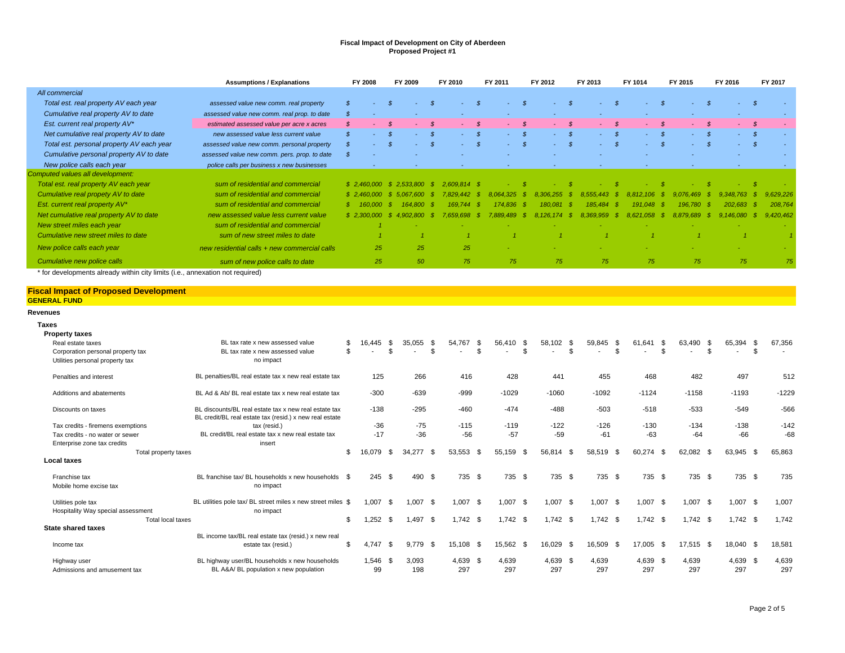|                                                                               | <b>Assumptions / Explanations</b>                                                                                |               | FY 2008           |               | FY 2009                               |                            | FY 2010               | FY 2011                 | FY 2012      |                      | FY 2013      |               | FY 1014   |               | FY 2015   |               | FY 2016        | FY 2017   |
|-------------------------------------------------------------------------------|------------------------------------------------------------------------------------------------------------------|---------------|-------------------|---------------|---------------------------------------|----------------------------|-----------------------|-------------------------|--------------|----------------------|--------------|---------------|-----------|---------------|-----------|---------------|----------------|-----------|
| All commercial                                                                |                                                                                                                  |               |                   |               |                                       |                            |                       |                         |              |                      |              |               |           |               |           |               |                |           |
| Total est. real property AV each year                                         | assessed value new comm. real property                                                                           | $\mathcal{S}$ |                   | $\mathcal{S}$ |                                       | $\mathcal{S}$              | $\mathcal{S}$         | $\mathcal{S}$           |              | $\mathcal{S}$        |              | $\mathcal{S}$ |           | $\mathcal{S}$ |           | - \$          | $\mathcal{S}$  |           |
| Cumulative real property AV to date                                           | assessed value new comm. real prop. to date                                                                      | S             |                   |               |                                       |                            |                       |                         |              |                      |              |               |           |               |           |               |                | $\sim$    |
| Est. current real property AV*                                                | estimated assessed value per acre x acres                                                                        | $\mathcal{L}$ |                   |               |                                       |                            | $\mathcal{S}$         | $\mathcal{S}$           |              | $\mathcal{S}$        |              | $\mathcal{S}$ |           | $\mathcal{S}$ |           |               | - \$           |           |
| Net cumulative real property AV to date                                       | new assessed value less current value                                                                            | $\mathcal{S}$ |                   | $\mathcal{S}$ |                                       | $\mathcal{S}$              | $\mathcal{S}$         | $\mathcal{S}$           |              | $\mathcal{S}$        |              | $\mathcal{S}$ |           | $\mathcal{S}$ |           |               | $\mathcal{S}$  |           |
| Total est. personal property AV each year                                     | assessed value new comm. personal property                                                                       | $\mathcal{S}$ |                   | $\mathcal{S}$ |                                       | $\mathcal{S}$              | $\mathcal{S}$         | $\mathcal{S}$<br>$\sim$ | ÷.           | $\mathcal{S}$        |              | $\mathcal{S}$ |           | $\mathcal{S}$ |           | $\mathcal{S}$ | $\mathcal{S}$  | ÷.        |
| Cumulative personal property AV to date                                       | assessed value new comm. pers. prop. to date                                                                     | $\mathcal{S}$ |                   |               |                                       |                            |                       |                         |              |                      |              |               |           |               |           |               |                |           |
| New police calls each year                                                    | police calls per business x new businesses                                                                       |               |                   |               |                                       |                            |                       |                         |              |                      |              |               |           |               |           |               |                | ÷.        |
| Computed values all development:                                              |                                                                                                                  |               |                   |               |                                       |                            |                       |                         |              |                      |              |               |           |               |           |               |                |           |
| Total est. real property AV each year                                         | sum of residential and commercial                                                                                |               |                   |               | $$2.460.000 \$2.533.800 \$$           |                            | 2.609.814 \$          | -8                      |              | -8                   |              | R             |           |               |           |               | - \$           |           |
| Cumulative real propety AV to date                                            | sum of residential and commercial                                                                                |               | \$2.460.000       |               | 5.067.600                             | - \$                       | 7.829.442<br>-\$      | 8.064.325<br>- \$       | 8.306.255    | - \$                 | 8.555,443 \$ |               | 8.812.106 |               | 9.076.469 | - \$          | $9.348.763$ \$ | 9.629.226 |
| Est. current real property AV*                                                | sum of residential and commercial                                                                                | -8            | 160.000           |               | 164.800                               | - SS                       | 169.744               | 174.836                 | 180.081      | - 55                 | 185.484      | - 55          | 191.048   |               | 196.780   |               | 202.683        | 208.764   |
| Net cumulative real property AV to date                                       | new assessed value less current value                                                                            |               |                   |               | $$2.300.000 \quad $4.902.800 \quad $$ |                            | 7.659.698<br>-\$      | 7.889.489<br>$\bullet$  | 8.126.174 \$ |                      | 8.369.959 \$ |               | 8.621.058 | - \$          | 8.879.689 | $\mathcal{S}$ | $9.146.080$ \$ | 9.420.462 |
| New street miles each year                                                    | sum of residential and commercial                                                                                |               |                   |               |                                       |                            |                       |                         |              |                      |              |               |           |               |           |               |                |           |
| Cumulative new street miles to date                                           | sum of new street miles to date                                                                                  |               | $\overline{1}$    |               |                                       |                            |                       |                         |              |                      |              |               |           |               |           |               |                |           |
| New police calls each year                                                    | new residential calls + new commercial calls                                                                     |               | 25                |               | 25                                    |                            | 25                    |                         |              |                      |              |               |           |               |           |               |                |           |
| Cumulative new police calls                                                   | sum of new police calls to date                                                                                  |               | 25                |               | 50                                    |                            | 75                    | 75                      | 75           |                      | 75           |               | 75        |               | 75        |               | 75             | 75        |
| * for developments already within city limits (i.e., annexation not required) |                                                                                                                  |               |                   |               |                                       |                            |                       |                         |              |                      |              |               |           |               |           |               |                |           |
| <b>Fiscal Impact of Proposed Development</b><br><b>GENERAL FUND</b>           |                                                                                                                  |               |                   |               |                                       |                            |                       |                         |              |                      |              |               |           |               |           |               |                |           |
| <b>Revenues</b>                                                               |                                                                                                                  |               |                   |               |                                       |                            |                       |                         |              |                      |              |               |           |               |           |               |                |           |
| <b>Taxes</b>                                                                  |                                                                                                                  |               |                   |               |                                       |                            |                       |                         |              |                      |              |               |           |               |           |               |                |           |
| <b>Property taxes</b>                                                         |                                                                                                                  |               |                   |               |                                       |                            |                       |                         |              |                      |              |               |           |               |           |               |                |           |
| Real estate taxes                                                             | BL tax rate x new assessed value                                                                                 | \$<br>\$.     | 16.445            | \$<br>\$      | 35.055                                | <b>β</b><br>$\mathfrak{R}$ | 54.767<br>- \$<br>\$. | 56.410<br>\$<br>\$      | 58.102       | \$<br>$\mathfrak{L}$ | 59.845       | \$<br>\$      | 61.641    | -\$<br>\$     | 63.490    |               | 65.394<br>- \$ | 67,356    |
| Corporation personal property tax<br>Utilities personal property tax          | BL tax rate x new assessed value<br>no impact                                                                    |               |                   |               |                                       |                            |                       |                         |              |                      |              |               |           |               |           |               | \$             | $\sim$    |
|                                                                               |                                                                                                                  |               |                   |               |                                       |                            |                       |                         |              |                      |              |               |           |               |           |               |                |           |
| Penalties and interest                                                        | BL penalties/BL real estate tax x new real estate tax                                                            |               | 125               |               | 266                                   |                            | 416                   | 428                     | 441          |                      | 455          |               | 468       |               | 482       |               | 497            | 512       |
| Additions and abatements                                                      | BL Ad & Ab/ BL real estate tax x new real estate tax                                                             |               | $-300$            |               | $-639$                                |                            | -999                  | $-1029$                 | $-1060$      |                      | $-1092$      |               | $-1124$   |               | $-1158$   |               | $-1193$        | $-1229$   |
|                                                                               |                                                                                                                  |               |                   |               |                                       |                            |                       |                         |              |                      |              |               |           |               |           |               |                |           |
| Discounts on taxes                                                            | BL discounts/BL real estate tax x new real estate tax<br>BL credit/BL real estate tax (resid.) x new real estate |               | $-138$            |               | $-295$                                |                            | $-460$                | $-474$                  | $-488$       |                      | $-503$       |               | $-518$    |               | $-533$    |               | $-549$         | $-566$    |
| Tax credits - firemens exemptions                                             | tax (resid.)                                                                                                     |               | $-36$             |               | $-75$                                 |                            | $-115$                | $-119$                  | $-122$       |                      | $-126$       |               | $-130$    |               | $-134$    |               | $-138$         | $-142$    |
| Tax credits - no water or sewer                                               | BL credit/BL real estate tax x new real estate tax                                                               |               | $-17$             |               | $-36$                                 |                            | $-56$                 | $-57$                   | $-59$        |                      | $-61$        |               | $-63$     |               | $-64$     |               | $-66$          | $-68$     |
| Enterprise zone tax credits                                                   | insert                                                                                                           |               |                   |               |                                       | - \$                       |                       | - \$                    |              |                      |              |               |           |               | 62,082 \$ |               | 63.945 \$      |           |
| Total property taxes<br><b>Local taxes</b>                                    |                                                                                                                  | \$            | 16,079            | - \$          | 34,277                                |                            | 53,553 \$             | 55,159                  | 56,814 \$    |                      | 58,519       | - \$          | 60,274 \$ |               |           |               |                | 65,863    |
| Franchise tax<br>Mobile home excise tax                                       | BL franchise tax/ BL households x new households \$<br>no impact                                                 |               | $245 \text{ } $s$ |               | 490 \$                                |                            | 735 \$                | 735 \$                  | 735 \$       |                      | 735 \$       |               | 735 \$    |               | 735 \$    |               | 735 \$         | 735       |

| Utilities pole tax                 | BL utilities pole tax/ BL street miles x new street miles \$ | $1.007$ \$ | $.007$ \$ | 1.007      | 1,007<br>$\mathcal{L}$ | $1.007$ \$ | 1,007          | 1,007 \$ | $1,007$ \$ | 1,007<br>۰. | 1.007  |
|------------------------------------|--------------------------------------------------------------|------------|-----------|------------|------------------------|------------|----------------|----------|------------|-------------|--------|
| Hospitality Way special assessment | no impact                                                    |            |           |            |                        |            |                |          |            |             |        |
| Total local taxes                  |                                                              | .252S      | .497      | $1.742$ \$ | 1.742 \$               | .742 S     | $1.742$ \$     | 1.742 \$ | 1.742 S    | $1.742$ \$  | .742   |
| <b>State shared taxes</b>          |                                                              |            |           |            |                        |            |                |          |            |             |        |
|                                    | BL income tax/BL real estate tax (resid.) x new real         |            |           |            |                        |            |                |          |            |             |        |
| Income tax                         | estate tax (resid.)                                          | 4.747 \$   | 9.779 \$  | 15.108 \$  | 15,562 \$              | 16.029 \$  | 16,509<br>- 56 | 17.005   | 17.515 \$  | 18.040 \$   | 18.581 |
| Highway user                       | BL highway user/BL households x new households               | $1.546$ \$ | 3.093     | 4,639 \$   | 4,639                  | $4.639$ \$ | 4,639          | 4,639    | 4,639      | 4,639 \$    | 4,639  |
| Admissions and amusement tax       | BL A&A/ BL population x new population                       | 99         | 198       | 297        | 297                    | 297        | 297            | 297      | 297        | 297         | 297    |
|                                    |                                                              |            |           |            |                        |            |                |          |            |             |        |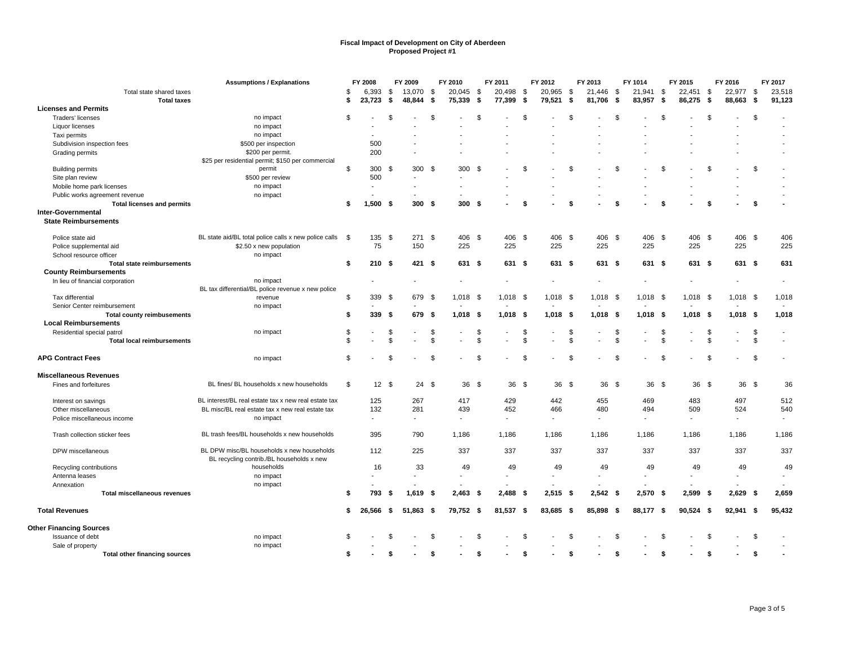|                                      | <b>Assumptions / Explanations</b>                     |          | FY 2008          |                          | FY 2009        |          | FY 2010                  |                     | FY 2011    |          | FY 2012         |                | FY 2013         |                      | FY 1014         |                      | FY 2015                  |                      | FY 2016        |          | FY 2017 |
|--------------------------------------|-------------------------------------------------------|----------|------------------|--------------------------|----------------|----------|--------------------------|---------------------|------------|----------|-----------------|----------------|-----------------|----------------------|-----------------|----------------------|--------------------------|----------------------|----------------|----------|---------|
| Total state shared taxes             |                                                       | \$       | 6,393            | -\$                      | 13,070         | - \$     | 20,045                   | - \$                | 20,498 \$  |          | 20,965          | -\$            | 21,446          | -\$                  | 21,941 \$       |                      | 22,451 \$                |                      | 22,977         | -\$      | 23,518  |
| <b>Total taxes</b>                   |                                                       | \$       | 23,723           | \$                       | 48,844         | -\$      | 75,339                   | - \$                | 77,399 \$  |          | 79,521          | \$             | 81,706          | \$                   | 83,957          | \$                   | 86,275                   | \$                   | 88,663         | -\$      | 91,123  |
| <b>Licenses and Permits</b>          |                                                       |          |                  |                          |                |          |                          |                     |            |          |                 |                |                 |                      |                 |                      |                          |                      |                |          |         |
| Traders' licenses                    | no impact                                             | \$       |                  | \$                       |                | \$       |                          | \$                  |            | \$       |                 | \$             |                 | \$                   |                 | \$                   |                          | \$                   |                | \$       |         |
| Liquor licenses                      | no impact                                             |          |                  |                          |                |          |                          |                     |            |          |                 |                |                 |                      |                 |                      |                          |                      |                |          |         |
| Taxi permits                         | no impact                                             |          |                  |                          |                |          |                          |                     |            |          |                 |                |                 |                      |                 |                      |                          |                      |                |          |         |
| Subdivision inspection fees          | \$500 per inspection                                  |          | 500              |                          |                |          |                          |                     |            |          |                 |                |                 |                      |                 |                      |                          |                      |                |          |         |
| Grading permits                      | \$200 per permit.                                     |          | 200              |                          |                |          |                          |                     |            |          |                 |                |                 |                      |                 |                      |                          |                      |                |          |         |
|                                      | \$25 per residential permit; \$150 per commercial     |          |                  |                          |                |          |                          |                     |            |          |                 |                |                 |                      |                 |                      |                          |                      |                |          |         |
| <b>Building permits</b>              | permit                                                | \$       | 300S             |                          | 300 \$         |          | 300                      | - \$                |            | \$       |                 | \$             |                 | \$                   |                 | \$                   |                          | \$                   |                | \$       |         |
| Site plan review                     | \$500 per review                                      |          | 500              |                          |                |          |                          |                     |            |          |                 |                |                 |                      |                 |                      |                          |                      |                |          |         |
| Mobile home park licenses            | no impact                                             |          |                  |                          |                |          |                          |                     |            |          |                 |                |                 |                      |                 |                      |                          |                      |                |          |         |
| Public works agreement revenue       | no impact                                             |          |                  |                          |                |          |                          |                     |            |          |                 |                |                 |                      |                 |                      |                          |                      |                |          |         |
| <b>Total licenses and permits</b>    |                                                       | \$       | 1,500            | - \$                     | 300S           |          | 300S                     |                     |            | \$       |                 | Ŝ.             |                 | \$                   |                 | \$                   |                          | \$                   |                | S        |         |
| Inter-Governmental                   |                                                       |          |                  |                          |                |          |                          |                     |            |          |                 |                |                 |                      |                 |                      |                          |                      |                |          |         |
| <b>State Reimbursements</b>          |                                                       |          |                  |                          |                |          |                          |                     |            |          |                 |                |                 |                      |                 |                      |                          |                      |                |          |         |
| Police state aid                     | BL state aid/BL total police calls x new police calls | \$       | 135              | \$                       | 271 \$         |          | 406 \$                   |                     | 406 \$     |          | 406             | \$             | 406 \$          |                      | 406             | \$                   | 406 \$                   |                      | 406            | \$       | 406     |
| Police supplemental aid              | \$2.50 x new population                               |          | 75               |                          | 150            |          | 225                      |                     | 225        |          | 225             |                | 225             |                      | 225             |                      | 225                      |                      | 225            |          | 225     |
| School resource officer              | no impact                                             |          |                  |                          |                |          |                          |                     |            |          |                 |                |                 |                      |                 |                      |                          |                      |                |          |         |
| <b>Total state reimbursements</b>    |                                                       | \$       | 210 <sup>5</sup> |                          | 421 \$         |          | 631 \$                   |                     | 631 \$     |          | 631 \$          |                | 631 \$          |                      | 631 \$          |                      | 631 \$                   |                      | 631 \$         |          | 631     |
| <b>County Reimbursements</b>         |                                                       |          |                  |                          |                |          |                          |                     |            |          |                 |                |                 |                      |                 |                      |                          |                      |                |          |         |
| In lieu of financial corporation     | no impact                                             |          |                  |                          |                |          |                          |                     |            |          |                 |                |                 |                      |                 |                      |                          |                      | ä,             |          | $\sim$  |
|                                      | BL tax differential/BL police revenue x new police    |          |                  |                          |                |          |                          |                     |            |          |                 |                |                 |                      |                 |                      |                          |                      |                |          |         |
| Tax differential                     | revenue                                               | \$       | 339              | - \$                     | 679            | - \$     | $1,018$ \$               |                     | $1,018$ \$ |          | $1,018$ \$      |                | $1,018$ \$      |                      | $1,018$ \$      |                      | $1,018$ \$               |                      | $1,018$ \$     |          | 1,018   |
| Senior Center reimbursement          | no impact                                             |          |                  |                          |                |          |                          |                     |            |          |                 |                |                 |                      |                 |                      |                          |                      |                |          |         |
| <b>Total county reimbusements</b>    |                                                       | \$       | 339S             |                          | 679 \$         |          | $1,018$ \$               |                     | $1,018$ \$ |          | $1,018$ \$      |                | $1,018$ \$      |                      | $1,018$ \$      |                      | $1,018$ \$               |                      | $1,018$ \$     |          | 1,018   |
| <b>Local Reimbursements</b>          |                                                       |          |                  |                          |                |          |                          |                     |            |          |                 |                |                 |                      |                 |                      |                          |                      |                |          |         |
|                                      |                                                       |          |                  |                          |                |          |                          |                     |            |          |                 | \$             |                 |                      |                 |                      |                          |                      |                |          |         |
| Residential special patrol           | no impact                                             | \$<br>\$ |                  | \$<br>$\mathbf{\hat{S}}$ |                | \$<br>\$ |                          | \$<br>${\mathbb S}$ |            | \$<br>\$ |                 | $\mathfrak{L}$ |                 | \$<br>$\mathfrak{L}$ |                 | \$<br>$\mathfrak{L}$ |                          | \$<br>$\mathfrak{L}$ |                | \$<br>-S |         |
| <b>Total local reimbursements</b>    |                                                       |          |                  |                          |                |          |                          |                     |            |          |                 |                |                 |                      |                 |                      |                          |                      |                |          |         |
| <b>APG Contract Fees</b>             | no impact                                             | \$       |                  | \$.                      |                | \$       |                          | \$                  |            | \$       |                 | \$             |                 | \$                   |                 | \$                   |                          | -S                   |                | \$       |         |
| <b>Miscellaneous Revenues</b>        |                                                       |          |                  |                          |                |          |                          |                     |            |          |                 |                |                 |                      |                 |                      |                          |                      |                |          |         |
| Fines and forfeitures                | BL fines/ BL households x new households              | \$       | 12S              |                          | $24 \quad$     |          | 36 <sup>°</sup>          |                     | 36S        |          | 36 <sup>5</sup> |                | 36 <sup>5</sup> |                      | 36 <sup>5</sup> |                      | 36S                      |                      | 36 \$          |          | 36      |
|                                      |                                                       |          |                  |                          |                |          |                          |                     |            |          |                 |                |                 |                      |                 |                      |                          |                      |                |          |         |
| Interest on savings                  | BL interest/BL real estate tax x new real estate tax  |          | 125              |                          | 267            |          | 417                      |                     | 429        |          | 442             |                | 455             |                      | 469             |                      | 483                      |                      | 497            |          | 512     |
| Other miscellaneous                  | BL misc/BL real estate tax x new real estate tax      |          | 132              |                          | 281            |          | 439                      |                     | 452        |          | 466             |                | 480             |                      | 494             |                      | 509                      |                      | 524            |          | 540     |
| Police miscellaneous income          | no impact                                             |          |                  |                          | $\blacksquare$ |          | $\overline{\phantom{a}}$ |                     |            |          |                 |                |                 |                      | $\blacksquare$  |                      | $\overline{\phantom{a}}$ |                      | $\blacksquare$ |          |         |
| Trash collection sticker fees        | BL trash fees/BL households x new households          |          | 395              |                          | 790            |          | 1,186                    |                     | 1,186      |          | 1,186           |                | 1,186           |                      | 1,186           |                      | 1.186                    |                      | 1,186          |          | 1,186   |
| DPW miscellaneous                    | BL DPW misc/BL households x new households            |          | 112              |                          | 225            |          | 337                      |                     | 337        |          | 337             |                | 337             |                      | 337             |                      | 337                      |                      | 337            |          | 337     |
|                                      | BL recycling contrib./BL households x new             |          |                  |                          |                |          |                          |                     |            |          |                 |                |                 |                      |                 |                      |                          |                      |                |          |         |
| Recycling contributions              | households                                            |          | 16               |                          | 33             |          | 49                       |                     | 49         |          | 49              |                | 49              |                      | 49              |                      | 49                       |                      | 49             |          | 49      |
| Antenna leases                       | no impact                                             |          |                  |                          | $\sim$         |          |                          |                     |            |          |                 |                |                 |                      |                 |                      | $\blacksquare$           |                      | ٠              |          | $\sim$  |
| Annexation                           | no impact                                             |          |                  |                          |                |          |                          |                     |            |          |                 |                |                 |                      |                 |                      |                          |                      |                |          |         |
| Total miscellaneous revenues         |                                                       | \$       | 793              | - \$                     | 1,619          | - \$     | $2,463$ \$               |                     | $2,488$ \$ |          | $2,515$ \$      |                | $2,542$ \$      |                      | $2,570$ \$      |                      | $2,599$ \$               |                      | $2,629$ \$     |          | 2,659   |
|                                      |                                                       |          |                  |                          |                |          |                          |                     |            |          |                 |                |                 |                      |                 |                      |                          |                      |                |          |         |
| <b>Total Revenues</b>                |                                                       | \$       | 26,566           | - \$                     | $51,863$ \$    |          | 79,752 \$                |                     | 81,537 \$  |          | 83,685 \$       |                | 85,898 \$       |                      | 88,177 \$       |                      | $90,524$ \$              |                      | $92,941$ \$    |          | 95,432  |
| <b>Other Financing Sources</b>       |                                                       |          |                  |                          |                |          |                          |                     |            |          |                 |                |                 |                      |                 |                      |                          |                      |                |          |         |
| Issuance of debt                     | no impact                                             | \$       |                  | \$.                      |                | \$       |                          | \$                  |            | \$       |                 | \$             |                 | \$                   |                 | \$                   |                          | \$                   |                | \$       |         |
| Sale of property                     | no impact                                             |          |                  |                          |                |          |                          |                     |            |          |                 |                |                 |                      |                 |                      |                          |                      |                |          |         |
| <b>Total other financing sources</b> |                                                       | \$       |                  |                          |                | \$       |                          | \$                  |            | \$       |                 | -96            |                 | \$                   |                 | \$                   |                          | \$                   |                | \$       |         |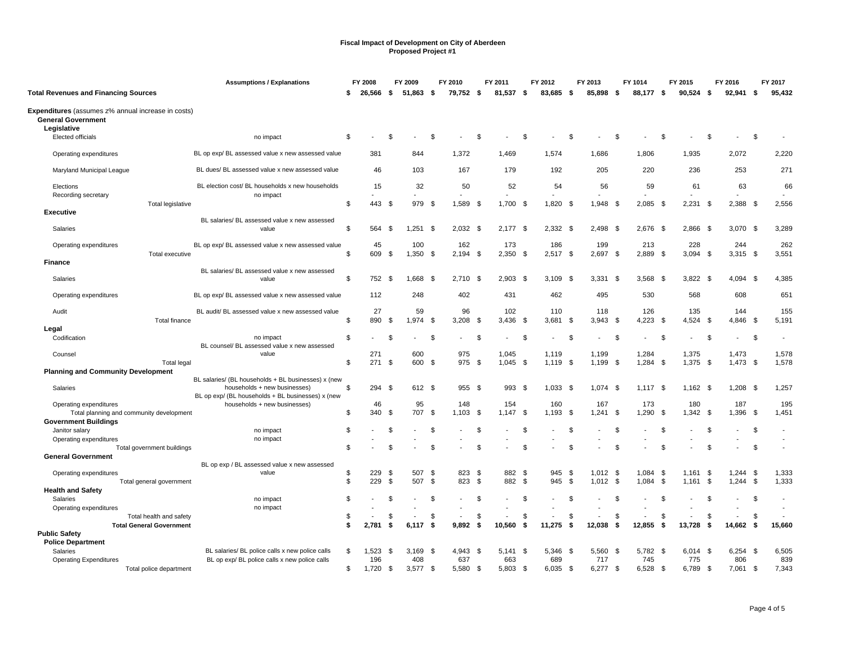|                                                                                 | <b>Assumptions / Explanations</b>                         |    | FY 2008   |      | FY 2009    |          | FY 2010      |          | FY 2011      |      | FY 2012      |      | FY 2013      |      | FY 1014      |          | FY 2015           |      | FY 2016      |      | FY 2017      |
|---------------------------------------------------------------------------------|-----------------------------------------------------------|----|-----------|------|------------|----------|--------------|----------|--------------|------|--------------|------|--------------|------|--------------|----------|-------------------|------|--------------|------|--------------|
| <b>Total Revenues and Financing Sources</b>                                     |                                                           | S  | 26,566    | - 5  | 51,863     | - \$     | 79,752 \$    |          | 81,537       | - \$ | 83,685 \$    |      | 85,898       | S.   | 88,177       | - 5      | $90,524$ \$       |      | 92,941       | - 5  | 95,432       |
| Expenditures (assumes z% annual increase in costs)<br><b>General Government</b> |                                                           |    |           |      |            |          |              |          |              |      |              |      |              |      |              |          |                   |      |              |      |              |
| Legislative                                                                     |                                                           |    |           |      |            |          |              |          |              |      |              |      |              |      |              |          |                   |      |              |      |              |
| Elected officials                                                               | no impact                                                 | \$ |           | \$.  |            | \$       |              | \$       |              | \$   |              | \$   |              | \$.  |              | -\$      |                   | - \$ |              | \$   |              |
| Operating expenditures                                                          | BL op exp/ BL assessed value x new assessed value         |    | 381       |      | 844        |          | 1,372        |          | 1.469        |      | 1.574        |      | 1.686        |      | 1.806        |          | 1.935             |      | 2,072        |      | 2,220        |
| Maryland Municipal League                                                       | BL dues/ BL assessed value x new assessed value           |    | 46        |      | 103        |          | 167          |          | 179          |      | 192          |      | 205          |      | 220          |          | 236               |      | 253          |      | 271          |
| Elections                                                                       | BL election cost/ BL households x new households          |    | 15        |      | 32         |          | 50           |          | 52           |      | 54           |      | 56           |      | 59           |          | 61                |      | 63           |      | 66           |
| Recording secretary                                                             | no impact                                                 |    |           |      |            |          |              |          |              |      |              |      |              |      |              |          |                   |      |              |      |              |
| <b>Total legislative</b><br><b>Executive</b>                                    |                                                           | \$ | 443       | - \$ | 979 \$     |          | 1,589 \$     |          | $1.700$ \$   |      | $1,820$ \$   |      | 1,948 \$     |      | 2,085        | - \$     | $2,231$ \$        |      | 2,388 \$     |      | 2,556        |
|                                                                                 | BL salaries/ BL assessed value x new assessed             |    |           |      |            |          |              |          |              |      |              |      |              |      |              |          |                   |      |              |      |              |
| Salaries                                                                        | value                                                     | \$ | 564       | \$   | 1,251      | - \$     | 2,032        | - \$     | $2,177$ \$   |      | 2,332 \$     |      | 2,498        | - \$ | 2,676        | - \$     | 2,866 \$          |      | 3,070        | - \$ | 3,289        |
| Operating expenditures                                                          | BL op exp/ BL assessed value x new assessed value         |    | 45        |      | 100        |          | 162          |          | 173          |      | 186          |      | 199          |      | 213          |          | 228               |      | 244          |      | 262          |
| Total executive                                                                 |                                                           | \$ | 609       | \$   | 1,350      | - \$     | $2,194$ \$   |          | $2,350$ \$   |      | $2,517$ \$   |      | 2,697        | \$   | 2,889        | -\$      | $3,094$ \$        |      | $3,315$ \$   |      | 3,551        |
| <b>Finance</b>                                                                  |                                                           |    |           |      |            |          |              |          |              |      |              |      |              |      |              |          |                   |      |              |      |              |
| Salaries                                                                        | BL salaries/ BL assessed value x new assessed<br>value    | \$ | 752 \$    |      | 1,668 \$   |          | $2,710$ \$   |          | $2,903$ \$   |      | $3,109$ \$   |      | $3,331$ \$   |      | 3,568 \$     |          | 3,822 \$          |      | 4,094 \$     |      | 4,385        |
|                                                                                 |                                                           |    |           |      |            |          |              |          |              |      |              |      |              |      |              |          |                   |      |              |      |              |
| Operating expenditures                                                          | BL op exp/ BL assessed value x new assessed value         |    | 112       |      | 248        |          | 402          |          | 431          |      | 462          |      | 495          |      | 530          |          | 568               |      | 608          |      | 651          |
| Audit                                                                           | BL audit/ BL assessed value x new assessed value          |    | 27        |      | 59         |          | 96           |          | 102          |      | 110          |      | 118          |      | 126          |          | 135               |      | 144          |      | 155          |
| Total finance                                                                   |                                                           | \$ | 890       | \$   | 1,974      | - \$     | 3,208        | - \$     | 3,436        | - \$ | 3,681        | \$   | $3,943$ \$   |      | 4,223        | \$       | 4,524 \$          |      | 4,846        | -\$  | 5,191        |
| Legal                                                                           |                                                           |    |           |      |            |          |              |          |              |      |              |      |              |      |              |          |                   |      |              |      |              |
| Codification                                                                    | no impact<br>BL counsel/ BL assessed value x new assessed | \$ |           | -S   |            | \$       |              | \$       |              | \$   |              | \$   |              | \$   |              | -\$      |                   | \$   |              | Ŝ.   |              |
| Counsel                                                                         | value                                                     |    | 271       |      | 600        |          | 975          |          | 1.045        |      | 1,119        |      | 1,199        |      | 1,284        |          | 1,375             |      | 1,473        |      | 1,578        |
| <b>Total legal</b>                                                              |                                                           | \$ | 271       | \$   | 600 \$     |          | 975          | <b>S</b> | $1,045$ \$   |      | $1,119$ \$   |      | 1,199 \$     |      | $1,284$ \$   |          | $1,375$ \$        |      | $1,473$ \$   |      | 1,578        |
| <b>Planning and Community Development</b>                                       |                                                           |    |           |      |            |          |              |          |              |      |              |      |              |      |              |          |                   |      |              |      |              |
|                                                                                 | BL salaries/ (BL households + BL businesses) x (new       |    |           |      |            |          |              |          |              |      |              |      |              |      |              |          |                   |      |              |      |              |
| Salaries                                                                        | households + new businesses)                              | \$ | 294       | - \$ | 612 \$     |          | $955$ \$     |          | 993 \$       |      | $1,033$ \$   |      | $1,074$ \$   |      | $1,117$ \$   |          | $1,162$ \$        |      | 1,208        | - \$ | 1,257        |
|                                                                                 | BL op exp/ (BL households + BL businesses) x (new         |    |           |      |            |          |              |          |              |      |              |      |              |      |              |          |                   |      |              |      |              |
| Operating expenditures                                                          | households + new businesses)                              | \$ | 46<br>340 | - \$ | 95<br>707  | - \$     | 148<br>1,103 | <b>S</b> | 154<br>1,147 | - \$ | 160<br>1,193 | - \$ | 167<br>1.241 | - \$ | 173<br>1,290 | \$       | 180<br>$1,342$ \$ |      | 187<br>1,396 |      | 195<br>1,451 |
| Total planning and community development<br><b>Government Buildings</b>         |                                                           |    |           |      |            |          |              |          |              |      |              |      |              |      |              |          |                   |      |              | -\$  |              |
| Janitor salary                                                                  | no impact                                                 | \$ |           | \$   |            | \$       |              | \$       |              | \$   |              | \$   |              | \$   |              | \$       |                   | \$   |              | \$   |              |
| Operating expenditures                                                          | no impact                                                 |    |           |      |            |          |              |          |              |      |              |      |              |      |              |          |                   |      |              |      | $\sim$       |
| Total government buildings                                                      |                                                           | \$ |           | £.   |            | £.       |              | \$       |              | \$   |              | \$.  |              | £.   |              | <b>β</b> |                   | - \$ |              | -S   | $\sim$       |
| <b>General Government</b>                                                       |                                                           |    |           |      |            |          |              |          |              |      |              |      |              |      |              |          |                   |      |              |      |              |
|                                                                                 | BL op exp / BL assessed value x new assessed              |    |           |      |            |          |              |          |              |      |              |      |              |      |              |          |                   |      |              |      |              |
| Operating expenditures                                                          | value                                                     | \$ | 229       | - \$ | 507        | - \$     | 823          | - \$     | 882 \$       |      | 945          | -\$  | $1,012$ \$   |      | 1.084        | - \$     | 1.161             | - \$ | 1.244        | -\$  | 1,333        |
| Total general government                                                        |                                                           | \$ | 229       | \$   | 507        | <b>S</b> | 823          | <b>S</b> | 882 \$       |      | 945          | \$   | $1,012$ \$   |      | 1,084        | - \$     | $1,161$ \$        |      | 1,244        | -\$  | 1,333        |
| <b>Health and Safety</b><br><b>Salaries</b>                                     | no impact                                                 | \$ |           | \$.  |            | \$       |              | \$       |              | \$   |              | \$.  |              | \$.  |              | -\$      |                   | \$   |              | \$   |              |
| Operating expenditures                                                          | no impact                                                 |    |           |      |            |          |              |          |              |      |              |      |              |      |              |          |                   |      |              |      |              |
| Total health and safety                                                         |                                                           | \$ |           | \$   |            | \$       |              | \$       |              | \$   |              | \$   |              | \$   |              | \$       |                   | \$   |              | \$   |              |
| <b>Total General Government</b>                                                 |                                                           | \$ | 2,781     | \$   | 6,117      | Ŝ.       | 9,892        | Ŝ.       | 10,560       | s.   | 11,275       | \$   | 12,038       | \$   | 12,855       | -\$      | 13,728            | \$   | 14,662       | -\$  | 15,660       |
| <b>Public Safety</b>                                                            |                                                           |    |           |      |            |          |              |          |              |      |              |      |              |      |              |          |                   |      |              |      |              |
| <b>Police Department</b>                                                        |                                                           |    |           |      |            |          |              |          |              |      |              |      |              |      |              |          |                   |      |              |      |              |
| Salaries                                                                        | BL salaries/ BL police calls x new police calls           | \$ | 1,523     | - \$ | $3,169$ \$ |          | 4,943 \$     |          | $5,141$ \$   |      | 5,346 \$     |      | 5,560 \$     |      | 5,782 \$     |          | $6,014$ \$        |      | $6,254$ \$   |      | 6,505        |
| <b>Operating Expenditures</b>                                                   | BL op exp/ BL police calls x new police calls             |    | 196       |      | 408        |          | 637          |          | 663          |      | 689          |      | 717          |      | 745          |          | 775               |      | 806          |      | 839          |
| Total police department                                                         |                                                           | \$ | 1,720     | - \$ | $3,577$ \$ |          | 5.580 \$     |          | 5,803 \$     |      | $6.035$ \$   |      | $6,277$ \$   |      | $6,528$ \$   |          | 6,789 \$          |      | 7,061        | -\$  | 7,343        |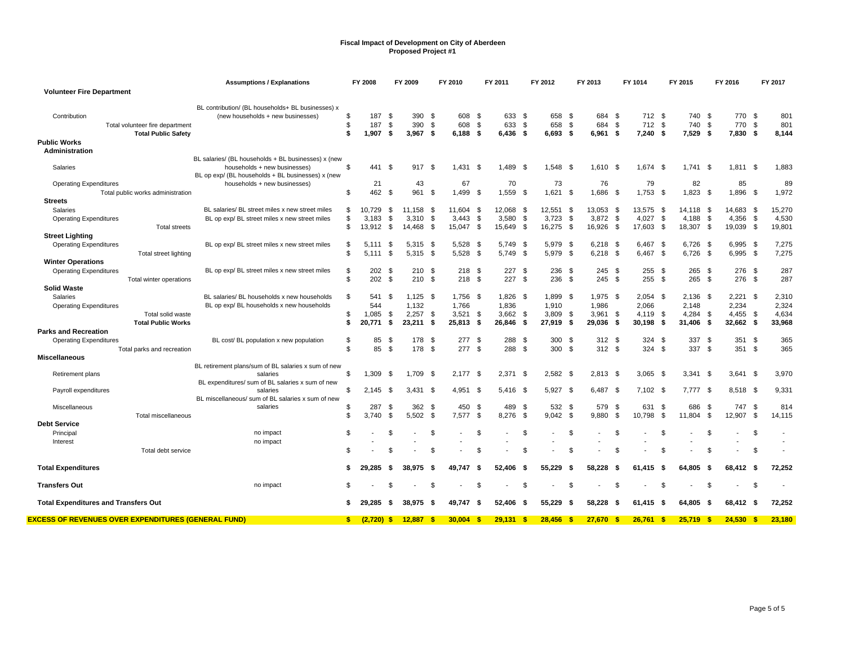|                                                                               | <b>Assumptions / Explanations</b>                                                      |                | FY 2008             |                    | FY 2009             |                    | FY 2010                     |            | FY 2011                  |              | FY 2012                  |            | FY 2013               |            | FY 1014                     |            | FY 2015                  |            | FY 2016                |            | FY 2017             |
|-------------------------------------------------------------------------------|----------------------------------------------------------------------------------------|----------------|---------------------|--------------------|---------------------|--------------------|-----------------------------|------------|--------------------------|--------------|--------------------------|------------|-----------------------|------------|-----------------------------|------------|--------------------------|------------|------------------------|------------|---------------------|
| <b>Volunteer Fire Department</b>                                              |                                                                                        |                |                     |                    |                     |                    |                             |            |                          |              |                          |            |                       |            |                             |            |                          |            |                        |            |                     |
| Contribution<br>Total volunteer fire department<br><b>Total Public Safety</b> | BL contribution/ (BL households+ BL businesses) x<br>(new households + new businesses) | \$<br>\$<br>\$ | 187<br>187<br>1,907 | \$<br>- \$<br>- \$ | 390<br>390<br>3,967 | -\$<br>-\$<br>- \$ | 608 \$<br>608<br>$6,188$ \$ | \$         | 633<br>633<br>$6,436$ \$ | - \$<br>- \$ | 658<br>658<br>$6.693$ \$ | - \$<br>\$ | 684<br>684<br>6.961 S | - \$<br>\$ | 712 \$<br>712<br>$7,240$ \$ | \$         | 740<br>740<br>$7,529$ \$ | - \$<br>\$ | 770 \$<br>770<br>7,830 | \$<br>- \$ | 801<br>801<br>8,144 |
| <b>Public Works</b>                                                           |                                                                                        |                |                     |                    |                     |                    |                             |            |                          |              |                          |            |                       |            |                             |            |                          |            |                        |            |                     |
| Administration                                                                |                                                                                        |                |                     |                    |                     |                    |                             |            |                          |              |                          |            |                       |            |                             |            |                          |            |                        |            |                     |
|                                                                               | BL salaries/ (BL households + BL businesses) x (new                                    |                |                     |                    |                     |                    |                             |            |                          |              |                          |            |                       |            |                             |            |                          |            |                        |            |                     |
| Salaries                                                                      | households + new businesses)                                                           | \$             | 441 \$              |                    | 917                 | - \$               | 1,431                       | - \$       | 1.489                    | - \$         | $1.548$ \$               |            | 1.610                 | - \$       | 1.674                       | - \$       | 1.741                    | - \$       | $1,811$ \$             |            | 1,883               |
|                                                                               | BL op exp/ (BL households + BL businesses) x (new                                      |                |                     |                    |                     |                    |                             |            |                          |              |                          |            |                       |            |                             |            |                          |            |                        |            |                     |
| <b>Operating Expenditures</b>                                                 | households + new businesses)                                                           |                | 21                  |                    | 43                  |                    | 67                          |            | 70                       |              | 73                       |            | 76                    |            | 79                          |            | 82                       |            | 85                     |            | 89                  |
| Total public works administration                                             |                                                                                        | \$             | 462                 | - \$               | 961                 | - \$               | 1.499                       | - \$       | 1,559                    | - \$         | 1.621                    | - \$       | 1,686                 | - \$       | 1.753                       | - \$       | 1,823                    | - \$       | 1,896                  | - \$       | 1,972               |
| <b>Streets</b>                                                                |                                                                                        |                |                     |                    |                     |                    |                             |            |                          |              |                          |            |                       |            |                             |            |                          |            |                        |            |                     |
| <b>Salaries</b>                                                               | BL salaries/ BL street miles x new street miles                                        | \$             | 10,729              | \$                 | 11.158              | -\$                | 11.604                      | -\$        | 12.068                   | - \$         | 12,551                   | - \$       | 13,053                | - \$       | 13,575                      | - \$       | 14.118 \$                |            | 14.683                 | - \$       | 15,270              |
| <b>Operating Expenditures</b>                                                 | BL op exp/ BL street miles x new street miles                                          | \$<br>\$       | 3,183<br>13.912     | \$                 | 3,310<br>14,468     | \$<br>- \$         | 3,443<br>15.047             | \$<br>- \$ | 3,580<br>15,649          | \$<br>- \$   | 3,723<br>16,275          | \$<br>- \$ | 3,872<br>16,926       | \$<br>- \$ | 4,027<br>17,603             | \$<br>- \$ | 4,188<br>18,307 \$       | \$         | 4,356<br>19,039        | \$<br>- \$ | 4,530<br>19,801     |
| <b>Total streets</b><br><b>Street Lighting</b>                                |                                                                                        |                |                     | - \$               |                     |                    |                             |            |                          |              |                          |            |                       |            |                             |            |                          |            |                        |            |                     |
|                                                                               | BL op exp/BL street miles x new street miles                                           | \$             | 5.111               | - \$               | 5,315               | -\$                | 5.528                       | -\$        | 5,749                    | - \$         | 5,979                    | - \$       | 6,218                 | - \$       | 6,467                       | - \$       | 6,726                    | - \$       | 6,995                  | - \$       | 7,275               |
| <b>Operating Expenditures</b><br>Total street lighting                        |                                                                                        | \$             | 5.111               | - \$               | 5.315               | - \$               | 5.528 \$                    |            | 5.749                    | - \$         | 5.979 \$                 |            | 6,218                 | - \$       | 6.467                       | <b>\$</b>  | 6.726                    | - \$       | $6,995$ \$             |            | 7,275               |
| <b>Winter Operations</b>                                                      |                                                                                        |                |                     |                    |                     |                    |                             |            |                          |              |                          |            |                       |            |                             |            |                          |            |                        |            |                     |
| <b>Operating Expenditures</b>                                                 | BL op exp/ BL street miles x new street miles                                          | \$             | 202                 | -\$                | 210                 | - \$               | 218S                        |            | 227                      | - \$         | 236                      | - \$       | 245                   | - \$       | 255                         | - \$       | 265                      | - \$       | 276                    | - \$       | 287                 |
| Total winter operations                                                       |                                                                                        | \$             | 202                 | - \$               | 210S                |                    | 218S                        |            | 227S                     |              | 236                      | <b>S</b>   | 245                   | <b>S</b>   | 255                         | - \$       | $265$ \$                 |            | 276 \$                 |            | 287                 |
| <b>Solid Waste</b>                                                            |                                                                                        |                |                     |                    |                     |                    |                             |            |                          |              |                          |            |                       |            |                             |            |                          |            |                        |            |                     |
| Salaries                                                                      | BL salaries/ BL households x new households                                            | \$             | 541                 | \$                 | 1.125               | - \$               | 1.756                       | - \$       | 1.826                    | - \$         | 1.899                    | - \$       | 1.975                 | - \$       | 2.054                       | - \$       | 2,136                    | - \$       | 2.221                  | - \$       | 2,310               |
| <b>Operating Expenditures</b>                                                 | BL op exp/ BL households x new households                                              |                | 544                 |                    | 1,132               |                    | 1,766                       |            | 1,836                    |              | 1,910                    |            | 1,986                 |            | 2,066                       |            | 2,148                    |            | 2,234                  |            | 2,324               |
| Total solid waste                                                             |                                                                                        | \$             | 1.085               | \$                 | 2,257               | -\$                | 3,521                       | - \$       | $3,662$ \$               |              | 3.809                    | - \$       | 3,961                 | -\$        | 4.119                       | - \$       | $4,284$ \$               |            | 4,455                  | \$         | 4,634               |
| <b>Total Public Works</b>                                                     |                                                                                        | \$             | 20.771              | - \$               | 23,211              | -\$                | 25,813                      | -\$        | 26,846                   | - \$         | 27,919                   | - \$       | 29,036                | -\$        | 30.198                      | - \$       | 31,406                   | - \$       | 32,662 \$              |            | 33,968              |
| <b>Parks and Recreation</b>                                                   |                                                                                        |                |                     |                    |                     |                    |                             |            |                          |              |                          |            |                       |            |                             |            |                          |            |                        |            |                     |
| <b>Operating Expenditures</b>                                                 | BL cost/BL population x new population                                                 | \$             | 85                  | -\$                | 178                 | -\$                | 277                         | -\$        | 288 \$                   |              | 300                      | - \$       | 312                   | - \$       | 324                         | - \$       | 337                      | - \$       | 351                    | - \$       | 365                 |
| Total parks and recreation                                                    |                                                                                        | \$             | 85                  | -\$                | 178                 | - \$               | 277S                        |            | 288 \$                   |              | 300                      | <b>S</b>   | 312S                  |            | 324                         | <b>S</b>   | 337                      | <b>S</b>   | 351S                   |            | 365                 |
| <b>Miscellaneous</b>                                                          |                                                                                        |                |                     |                    |                     |                    |                             |            |                          |              |                          |            |                       |            |                             |            |                          |            |                        |            |                     |
|                                                                               | BL retirement plans/sum of BL salaries x sum of new                                    |                |                     |                    |                     |                    |                             |            |                          |              |                          |            |                       |            |                             |            |                          |            |                        |            |                     |
| Retirement plans                                                              | salaries                                                                               | \$             | 1.309               | - \$               | 1.709               | - \$               | $2,177$ \$                  |            | 2,371                    | - \$         | $2,582$ \$               |            | $2,813$ \$            |            | 3,065                       | - \$       | 3,341                    | - \$       | $3,641$ \$             |            | 3,970               |
|                                                                               | BL expenditures/ sum of BL salaries x sum of new                                       |                |                     |                    |                     |                    |                             |            |                          |              |                          |            |                       |            |                             |            |                          |            |                        |            |                     |
| Payroll expenditures                                                          | salaries                                                                               | \$             | 2.145               | - \$               | $3.431$ \$          |                    | 4.951 \$                    |            | 5.416 \$                 |              | $5.927$ \$               |            | 6.487 \$              |            | $7.102$ \$                  |            | $7.777$ \$               |            | 8.518 \$               |            | 9,331               |
|                                                                               | BL miscellaneous/ sum of BL salaries x sum of new                                      |                |                     |                    |                     |                    |                             |            |                          |              |                          |            |                       |            |                             |            |                          |            |                        |            |                     |
| Miscellaneous                                                                 | salaries                                                                               | \$             | 287                 | \$                 | 362                 | - \$               | 450                         | -\$        | 489                      | - \$         | 532                      | - \$       | 579                   | - \$       | 631                         | - \$       | 686                      | - \$       | 747                    | - \$       | 814                 |
| Total miscellaneous                                                           |                                                                                        | \$             | 3,740               | \$                 | 5.502               | - \$               | 7,577                       | - \$       | 8,276                    | \$           | 9,042                    | - \$       | 9,880                 | \$         | 10.798                      | Ŝ.         | 11.804                   | \$         | 12,907                 | \$         | 14,115              |
| <b>Debt Service</b>                                                           |                                                                                        |                |                     |                    |                     |                    |                             |            |                          |              |                          |            |                       |            |                             |            |                          |            |                        |            |                     |
| Principal                                                                     | no impact                                                                              | \$             |                     | \$                 |                     | \$                 |                             | \$         |                          | \$           | $\overline{\phantom{a}}$ | \$         |                       | \$         |                             | \$         |                          | \$         |                        | \$         |                     |
| Interest                                                                      | no impact                                                                              | \$             |                     |                    |                     |                    |                             | S          |                          | \$           |                          | \$         |                       | \$         |                             | S.         |                          |            |                        | \$         |                     |
| Total debt service                                                            |                                                                                        |                |                     |                    |                     | S                  |                             |            |                          |              |                          |            |                       |            |                             |            |                          | S          |                        |            |                     |
| <b>Total Expenditures</b>                                                     |                                                                                        | \$             | 29.285              | - \$               | 38.975              | -S                 | 49.747                      | -S         | 52.406                   | -S           | 55.229                   | - \$       | 58.228                | - \$       | 61.415                      | - \$       | 64.805                   | Ŝ.         | 68.412                 | - \$       | 72,252              |
|                                                                               |                                                                                        |                |                     |                    |                     |                    |                             |            |                          |              |                          |            |                       |            |                             |            |                          |            |                        |            |                     |
| <b>Transfers Out</b>                                                          | no impact                                                                              | \$             |                     | Я.                 |                     | \$                 |                             | \$         |                          | \$           |                          | \$         |                       | \$         |                             | \$         |                          | \$         |                        | \$         |                     |
|                                                                               |                                                                                        |                |                     |                    |                     |                    |                             |            |                          |              |                          |            |                       |            |                             |            |                          |            |                        |            |                     |
| <b>Total Expenditures and Transfers Out</b>                                   |                                                                                        | \$             | 29.285              | - \$               | 38.975              | - \$               | 49.747                      | - \$       | 52.406                   | - \$         | 55.229                   | - \$       | 58.228                | - \$       | 61.415                      | - \$       | 64.805                   | - \$       | 68.412 \$              |            | 72,252              |
|                                                                               |                                                                                        |                |                     |                    |                     |                    |                             |            |                          |              |                          |            |                       |            |                             |            |                          |            |                        |            |                     |
| <u>EXCESS OF REVENUES OVER EXPENDITURES (GENERAL FUND)</u>                    |                                                                                        | <b>S</b>       | $(2,720)$ \$        |                    | 12,887              | - \$               | 30.004                      | - \$       | 29,131                   | -\$          | 28,456                   | - \$       | $27,670$ \$           |            | 26.761                      | - \$       | $25,719$ \$              |            | $24,530$ \$            |            | 23,180              |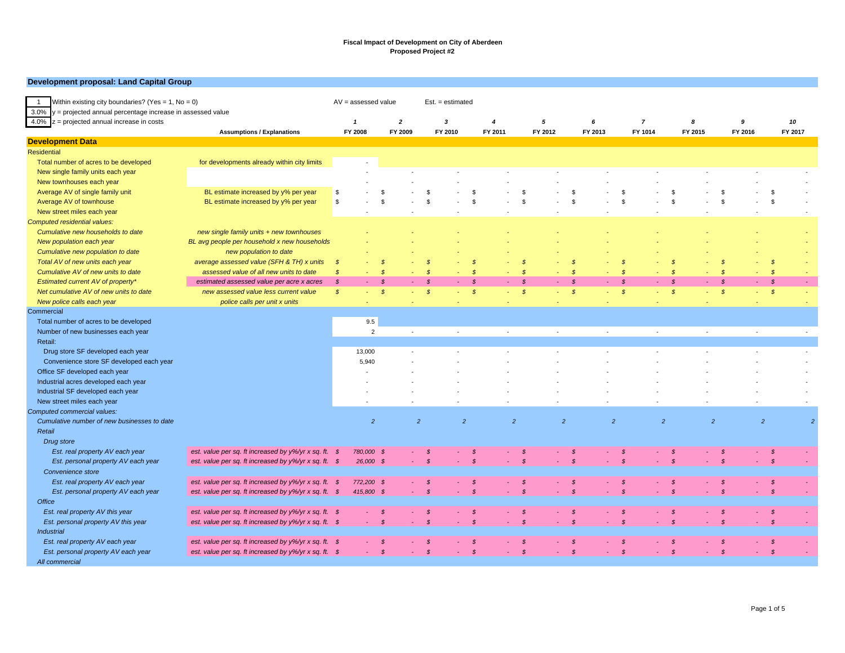#### **Development proposal: Land Capital Group**

| Within existing city boundaries? (Yes = $1$ , No = 0)<br>$\overline{1}$ | $AV =$ assessed value                                                  |                            |                | $Est. = estimated$ |               |                            |                  |               |                                    |         |                |                |                |                     |                    |                          |         |
|-------------------------------------------------------------------------|------------------------------------------------------------------------|----------------------------|----------------|--------------------|---------------|----------------------------|------------------|---------------|------------------------------------|---------|----------------|----------------|----------------|---------------------|--------------------|--------------------------|---------|
| 3.0%<br>y = projected annual percentage increase in assessed value      |                                                                        |                            |                |                    |               |                            |                  |               |                                    |         |                |                |                |                     |                    |                          |         |
| $4.0\%$ z = projected annual increase in costs                          |                                                                        | $\overline{1}$             |                | $\overline{2}$     | 3             |                            | $\boldsymbol{4}$ | 5             |                                    | 6       |                | $\overline{7}$ | 8              |                     | 9                  |                          | 10      |
|                                                                         | <b>Assumptions / Explanations</b>                                      | FY 2008                    |                | FY 2009            | FY 2010       |                            | FY 2011          | FY 2012       |                                    | FY 2013 |                | FY 1014        | FY 2015        |                     | FY 2016            |                          | FY 2017 |
| <b>Development Data</b>                                                 |                                                                        |                            |                |                    |               |                            |                  |               |                                    |         |                |                |                |                     |                    |                          |         |
| <b>Residential</b>                                                      |                                                                        |                            |                |                    |               |                            |                  |               |                                    |         |                |                |                |                     |                    |                          |         |
| Total number of acres to be developed                                   | for developments already within city limits                            |                            |                |                    |               |                            |                  |               |                                    |         |                |                |                |                     |                    |                          |         |
| New single family units each year                                       |                                                                        |                            |                |                    |               |                            |                  |               |                                    |         |                |                |                |                     |                    |                          |         |
| New townhouses each year                                                |                                                                        |                            |                |                    |               |                            |                  |               |                                    |         |                |                |                |                     |                    |                          |         |
| Average AV of single family unit                                        | BL estimate increased by y% per year                                   | S                          | -8             |                    | - \$          | \$                         |                  | -9            | -\$                                |         | - \$           |                | \$             |                     | $\mathfrak{s}$     | -\$                      |         |
| Average AV of townhouse                                                 | BL estimate increased by y% per year                                   | \$                         | - \$           |                    | $\mathbf{s}$  | \$                         |                  | <b>S</b>      | <b>S</b>                           |         | \$             |                | \$             |                     | $\mathbf{s}$       | -S                       |         |
| New street miles each year                                              |                                                                        |                            |                |                    |               |                            |                  |               |                                    |         |                |                |                |                     |                    |                          |         |
| Computed residential values:                                            |                                                                        |                            |                |                    |               |                            |                  |               |                                    |         |                |                |                |                     |                    |                          |         |
| Cumulative new households to date                                       | new single family units + new townhouses                               |                            |                |                    |               |                            |                  |               |                                    |         |                |                |                |                     |                    |                          |         |
| New population each year                                                | BL avg people per household x new households                           |                            |                |                    |               |                            |                  |               |                                    |         |                |                |                |                     |                    |                          |         |
| Cumulative new population to date                                       | new population to date                                                 |                            |                |                    |               |                            |                  |               |                                    |         |                |                |                |                     |                    |                          |         |
| Total AV of new units each year                                         | average assessed value (SFH & TH) x units                              | $\mathcal{S}$              | -S             |                    | - \$          | $\mathcal{S}$              |                  | - \$          | - \$                               |         | $\mathcal{S}$  |                | <b>S</b>       |                     | - \$               | - \$                     |         |
| Cumulative AV of new units to date                                      | assessed value of all new units to date                                | $\boldsymbol{\mathcal{S}}$ | $\mathcal{S}$  |                    | $\mathcal{S}$ | $\boldsymbol{\mathcal{S}}$ |                  | - \$          | $\mathcal{S}$<br>$\sim$            |         | $\mathcal{S}$  |                | -\$            | ٠                   | $\mathcal{S}$      | $\sqrt{s}$               |         |
| Estimated current AV of property*                                       | estimated assessed value per acre x acres                              | $\mathcal{S}$              | - \$           |                    | - \$          | $\mathcal{S}$              |                  | - \$          | $\mathcal{S}$<br>$\Delta \sim 100$ | $\sim$  | $\mathcal{S}$  | a.             | $\mathcal{S}$  | $-5$                |                    | $\mathcal{S}$<br>and the |         |
| Net cumulative AV of new units to date                                  | new assessed value less current value                                  | $\mathcal{S}$              | $\mathcal{S}$  |                    | $\mathcal{S}$ | $\mathcal{S}$<br>$\sim$    |                  | $\mathcal{S}$ | $\mathcal{S}$<br>$\sim$            | $\sim$  | $\mathcal{S}$  | ÷              | $\mathcal{S}$  | $\omega_{\rm{max}}$ | $\mathcal{S}$<br>÷ | $\mathcal{S}$            |         |
| New police calls each year                                              | police calls per unit x units                                          |                            |                |                    |               | ÷.                         |                  |               | ٠                                  | $\sim$  |                | ٠              |                | ٠                   | $\sim$             |                          | $\sim$  |
| Commercial                                                              |                                                                        |                            |                |                    |               |                            |                  |               |                                    |         |                |                |                |                     |                    |                          |         |
|                                                                         |                                                                        |                            |                |                    |               |                            |                  |               |                                    |         |                |                |                |                     |                    |                          |         |
| Total number of acres to be developed                                   |                                                                        | 9.5                        |                |                    |               |                            |                  |               |                                    |         |                |                |                |                     |                    |                          |         |
| Number of new businesses each year                                      |                                                                        |                            | $\overline{2}$ | $\sim$             |               | ÷,                         | $\overline{a}$   |               | ÷.                                 | $\sim$  |                | $\sim$         |                | $\sim$              | $\overline{a}$     |                          | $\sim$  |
| Retail:                                                                 |                                                                        |                            |                |                    |               |                            |                  |               |                                    |         |                |                |                |                     |                    |                          |         |
| Drug store SF developed each year                                       |                                                                        | 13,000                     |                |                    |               |                            |                  |               |                                    |         |                |                |                |                     |                    |                          |         |
| Convenience store SF developed each year                                |                                                                        | 5,940                      |                |                    |               |                            |                  |               |                                    |         |                |                |                |                     |                    |                          |         |
| Office SF developed each year                                           |                                                                        |                            |                |                    |               |                            |                  |               |                                    |         |                |                |                |                     |                    |                          |         |
| Industrial acres developed each year                                    |                                                                        |                            |                |                    |               |                            |                  |               |                                    |         |                |                |                |                     |                    |                          |         |
| Industrial SF developed each year                                       |                                                                        |                            |                |                    |               |                            |                  |               |                                    |         |                |                |                |                     |                    |                          |         |
| New street miles each year                                              |                                                                        |                            |                |                    |               |                            |                  |               |                                    |         |                |                |                |                     |                    |                          |         |
| Computed commercial values:                                             |                                                                        |                            |                |                    |               |                            |                  |               |                                    |         |                |                |                |                     |                    |                          |         |
| Cumulative number of new businesses to date                             |                                                                        |                            | $\overline{2}$ | 2                  |               | $\overline{2}$             | $\overline{2}$   |               | $\overline{2}$                     |         | $\overline{2}$ |                | $\overline{2}$ | $\overline{2}$      |                    | 2                        | ø       |
| Retail                                                                  |                                                                        |                            |                |                    |               |                            |                  |               |                                    |         |                |                |                |                     |                    |                          |         |
| Drug store                                                              |                                                                        |                            |                |                    |               |                            |                  |               |                                    |         |                |                |                |                     |                    |                          |         |
| Est. real property AV each year                                         | est. value per sq. ft increased by $y\frac{6}{y}r \times$ sq. ft. \$   | 780,000 \$                 |                |                    | - \$          | $\mathcal{S}$              |                  | - \$          | - \$                               |         | -\$            |                | - \$           |                     | -\$                | - \$                     |         |
| Est. personal property AV each year                                     | est. value per sq. ft increased by $y\frac{6}{y}r \times$ sq. ft. \$   | 26,000 \$                  |                |                    | $\mathcal{S}$ | $\mathcal{S}$              |                  | - \$          | $\mathcal{S}$                      |         | $\mathcal{S}$  |                | $\mathcal{S}$  |                     | $\mathcal{S}$      | $\mathcal{S}$            |         |
| Convenience store                                                       |                                                                        |                            |                |                    |               |                            |                  |               |                                    |         |                |                |                |                     |                    |                          |         |
| Est. real property AV each year                                         | est. value per sq. ft increased by y%/yr x sq. ft. \$                  | 772,200 \$                 |                |                    | - \$          | $\mathcal{S}$              |                  | <b>S</b>      | <b>S</b>                           |         | - S            |                | - \$           |                     | \$                 | $\sqrt{s}$               |         |
| Est. personal property AV each year                                     | est. value per sq. ft increased by $y\frac{6}{y}r \times$ sq. ft. $\$$ | 415,800 \$                 |                |                    |               | $\mathcal{S}$              |                  |               | $\mathcal{S}$                      |         | $\mathcal{S}$  |                |                |                     | $\mathcal{S}$      | $\mathcal{S}$            |         |
| Office                                                                  |                                                                        |                            |                |                    |               |                            |                  |               |                                    |         |                |                |                |                     |                    |                          |         |
| Est. real property AV this year                                         | est. value per sq. ft increased by y%/yr x sq. ft. \$                  |                            | -\$            |                    | -\$           | $\mathcal{S}$              |                  | - \$          | - \$                               |         | - \$           |                | $\mathcal{S}$  |                     | -\$                | - \$                     |         |
|                                                                         |                                                                        |                            | $\mathcal{S}$  |                    | - \$          | $\mathcal{S}$              |                  | <b>S</b>      | $\mathcal{S}$                      |         | $\mathcal{S}$  |                | $\mathcal{S}$  |                     | $\mathcal{S}$      | $\mathcal{S}$            |         |
| Est. personal property AV this year                                     | est. value per sq. ft increased by $y\frac{6}{y}r \times$ sq. ft. $\$$ |                            |                |                    |               |                            |                  |               |                                    |         |                |                |                |                     |                    |                          |         |
| <b>Industrial</b>                                                       |                                                                        |                            |                |                    |               |                            |                  |               |                                    |         |                |                |                |                     |                    |                          |         |
| Est. real property AV each year                                         | est. value per sq. ft increased by $y\frac{6}{y}r \times$ sq. ft. $\$$ |                            | - \$           |                    | - \$          | - \$                       |                  | - \$          | - \$                               |         | -\$            |                | - \$           |                     | -\$                | -\$                      |         |
| Est. personal property AV each year                                     | est. value per sq. ft increased by $y\frac{6}{y}r \times$ sq. ft. $\$$ |                            | $\mathcal{S}$  |                    | $\mathcal{S}$ | $\mathbb S$                |                  | $\mathcal{S}$ | $\sqrt{s}$                         | ×.      | $\mathcal{S}$  |                | $\mathbb S$    | $\sim$              | $\mathcal{S}$      | $\mathcal{S}$            |         |
| All commercial                                                          |                                                                        |                            |                |                    |               |                            |                  |               |                                    |         |                |                |                |                     |                    |                          |         |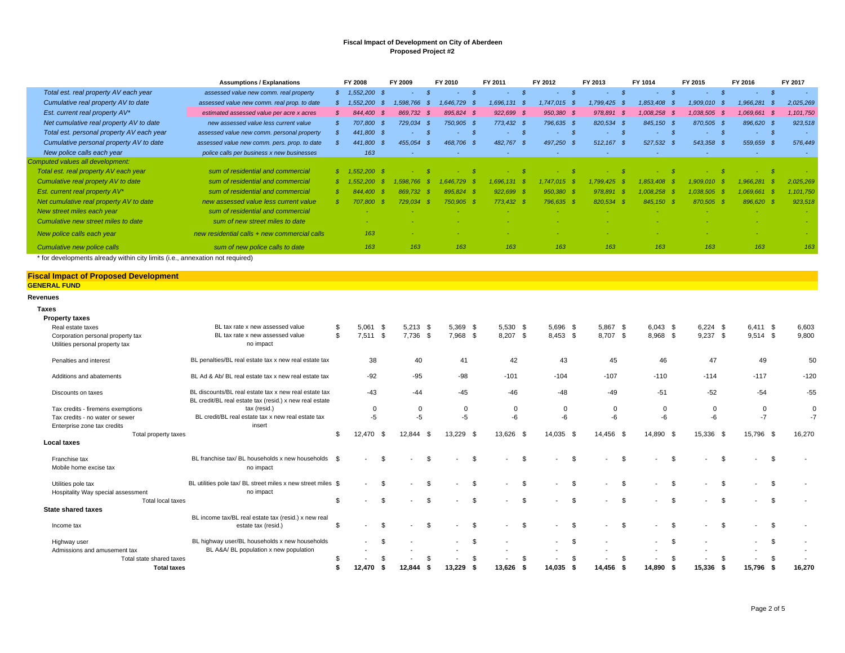|                                           | <b>Assumptions / Explanations</b>            | <b>FY 2008</b>  | FY 2009        | FY 2010       |            | FY 2011    |      | FY 2012      | FY 2013      |      | FY 1014      |      | FY 2015      | FY 2016                      | FY 2017   |
|-------------------------------------------|----------------------------------------------|-----------------|----------------|---------------|------------|------------|------|--------------|--------------|------|--------------|------|--------------|------------------------------|-----------|
| Total est. real property AV each year     | assessed value new comm. real property       | 1,552,200 \$    | ۰              |               |            | ٠          |      | ٠            |              |      |              |      |              | \$<br>- 5<br>$\sim$ 10 $\pm$ | $\sim$    |
| Cumulative real property AV to date       | assessed value new comm. real prop. to date  | 1,552,200       | 1.598.766      | $.646.729$ \$ |            | 1.696.131  |      | 1.747.015    | 1,799,425 \$ |      | 1,853,408    |      | 1,909,010    | 1,966,281                    | 2,025,269 |
| Est. current real property AV*            | estimated assessed value per acre x acres    | 844,400         | 869.732<br>- 8 | 895,824 \$    |            | 922,699 \$ |      | 950,380 \$   | 978,891      | - 5  | 1.008.258 \$ |      | 1,038,505 \$ | 1,069,661 \$                 | 1,101,750 |
| Net cumulative real property AV to date   | new assessed value less current value        | 707.800         | 729,034        |               | 750.905 \$ | 773.432    | - \$ | 796.635 \$   | 820,534      | - \$ | 845.150      | - \$ | 870,505 \$   | 896.620 \$                   | 923,518   |
| Total est. personal property AV each year | assessed value new comm. personal property   | 441,800 \$      |                |               |            |            |      | ۰.           |              |      |              |      |              | $-5$                         |           |
| Cumulative personal property AV to date   | assessed value new comm. pers. prop. to date | 441,800         | 455,054        | 468,706 \$    |            | 482,767    | - 8  | 497,250 \$   | 512,167 \$   |      | 527,532 \$   |      | 543,358 \$   | 559,659 \$                   | 576,449   |
| New police calls each year                | police calls per business x new businesses   | 163             |                |               |            |            |      | ٠            |              |      |              |      |              | х.                           |           |
| Computed values all development:          |                                              |                 |                |               |            |            |      |              |              |      |              |      |              |                              |           |
| Total est. real property AV each year     | sum of residential and commercial            | $$1.552.200$ \$ |                |               |            |            |      |              |              |      |              |      |              |                              |           |
| Cumulative real propety AV to date        | sum of residential and commercial            | 1.552.200       | 766<br>598     | 1.646.        | .729 \$    | .696.131   |      | 1.747.015 \$ | .799.425     |      | 1.853.408    |      | 1.909.010    | .966.281                     | 2,025,269 |
| Est. current real property AV*            | sum of residential and commercial            | 844,400         | 869.732        | 895.824 \$    |            | 922.699 \$ |      | 950.380 \$   | 978,891      | - 85 | .008.258     |      | 1.038.505    | $.069.661$ \$                | .101.750  |
| Net cumulative real property AV to date   | new assessed value less current value        | 707.800 \$      | 729.034        | 750.905 \$    |            | 773,432 \$ |      | 796.635 \$   | 820.534      | - 8  | 845.150 \$   |      | 870,505      | 896,620 \$                   | 923,518   |
| New street miles each year                | sum of residential and commercial            |                 |                |               |            |            |      |              |              |      |              |      |              |                              |           |
| Cumulative new street miles to date       | sum of new street miles to date              |                 |                |               |            |            |      |              |              |      |              |      |              |                              |           |
| New police calls each year                | new residential calls + new commercial calls | 163             |                |               |            |            |      |              |              |      |              |      |              |                              |           |
| Cumulative new police calls               | sum of new police calls to date              | 163             | 163            |               | 163        | 163        |      | 163          | 163          |      | 163          |      | 163          | 163                          | 163       |

\* for developments already within city limits (i.e., annexation not required)

#### **Fiscal Impact of Proposed Development GENERAL FUND**

#### **Revenues**

**Taxes**

| <b>Property taxes</b>              |                                                                                                                  |                          |      |                          |      |             |      |                          |          |                          |      |                          |          |                          |     |            |                |                          |                |        |
|------------------------------------|------------------------------------------------------------------------------------------------------------------|--------------------------|------|--------------------------|------|-------------|------|--------------------------|----------|--------------------------|------|--------------------------|----------|--------------------------|-----|------------|----------------|--------------------------|----------------|--------|
| Real estate taxes                  | BL tax rate x new assessed value                                                                                 | \$<br>5.061              | - \$ | 5,213                    | - \$ | 5.369 \$    |      | $5,530$ \$               |          | 5,696 \$                 |      | 5.867                    | -\$      | $6.043$ \$               |     | $6.224$ \$ |                | $6.411$ \$               |                | 6,603  |
| Corporation personal property tax  | BL tax rate x new assessed value                                                                                 | \$<br>$7,511$ \$         |      | 7,736                    | - \$ | 7,968 \$    |      | 8,207 \$                 |          | 8,453 \$                 |      | 8,707                    | <b>S</b> | 8,968 \$                 |     | $9,237$ \$ |                | $9,514$ \$               |                | 9,800  |
| Utilities personal property tax    | no impact                                                                                                        |                          |      |                          |      |             |      |                          |          |                          |      |                          |          |                          |     |            |                |                          |                |        |
| Penalties and interest             | BL penalties/BL real estate tax x new real estate tax                                                            | 38                       |      | 40                       |      | 41          |      | 42                       |          | 43                       |      | 45                       |          | 46                       |     | 47         |                | 49                       |                | 50     |
| Additions and abatements           | BL Ad & Ab/ BL real estate tax x new real estate tax                                                             | $-92$                    |      | $-95$                    |      | $-98$       |      | $-101$                   |          | $-104$                   |      | $-107$                   |          | $-110$                   |     | $-114$     |                | $-117$                   |                | $-120$ |
| Discounts on taxes                 | BL discounts/BL real estate tax x new real estate tax<br>BL credit/BL real estate tax (resid.) x new real estate | $-43$                    |      | $-44$                    |      | $-45$       |      | $-46$                    |          | $-48$                    |      | $-49$                    |          | $-51$                    |     | $-52$      |                | $-54$                    |                | $-55$  |
| Tax credits - firemens exemptions  | tax (resid.)                                                                                                     | $\mathbf 0$              |      | 0                        |      | $\mathbf 0$ |      | $\mathbf 0$              |          | 0                        |      | $\Omega$                 |          | 0                        |     | 0          |                | $\mathbf 0$              |                |        |
| Tax credits - no water or sewer    | BL credit/BL real estate tax x new real estate tax                                                               | $-5$                     |      | $-5$                     |      | $-5$        |      | $-6$                     |          | -6                       |      | $-6$                     |          | $-6$                     |     | -6         |                | $-7$                     |                | -7     |
| Enterprise zone tax credits        | insert                                                                                                           |                          |      |                          |      |             |      |                          |          |                          |      |                          |          |                          |     |            |                |                          |                |        |
| Total property taxes               |                                                                                                                  | \$<br>12,470             | - \$ | 12,844                   | - \$ | 13.229 \$   |      | 13,626                   | <b>S</b> | 14,035                   | - \$ | 14,456 \$                |          | 14,890 \$                |     | 15,336 \$  |                | 15,796 \$                |                | 16,270 |
| <b>Local taxes</b>                 |                                                                                                                  |                          |      |                          |      |             |      |                          |          |                          |      |                          |          |                          |     |            |                |                          |                |        |
| Franchise tax                      | BL franchise tax/ BL households x new households \$                                                              | $\overline{\phantom{a}}$ | \$   |                          | \$.  |             | -S   | $\overline{\phantom{0}}$ | \$       | $\overline{\phantom{a}}$ | \$.  | $\overline{\phantom{a}}$ | - \$     | $\overline{\phantom{a}}$ | \$  |            | $\mathfrak{L}$ | $\overline{\phantom{a}}$ | -\$            |        |
| Mobile home excise tax             | no impact                                                                                                        |                          |      |                          |      |             |      |                          |          |                          |      |                          |          |                          |     |            |                |                          |                |        |
| Utilities pole tax                 | BL utilities pole tax/ BL street miles x new street miles \$                                                     |                          | - \$ |                          |      |             |      |                          | \$       | $\blacksquare$           | \$.  |                          | -\$      |                          | \$. |            |                |                          | -\$            |        |
| Hospitality Way special assessment | no impact                                                                                                        |                          |      |                          |      |             |      |                          |          |                          |      |                          |          |                          |     |            |                |                          |                |        |
| Total local taxes                  |                                                                                                                  | \$                       | \$   | $\overline{\phantom{a}}$ | £.   |             | -S   | $\overline{\phantom{0}}$ | \$.      | $\blacksquare$           | \$.  | $\overline{\phantom{a}}$ | - \$     |                          | \$  |            | \$.            | $\overline{\phantom{a}}$ | $\mathfrak{s}$ |        |
| <b>State shared taxes</b>          |                                                                                                                  |                          |      |                          |      |             |      |                          |          |                          |      |                          |          |                          |     |            |                |                          |                |        |
|                                    | BL income tax/BL real estate tax (resid.) x new real                                                             |                          |      |                          |      |             |      |                          |          |                          |      |                          |          |                          |     |            |                |                          |                |        |
| Income tax                         | estate tax (resid.)                                                                                              | \$                       | \$   |                          |      |             | - \$ | $\overline{\phantom{a}}$ | \$       | $\overline{a}$           | £.   | $\overline{\phantom{a}}$ | -\$      | $\overline{\phantom{a}}$ | \$. |            |                |                          | .ኖ             |        |
| Highway user                       | BL highway user/BL households x new households                                                                   | $\overline{\phantom{a}}$ | \$   |                          |      |             | S.   |                          |          | $\overline{\phantom{a}}$ | \$   |                          |          | $\overline{\phantom{a}}$ | \$. |            |                | $\overline{\phantom{a}}$ | \$             |        |
| Admissions and amusement tax       | BL A&A/ BL population x new population                                                                           |                          |      |                          |      |             |      |                          |          |                          |      |                          |          |                          |     |            |                |                          |                |        |
| Total state shared taxes           |                                                                                                                  |                          |      |                          |      |             |      |                          |          |                          |      |                          |          |                          |     |            |                |                          |                |        |
| <b>Total taxes</b>                 |                                                                                                                  | 12.470                   |      | 12.844                   |      | 13.229      |      | 13.626                   | - 5      | 14.035                   |      | 14.456                   |          | 14.890                   |     | 15.336     |                | 15.796                   |                | 16.270 |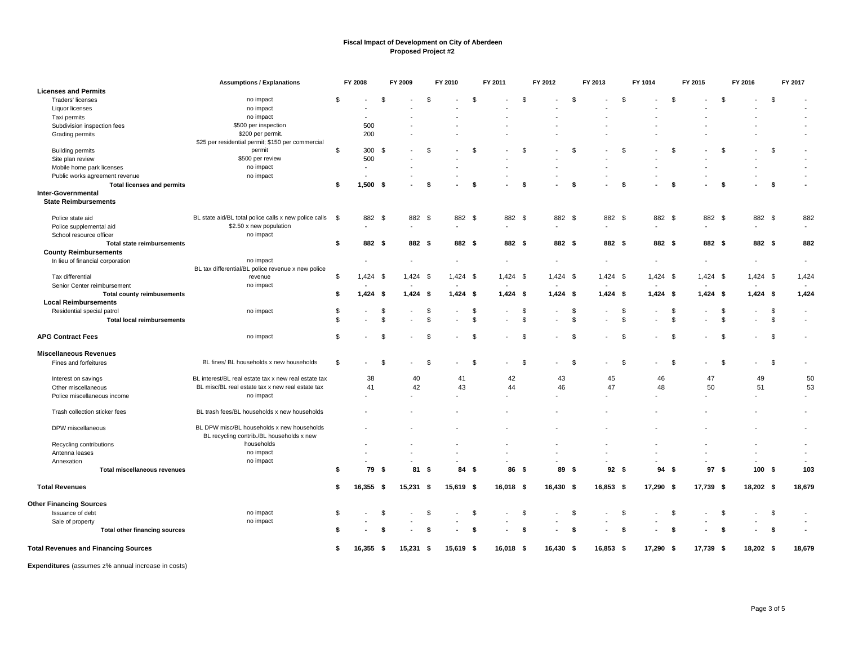|                                                          | <b>Assumptions / Explanations</b>                     |                | <b>FY 2008</b>           |      | FY 2009     |                    | FY 2010    |      | FY 2011    |      | FY 2012                  |              | FY 2013     |                | FY 1014    |      | FY 2015                  |      | FY 2016                  |                | FY 2017                  |
|----------------------------------------------------------|-------------------------------------------------------|----------------|--------------------------|------|-------------|--------------------|------------|------|------------|------|--------------------------|--------------|-------------|----------------|------------|------|--------------------------|------|--------------------------|----------------|--------------------------|
| <b>Licenses and Permits</b>                              |                                                       |                |                          |      |             |                    |            |      |            |      |                          |              |             |                |            |      |                          |      |                          |                |                          |
| Traders' licenses                                        | no impact                                             | \$             |                          | \$   |             | \$.                |            | \$   |            | \$   |                          | \$           |             | <b>S</b>       |            | \$   |                          | -\$  | $\overline{\phantom{a}}$ | \$             |                          |
| Liquor licenses                                          | no impact                                             |                |                          |      |             |                    |            |      |            |      |                          |              |             |                |            |      |                          |      |                          |                |                          |
| Taxi permits                                             | no impact                                             |                |                          |      |             |                    |            |      |            |      |                          |              |             |                |            |      |                          |      |                          |                |                          |
| Subdivision inspection fees                              | \$500 per inspection                                  |                | 500                      |      |             |                    |            |      |            |      |                          |              |             |                |            |      |                          |      |                          |                |                          |
| Grading permits                                          | \$200 per permit.                                     |                | 200                      |      |             |                    |            |      |            |      |                          |              |             |                |            |      |                          |      |                          |                |                          |
|                                                          | \$25 per residential permit; \$150 per commercial     |                |                          |      |             |                    |            |      |            |      |                          |              |             |                |            |      |                          |      |                          |                |                          |
| <b>Building permits</b>                                  | permit                                                | \$             | 300 \$                   |      |             | \$.                |            | \$   |            | \$   |                          | £.           |             | $\mathfrak{L}$ |            | £.   |                          | £.   |                          | $\mathfrak{s}$ |                          |
| Site plan review                                         | \$500 per review                                      |                | 500                      |      |             |                    |            |      |            |      |                          |              |             |                |            |      |                          |      |                          |                |                          |
| Mobile home park licenses                                | no impact                                             |                | $\overline{\phantom{a}}$ |      |             |                    |            |      |            |      |                          |              |             |                |            |      |                          |      |                          |                |                          |
| Public works agreement revenue                           | no impact                                             |                |                          |      |             |                    |            |      |            |      |                          |              |             |                |            |      |                          |      |                          |                |                          |
| <b>Total licenses and permits</b>                        |                                                       | \$             | $1,500$ \$               |      |             | - \$               |            | -\$  |            | - \$ |                          | -\$          |             | \$             |            | -\$  |                          | -\$  |                          | -\$            |                          |
| <b>Inter-Governmental</b><br><b>State Reimbursements</b> |                                                       |                |                          |      |             |                    |            |      |            |      |                          |              |             |                |            |      |                          |      |                          |                |                          |
| Police state aid                                         | BL state aid/BL total police calls x new police calls | - \$           | 882 \$                   |      | 882 \$      |                    | 882 \$     |      | 882 \$     |      | 882 \$                   |              | 882 \$      |                | 882 \$     |      | 882 \$                   |      | 882 \$                   |                | 882                      |
| Police supplemental aid                                  | \$2.50 x new population                               |                |                          |      |             |                    |            |      |            |      |                          |              |             |                |            |      |                          |      |                          |                |                          |
| School resource officer                                  | no impact                                             |                |                          |      |             |                    |            |      |            |      |                          |              |             |                |            |      |                          |      |                          |                |                          |
| <b>Total state reimbursements</b>                        |                                                       | \$             | 882 \$                   |      | 882 \$      |                    | 882 \$     |      | 882 \$     |      | 882 \$                   |              | 882 \$      |                | 882 \$     |      | 882 \$                   |      | 882 \$                   |                | 882                      |
| <b>County Reimbursements</b>                             |                                                       |                |                          |      |             |                    |            |      |            |      |                          |              |             |                |            |      |                          |      |                          |                |                          |
| In lieu of financial corporation                         | no impact                                             |                |                          |      |             |                    |            |      |            |      | $\overline{\phantom{a}}$ |              |             |                |            |      | $\overline{\phantom{a}}$ |      | $\overline{\phantom{a}}$ |                | $\overline{\phantom{a}}$ |
|                                                          | BL tax differential/BL police revenue x new police    |                |                          |      |             |                    |            |      |            |      |                          |              |             |                |            |      |                          |      |                          |                |                          |
| Tax differential                                         | revenue                                               | \$             | $1,424$ \$               |      | $1,424$ \$  |                    | $1,424$ \$ |      | $1,424$ \$ |      | $1,424$ \$               |              | $1,424$ \$  |                | $1,424$ \$ |      | $1,424$ \$               |      | $1,424$ \$               |                | 1,424                    |
| Senior Center reimbursement                              | no impact                                             |                |                          |      |             |                    |            |      |            |      |                          |              |             |                |            |      |                          |      |                          |                |                          |
| <b>Total county reimbusements</b>                        |                                                       | \$             | $1,424$ \$               |      | $1,424$ \$  |                    | $1,424$ \$ |      | $1,424$ \$ |      | $1,424$ \$               |              | $1,424$ \$  |                | $1,424$ \$ |      | $1,424$ \$               |      | $1,424$ \$               |                | 1,424                    |
| <b>Local Reimbursements</b>                              |                                                       |                |                          |      |             |                    |            |      |            |      |                          |              |             |                |            |      |                          |      |                          |                |                          |
| Residential special patrol                               | no impact                                             | \$             |                          | S    |             | - 35               |            | \$   |            | \$   |                          | \$           |             | \$             |            | \$   |                          | \$   |                          | \$             | $\blacksquare$           |
| <b>Total local reimbursements</b>                        |                                                       | $\mathfrak{s}$ |                          | \$   |             | $\mathbf{\hat{s}}$ |            | \$   |            | \$   |                          | \$           |             | \$             |            | \$   |                          | \$   |                          | \$             | $\blacksquare$           |
| <b>APG Contract Fees</b>                                 | no impact                                             | \$             |                          | S    |             | \$.                |            | S    |            | - \$ |                          | \$           |             | \$             |            | \$   |                          | \$   |                          | \$             |                          |
| <b>Miscellaneous Revenues</b>                            |                                                       |                |                          |      |             |                    |            |      |            |      |                          |              |             |                |            |      |                          |      |                          |                |                          |
| Fines and forfeitures                                    | BL fines/ BL households x new households              | \$             |                          | -S   |             | Ŝ.                 |            | S    |            | - \$ |                          | -\$          |             | \$             |            | \$   |                          | - \$ |                          | \$             | $\overline{\phantom{a}}$ |
| Interest on savings                                      | BL interest/BL real estate tax x new real estate tax  |                | 38                       |      | 40          |                    | 41         |      | 42         |      | 43                       |              | 45          |                | 46         |      | 47                       |      | 49                       |                | 50                       |
| Other miscellaneous                                      | BL misc/BL real estate tax x new real estate tax      |                | 41                       |      | 42          |                    | 43         |      | 44         |      | 46                       |              | 47          |                | 48         |      | 50                       |      | 51                       |                | 53                       |
| Police miscellaneous income                              | no impact                                             |                |                          |      |             |                    |            |      |            |      |                          |              |             |                |            |      |                          |      | $\sim$                   |                |                          |
|                                                          |                                                       |                |                          |      |             |                    |            |      |            |      |                          |              |             |                |            |      |                          |      |                          |                |                          |
| Trash collection sticker fees                            | BL trash fees/BL households x new households          |                |                          |      |             |                    |            |      |            |      |                          |              |             |                |            |      |                          |      |                          |                |                          |
| DPW miscellaneous                                        | BL DPW misc/BL households x new households            |                |                          |      |             |                    |            |      |            |      |                          |              |             |                |            |      |                          |      |                          |                |                          |
|                                                          | BL recycling contrib./BL households x new             |                |                          |      |             |                    |            |      |            |      |                          |              |             |                |            |      |                          |      |                          |                |                          |
| Recycling contributions                                  | households                                            |                |                          |      |             |                    |            |      |            |      |                          |              |             |                |            |      |                          |      |                          |                |                          |
| Antenna leases                                           | no impact                                             |                |                          |      |             |                    |            |      |            |      |                          |              |             |                |            |      |                          |      |                          |                | $\blacksquare$           |
| Annexation                                               | no impact                                             |                |                          |      |             |                    |            |      |            |      |                          |              |             |                |            |      |                          |      |                          |                | $\sim$                   |
| <b>Total miscellaneous revenues</b>                      |                                                       | \$             | 79                       | - \$ | 81 \$       |                    | 84         | - \$ | 86         | - \$ | 89                       | - \$         | 92S         |                | 94         | - \$ | 97                       | - \$ | 100                      | - \$           | 103                      |
| <b>Total Revenues</b>                                    |                                                       | \$             | $16,355$ \$              |      | $15,231$ \$ |                    | 15,619 \$  |      | 16,018 \$  |      | 16,430 \$                |              | $16,853$ \$ |                | 17,290 \$  |      | 17,739 \$                |      | 18,202 \$                |                | 18,679                   |
| <b>Other Financing Sources</b>                           |                                                       |                |                          |      |             |                    |            |      |            |      |                          |              |             |                |            |      |                          |      |                          |                |                          |
| Issuance of debt                                         | no impact                                             | \$             |                          | £.   |             | \$.                |            | \$   |            | \$   |                          | $\mathbf{s}$ |             | \$.            |            | \$   |                          | \$   |                          | \$             |                          |
| Sale of property                                         | no impact                                             |                |                          |      |             |                    |            |      |            |      |                          |              |             |                |            |      |                          |      |                          |                |                          |
| <b>Total other financing sources</b>                     |                                                       | S              |                          |      |             | - \$               |            | S    |            | -S   |                          | S            |             | - \$           |            | S    |                          | -S   |                          | -\$            |                          |
| <b>Total Revenues and Financing Sources</b>              |                                                       | s.             | $16,355$ \$              |      | $15,231$ \$ |                    | 15,619 \$  |      | 16,018 \$  |      | 16,430 \$                |              | 16,853 \$   |                | 17,290 \$  |      | 17,739 \$                |      | 18,202 \$                |                | 18,679                   |
|                                                          |                                                       |                |                          |      |             |                    |            |      |            |      |                          |              |             |                |            |      |                          |      |                          |                |                          |

**Expenditures** (assumes z% annual increase in costs)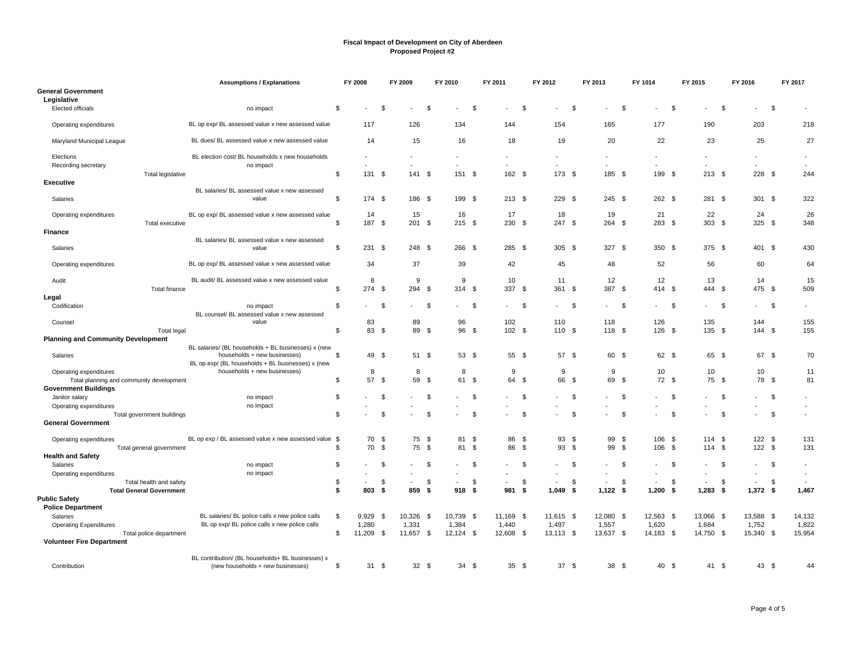|                                               | <b>Assumptions / Explanations</b>                                                   |     | FY 2008      |      | FY 2009        |      | FY 2010                  |      | FY 2011       |      | FY 2012     | FY 2013  |                 | FY 1014 |                          |      | FY 2015                  |     | FY 2016                  | FY 2017                                              |
|-----------------------------------------------|-------------------------------------------------------------------------------------|-----|--------------|------|----------------|------|--------------------------|------|---------------|------|-------------|----------|-----------------|---------|--------------------------|------|--------------------------|-----|--------------------------|------------------------------------------------------|
| <b>General Government</b><br>Legislative      |                                                                                     |     |              |      |                |      |                          |      |               |      |             |          |                 |         |                          |      |                          |     |                          |                                                      |
| Elected officials                             | no impact                                                                           | \$  |              | \$   |                | \$   |                          | -\$  |               | \$   |             | \$       |                 | \$      |                          | \$   |                          | \$  |                          | \$                                                   |
| Operating expenditures                        | BL op exp/ BL assessed value x new assessed value                                   |     | 117          |      | 126            |      | 134                      |      | 144           |      | 154         |          | 165             |         | 177                      |      | 190                      |     | 203                      | 218                                                  |
| Maryland Municipal League                     | BL dues/ BL assessed value x new assessed value                                     |     | 14           |      | 15             |      | 16                       |      | 18            |      | 19          |          | 20              |         | 22                       |      | 23                       |     | 25                       | 27                                                   |
| Elections                                     | BL election cost/ BL households x new households<br>no impact                       |     |              |      |                |      | $\overline{\phantom{a}}$ |      |               |      |             |          |                 |         | ÷,                       |      | $\overline{a}$           |     | $\overline{\phantom{a}}$ | $\overline{\phantom{a}}$<br>$\overline{\phantom{a}}$ |
| Recording secretary                           | Total legislative                                                                   | \$  | 131          | - \$ | 141S           |      | 151 \$                   |      | 162 \$        |      | 173S        |          | 185 \$          |         | 199 \$                   |      | $213$ \$                 |     | $228$ \$                 | 244                                                  |
| <b>Executive</b>                              | BL salaries/ BL assessed value x new assessed                                       |     |              |      |                |      |                          |      |               |      |             |          |                 |         |                          |      |                          |     |                          |                                                      |
| Salaries                                      | value                                                                               | \$. | 174 \$       |      | 186 \$         |      | 199 \$                   |      | $213 \quad $$ |      | 229 \$      |          | 245S            |         | 262S                     |      | 281 \$                   |     | $301$ \$                 | 322                                                  |
| Operating expenditures                        | BL op exp/ BL assessed value x new assessed value<br>Total executive                | \$  | 14<br>187 \$ |      | 15<br>201S     |      | 16<br>215S               |      | 17<br>230 \$  |      | 18<br>247S  |          | 19<br>264 \$    |         | 21<br>283 \$             |      | 22<br>303 <sup>5</sup>   |     | 24<br>325S               | 26<br>348                                            |
| Finance                                       |                                                                                     |     |              |      |                |      |                          |      |               |      |             |          |                 |         |                          |      |                          |     |                          |                                                      |
| Salaries                                      | BL salaries/ BL assessed value x new assessed<br>value                              | \$  | 231          | - \$ | 248 \$         |      | 266 \$                   |      | 285 \$        |      | 305 \$      |          | 327 \$          |         | 350 \$                   |      | 375 \$                   |     | 401 \$                   | 430                                                  |
| Operating expenditures                        | BL op exp/ BL assessed value x new assessed value                                   |     | 34           |      | 37             |      | 39                       |      | 42            |      | 45          |          | 48              |         | 52                       |      | 56                       |     | 60                       | 64                                                   |
|                                               | BL audit/ BL assessed value x new assessed value                                    |     | 8            |      | 9              |      | 9                        |      | 10            |      | 11          |          | 12              |         | 12                       |      | 13                       |     | 14                       | 15                                                   |
| Audit                                         | <b>Total finance</b>                                                                | \$  | 274S         |      | 294 \$         |      | 314S                     |      | 337 \$        |      | 361 \$      |          | 387 \$          |         | 414 \$                   |      | 444 \$                   |     | 475 \$                   | 509                                                  |
| Legal                                         |                                                                                     |     |              |      |                |      |                          |      |               |      |             |          |                 |         |                          |      |                          |     |                          |                                                      |
| Codification                                  | no impact<br>BL counsel/ BL assessed value x new assessed                           | \$  |              | \$   |                | - \$ |                          | -\$  |               | \$   |             | -\$      |                 | \$      |                          | \$   |                          | -\$ | $\overline{\phantom{a}}$ | \$<br>$\blacksquare$                                 |
| Counsel                                       | value                                                                               |     | 83           |      | 89             |      | 96                       |      | 102           |      | 110         |          | 118             |         | 126                      |      | 135                      |     | 144                      | 155                                                  |
|                                               | <b>Total legal</b>                                                                  | \$  | 83 \$        |      | 89 \$          |      | 96 \$                    |      | 102S          |      | 110 \$      |          | 118 \$          |         | 126S                     |      | 135 \$                   |     | $144$ \$                 | 155                                                  |
| <b>Planning and Community Development</b>     |                                                                                     |     |              |      |                |      |                          |      |               |      |             |          |                 |         |                          |      |                          |     |                          |                                                      |
| Salaries                                      | BL salaries/ (BL households + BL businesses) x (new<br>households + new businesses) | \$  | 49 \$        |      | 51 \$          |      | 53 \$                    |      | 55 \$         |      | 57 \$       |          | 60 \$           |         | 62 \$                    |      | 65 \$                    |     | 67 \$                    | 70                                                   |
|                                               | BL op exp/ (BL households + BL businesses) x (new                                   |     |              |      |                |      |                          |      |               |      |             |          |                 |         |                          |      |                          |     |                          |                                                      |
| Operating expenditures                        | households + new businesses)                                                        |     | 8            |      | 8              |      | 8                        |      | 9             |      | 9           |          | 9               |         | 10                       |      | 10                       |     | 10                       | 11                                                   |
| Total planning and community development      |                                                                                     | \$  | 57           | -\$  | 59             | - \$ | 61                       | -\$  | 64            | -\$  | 66          | - \$     | 69              | - \$    | 72 \$                    |      | 75                       | -\$ | 78 \$                    | 81                                                   |
| <b>Government Buildings</b><br>Janitor salary | no impact                                                                           | \$  |              | \$   |                | \$   |                          | \$   |               | \$.  |             | <b>S</b> |                 | \$      |                          | \$   |                          | \$  |                          | \$                                                   |
| Operating expenditures                        | no impact                                                                           |     |              |      |                |      |                          |      |               |      |             |          |                 |         |                          |      |                          |     |                          | $\blacksquare$                                       |
|                                               | Total government buildings                                                          | \$. |              | \$   |                | S.   |                          | - \$ |               | \$.  |             | S.       |                 | \$.     |                          | S.   |                          | \$  | $\overline{\phantom{a}}$ | \$<br>$\blacksquare$                                 |
| <b>General Government</b>                     |                                                                                     |     |              |      |                |      |                          |      |               |      |             |          |                 |         |                          |      |                          |     |                          |                                                      |
| Operating expenditures                        | BL op exp / BL assessed value x new assessed value \$                               |     | 70           | -\$  | 75             | - \$ | 81                       | -\$  | 86            | -\$  | 93          | - \$     | 99              | \$      | 106                      | - \$ | 114S                     |     | 122S                     | 131                                                  |
|                                               | Total general government                                                            | \$  | 70           | \$   | 75             | \$   | 81                       | \$   | 86            | \$   | 93          | - \$     | 99              | \$      | 106                      | - \$ | 114                      | -\$ | 122S                     | 131                                                  |
| <b>Health and Safety</b><br>Salaries          |                                                                                     | \$  |              | \$   |                | S.   |                          | - \$ |               | \$   |             | - \$     |                 | \$      | ٠                        |      | $\overline{\phantom{a}}$ | \$  | $\overline{\phantom{a}}$ | \$<br>$\overline{\phantom{a}}$                       |
| Operating expenditures                        | no impact<br>no impact                                                              |     |              |      |                |      |                          |      |               |      |             |          |                 |         |                          | S.   |                          |     |                          |                                                      |
|                                               | Total health and safety                                                             | \$  |              | \$   | $\overline{a}$ | \$   |                          | \$   |               | \$   |             | \$       |                 | \$      | $\overline{\phantom{a}}$ | \$   |                          | \$  | $\blacksquare$           | \$                                                   |
|                                               | <b>Total General Government</b>                                                     | \$  | 803          | -\$  | 859            | - \$ | 918                      | - \$ | 981           | - \$ | $1,049$ \$  |          | $1,122$ \$      |         | 1,200                    | \$   | 1,283                    | -\$ | $1,372$ \$               | 1,467                                                |
| <b>Public Safety</b>                          |                                                                                     |     |              |      |                |      |                          |      |               |      |             |          |                 |         |                          |      |                          |     |                          |                                                      |
| <b>Police Department</b>                      |                                                                                     |     |              |      |                |      |                          |      |               |      |             |          |                 |         |                          |      |                          |     |                          |                                                      |
| Salaries                                      | BL salaries/ BL police calls x new police calls                                     | \$  | 9,929        | -\$  | 10,326         | - \$ | 10,739 \$                |      | 11,169 \$     |      | 11,615 \$   |          | 12,080 \$       |         | 12,563 \$                |      | 13,066 \$                |     | 13,588 \$                | 14,132                                               |
| <b>Operating Expenditures</b>                 | BL op exp/ BL police calls x new police calls                                       |     | 1,280        |      | 1,331          |      | 1,384                    |      | 1,440         |      | 1,497       |          | 1,557           |         | 1,620                    |      | 1,684                    |     | 1,752                    | 1,822                                                |
| <b>Volunteer Fire Department</b>              | Total police department                                                             | \$. | 11,209       | - \$ | 11,657 \$      |      | $12,124$ \$              |      | 12,608 \$     |      | $13,113$ \$ |          | 13,637 \$       |         | 14,183 \$                |      | 14,750 \$                |     | 15,340 \$                | 15,954                                               |
|                                               |                                                                                     |     |              |      |                |      |                          |      |               |      |             |          |                 |         |                          |      |                          |     |                          |                                                      |
|                                               | BL contribution/ (BL households+ BL businesses) x                                   |     |              |      |                |      |                          |      |               |      |             |          |                 |         |                          |      |                          |     |                          |                                                      |
| Contribution                                  | (new households + new businesses)                                                   | \$  | 31           | -\$  | 32S            |      | 34                       | - \$ | 35S           |      | 37S         |          | 38 <sup>°</sup> |         | 40                       | - \$ | 41 \$                    |     | 43 \$                    | 44                                                   |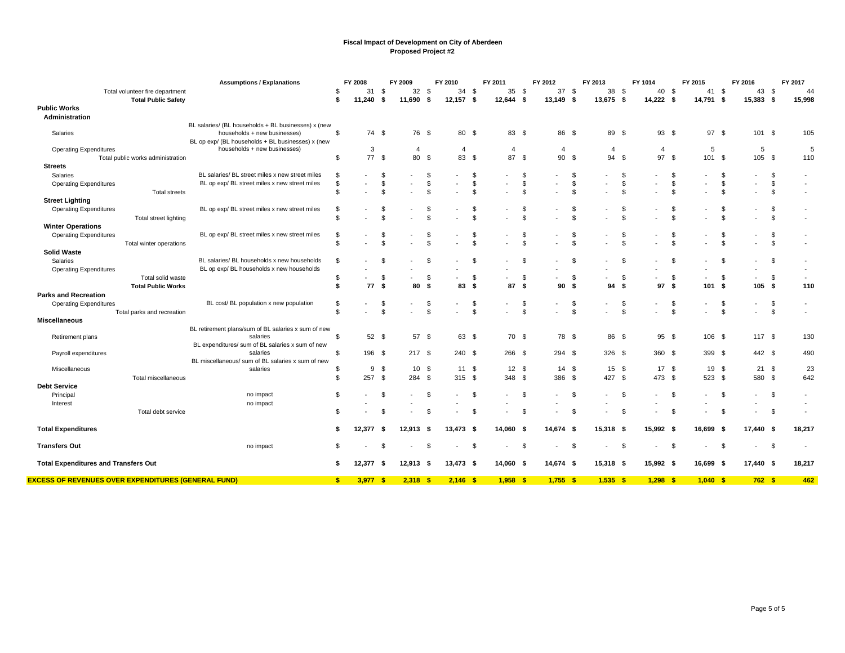|                                                            | <b>Assumptions / Explanations</b>                                                   |                | FY 2008    |                    | FY 2009        |          | FY 2010        |          | FY 2011                                    | FY 2012                  |               | FY 2013                        | FY 1014        |      | FY 2015                  |                | FY 2016                  |                | FY 2017                  |
|------------------------------------------------------------|-------------------------------------------------------------------------------------|----------------|------------|--------------------|----------------|----------|----------------|----------|--------------------------------------------|--------------------------|---------------|--------------------------------|----------------|------|--------------------------|----------------|--------------------------|----------------|--------------------------|
| Total volunteer fire department                            |                                                                                     | \$             | 31         | - \$               | 32             | - \$     | 34             | \$       | 35<br>\$                                   | 37S                      |               | 38 \$                          | 40             | - \$ | 41                       | - \$           | 43 \$                    |                | 44                       |
| <b>Total Public Safety</b>                                 |                                                                                     | \$             | 11.240     | Ŝ.                 | 11,690         | S.       | 12,157         | -\$      | 12,644<br>- \$                             | 13,149 \$                |               | - \$<br>13,675                 | 14,222         | - \$ | 14,791 \$                |                | 15,383 \$                |                | 15,998                   |
| <b>Public Works</b>                                        |                                                                                     |                |            |                    |                |          |                |          |                                            |                          |               |                                |                |      |                          |                |                          |                |                          |
| Administration                                             |                                                                                     |                |            |                    |                |          |                |          |                                            |                          |               |                                |                |      |                          |                |                          |                |                          |
|                                                            | BL salaries/ (BL households + BL businesses) x (new<br>households + new businesses) | \$             | 74 \$      |                    | 76 \$          |          |                |          |                                            | 86 \$                    |               | 89 \$                          |                |      | 97S                      |                | 101S                     |                |                          |
| Salaries                                                   | BL op exp/ (BL households + BL businesses) x (new                                   |                |            |                    |                |          | 80 \$          |          | 83 \$                                      |                          |               |                                | 93S            |      |                          |                |                          |                | 105                      |
| <b>Operating Expenditures</b>                              | households + new businesses)                                                        |                | 3          |                    | $\overline{4}$ |          | $\overline{4}$ |          | $\overline{4}$                             | 4                        |               | 4                              | $\overline{4}$ |      | 5                        |                | 5                        |                | 5                        |
| Total public works administration                          |                                                                                     | \$             | 77S        |                    | 80             | <b>S</b> | 83 \$          |          | 87<br>- \$                                 | 90 \$                    |               | 94<br><b>S</b>                 | 97             | - \$ | 101S                     |                | 105 \$                   |                | 110                      |
| <b>Streets</b>                                             |                                                                                     |                |            |                    |                |          |                |          |                                            |                          |               |                                |                |      |                          |                |                          |                |                          |
| Salaries                                                   | BL salaries/ BL street miles x new street miles                                     | \$             |            |                    |                | \$       |                | \$       | \$                                         |                          |               | \$                             |                | \$   |                          | \$             | $\overline{\phantom{a}}$ | \$             |                          |
| <b>Operating Expenditures</b>                              | BL op exp/ BL street miles x new street miles                                       | \$             |            | \$                 | $\blacksquare$ | \$       |                | \$       | \$<br>$\overline{\phantom{a}}$             | $\overline{\phantom{a}}$ | \$.           | \$<br>$\overline{\phantom{0}}$ |                | S    | $\overline{\phantom{a}}$ | \$             | $\overline{\phantom{a}}$ | \$             | $\overline{\phantom{a}}$ |
| <b>Total streets</b>                                       |                                                                                     | \$             |            | <b>β</b>           |                | \$       |                | \$       | \$                                         |                          | \$            |                                | \$             | \$   |                          | \$             | $\overline{\phantom{a}}$ | \$             |                          |
| <b>Street Lighting</b>                                     |                                                                                     |                |            |                    |                |          |                |          |                                            |                          |               |                                |                |      |                          |                |                          |                |                          |
| <b>Operating Expenditures</b>                              | BL op exp/ BL street miles x new street miles                                       | \$             |            |                    |                | \$       |                | \$       | \$                                         |                          |               | \$                             |                | S    |                          | \$             |                          | \$             |                          |
| Total street lighting                                      |                                                                                     | \$             |            |                    |                | £.       |                | \$       | $\mathfrak{L}$                             |                          |               | \$                             |                | \$   |                          | $\mathfrak{F}$ |                          | $\mathfrak{s}$ |                          |
| <b>Winter Operations</b>                                   |                                                                                     |                |            |                    |                |          |                |          |                                            |                          |               |                                |                |      |                          |                |                          |                |                          |
| <b>Operating Expenditures</b>                              | BL op exp/ BL street miles x new street miles                                       | \$             |            |                    |                | \$       |                | \$       | \$                                         |                          | \$            |                                | \$             | \$   |                          | \$             |                          | \$             |                          |
| Total winter operations                                    |                                                                                     | \$             |            | $\mathbf{\hat{z}}$ |                | <b>S</b> |                | \$       | $\mathfrak{s}$                             |                          | $\mathcal{F}$ |                                | \$             | \$   |                          | \$             | $\overline{\phantom{a}}$ | \$             | $\overline{\phantom{a}}$ |
| <b>Solid Waste</b>                                         |                                                                                     |                |            |                    |                |          |                |          |                                            |                          |               |                                |                |      |                          |                |                          |                |                          |
| Salaries                                                   | BL salaries/ BL households x new households                                         | \$             |            |                    |                | - \$     |                | \$       | \$                                         |                          | -S            |                                | \$             | Ŝ.   |                          | \$             |                          | \$             |                          |
| <b>Operating Expenditures</b>                              | BL op exp/ BL households x new households                                           |                |            |                    |                |          |                |          |                                            |                          |               | $\overline{a}$                 |                |      |                          |                | $\overline{\phantom{a}}$ |                |                          |
| Total solid waste                                          |                                                                                     | \$             |            | \$                 |                | \$       |                | \$       | \$                                         |                          | \$            | $\overline{\phantom{0}}$       | \$             | \$   | $\overline{\phantom{a}}$ | \$             | $\overline{\phantom{a}}$ | \$             | $\blacksquare$           |
| <b>Total Public Works</b>                                  |                                                                                     | s.             | 77S        |                    | 80             | -\$      | 83             | \$       | 87<br>- \$                                 | 90                       | - \$          | 94<br>\$                       | 97             | - \$ | 101                      | \$             | 105S                     |                | 110                      |
| <b>Parks and Recreation</b>                                |                                                                                     |                |            |                    |                |          |                |          |                                            |                          |               |                                |                |      |                          |                |                          |                |                          |
| <b>Operating Expenditures</b>                              | BL cost/ BL population x new population                                             | \$             |            | - \$               |                | \$       |                | \$       | \$                                         |                          | - \$          |                                | \$             | Ŝ.   |                          | \$             | $\sim$                   | \$             | $\overline{\phantom{a}}$ |
| Total parks and recreation                                 |                                                                                     | $\mathfrak{L}$ |            | $\mathbf{s}$       |                | \$       |                | \$       | \$                                         |                          | \$            |                                | \$             | \$   |                          | $\mathbb{S}$   |                          | \$             |                          |
| <b>Miscellaneous</b>                                       |                                                                                     |                |            |                    |                |          |                |          |                                            |                          |               |                                |                |      |                          |                |                          |                |                          |
| Retirement plans                                           | BL retirement plans/sum of BL salaries x sum of new<br>salaries                     | \$             | 52S        |                    | 57 \$          |          | 63 \$          |          | 70 \$                                      | 78 \$                    |               | 86 \$                          | $95 \quad$     |      | 106 \$                   |                | 117S                     |                | 130                      |
|                                                            | BL expenditures/ sum of BL salaries x sum of new                                    |                |            |                    |                |          |                |          |                                            |                          |               |                                |                |      |                          |                |                          |                |                          |
| Payroll expenditures                                       | salaries                                                                            | \$             | 196 \$     |                    | 217S           |          | 240 \$         |          | $266$ \$                                   | 294S                     |               | 326 \$                         | 360 \$         |      | 399 \$                   |                | 442 \$                   |                | 490                      |
|                                                            | BL miscellaneous/ sum of BL salaries x sum of new                                   |                |            |                    |                |          |                |          |                                            |                          |               |                                |                |      |                          |                |                          |                |                          |
| Miscellaneous                                              | salaries                                                                            | \$             | 9          | - \$               | 10             | - \$     | 11 \$          |          | $12 \quad$                                 | 14 \$                    |               | $15 \quad$ \$                  | 17S            |      | 19                       | - \$           | 21S                      |                | 23                       |
| Total miscellaneous                                        |                                                                                     | \$             | 257        | -\$                | 284            | \$       | 315 \$         |          | \$<br>348                                  | 386                      | -\$           | 427 \$                         | 473 \$         |      | 523                      | \$             | 580 \$                   |                | 642                      |
| <b>Debt Service</b>                                        |                                                                                     |                |            |                    |                |          |                |          |                                            |                          |               |                                |                |      |                          |                |                          |                |                          |
| Principal                                                  | no impact                                                                           | \$             |            | S.                 |                | - \$     |                | <b>S</b> | $\mathfrak{s}$<br>$\overline{\phantom{a}}$ | $\overline{\phantom{a}}$ | - \$          | $\overline{\phantom{0}}$       | \$             | - \$ |                          | <b>S</b>       | $\sim$                   | \$             | $\overline{\phantom{a}}$ |
| Interest                                                   | no impact                                                                           |                |            |                    |                |          |                |          |                                            |                          |               |                                |                |      |                          |                |                          |                |                          |
| Total debt service                                         |                                                                                     | \$             |            | - 35               |                | \$       |                | \$       | -\$                                        |                          | \$            |                                | \$             | S    |                          | \$             | $\overline{\phantom{a}}$ | \$             |                          |
|                                                            |                                                                                     |                |            |                    |                |          |                |          |                                            |                          |               |                                |                |      |                          |                |                          |                |                          |
| <b>Total Expenditures</b>                                  |                                                                                     | \$             | 12,377     | - \$               | 12,913         | -\$      | 13,473         | - \$     | 14,060<br>- 5                              | 14,674 \$                |               | 15,318<br>- \$                 | 15,992 \$      |      | 16,699                   | - 5            | 17,440 \$                |                | 18,217                   |
| <b>Transfers Out</b>                                       | no impact                                                                           | \$             |            | - 35               |                | \$       |                | \$       | -\$                                        |                          | - \$          | \$                             |                | -\$  |                          | -\$            | $\overline{\phantom{a}}$ | \$             |                          |
| <b>Total Expenditures and Transfers Out</b>                |                                                                                     | \$             | 12,377     | - 5                | 12,913         | - \$     | 13,473         | - \$     | 14,060 \$                                  | 14,674 \$                |               | $15,318$ \$                    | 15,992 \$      |      | 16,699 \$                |                | 17,440 \$                |                | 18,217                   |
| <b>EXCESS OF REVENUES OVER EXPENDITURES (GENERAL FUND)</b> |                                                                                     | \$             | $3,977$ \$ |                    | 2,318          | -\$      | $2,146$ \$     |          | 1,958<br>-\$                               | $1,755$ \$               |               | $1,535$ \$                     | 1,298          | - \$ | 1.040S                   |                | 762S                     |                | 462                      |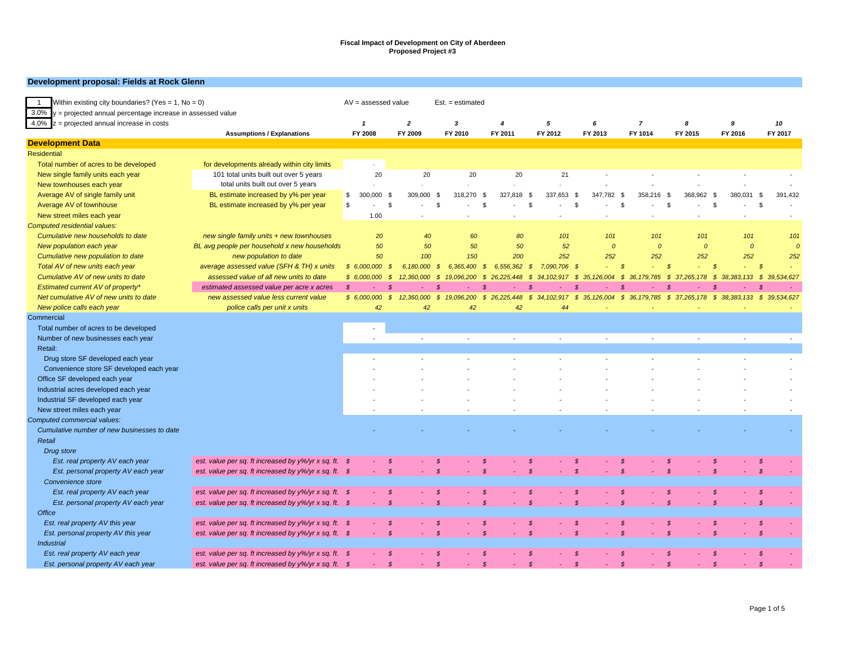#### **Development proposal: Fields at Rock Glenn**

| Within existing city boundaries? (Yes = 1, No = 0)<br>$\overline{1}$ |                                                                | $AV = assessed value$ |               |              | $Est. = estimated$          |                            |                      |                             |                         |                                |                 |                    |                           |
|----------------------------------------------------------------------|----------------------------------------------------------------|-----------------------|---------------|--------------|-----------------------------|----------------------------|----------------------|-----------------------------|-------------------------|--------------------------------|-----------------|--------------------|---------------------------|
| $3.0\%$ y = projected annual percentage increase in assessed value   |                                                                |                       |               |              |                             |                            |                      |                             |                         |                                |                 |                    |                           |
| $4.0\%$ z = projected annual increase in costs                       |                                                                | $\mathbf{1}$          |               | $\mathbf{2}$ | 3                           | 4                          | 5                    | 6                           | 7                       |                                | 8               | 9                  | 10                        |
|                                                                      | <b>Assumptions / Explanations</b>                              | FY 2008               |               | FY 2009      | FY 2010                     | FY 2011                    | FY 2012              | FY 2013                     | FY 1014                 |                                | FY 2015         | FY 2016            | FY 2017                   |
| <b>Development Data</b>                                              |                                                                |                       |               |              |                             |                            |                      |                             |                         |                                |                 |                    |                           |
| <b>Residential</b>                                                   |                                                                |                       |               |              |                             |                            |                      |                             |                         |                                |                 |                    |                           |
| Total number of acres to be developed                                | for developments already within city limits                    |                       |               |              |                             |                            |                      |                             |                         |                                |                 |                    |                           |
| New single family units each year                                    | 101 total units built out over 5 years                         |                       | 20            | 20           | 20                          | 20                         | 21                   |                             |                         |                                |                 |                    |                           |
| New townhouses each year                                             | total units built out over 5 years                             |                       |               |              |                             |                            |                      |                             |                         |                                |                 |                    |                           |
| Average AV of single family unit                                     | BL estimate increased by y% per year                           | \$<br>300,000         | \$            | 309,000      | - \$<br>318,270             | 327,818<br>- \$            | 337,653<br>- \$      | - \$<br>347.782             | - \$<br>358.216         | \$                             | 368.962<br>- \$ | 380.031            | \$<br>391,432             |
| Average AV of townhouse                                              | BL estimate increased by y% per year                           | \$                    | \$            |              | <b>S</b>                    | £                          | $\mathbb{S}$         | \$                          | \$                      | \$                             | S               |                    | \$                        |
| New street miles each year                                           |                                                                |                       | 1.00          |              |                             |                            |                      |                             |                         |                                |                 |                    |                           |
| Computed residential values:                                         |                                                                |                       |               |              |                             |                            |                      |                             |                         |                                |                 |                    |                           |
| Cumulative new households to date                                    | new single family units + new townhouses                       |                       | 20            | 40           | 60                          | 80                         | 101                  | 101                         |                         | 101                            | 101             | 101                | 101                       |
| New population each year                                             | BL avg people per household x new households                   |                       | 50            | 50           | 50                          | 50                         | 52                   | $\boldsymbol{0}$            |                         | $\overline{0}$                 | $\mathcal{O}$   | $\overline{0}$     | $\overline{0}$            |
| Cumulative new population to date                                    | new population to date                                         |                       | 50            | 100          | 150                         | 200                        | 252                  | 252                         |                         | 252                            | 252             | 252                | 252                       |
| Total AV of new units each year                                      | average assessed value (SFH & TH) x units                      | \$6,000,000           | - \$          | 6,180,000    | 6,365,400<br>$\mathcal{S}$  | 6,556,362<br>$\mathcal{S}$ | 7,090,706<br>-\$     | - \$                        | $\mathcal{S}$<br>$\sim$ | $\mathcal{S}$                  |                 | $\mathcal{S}$      | $\mathcal{S}$             |
| Cumulative AV of new units to date                                   | assessed value of all new units to date                        | \$6,000,000           | - \$          | 12,360,000   | 19,096,200<br>- \$          | 26.225.448<br>- \$         | - \$<br>34, 102, 917 | 35, 126, 004<br>- \$        | - \$<br>36, 179, 785    | -S                             | 37.265.178      | S.<br>38, 383, 133 | \$39,534,627              |
| Estimated current AV of property*                                    | estimated assessed value per acre x acres                      | $\mathcal{S}$         |               |              |                             |                            | .S                   |                             |                         |                                |                 | .S                 |                           |
| Net cumulative AV of new units to date                               | new assessed value less current value                          | \$6,000,000           | $\mathcal{S}$ | 12,360,000   | $\mathcal{S}$<br>19,096,200 | \$26,225,448               | \$34,102,917         | \$ 35,126,004 \$ 36,179,785 |                         |                                | \$37,265,178    |                    | \$38,383,133 \$39,534,627 |
| New police calls each year                                           | police calls per unit x units                                  |                       | 42            | 42           | 42                          | 42                         | 44                   |                             |                         |                                |                 |                    |                           |
| Commercial                                                           |                                                                |                       |               |              |                             |                            |                      |                             |                         |                                |                 |                    |                           |
| Total number of acres to be developed                                |                                                                |                       |               |              |                             |                            |                      |                             |                         |                                |                 |                    |                           |
| Number of new businesses each year                                   |                                                                |                       |               |              |                             |                            |                      |                             |                         |                                |                 |                    |                           |
| Retail:                                                              |                                                                |                       |               |              |                             |                            |                      |                             |                         |                                |                 |                    |                           |
| Drug store SF developed each year                                    |                                                                |                       |               |              |                             |                            |                      |                             |                         |                                |                 |                    |                           |
| Convenience store SF developed each year                             |                                                                |                       |               |              |                             |                            |                      |                             |                         |                                |                 |                    |                           |
| Office SF developed each year                                        |                                                                |                       |               |              |                             |                            |                      |                             |                         |                                |                 |                    |                           |
| Industrial acres developed each year                                 |                                                                |                       |               |              |                             |                            |                      |                             |                         |                                |                 |                    |                           |
| Industrial SF developed each year                                    |                                                                |                       |               |              |                             |                            |                      |                             |                         |                                |                 |                    |                           |
| New street miles each year                                           |                                                                |                       |               |              |                             |                            |                      |                             |                         |                                |                 |                    |                           |
| Computed commercial values:                                          |                                                                |                       |               |              |                             |                            |                      |                             |                         |                                |                 |                    |                           |
| Cumulative number of new businesses to date                          |                                                                |                       |               |              |                             |                            |                      |                             |                         |                                |                 |                    |                           |
| Retail                                                               |                                                                |                       |               |              |                             |                            |                      |                             |                         |                                |                 |                    |                           |
|                                                                      |                                                                |                       |               |              |                             |                            |                      |                             |                         |                                |                 |                    |                           |
| Drug store                                                           |                                                                |                       |               |              |                             |                            |                      |                             |                         |                                |                 |                    |                           |
| Est. real property AV each year                                      | est. value per sq. ft increased by $y\frac{6}{y}$ x sq. ft. \$ |                       | - \$          |              | - \$                        | S                          | - \$                 | - \$                        | $\mathcal{S}$           | $\mathcal{S}$<br>$\mathcal{S}$ |                 | $\mathcal{S}$      | -\$                       |
| Est. personal property AV each year                                  | est. value per sq. ft increased by $y\frac{6}{y}$ x sq. ft. \$ |                       | $\mathcal{S}$ |              | $\mathcal{S}$               | $\mathcal{S}$              | $\mathcal{S}$        | $\mathcal{S}$               |                         |                                |                 | $\mathcal{S}$      | $\mathcal{S}$             |
| Convenience store                                                    |                                                                |                       |               |              |                             |                            |                      |                             |                         |                                |                 |                    |                           |
| Est. real property AV each year                                      | est. value per sq. ft increased by $y\frac{6}{y}$ x sq. ft. \$ |                       | - \$          |              | -\$                         | - \$                       | - \$                 | - \$                        | $\mathcal{S}$           | $\mathcal{S}$                  |                 | $\mathcal{S}$      | - \$                      |
| Est. personal property AV each year                                  | est. value per sq. ft increased by $y\frac{6}{y}$ x sq. ft. \$ |                       | $\mathcal{S}$ |              | $\mathcal{S}$               | $\mathcal{S}$              | $\mathcal{S}$        | $\mathcal{S}$               | $\mathcal{S}$           | $\mathcal{S}$                  |                 | $\mathcal{S}$      | $\mathcal{S}$             |
| <b>Office</b>                                                        |                                                                |                       |               |              |                             |                            |                      |                             |                         |                                |                 |                    |                           |
| Est. real property AV this year                                      | est. value per sq. ft increased by y%/yr x sq. ft. \$          |                       | - \$          |              | -\$                         | -S                         | - \$                 | - \$                        | $\mathcal{S}$           | $\mathcal{S}$                  |                 | $\mathcal{S}$      | $\mathcal{S}$             |
| Est. personal property AV this year                                  | est. value per sq. ft increased by y%/yr x sq. ft. \$          |                       | $\mathcal{S}$ |              | $\mathcal{S}$               | $\mathcal{S}$              | $\mathcal{S}$        | $\mathcal{S}$               | $\mathcal{S}$           | $\mathcal{S}$                  |                 | $\mathcal{S}$      | $\mathcal{S}$             |
| <b>Industrial</b>                                                    |                                                                |                       |               |              |                             |                            |                      |                             |                         |                                |                 |                    |                           |
| Est. real property AV each year                                      | est. value per sq. ft increased by y%/yr x sq. ft. \$          |                       | - \$          |              |                             | -8                         | S                    |                             |                         | - \$                           |                 | \$                 | \$                        |
| Est. personal property AV each year                                  | est. value per sq. ft increased by $y\frac{6}{y}$ x sq. ft. \$ |                       | $\mathcal{S}$ |              | $\mathcal{S}$               | $\mathcal{S}$              | $\mathcal{S}$        | $\mathcal{S}$               | $\mathcal{S}$           | $\mathcal{S}$                  |                 | $\mathcal{S}$      | $\mathcal{S}$             |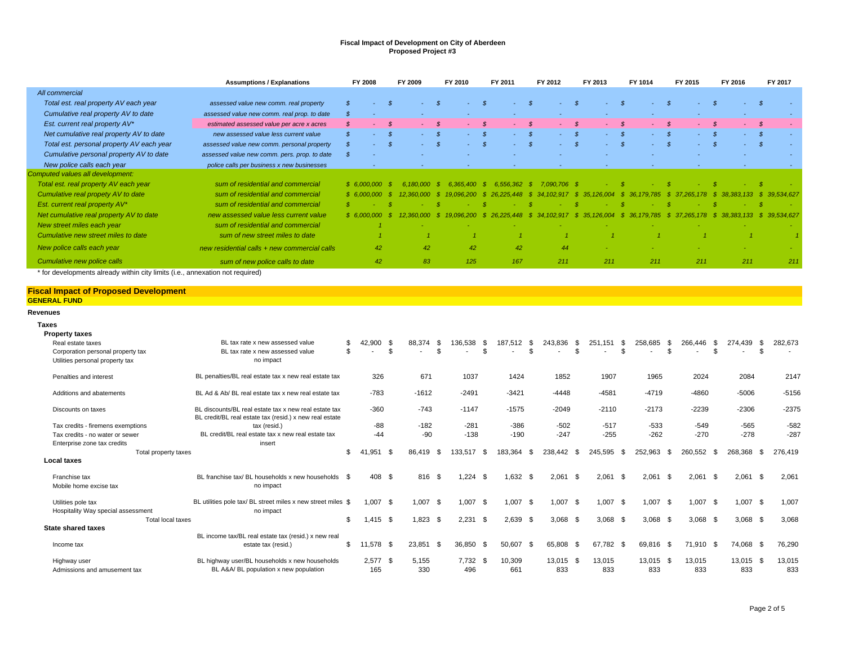|                                                                | <b>Assumptions / Explanations</b>                             |                | FY 2008        |                | FY 2009        |               | FY 2010        |                | FY 2011                   |                | FY 2012    |               | FY 2013 |               | FY 1014                                      |                | FY 2015    |               | FY 2016                                | FY 2017 |         |
|----------------------------------------------------------------|---------------------------------------------------------------|----------------|----------------|----------------|----------------|---------------|----------------|----------------|---------------------------|----------------|------------|---------------|---------|---------------|----------------------------------------------|----------------|------------|---------------|----------------------------------------|---------|---------|
| All commercial                                                 |                                                               |                |                |                |                |               |                |                |                           |                |            |               |         |               |                                              |                |            |               |                                        |         |         |
| Total est. real property AV each year                          | assessed value new comm. real property                        | $\mathcal{S}$  |                | $\mathcal{S}$  |                | $\mathcal{S}$ |                | $\mathcal{S}$  |                           | $\mathcal{S}$  | $\sim$     | $\mathcal{S}$ |         | $\mathcal{S}$ |                                              | $\mathcal{S}$  |            | $\mathcal{S}$ | $\mathcal{S}$<br>$\sim$                |         |         |
| Cumulative real property AV to date                            | assessed value new comm. real prop. to date                   | \$             |                |                |                |               |                |                |                           |                |            |               |         |               |                                              |                |            |               |                                        |         |         |
| Est. current real property AV*                                 | estimated assessed value per acre x acres                     | $\mathcal{S}$  |                | $\mathcal{S}$  |                | $\mathcal{R}$ |                | - \$           |                           | $\mathcal{R}$  |            | $\mathcal{S}$ |         | $\mathcal{R}$ |                                              | - \$           |            | $\mathcal{S}$ | - \$                                   |         |         |
| Net cumulative real property AV to date                        | new assessed value less current value                         | $\mathcal{S}$  |                | $\mathcal{S}$  |                | $\mathcal{S}$ |                | $\mathcal{S}$  |                           | $\mathcal{S}$  |            | $\mathcal{S}$ |         | $\mathcal{S}$ |                                              | $\mathcal{S}$  |            | $\mathcal{S}$ | $\mathcal{S}$                          |         |         |
| Total est. personal property AV each year                      | assessed value new comm. personal property                    | $\mathcal{S}$  |                | -8             |                | $\mathcal{S}$ |                | $\mathcal{S}$  |                           | - \$           |            | $\mathcal{S}$ |         | $\mathcal{S}$ |                                              | $\mathcal{S}$  |            | -8            | $\mathcal{S}$                          |         |         |
| Cumulative personal property AV to date                        | assessed value new comm. pers. prop. to date                  | $\mathcal{S}$  |                |                |                |               |                |                |                           |                |            |               |         |               |                                              |                |            |               |                                        |         |         |
| New police calls each year                                     | police calls per business x new businesses                    |                |                |                |                |               |                |                |                           |                |            |               |         |               |                                              |                |            |               |                                        |         |         |
| Computed values all development:                               |                                                               |                |                |                |                |               |                |                |                           |                |            |               |         |               |                                              |                |            |               |                                        |         |         |
| Total est. real property AV each year                          | sum of residential and commercial                             |                | \$6,000,000    | - \$           | $6.180,000$ \$ |               | 6.365.400 \$   |                | 6.556.362 \$ 7.090.706 \$ |                |            |               |         | - \$          |                                              |                |            |               | - \$                                   |         |         |
| Cumulative real propety AV to date                             | sum of residential and commercial                             |                | \$6,000,000    | -\$            | 12.360.000     | - \$          | 19.096.200     |                | \$26.225.448              | - \$           |            |               |         |               | 34, 102, 917 \$ 35, 126, 004 \$ 36, 179, 785 | - \$           | 37,265,178 | - \$          | 38, 383, 133 \$ 39, 534, 627           |         |         |
| Est. current real property AV*                                 | sum of residential and commercial                             | $\mathcal{S}$  |                | -8             |                | -8            |                |                |                           |                |            |               |         | -8            |                                              |                |            |               | -8                                     |         |         |
| Net cumulative real property AV to date                        | new assessed value less current value                         |                | \$6.000.000    | - \$           | 12.360.000     | - \$          | 19.096.200     |                | \$26.225.448              |                |            |               |         |               | \$ 34,102,917 \$ 35,126,004 \$ 36,179,785    |                |            |               | \$37.265.178 \$38.383.133 \$39.534.627 |         |         |
| New street miles each year                                     | sum of residential and commercial                             |                |                |                |                |               |                |                |                           |                |            |               |         |               |                                              |                |            |               |                                        |         |         |
| Cumulative new street miles to date                            | sum of new street miles to date                               |                | $\overline{1}$ |                |                |               | $\overline{1}$ |                |                           |                |            |               |         |               |                                              |                |            |               | $\overline{1}$                         |         |         |
| New police calls each year                                     | new residential calls + new commercial calls                  |                | 42             |                | 42             |               | 42             |                | 42                        |                | 44         |               |         |               |                                              |                |            |               |                                        |         |         |
| Cumulative new police calls                                    | sum of new police calls to date                               |                | 42             |                | 83             |               | 125            |                | 167                       |                | 211        |               | 211     |               | 211                                          |                | 211        |               | 211                                    |         | 211     |
| <b>GENERAL FUND</b><br><b>Revenues</b>                         |                                                               |                |                |                |                |               |                |                |                           |                |            |               |         |               |                                              |                |            |               |                                        |         |         |
| <b>Taxes</b>                                                   |                                                               |                |                |                |                |               |                |                |                           |                |            |               |         |               |                                              |                |            |               |                                        |         |         |
| <b>Property taxes</b>                                          |                                                               |                |                |                |                |               |                |                |                           |                |            |               |         |               |                                              |                |            |               |                                        |         |         |
| Real estate taxes                                              | BL tax rate x new assessed value                              | \$             | 42,900         | -\$            | 88,374         | - \$          | 136,538        | - \$           | 187,512                   | \$             | 243,836    | \$            | 251,151 | - \$          | 258,685                                      | - \$           | 266,446    | -\$           | 274,439<br>- \$                        |         | 282,673 |
| Corporation personal property tax                              | BL tax rate x new assessed value                              | $\mathfrak{L}$ |                | $\mathfrak{L}$ |                | \$            |                | $\mathfrak{L}$ |                           | $\mathfrak{L}$ |            | \$            |         | \$            |                                              | $\mathfrak{R}$ |            | \$.           | \$                                     |         |         |
| Utilities personal property tax                                | no impact                                                     |                |                |                |                |               |                |                |                           |                |            |               |         |               |                                              |                |            |               |                                        |         |         |
| Penalties and interest                                         | BL penalties/BL real estate tax x new real estate tax         |                | 326            |                | 671            |               | 1037           |                | 1424                      |                | 1852       |               | 1907    |               | 1965                                         |                | 2024       |               | 2084                                   |         | 2147    |
| Additions and abatements                                       | BL Ad & Ab/ BL real estate tax x new real estate tax          |                | $-783$         |                | $-1612$        |               | $-2491$        |                | $-3421$                   |                | $-4448$    |               | $-4581$ |               | $-4719$                                      |                | -4860      |               | $-5006$                                |         | $-5156$ |
| Discounts on taxes                                             | BL discounts/BL real estate tax x new real estate tax         |                | $-360$         |                | $-743$         |               | $-1147$        |                | -1575                     |                | $-2049$    |               | $-2110$ |               | -2173                                        |                | -2239      |               | $-2306$                                |         | $-2375$ |
|                                                                | BL credit/BL real estate tax (resid.) x new real estate       |                |                |                |                |               |                |                |                           |                |            |               |         |               |                                              |                |            |               |                                        |         |         |
| Tax credits - firemens exemptions                              | tax (resid.)                                                  |                | $-88$          |                | $-182$         |               | $-281$         |                | $-386$                    |                | $-502$     |               | $-517$  |               | $-533$                                       |                | $-549$     |               | $-565$                                 |         | $-582$  |
| Tax credits - no water or sewer<br>Enterprise zone tax credits | BL credit/BL real estate tax x new real estate tax<br>insert  |                | $-44$          |                | $-90$          |               | $-138$         |                | $-190$                    |                | $-247$     |               | $-255$  |               | $-262$                                       |                | $-270$     |               | $-278$                                 |         | $-287$  |
| Total property taxes                                           |                                                               | \$             | 41,951         | - \$           | 86.419         | - \$          | 133,517        | - \$           | 183.364                   | - \$           | 238.442 \$ |               | 245.595 | - \$          | 252.963                                      | - \$           | 260.552    | - \$          | 268.368<br>- \$                        |         | 276.419 |
| Local taxes                                                    |                                                               |                |                |                |                |               |                |                |                           |                |            |               |         |               |                                              |                |            |               |                                        |         |         |
| Franchise tax<br>Mobile home excise tax                        | BL franchise tax/ BL households x new households<br>no impact | - \$           | 408 \$         |                | 816            | - \$          | 1.224          | - \$           | $1.632$ \$                |                | $2.061$ \$ |               | 2.061   | - \$          | $2.061$ \$                                   |                | 2.061      | - \$          | $2.061$ \$                             |         | 2.061   |
| Utilities pole tax                                             | BL utilities pole tax/ BL street miles x new street miles \$  |                | 1.007          | \$             | $1,007$ \$     |               | 1,007          | -\$            | $1,007$ \$                |                | $1,007$ \$ |               | 1.007   | \$            | $1,007$ \$                                   |                | 1.007      | - \$          | $1,007$ \$                             |         | 1,007   |

Aighway user BL highway user/BL households x new households 2,577 \$ 5,155 7,732 \$ 10,309 13,015 \$ 13,015 13,015 13,015 \$ 13,015 \$ 13,015 \$ 13,015 \$ 13,015 13,015 \$ 13,015 13,015 \$ 13,015 13,015 \$ 13,015 13,015 \$ 13,015 13,

\$ 1,415 \$ 1,823 \$ 2,231 \$ 2,639 \$ 3,068 \$ 3,068 \$ 3,068 \$ 3,068 \$ 3,068 \$ 3,068 \$ 3,068 \$ 3,068 \$ 3,068 \$ 3,068 \$ 3,068 \$ 3,068 \$ 3,068 \$ 3,068 \$ 3,068 \$ 3,068 \$ 3,068 \$ 3,068 \$ 3,068 \$ 3,068 \$ 3,068 \$ 3,068 \$ 3,068 \$ 3,06

estate tax (resid.) \$ 11,578 \$ 23,851 \$ 36,850 \$ 50,607 \$ 65,808 \$ 67,782 \$ 69,816 \$ 71,910 \$ 74,068 \$ 76,290

Hospitality Way special assessment no impact no impact Total local taxes

BL income tax/BL real estate tax (resid.) x new real

BL A&A/ BL population x new population

**State shared taxes** Income tax

Admissions and amusement tax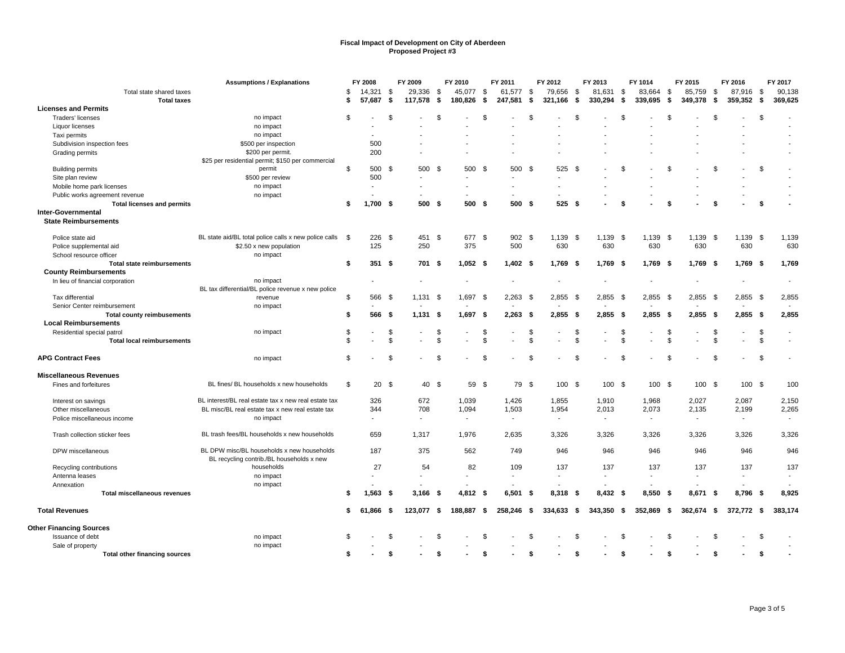|                                                          | <b>Assumptions / Explanations</b>                     | FY 2008               |                | FY 2009                  |              | FY 2010                  |                | FY 2011                  |      | FY 2012                  |                | FY 2013    |                | FY 1014        |      | FY 2015      |      | FY 2016                  |      | FY 2017                  |
|----------------------------------------------------------|-------------------------------------------------------|-----------------------|----------------|--------------------------|--------------|--------------------------|----------------|--------------------------|------|--------------------------|----------------|------------|----------------|----------------|------|--------------|------|--------------------------|------|--------------------------|
| Total state shared taxes                                 |                                                       | \$<br>14,321          | -\$            | 29,336                   | - \$         | 45,077                   | - \$           | 61,577 \$                |      | 79,656                   | \$             | 81,631 \$  |                | 83,664         | - \$ | 85,759       | - \$ | 87,916                   | - \$ | 90,138                   |
| <b>Total taxes</b>                                       |                                                       | \$<br>57,687          | - \$           | 117,578                  | -\$          | 180,826                  | -\$            | 247,581                  | \$   | 321,166                  | \$             | 330,294    | \$             | 339,695        | Ŝ.   | 349,378      | \$   | 359,352                  | - \$ | 369,625                  |
| <b>Licenses and Permits</b>                              |                                                       |                       |                |                          |              |                          |                |                          |      |                          |                |            |                |                |      |              |      |                          |      |                          |
| Traders' licenses                                        | no impact                                             | \$                    | \$             |                          | \$           |                          | $\mathfrak{L}$ |                          | \$   |                          | \$             |            | $\mathfrak{L}$ |                | \$   |              | \$   |                          | \$   |                          |
| Liquor licenses                                          | no impact                                             |                       |                |                          |              |                          |                |                          |      |                          |                |            |                |                |      |              |      |                          |      |                          |
| Taxi permits                                             | no impact                                             | $\blacksquare$        |                |                          |              |                          |                |                          |      |                          |                |            |                |                |      |              |      |                          |      |                          |
| Subdivision inspection fees                              | \$500 per inspection                                  | 500                   |                |                          |              |                          |                |                          |      |                          |                |            |                |                |      |              |      |                          |      |                          |
| Grading permits                                          | \$200 per permit.                                     | 200                   |                |                          |              |                          |                |                          |      |                          |                |            |                |                |      |              |      |                          |      |                          |
|                                                          | \$25 per residential permit; \$150 per commercial     |                       |                |                          |              |                          |                |                          |      |                          |                |            |                |                |      |              |      |                          |      |                          |
| <b>Building permits</b>                                  | permit                                                | \$<br>500 \$          |                | 500 \$                   |              | 500                      | - \$           | 500 \$                   |      | 525                      | \$             |            | \$             |                | \$   |              | \$   |                          | \$   |                          |
| Site plan review                                         | \$500 per review                                      | 500                   |                |                          |              |                          |                |                          |      |                          |                |            |                |                |      |              |      |                          |      |                          |
| Mobile home park licenses                                | no impact                                             |                       |                | ÷                        |              | $\overline{a}$           |                | ÷.                       |      |                          |                |            |                |                |      |              |      |                          |      |                          |
| Public works agreement revenue                           | no impact                                             |                       |                |                          |              |                          |                |                          |      |                          |                |            |                |                |      |              |      |                          |      |                          |
| <b>Total licenses and permits</b>                        |                                                       | \$<br>$1,700$ \$      |                | 500 \$                   |              | 500 \$                   |                | 500 \$                   |      | 525S                     |                |            | Ŝ.             |                | \$   |              | \$   |                          | \$   |                          |
| <b>Inter-Governmental</b>                                |                                                       |                       |                |                          |              |                          |                |                          |      |                          |                |            |                |                |      |              |      |                          |      |                          |
| <b>State Reimbursements</b>                              |                                                       |                       |                |                          |              |                          |                |                          |      |                          |                |            |                |                |      |              |      |                          |      |                          |
| Police state aid                                         | BL state aid/BL total police calls x new police calls | \$<br>226             | - \$           | 451 \$                   |              | 677                      | - \$           | 902                      | - \$ | 1,139                    | \$             | 1,139 \$   |                | $1,139$ \$     |      | $1,139$ \$   |      | 1,139                    | - \$ | 1,139                    |
| Police supplemental aid                                  | \$2.50 x new population                               | 125                   |                | 250                      |              | 375                      |                | 500                      |      | 630                      |                | 630        |                | 630            |      | 630          |      | 630                      |      | 630                      |
| School resource officer                                  | no impact                                             |                       |                |                          |              |                          |                |                          |      |                          |                |            |                |                |      |              |      |                          |      |                          |
| <b>Total state reimbursements</b>                        |                                                       | \$<br>351S            |                | 701 \$                   |              | $1,052$ \$               |                | $1,402$ \$               |      | 1,769                    | - \$           | $1,769$ \$ |                | $1,769$ \$     |      | $1,769$ \$   |      | $1,769$ \$               |      | 1,769                    |
| <b>County Reimbursements</b>                             |                                                       |                       |                |                          |              |                          |                |                          |      |                          |                |            |                |                |      |              |      |                          |      |                          |
| In lieu of financial corporation                         | no impact                                             |                       |                |                          |              |                          |                |                          |      |                          |                |            |                |                |      |              |      |                          |      | $\blacksquare$           |
|                                                          | BL tax differential/BL police revenue x new police    |                       |                |                          |              |                          |                |                          |      |                          |                |            |                |                |      |              |      |                          |      |                          |
| Tax differential                                         | revenue                                               | \$<br>566             | - \$           | 1.131                    | - \$         | 1,697                    | - \$           | $2.263$ \$               |      | 2,855                    | \$             | $2,855$ \$ |                | $2,855$ \$     |      | $2,855$ \$   |      | $2,855$ \$               |      | 2,855                    |
| Senior Center reimbursement                              | no impact                                             |                       |                |                          |              |                          |                |                          |      |                          |                |            |                |                |      |              |      |                          |      |                          |
| <b>Total county reimbusements</b>                        |                                                       | \$<br>566             | - \$           | 1.131 S                  |              | 1,697                    | - \$           | $2,263$ \$               |      | 2,855                    | - \$           | $2.855$ \$ |                | $2.855$ \$     |      | $2.855$ \$   |      | $2.855$ \$               |      | 2,855                    |
| <b>Local Reimbursements</b>                              |                                                       |                       |                |                          |              |                          |                |                          |      |                          |                |            |                |                |      |              |      |                          |      |                          |
| Residential special patrol                               | no impact                                             | \$                    | \$             |                          | \$           |                          | \$             |                          | \$   |                          | -\$            |            | - \$           |                | \$   |              | \$   | $\sim$                   | \$   | $\overline{\phantom{a}}$ |
| <b>Total local reimbursements</b>                        |                                                       | \$                    | $\mathfrak{s}$ |                          | $\mathbf{s}$ |                          | $\mathfrak{L}$ |                          | \$   |                          | $\mathfrak{s}$ |            | \$             |                | \$   |              | \$   |                          | \$   |                          |
|                                                          |                                                       |                       |                |                          |              |                          |                |                          |      |                          |                |            |                |                |      |              |      |                          |      |                          |
| <b>APG Contract Fees</b>                                 | no impact                                             | \$                    | \$             |                          | - \$         |                          | <sup>\$</sup>  |                          | \$   |                          | $\mathfrak{S}$ |            | \$             |                | \$   |              | \$   |                          | \$   |                          |
| <b>Miscellaneous Revenues</b>                            |                                                       |                       |                |                          |              |                          |                |                          |      |                          |                |            |                |                |      |              |      |                          |      |                          |
| Fines and forfeitures                                    | BL fines/ BL households x new households              | \$<br>20 <sup>5</sup> |                | 40 \$                    |              | 59 \$                    |                | 79 \$                    |      | 100 \$                   |                | 100 \$     |                | 100 \$         |      | 100S         |      | 100 \$                   |      | 100                      |
|                                                          |                                                       |                       |                |                          |              |                          |                |                          |      |                          |                |            |                |                |      |              |      |                          |      |                          |
| Interest on savings                                      | BL interest/BL real estate tax x new real estate tax  | 326                   |                | 672                      |              | 1,039                    |                | 1,426                    |      | 1,855                    |                | 1,910      |                | 1,968          |      | 2,027        |      | 2,087                    |      | 2,150                    |
| Other miscellaneous                                      | BL misc/BL real estate tax x new real estate tax      | 344                   |                | 708                      |              | 1,094                    |                | 1,503                    |      | 1,954                    |                | 2,013      |                | 2,073          |      | 2,135        |      | 2,199                    |      | 2,265                    |
| Police miscellaneous income                              | no impact                                             |                       |                | $\overline{\phantom{a}}$ |              | $\overline{\phantom{a}}$ |                | $\overline{\phantom{a}}$ |      | $\overline{\phantom{a}}$ |                |            |                | $\blacksquare$ |      |              |      | $\overline{\phantom{a}}$ |      |                          |
|                                                          |                                                       |                       |                |                          |              |                          |                |                          |      |                          |                |            |                |                |      |              |      |                          |      |                          |
| Trash collection sticker fees                            | BL trash fees/BL households x new households          | 659                   |                | 1,317                    |              | 1,976                    |                | 2,635                    |      | 3,326                    |                | 3,326      |                | 3,326          |      | 3,326        |      | 3,326                    |      | 3,326                    |
| DPW miscellaneous                                        | BL DPW misc/BL households x new households            | 187                   |                | 375                      |              | 562                      |                | 749                      |      | 946                      |                | 946        |                | 946            |      | 946          |      | 946                      |      | 946                      |
|                                                          | BL recycling contrib./BL households x new             |                       |                |                          |              |                          |                |                          |      |                          |                |            |                |                |      |              |      |                          |      |                          |
| Recycling contributions                                  | households                                            | 27                    |                | 54                       |              | 82                       |                | 109                      |      | 137                      |                | 137        |                | 137            |      | 137          |      | 137                      |      | 137                      |
| Antenna leases                                           | no impact                                             |                       |                | $\overline{a}$           |              |                          |                |                          |      | $\sim$                   |                |            |                |                |      |              |      | $\sim$                   |      |                          |
| Annexation                                               | no impact                                             |                       |                |                          |              |                          |                |                          |      |                          |                |            |                |                |      |              |      |                          |      |                          |
| <b>Total miscellaneous revenues</b>                      |                                                       | \$<br>$1,563$ \$      |                | $3,166$ \$               |              | 4,812 \$                 |                | 6,501                    | \$   | 8,318                    | -\$            | 8,432 \$   |                | 8,550 \$       |      | 8,671        | -\$  | 8,796 \$                 |      | 8,925                    |
| <b>Total Revenues</b>                                    |                                                       | \$<br>61,866 \$       |                | 123,077 \$               |              | 188,887                  | - \$           | 258,246 \$               |      | $334,633$ \$             |                | 343,350 \$ |                | 352,869 \$     |      | $362,674$ \$ |      | 372,772 \$               |      | 383,174                  |
| <b>Other Financing Sources</b>                           |                                                       |                       |                |                          |              |                          |                |                          |      |                          |                |            |                |                |      |              |      |                          |      |                          |
| Issuance of debt                                         | no impact                                             | \$                    | \$             |                          | \$.          |                          | $\mathfrak{L}$ |                          | \$   |                          | \$             |            | \$             |                | \$.  |              | \$   |                          | \$   |                          |
|                                                          | no impact                                             |                       |                |                          |              |                          |                |                          |      |                          |                |            |                |                |      |              |      |                          |      |                          |
| Sale of property<br><b>Total other financing sources</b> |                                                       | \$                    | \$             |                          | - \$         |                          | \$             |                          | Ŝ.   |                          | - \$           |            | \$             |                | \$   |              | \$   |                          | \$   |                          |
|                                                          |                                                       |                       |                |                          |              |                          |                |                          |      |                          |                |            |                |                |      |              |      |                          |      |                          |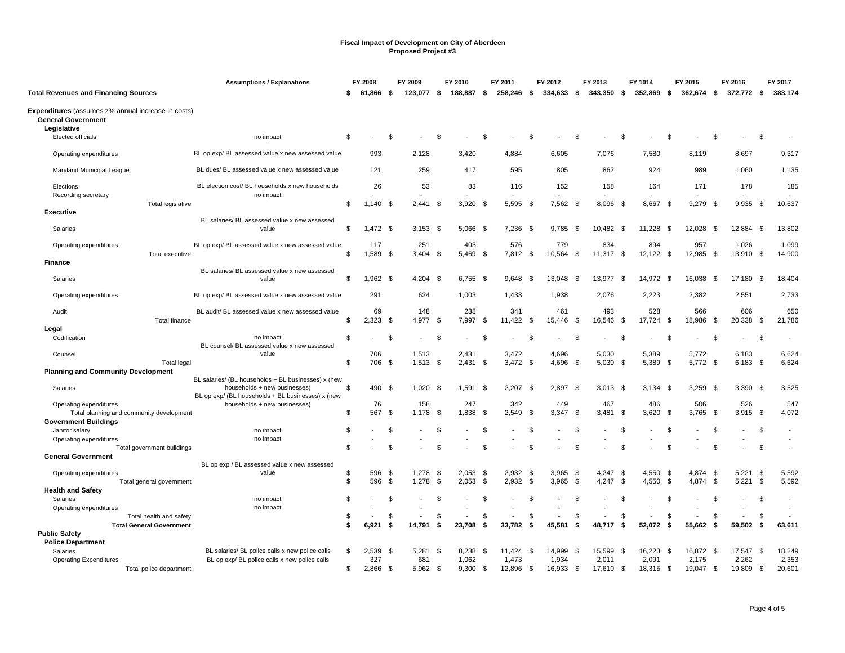|                                                                                 | <b>Assumptions / Explanations</b>                                                 | FY 2008           |      | FY 2009      |              | FY 2010      |      | FY 2011       |                | FY 2012       |      | FY 2013       |                | FY 1014       |           | FY 2015       |      | FY 2016       |      | FY 2017       |
|---------------------------------------------------------------------------------|-----------------------------------------------------------------------------------|-------------------|------|--------------|--------------|--------------|------|---------------|----------------|---------------|------|---------------|----------------|---------------|-----------|---------------|------|---------------|------|---------------|
| <b>Total Revenues and Financing Sources</b>                                     |                                                                                   | \$<br>61.866 \$   |      | 123,077 \$   |              | 188,887      | - \$ | 258,246 \$    |                | $334,633$ \$  |      | 343,350 \$    |                | 352,869       | - \$      | 362,674 \$    |      | 372,772 \$    |      | 383,174       |
| Expenditures (assumes z% annual increase in costs)<br><b>General Government</b> |                                                                                   |                   |      |              |              |              |      |               |                |               |      |               |                |               |           |               |      |               |      |               |
| Legislative<br>Elected officials                                                | no impact                                                                         | \$                | \$   |              | S            |              | \$.  |               | \$             |               | -S   |               | \$             |               | -S        |               | -S   |               | \$   |               |
| Operating expenditures                                                          | BL op exp/ BL assessed value x new assessed value                                 | 993               |      | 2.128        |              | 3.420        |      | 4.884         |                | 6.605         |      | 7.076         |                | 7.580         |           | 8.119         |      | 8.697         |      | 9,317         |
| Maryland Municipal League                                                       | BL dues/ BL assessed value x new assessed value                                   | 121               |      | 259          |              | 417          |      | 595           |                | 805           |      | 862           |                | 924           |           | 989           |      | 1,060         |      | 1,135         |
| Elections                                                                       | BL election cost/ BL households x new households                                  | 26                |      | 53           |              | 83           |      | 116           |                | 152           |      | 158           |                | 164           |           | 171           |      | 178           |      | 185           |
| Recording secretary<br>Total legislative                                        | no impact                                                                         | \$<br>$1,140$ \$  |      | $2,441$ \$   |              | 3,920        | - \$ | 5.595 \$      |                | 7,562 \$      |      | 8,096 \$      |                | 8,667         | - \$      | 9,279         | - \$ | $9,935$ \$    |      | 10,637        |
| <b>Executive</b>                                                                |                                                                                   |                   |      |              |              |              |      |               |                |               |      |               |                |               |           |               |      |               |      |               |
| Salaries                                                                        | BL salaries/ BL assessed value x new assessed<br>value                            | \$<br>1,472 \$    |      | $3,153$ \$   |              | 5,066        | -\$  | 7,236         | -\$            | 9,785         | -\$  | 10,482        | -\$            | 11,228        | - \$      | 12,028        | - \$ | 12,884 \$     |      | 13,802        |
| Operating expenditures                                                          | BL op exp/ BL assessed value x new assessed value                                 | 117               |      | 251          |              | 403          |      | 576           |                | 779           |      | 834           |                | 894           |           | 957           |      | 1,026         |      | 1,099         |
| Total executive<br><b>Finance</b>                                               |                                                                                   | \$<br>1,589 \$    |      | 3,404        | - \$         | 5,469        | - \$ | 7,812 \$      |                | 10,564        | \$   | 11,317        | \$             | 12,122 \$     |           | 12,985        | \$   | 13,910 \$     |      | 14,900        |
| Salaries                                                                        | BL salaries/ BL assessed value x new assessed<br>value                            | \$<br>$1,962$ \$  |      | $4,204$ \$   |              | $6,755$ \$   |      | 9,648 \$      |                | 13,048        | - \$ | 13,977 \$     |                | 14,972 \$     |           | 16,038        | - \$ | 17,180 \$     |      | 18,404        |
| Operating expenditures                                                          | BL op exp/ BL assessed value x new assessed value                                 | 291               |      | 624          |              | 1,003        |      | 1.433         |                | 1,938         |      | 2,076         |                | 2,223         |           | 2,382         |      | 2,551         |      | 2,733         |
| Audit<br>Total finance                                                          | BL audit/ BL assessed value x new assessed value                                  | \$<br>69<br>2,323 | - \$ | 148<br>4,977 | - \$         | 238<br>7,997 | -\$  | 341<br>11.422 | - \$           | 461<br>15,446 | - \$ | 493<br>16,546 | \$             | 528<br>17,724 | \$        | 566<br>18,986 | -\$  | 606<br>20,338 | - \$ | 650<br>21,786 |
| Legal                                                                           |                                                                                   |                   |      |              |              |              |      |               |                |               |      |               |                |               |           |               |      |               |      |               |
| Codification                                                                    | no impact                                                                         | \$                | \$   |              | $\mathbf{S}$ |              |      |               | <sup>\$</sup>  |               | \$   |               | $\mathfrak{S}$ |               | <b>.s</b> |               | \$.  |               | \$   |               |
| Counsel                                                                         | BL counsel/ BL assessed value x new assessed<br>value                             | 706               |      | 1,513        |              | 2,431        |      | 3,472         |                | 4,696         |      | 5,030         |                | 5,389         |           | 5,772         |      | 6,183         |      | 6,624         |
| <b>Total legal</b><br><b>Planning and Community Development</b>                 |                                                                                   | \$<br>706 \$      |      | $1,513$ \$   |              | 2,431        | \$   | $3,472$ \$    |                | 4,696         | \$   | $5,030$ \$    |                | 5,389 \$      |           | 5,772 \$      |      | $6,183$ \$    |      | 6,624         |
|                                                                                 | BL salaries/ (BL households + BL businesses) x (new                               |                   |      |              |              |              |      |               |                |               |      |               |                |               |           |               |      |               |      |               |
| Salaries                                                                        | households + new businesses)<br>BL op exp/ (BL households + BL businesses) x (new | \$<br>490 \$      |      | $1,020$ \$   |              | 1,591        | - \$ | 2,207         | - \$           | 2,897         | -\$  | $3,013$ \$    |                | 3,134         | - \$      | $3,259$ \$    |      | $3,390$ \$    |      | 3,525         |
| Operating expenditures                                                          | households + new businesses)                                                      | 76                |      | 158          |              | 247          |      | 342           |                | 449           |      | 467           |                | 486           |           | 506           |      | 526           |      | 547           |
| Total planning and community development                                        |                                                                                   | \$<br>567         | - \$ | 1,178        | - \$         | 1,838        | - \$ | 2.549         | - \$           | 3,347         | \$   | 3,481         | - \$           | 3,620         | \$        | 3,765         | - \$ | $3,915$ \$    |      | 4,072         |
| <b>Government Buildings</b>                                                     |                                                                                   |                   |      |              |              |              |      |               |                |               |      |               |                |               |           |               |      |               |      |               |
| Janitor salary                                                                  | no impact                                                                         | \$                | \$   |              | \$           |              | \$.  |               | <sup>\$</sup>  |               | \$   |               | <b>S</b>       |               | \$        |               | \$.  |               | \$   |               |
| Operating expenditures                                                          | no impact                                                                         |                   |      |              |              |              |      |               |                |               |      |               |                |               |           |               |      |               |      | $\sim$        |
| Total government buildings                                                      |                                                                                   | \$                | \$.  |              | £.           |              | 9.   |               | $\mathfrak{L}$ |               | -S   |               | . ጽ            |               | <b>.s</b> |               |      |               | \$   |               |
| <b>General Government</b>                                                       |                                                                                   |                   |      |              |              |              |      |               |                |               |      |               |                |               |           |               |      |               |      |               |
| Operating expenditures                                                          | BL op exp / BL assessed value x new assessed<br>value                             | \$<br>596         | - \$ | $1,278$ \$   |              | 2.053        | -\$  | 2.932         | - \$           | 3,965         | -\$  | 4.247         | - \$           | 4,550         | - \$      | 4.874         | -\$  | 5.221         | - \$ | 5,592         |
| Total general government                                                        |                                                                                   | \$<br>596         | \$   | 1,278        | - \$         | 2,053        | \$   | 2,932 \$      |                | 3,965         | \$   | 4,247 \$      |                | 4,550         | \$        | 4,874         | - \$ | 5,221         | - \$ | 5,592         |
| <b>Health and Safety</b>                                                        |                                                                                   |                   |      |              |              |              |      |               |                |               |      |               |                |               |           |               |      |               |      |               |
| Salaries                                                                        | no impact                                                                         | \$                | \$   |              | £.           |              | \$.  |               | -\$            |               | \$   |               | - \$           |               | -\$       |               | \$.  |               | \$   |               |
| Operating expenditures                                                          | no impact                                                                         |                   |      |              |              |              |      |               |                |               |      |               |                |               |           |               |      |               |      |               |
| Total health and safety                                                         |                                                                                   | \$                | \$   |              | \$           |              | \$   |               | \$             |               | \$   |               | \$             |               | - \$      |               | \$   |               | \$   |               |
| <b>Total General Government</b>                                                 |                                                                                   | \$<br>6,921       | \$   | 14,791       | Ŝ.           | 23,708       | -\$  | 33,782        | -\$            | 45,581        | \$   | 48,717        | - \$           | 52,072        | -93       | 55,662        | \$   | 59,502        | \$   | 63,611        |
| <b>Public Safety</b>                                                            |                                                                                   |                   |      |              |              |              |      |               |                |               |      |               |                |               |           |               |      |               |      |               |
| <b>Police Department</b>                                                        |                                                                                   |                   |      |              |              |              |      |               |                |               |      |               |                |               |           |               |      |               |      |               |
| Salaries                                                                        | BL salaries/ BL police calls x new police calls                                   | \$<br>$2,539$ \$  |      | $5,281$ \$   |              | 8,238        | - \$ | $11,424$ \$   |                | 14,999        | \$   | 15,599        | - \$           | 16,223 \$     |           | 16,872 \$     |      | 17,547 \$     |      | 18,249        |
| <b>Operating Expenditures</b>                                                   | BL op exp/ BL police calls x new police calls                                     | 327               |      | 681          |              | 1,062        |      | 1,473         |                | 1,934         |      | 2,011         |                | 2,091         |           | 2,175         |      | 2,262         |      | 2,353         |
| Total police department                                                         |                                                                                   | \$<br>2,866 \$    |      | 5.962 \$     |              | 9,300        | - \$ | 12,896 \$     |                | 16,933 \$     |      | 17,610 \$     |                | 18,315 \$     |           | 19.047 \$     |      | 19,809 \$     |      | 20,601        |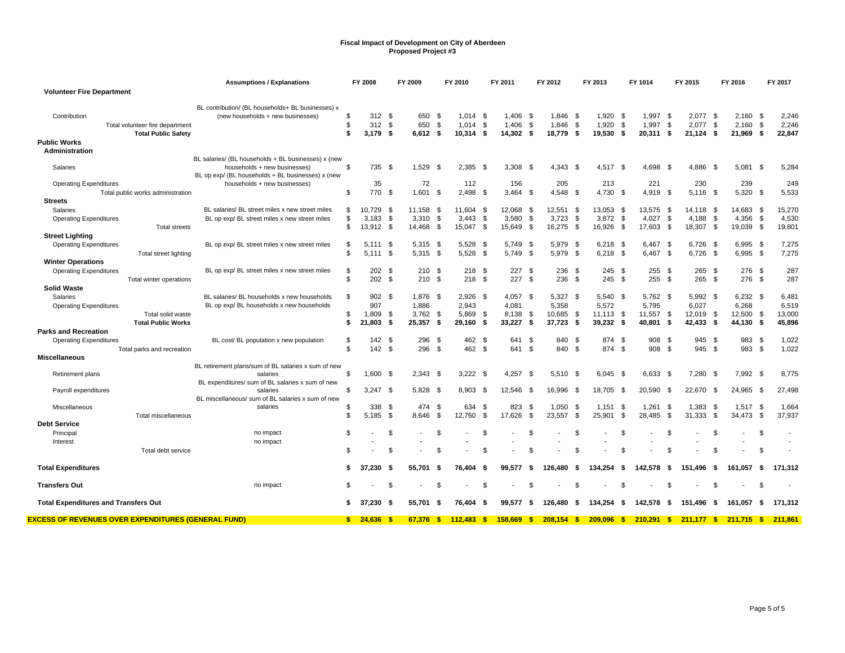|                                                                    | <b>Assumptions / Explanations</b>                                                 |                      | FY 2008      |      | FY 2009            |      | FY 2010      |      | FY 2011         |                | FY 2012      |      | FY 2013      |              | FY 1014      |              | FY 2015    |            | FY 2016      |            | FY 2017 |
|--------------------------------------------------------------------|-----------------------------------------------------------------------------------|----------------------|--------------|------|--------------------|------|--------------|------|-----------------|----------------|--------------|------|--------------|--------------|--------------|--------------|------------|------------|--------------|------------|---------|
| <b>Volunteer Fire Department</b>                                   |                                                                                   |                      |              |      |                    |      |              |      |                 |                |              |      |              |              |              |              |            |            |              |            |         |
|                                                                    |                                                                                   |                      |              |      |                    |      |              |      |                 |                |              |      |              |              |              |              |            |            |              |            |         |
|                                                                    | BL contribution/ (BL households+ BL businesses) x                                 |                      |              |      |                    |      |              |      |                 |                |              |      |              |              |              |              |            |            |              |            |         |
| Contribution                                                       | (new households + new businesses)                                                 | \$                   | 312S         |      | 650                | - \$ | $1,014$ \$   |      | $1,406$ \$      |                | $1.846$ \$   |      | 1,920        | - \$         | 1,997        | - \$         | 2,077      | $\sqrt{3}$ | $2,160$ \$   |            | 2,246   |
| Total volunteer fire department                                    |                                                                                   | \$                   | 312          | \$   | 650                | \$   | 1,014        | \$   | 1,406           | -\$            | 1,846        | \$   | 1,920        | \$           | 1,997        | \$           | 2,077      | \$         | 2,160        | \$         | 2,246   |
| <b>Total Public Safety</b>                                         |                                                                                   | \$                   | $3,179$ \$   |      | $6,612$ \$         |      | $10,314$ \$  |      | 14,302 \$       |                | 18.779 \$    |      | 19,530 \$    |              | 20,311 \$    |              | 21,124     | - \$       | 21,969 \$    |            | 22,847  |
| <b>Public Works</b>                                                |                                                                                   |                      |              |      |                    |      |              |      |                 |                |              |      |              |              |              |              |            |            |              |            |         |
| Administration                                                     |                                                                                   |                      |              |      |                    |      |              |      |                 |                |              |      |              |              |              |              |            |            |              |            |         |
|                                                                    | BL salaries/ (BL households + BL businesses) x (new                               |                      |              |      |                    |      |              |      |                 |                |              |      |              |              |              |              |            |            |              |            |         |
| Salaries                                                           | households + new businesses)                                                      | \$                   | 735 \$       |      | 1,529 \$           |      | 2,385        | - \$ | 3,308           | - \$           | $4.343$ \$   |      | 4,517 \$     |              | 4,698        | - \$         | 4,886      | -\$        | 5,081        | - \$       | 5,284   |
|                                                                    | BL op exp/ (BL households + BL businesses) x (new<br>households + new businesses) |                      | 35           |      | 72                 |      | 112          |      | 156             |                | 205          |      | 213          |              | 221          |              | 230        |            | 239          |            | 249     |
| <b>Operating Expenditures</b><br>Total public works administration |                                                                                   | \$                   | 770          | - \$ | $1.601$ \$         |      | 2,498        | - \$ | $3.464$ \$      |                | 4.548        | - \$ | 4.730 \$     |              | 4,919 \$     |              | $5,116$ \$ |            | 5,320 \$     |            | 5,533   |
| <b>Streets</b>                                                     |                                                                                   |                      |              |      |                    |      |              |      |                 |                |              |      |              |              |              |              |            |            |              |            |         |
|                                                                    | BL salaries/ BL street miles x new street miles                                   |                      |              |      |                    |      |              |      |                 |                |              |      |              |              |              |              |            |            |              |            |         |
| Salaries                                                           |                                                                                   | \$                   | 10.729       | - \$ | 11.158             | - \$ | 11.604       | - \$ | 12,068 \$       |                | 12,551       | \$   | 13,053 \$    |              | 13,575       | - \$         | 14,118 \$  |            | 14,683       | - \$       | 15,270  |
| <b>Operating Expenditures</b>                                      | BL op exp/ BL street miles x new street miles                                     | \$<br>$\mathfrak{L}$ | 3,183        | \$   | 3,310<br>14,468 \$ | \$   | 3,443        | \$   | 3,580<br>15.649 | \$             | 3,723        | \$   | 3,872        | - \$         | 4,027        | - \$<br>- \$ | 4,188      | - \$       | 4,356        | \$<br>- \$ | 4,530   |
| <b>Total streets</b>                                               |                                                                                   |                      | 13,912       | - \$ |                    |      | 15,047 \$    |      |                 | - \$           | 16,275       | - \$ | 16,926       | - \$         | 17,603       |              | 18,307     | - \$       | 19,039       |            | 19,801  |
| <b>Street Lighting</b>                                             |                                                                                   |                      |              |      |                    |      |              |      |                 |                |              |      |              |              |              |              |            |            |              |            |         |
| <b>Operating Expenditures</b>                                      | BL op exp/BL street miles x new street miles                                      | \$                   | 5.111        | -\$  | 5,315              | - \$ | 5,528        | -\$  | 5,749           | - \$           | 5,979        | \$   | 6.218        | - \$         | 6,467        | - \$         | 6,726      | - \$       | $6,995$ \$   |            | 7,275   |
| Total street lighting                                              |                                                                                   | \$                   | $5.111$ \$   |      | $5.315$ \$         |      | 5,528        | \$   | 5.749 \$        |                | 5.979        | -S   | 6.218        | - \$         | 6.467 \$     |              | 6.726      | - \$       | $6.995$ \$   |            | 7,275   |
| <b>Winter Operations</b>                                           |                                                                                   |                      |              |      |                    |      |              |      |                 |                |              |      |              |              |              |              |            |            |              |            |         |
| <b>Operating Expenditures</b>                                      | BL op exp/ BL street miles x new street miles                                     | \$                   | 202          | -\$  | 210S               |      | 218          | \$   | 227S            |                | 236          | \$   | 245          | - \$         | 255          | - \$         | 265        | - \$       | 276 \$       |            | 287     |
| Total winter operations                                            |                                                                                   | \$                   | 202          | - \$ | 210S               |      | 218          | - \$ | 227S            |                | 236          | - \$ | 245 \$       |              | 255          | - \$         | 265        | - \$       | 276 \$       |            | 287     |
| <b>Solid Waste</b>                                                 |                                                                                   |                      |              |      |                    |      |              |      |                 |                |              |      |              |              |              |              |            |            |              |            |         |
| Salaries                                                           | BL salaries/ BL households x new households                                       | \$                   | 902          | - \$ | 1.876 \$           |      | 2.926        | - \$ | $4.057$ \$      |                | 5.327        | \$   | 5.540 \$     |              | 5.762 \$     |              | 5.992 \$   |            | $6.232$ \$   |            | 6,481   |
| <b>Operating Expenditures</b>                                      | BL op exp/ BL households x new households                                         |                      | 907          |      | 1,886              |      | 2,943        |      | 4,081           |                | 5,358        |      | 5,572        |              | 5,795        |              | 6,027      |            | 6,268        |            | 6,519   |
| Total solid waste                                                  |                                                                                   | \$                   | 1.809        | -\$  | 3,762              | - \$ | 5,869        | - \$ | 8.138           | - \$           | 10,685       | - \$ | 11,113       | - \$         | 11,557       | - \$         | 12.019     | - \$       | 12,500       | - \$       | 13,000  |
| <b>Total Public Works</b>                                          |                                                                                   | \$                   | 21,803       | -\$  | 25,357             | - \$ | 29,160       | - \$ | 33,227          | - \$           | 37,723       | - \$ | 39,232       | - \$         | 40,801       | - \$         | 42,433     | - \$       | 44,130       | - \$       | 45,896  |
| <b>Parks and Recreation</b>                                        |                                                                                   |                      |              |      |                    |      |              |      |                 |                |              |      |              |              |              |              |            |            |              |            |         |
| <b>Operating Expenditures</b>                                      | BL cost/BL population x new population                                            | \$                   | 142          | - \$ | 296                | - \$ | 462          | -\$  | 641 \$          |                | 840          | \$   | 874          | - \$         | 908          | - \$         | 945        | - \$       | 983          | - \$       | 1,022   |
| Total parks and recreation                                         |                                                                                   | \$                   | 142S         |      | 296                | - \$ | 462          | - \$ | 641 \$          |                | 840          | - \$ | 874          | $\mathbb{S}$ | 908          | - \$         | 945 \$     |            | 983 \$       |            | 1,022   |
| <b>Miscellaneous</b>                                               |                                                                                   |                      |              |      |                    |      |              |      |                 |                |              |      |              |              |              |              |            |            |              |            |         |
|                                                                    | BL retirement plans/sum of BL salaries x sum of new                               |                      |              |      |                    |      |              |      |                 |                |              |      |              |              |              |              |            |            |              |            |         |
| Retirement plans                                                   | salaries                                                                          | \$                   | 1,600 \$     |      | $2.343$ \$         |      | 3.222        | - \$ | $4,257$ \$      |                | $5.510$ \$   |      | $6,045$ \$   |              | 6,633        | - \$         | 7,280      | - \$       | $7.992$ \$   |            | 8,775   |
|                                                                    | BL expenditures/ sum of BL salaries x sum of new<br>salaries                      | \$                   | $3.247$ \$   |      | 5.828 \$           |      | 8.903        | - \$ | 12.546 \$       |                | 16.996       | - \$ | 18.705       | - \$         | 20.590       | - \$         | 22.670     | - \$       | 24.965 \$    |            | 27,498  |
| Payroll expenditures                                               | BL miscellaneous/ sum of BL salaries x sum of new                                 |                      |              |      |                    |      |              |      |                 |                |              |      |              |              |              |              |            |            |              |            |         |
| Miscellaneous                                                      | salaries                                                                          | \$                   | 338          | - \$ | 474                | - \$ | 634          | - \$ | 823             | - \$           | 1.050        | \$   | 1.151        | - \$         | 1.261        | - \$         | 1.383      | -\$        | 1,517        | - \$       | 1,664   |
| Total miscellaneous                                                |                                                                                   | \$                   | 5,185        | \$   | 8.646              | - \$ | 12,760       | -S   | 17,626          | $\mathfrak{L}$ | 23,557       | \$   | 25,901       | - \$         | 28,485       | - \$         | 31,333     | \$         | 34.473       | \$         | 37,937  |
| <b>Debt Service</b>                                                |                                                                                   |                      |              |      |                    |      |              |      |                 |                |              |      |              |              |              |              |            |            |              |            |         |
| Principal                                                          | no impact                                                                         | \$                   |              | \$   |                    | \$   |              | -S   |                 | \$             |              | \$   |              | \$           |              | \$.          |            | \$         |              | \$         |         |
| Interest                                                           | no impact                                                                         |                      |              |      |                    |      |              |      |                 |                |              |      |              |              |              |              |            |            |              |            |         |
| Total debt service                                                 |                                                                                   | S                    |              | \$   |                    | £.   |              | \$.  |                 | - \$           |              | \$.  |              | \$           |              | \$.          |            | \$         |              | \$         |         |
|                                                                    |                                                                                   |                      |              |      |                    |      |              |      |                 |                |              |      |              |              |              |              |            |            |              |            |         |
| <b>Total Expenditures</b>                                          |                                                                                   | \$                   | 37.230       | - \$ | 55.701             | Ŝ.   | 76.404       | -S   | 99.577          | \$             | 126.480      | \$   | 134.254      | \$           | 142.578      | - \$         | 151.496    | - \$       | 161.057      | - \$       | 171.312 |
|                                                                    |                                                                                   |                      |              |      |                    |      |              |      |                 |                |              |      |              |              |              |              |            |            |              |            |         |
| <b>Transfers Out</b>                                               | no impact                                                                         | \$                   |              | \$   |                    | \$   |              | .ኖ   |                 | $\mathfrak{L}$ |              | \$   |              | \$           |              | \$.          |            | £.         |              | -S         |         |
|                                                                    |                                                                                   |                      |              |      |                    |      |              |      |                 |                |              |      |              |              |              |              |            |            |              |            |         |
| <b>Total Expenditures and Transfers Out</b>                        |                                                                                   | s.                   | 37.230       | - \$ | 55.701             | - \$ | 76.404       | - \$ | 99.577          | -S             | 126.480      | \$   | 134.254      | - \$         | 142.578      | - \$         | 151.496    | - \$       | 161.057      | - \$       | 171.312 |
|                                                                    |                                                                                   |                      |              |      |                    |      |              |      |                 |                |              |      |              |              |              |              |            |            |              |            |         |
| <u>EXCESS OF REVENUES OVER EXPENDITURES (GENERAL FUND)</u>         |                                                                                   |                      | $$24,636$ \$ |      | 67.376             | -\$  | $112,483$ \$ |      | $158,669$ \$    |                | $208,154$ \$ |      | $209,096$ \$ |              | $210,291$ \$ |              | 211.177S   |            | $211.715$ \$ |            | 211.861 |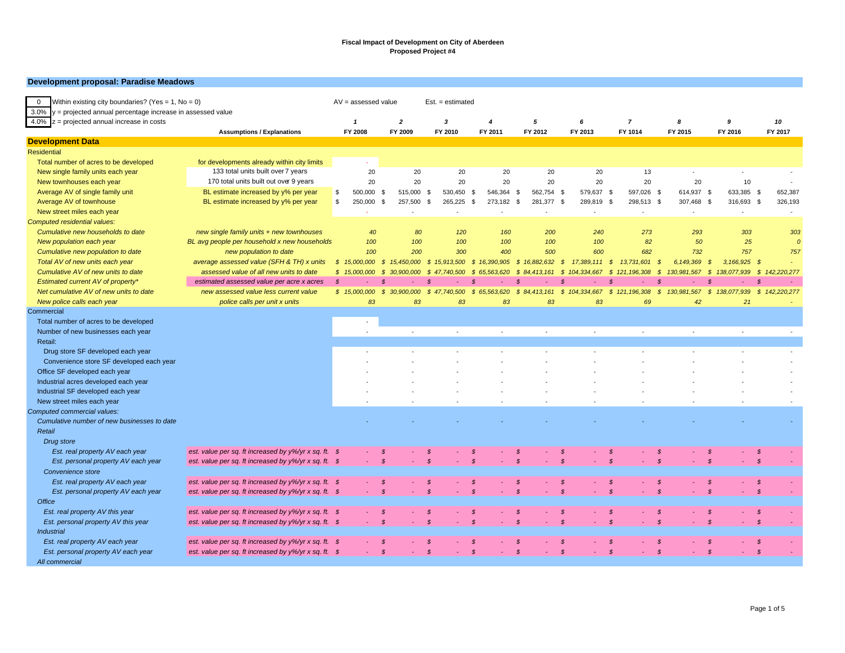#### **Development proposal: Paradise Meadows**

| Within existing city boundaries? (Yes = $1$ , No = 0)<br>$\overline{0}$<br>$3.0\%$ y = projected annual percentage increase in assessed value |                                                                   | $AV =$ assessed value |                             | $Est. = estimated$      |                      |                             |                              |                      |                              |                                 |                              |
|-----------------------------------------------------------------------------------------------------------------------------------------------|-------------------------------------------------------------------|-----------------------|-----------------------------|-------------------------|----------------------|-----------------------------|------------------------------|----------------------|------------------------------|---------------------------------|------------------------------|
| 4.0% $z =$ projected annual increase in costs                                                                                                 |                                                                   | $\mathbf{1}$          | $\overline{2}$              | $\overline{\mathbf{3}}$ | $\overline{4}$       | 5                           | 6                            | $\overline{7}$       | 8                            | 9                               | 10                           |
|                                                                                                                                               | <b>Assumptions / Explanations</b>                                 | FY 2008               | FY 2009                     | FY 2010                 | FY 2011              | FY 2012                     | FY 2013                      | FY 1014              | FY 2015                      | FY 2016                         | FY 2017                      |
| <b>Development Data</b>                                                                                                                       |                                                                   |                       |                             |                         |                      |                             |                              |                      |                              |                                 |                              |
| <b>Residential</b>                                                                                                                            |                                                                   |                       |                             |                         |                      |                             |                              |                      |                              |                                 |                              |
| Total number of acres to be developed                                                                                                         | for developments already within city limits                       | $\sim$                |                             |                         |                      |                             |                              |                      |                              |                                 |                              |
| New single family units each year                                                                                                             | 133 total units built over 7 years                                | 20                    | 20                          | 20                      | 20                   | 20                          | 20                           | 13                   | $\sim$                       |                                 |                              |
| New townhouses each year                                                                                                                      | 170 total units built out over 9 years                            | 20                    | 20                          | 20                      | 20                   | 20                          | 20                           | 20                   | 20                           | 10                              |                              |
| Average AV of single family unit                                                                                                              | BL estimate increased by y% per year                              | \$<br>500,000         | 515,000<br>- \$             | 530,450<br>- \$         | 546,364<br>\$        | 562,754 \$<br>- \$          | 579,637 \$                   | 597,026 \$           | 614,937 \$                   | 633,385 \$                      | 652,387                      |
| Average AV of townhouse                                                                                                                       | BL estimate increased by y% per year                              | \$<br>250,000         | <b>S</b><br>257,500         | 265,225<br>- \$         | \$<br>273,182        | 281,377 \$<br>- \$          | 289,819                      | - \$<br>298,513 \$   | 307,468 \$                   | 316,693 \$                      | 326,193                      |
| New street miles each year                                                                                                                    |                                                                   |                       |                             |                         | $\sim$               | ÷,                          | $\sim$                       | ÷.                   | $\sim$                       | $\sim$                          | $\sim$                       |
| Computed residential values:                                                                                                                  |                                                                   |                       |                             |                         |                      |                             |                              |                      |                              |                                 |                              |
| Cumulative new households to date                                                                                                             | new single family units $+$ new townhouses                        | 40                    | 80                          | 120                     | 160                  | 200                         | 240                          | 273                  | 293                          | 303                             | 303                          |
| New population each year                                                                                                                      | BL avg people per household x new households                      | 100                   | 100                         | 100                     | 100                  | 100                         | 100                          | 82                   | 50                           | 25                              | $\mathcal{L}$                |
| Cumulative new population to date                                                                                                             | new population to date                                            | 100                   | 200                         | 300                     | 400                  | 500                         | 600                          | 682                  | 732                          | 757                             | 757                          |
| Total AV of new units each year                                                                                                               | average assessed value (SFH & TH) x units                         | \$15,000,000          | $\mathcal{S}$<br>15,450,000 | \$15,913,500            | \$16,390,905         | $\mathcal{S}$<br>16,882,632 | $\mathcal{S}$<br>17,389,111  | - \$<br>13,731,601   | 6,149,369<br>$\mathcal{S}$   | $3,166,925$ \$<br>$\mathcal{S}$ |                              |
| Cumulative AV of new units to date                                                                                                            | assessed value of all new units to date                           | \$15,000,000          | - \$<br>30.900.000          | .500<br>- S             | 563,620<br>- S<br>65 | s.<br>413.161               | 104,334,667<br>- \$          | -\$<br>121, 196, 308 | 130,981,567<br>-\$           | 138.077.939<br>- \$             | 142,220,277<br>$\mathcal{S}$ |
| Estimated current AV of property*                                                                                                             | estimated assessed value per acre x acres                         | $\mathcal{S}$         | $\mathcal{S}$               |                         | -8                   | $\mathcal{S}$               | - \$                         | $\mathcal{S}$        | $\mathcal{S}$<br>÷.          |                                 | - \$                         |
| Net cumulative AV of new units to date                                                                                                        | new assessed value less current value                             | \$15,000,000          | $\mathcal{S}$<br>30.900.000 | \$47.740.500            | \$65,563,620         | \$84,413,161                | 104.334.667<br>$\mathcal{S}$ | \$121,196,308        | 130.981.567<br>$\mathcal{S}$ | 138.077.939<br><b>S</b>         | 142,220,277<br>S.            |
| New police calls each year                                                                                                                    | police calls per unit x units                                     | 83                    | 83                          | 83                      | 83                   | 83                          | 83                           | 69                   | 42                           | 21                              | ÷.                           |
| Commercial                                                                                                                                    |                                                                   |                       |                             |                         |                      |                             |                              |                      |                              |                                 |                              |
| Total number of acres to be developed                                                                                                         |                                                                   |                       |                             |                         |                      |                             |                              |                      |                              |                                 |                              |
| Number of new businesses each year                                                                                                            |                                                                   |                       | $\sim$                      | $\sim$                  | ÷.                   | $\overline{\phantom{a}}$    | $\overline{a}$               | $\sim$               | ÷.                           | $\sim$                          | $\sim$                       |
| Retail:                                                                                                                                       |                                                                   |                       |                             |                         |                      |                             |                              |                      |                              |                                 |                              |
| Drug store SF developed each year                                                                                                             |                                                                   |                       |                             |                         |                      |                             |                              |                      |                              |                                 |                              |
| Convenience store SF developed each year                                                                                                      |                                                                   |                       |                             |                         |                      |                             |                              |                      |                              |                                 |                              |
| Office SF developed each year                                                                                                                 |                                                                   |                       |                             |                         |                      |                             |                              |                      |                              |                                 |                              |
| Industrial acres developed each year                                                                                                          |                                                                   |                       |                             |                         |                      |                             |                              |                      |                              |                                 |                              |
| Industrial SF developed each year                                                                                                             |                                                                   |                       |                             |                         |                      |                             |                              |                      |                              |                                 |                              |
| New street miles each year                                                                                                                    |                                                                   |                       |                             |                         |                      |                             |                              |                      |                              |                                 |                              |
| Computed commercial values:                                                                                                                   |                                                                   |                       |                             |                         |                      |                             |                              |                      |                              |                                 |                              |
| Cumulative number of new businesses to date                                                                                                   |                                                                   |                       |                             |                         |                      |                             |                              |                      |                              |                                 |                              |
| Retail                                                                                                                                        |                                                                   |                       |                             |                         |                      |                             |                              |                      |                              |                                 |                              |
| Drug store                                                                                                                                    |                                                                   |                       |                             |                         |                      |                             |                              |                      |                              |                                 |                              |
| Est. real property AV each year                                                                                                               | est. value per sq. ft increased by $y\frac{6}{y}$ r x sq. ft. \$  |                       | S                           |                         | - 8                  |                             | - S                          | S                    | - \$                         | $\mathcal{S}$                   | -\$                          |
| Est. personal property AV each year                                                                                                           | est. value per sq. ft increased by y%/yr x sq. ft. \$             |                       | $\mathcal{S}$               | - \$                    | $\mathcal{S}$        | $\mathcal{S}$               | $\mathcal{S}$                | $\mathcal{S}$        | - \$                         | $\mathcal{S}$                   | $\mathcal{S}$                |
| Convenience store                                                                                                                             |                                                                   |                       |                             |                         |                      |                             |                              |                      |                              |                                 |                              |
| Est. real property AV each year                                                                                                               | est. value per sq. ft increased by y%/yr x sq. ft. \$             |                       | \$                          |                         | S                    | $\mathcal{S}$               | - \$                         | \$                   | - \$                         | $\mathcal{S}$                   | $\sqrt{s}$                   |
| Est. personal property AV each year                                                                                                           | est. value per sq. ft increased by y%/yr x sq. ft. \$             |                       | $\mathcal{S}$               |                         |                      |                             | $\mathcal{S}$                | $\mathcal{S}$        |                              | $\mathcal{S}$                   | $\mathcal{S}$                |
| Office                                                                                                                                        |                                                                   |                       |                             |                         |                      |                             |                              |                      |                              |                                 |                              |
| Est. real property AV this year                                                                                                               | est. value per sq. ft increased by y%/yr x sq. ft. \$             |                       | <b>S</b>                    |                         | - \$                 | S                           | - \$                         | <b>S</b>             | - \$                         | \$                              | - \$                         |
| Est. personal property AV this year                                                                                                           | est. value per sq. ft increased by $y\frac{9}{9}$ yr x sq. ft. \$ |                       | $\mathcal{S}$               | $\mathcal{S}$           | $\mathcal{S}$        | $\mathcal{S}$               | $\mathcal{S}$                | $\mathcal{S}$        | $\mathcal{S}$                | $\mathcal{S}$                   | $\mathcal{S}$                |
| <b>Industrial</b>                                                                                                                             |                                                                   |                       |                             |                         |                      |                             |                              |                      |                              |                                 |                              |
| Est. real property AV each year                                                                                                               | est. value per sq. ft increased by y%/yr x sq. ft. \$             |                       | S.                          |                         | -8                   | \$.                         | -\$                          | - \$                 | - \$                         | $\mathcal{S}$                   | - \$                         |
| Est. personal property AV each year                                                                                                           | est. value per sq. ft increased by y%/yr x sq. ft. \$             |                       | $\mathcal{S}$               | $\mathcal{S}$           | $\mathcal{S}$        | $\mathcal{S}$               | $\mathcal{S}$                | $\mathcal{S}$        | $\mathcal{S}$<br>÷.          | $\mathcal{S}$<br>$\sim$         | $\mathcal{S}$                |
| All commercial                                                                                                                                |                                                                   |                       |                             |                         |                      |                             |                              |                      |                              |                                 |                              |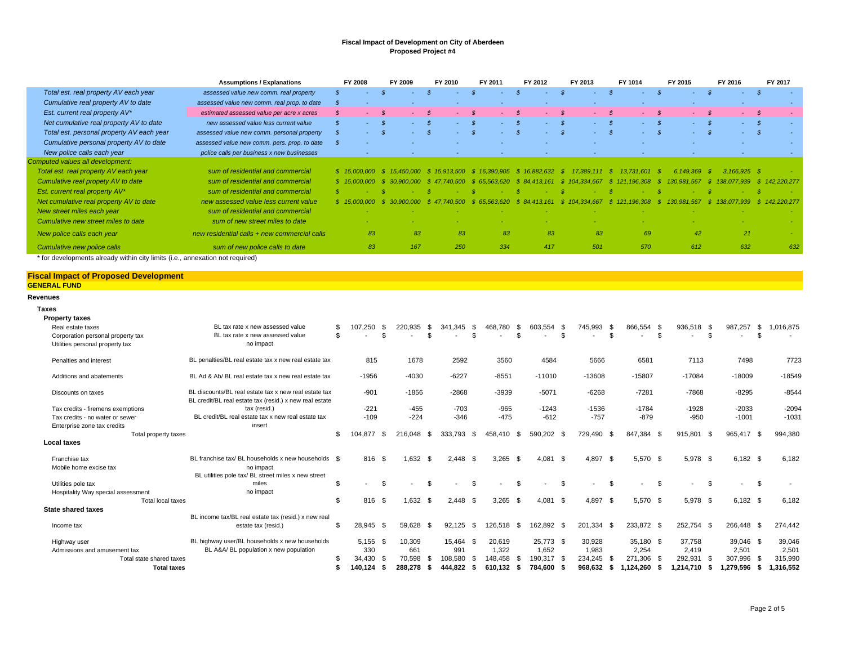|                                           | <b>Assumptions / Explanations</b>            | <b>FY 2008</b> | FY 2009    | FY 2010      | FY 2011    | FY 2012                   | FY 2013         | FY 1014        | FY 2015            | FY 2016                 | FY 2017     |
|-------------------------------------------|----------------------------------------------|----------------|------------|--------------|------------|---------------------------|-----------------|----------------|--------------------|-------------------------|-------------|
| Total est. real property AV each year     | assessed value new comm. real property       | ٠              |            |              |            |                           |                 | <b>F</b>       | ۰.                 | - \$<br>$\sim$ 10 $\pm$ | - \$        |
| Cumulative real property AV to date       | assessed value new comm. real prop. to date  | S.             |            |              |            | $\overline{\phantom{a}}$  |                 | $\sim$         |                    | $\sim$                  |             |
| Est. current real property AV*            | estimated assessed value per acre x acres    | S.             |            |              |            | $\sim$                    |                 |                | $\sim$             | $\sim 100$              | - \$        |
| Net cumulative real property AV to date   | new assessed value less current value        |                |            |              |            |                           |                 |                | $\sim$ 10 $\sigma$ | $-$ \$                  |             |
| Total est. personal property AV each year | assessed value new comm. personal property   | $\sim$         |            |              |            | $-$ \$                    | a con           | <b>Section</b> | <b>Service</b>     | $-5$                    |             |
| Cumulative personal property AV to date   | assessed value new comm. pers. prop. to date | - 55           |            |              |            |                           |                 |                |                    | ٠                       |             |
| New police calls each year                | police calls per business x new businesses   |                |            |              |            | $\overline{\phantom{a}}$  |                 | $\sim$         | $\sim$             | $\sim$                  |             |
| Computed values all development:          |                                              |                |            |              |            |                           |                 |                |                    |                         |             |
| Total est. real property AV each year     | sum of residential and commercial            |                | 15 450 000 | \$15.913.500 |            | \$16.390.905 \$16.882.632 | $17.389.111$ \$ | 13.731.601     | 6.149.369          | $3.166.925$ \$          |             |
| Cumulative real propety AV to date        | sum of residential and commercial            | \$15.000       |            |              | 65.563.620 | <b>S</b> 84               |                 |                |                    |                         | 142.220.277 |
| Est. current real property AV*            | sum of residential and commercial            |                |            |              |            |                           |                 |                |                    |                         |             |
| Net cumulative real property AV to date   | new assessed value less current value        |                |            |              | .620       |                           |                 |                |                    |                         | .220.277    |
| New street miles each year                | sum of residential and commercial            |                |            |              |            |                           |                 |                |                    |                         |             |
| Cumulative new street miles to date       | sum of new street miles to date              |                |            |              |            |                           |                 |                |                    |                         |             |
| New police calls each year                | new residential calls + new commercial calls | 83             | 83         | 83           | 83         | 83                        | 83              | 69             | 42                 | 21                      |             |
| Cumulative new police calls               | sum of new police calls to date              | 83             | 167        | 250          | 334        | 417                       | 501             | 570            | 612                | 632                     | 632         |

\* for developments already within city limits (i.e., annexation not required)

**Total taxes**

#### **Fiscal Impact of Proposed Development GENERAL FUND**

#### **Revenues**

| <b>Taxes</b>                       |                                                                                                                  |     |            |                |            |      |                |      |                          |      |                   |                                |      |                          |      |            |     |                          |      |          |
|------------------------------------|------------------------------------------------------------------------------------------------------------------|-----|------------|----------------|------------|------|----------------|------|--------------------------|------|-------------------|--------------------------------|------|--------------------------|------|------------|-----|--------------------------|------|----------|
| <b>Property taxes</b>              |                                                                                                                  |     |            |                |            |      |                |      |                          |      |                   |                                |      |                          |      |            |     |                          |      |          |
| Real estate taxes                  | BL tax rate x new assessed value                                                                                 |     | 107.250    | - \$           | 220.935    | \$   | 341<br>.345    | - \$ | 468.780                  | - \$ | 603.554<br>- \$   | 745.993                        | - \$ | 866,554                  | - \$ | 936,518 \$ |     | 987,257                  | - \$ | ,016,875 |
| Corporation personal property tax  | BL tax rate x new assessed value                                                                                 | . ፍ |            | . ድ            |            | \$.  |                | . ፍ  |                          |      |                   | \$                             | . ፍ  |                          | \$.  |            | . ፍ | $\overline{\phantom{a}}$ | - \$ |          |
| Utilities personal property tax    | no impact                                                                                                        |     |            |                |            |      |                |      |                          |      |                   |                                |      |                          |      |            |     |                          |      |          |
| Penalties and interest             | BL penalties/BL real estate tax x new real estate tax                                                            |     | 815        |                | 1678       |      | 2592           |      | 3560                     |      | 4584              | 5666                           |      | 6581                     |      | 7113       |     | 7498                     |      | 7723     |
| Additions and abatements           | BL Ad & Ab/ BL real estate tax x new real estate tax                                                             |     | $-1956$    |                | $-4030$    |      | $-6227$        |      | $-8551$                  |      | $-11010$          | $-13608$                       |      | $-15807$                 |      | $-17084$   |     | $-18009$                 |      | $-18549$ |
| Discounts on taxes                 | BL discounts/BL real estate tax x new real estate tax<br>BL credit/BL real estate tax (resid.) x new real estate |     | $-901$     |                | $-1856$    |      | $-2868$        |      | -3939                    |      | $-5071$           | $-6268$                        |      | $-7281$                  |      | $-7868$    |     | $-8295$                  |      | $-8544$  |
| Tax credits - firemens exemptions  | tax (resid.)                                                                                                     |     | $-221$     |                | $-455$     |      | $-703$         |      | $-965$                   |      | $-1243$           | $-1536$                        |      | $-1784$                  |      | $-1928$    |     | $-2033$                  |      | $-2094$  |
| Tax credits - no water or sewer    | BL credit/BL real estate tax x new real estate tax                                                               |     | $-109$     |                | $-224$     |      | $-346$         |      | $-475$                   |      | $-612$            | $-757$                         |      | $-879$                   |      | $-950$     |     | $-1001$                  |      | $-1031$  |
| Enterprise zone tax credits        | insert                                                                                                           |     |            |                |            |      |                |      |                          |      |                   |                                |      |                          |      |            |     |                          |      |          |
| Total property taxes               |                                                                                                                  | \$  | 104.877    | - \$           | 216,048    | \$   | 333.793        | - \$ | 458.410 \$               |      | 590.202 \$        | 729.490                        | - \$ | 847,384 \$               |      | 915,801 \$ |     | 965.417 \$               |      | 994,380  |
| <b>Local taxes</b>                 |                                                                                                                  |     |            |                |            |      |                |      |                          |      |                   |                                |      |                          |      |            |     |                          |      |          |
| Franchise tax                      | BL franchise tax/ BL households x new households \$                                                              |     | 816 \$     |                | $1.632$ \$ |      | $2.448$ \$     |      | 3,265                    | \$   | $4.081$ \$        | 4.897                          | - \$ | 5.570 \$                 |      | 5.978 \$   |     | $6,182$ \$               |      | 6,182    |
| Mobile home excise tax             | no impact                                                                                                        |     |            |                |            |      |                |      |                          |      |                   |                                |      |                          |      |            |     |                          |      |          |
|                                    | BL utilities pole tax/ BL street miles x new street                                                              |     |            |                |            |      |                |      |                          |      |                   |                                |      |                          |      |            |     |                          |      |          |
| Utilities pole tax                 | miles                                                                                                            | \$  | $\sim$     | $\mathfrak{L}$ |            | \$   | $\overline{a}$ | S.   | $\overline{\phantom{a}}$ | \$.  | $\sim$            | \$<br>$\overline{\phantom{a}}$ | S.   | $\overline{\phantom{a}}$ | \$.  |            | -S  | $\overline{\phantom{a}}$ | - \$ |          |
| Hospitality Way special assessment | no impact                                                                                                        |     |            |                |            |      |                |      |                          |      |                   |                                |      |                          |      |            |     |                          |      |          |
| Total local taxes                  |                                                                                                                  | \$  | 816        | - \$           | 1.632 \$   |      | $2.448$ \$     |      | 3.265                    | - \$ | 4.081<br><b>S</b> | 4.897                          | - \$ | 5,570 \$                 |      | 5,978 \$   |     | $6,182$ \$               |      | 6,182    |
| <b>State shared taxes</b>          |                                                                                                                  |     |            |                |            |      |                |      |                          |      |                   |                                |      |                          |      |            |     |                          |      |          |
|                                    | BL income tax/BL real estate tax (resid.) x new real                                                             |     |            |                |            |      |                |      |                          |      |                   |                                |      |                          |      |            |     |                          |      |          |
| Income tax                         | estate tax (resid.)                                                                                              | . ፍ | 28,945 \$  |                | 59.628     | - \$ | 92.125         | \$   | 126.518 \$               |      | 162.892 \$        | 201.334 \$                     |      | 233,872 \$               |      | 252.754 \$ |     | 266.448 \$               |      | 274,442  |
| Highway user                       | BL highway user/BL households x new households                                                                   |     | $5.155$ \$ |                | 10,309     |      | 15.464 \$      |      | 20.619                   |      | 25.773 \$         | 30,928                         |      | 35.180 \$                |      | 37.758     |     | 39.046 \$                |      | 39,046   |
| Admissions and amusement tax       | BL A&A/ BL population x new population                                                                           |     | 330        |                | 661        |      | 991            |      | 1.322                    |      | 1.652             | 1.983                          |      | 2,254                    |      | 2.419      |     | 2,501                    |      | 2,501    |
| Total state shared taxes           |                                                                                                                  |     | 34.430     | - 35           | 70.598     | S.   | 108.580        | S.   | 148.458                  | - \$ | 190.317<br>- \$   | 234.245                        | - \$ | 271,306                  | - \$ | 292.931    |     | 307.996                  | -9   | 315.990  |

**\$ 288,278 140,124 \$ 444,822 \$ 610,132 \$ 784,600 \$ 968,632 \$ 1,124,260 \$ 1,214,710 \$ 1,279,596 \$ 1,316,552 \$**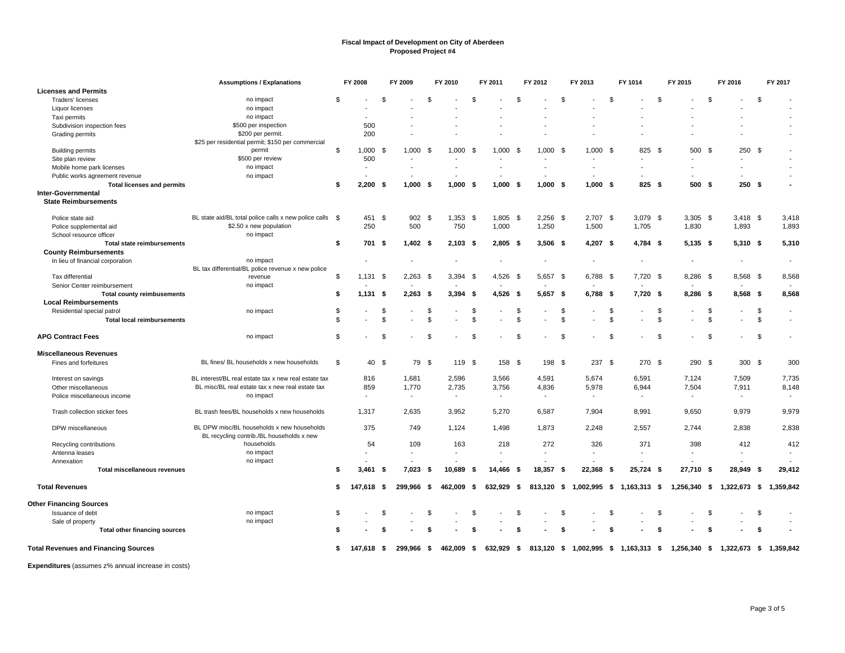|                                             | <b>Assumptions / Explanations</b>                                                       |    | FY 2008        |     | FY 2009                  |                | FY 2010                  |                | FY 2011    |      | FY 2012                  |     | FY 2013                  |                | FY 1014                              |          | FY 2015                             |                | FY 2016                  |                | FY 2017                  |
|---------------------------------------------|-----------------------------------------------------------------------------------------|----|----------------|-----|--------------------------|----------------|--------------------------|----------------|------------|------|--------------------------|-----|--------------------------|----------------|--------------------------------------|----------|-------------------------------------|----------------|--------------------------|----------------|--------------------------|
| <b>Licenses and Permits</b>                 |                                                                                         |    |                |     |                          |                |                          |                |            |      |                          |     |                          |                |                                      |          |                                     |                |                          |                |                          |
| Traders' licenses                           | no impact                                                                               | \$ |                | \$  |                          | $\mathfrak{L}$ |                          | $\mathfrak{s}$ |            | \$   |                          | £.  |                          | \$             |                                      | \$       |                                     | -S             |                          | \$             |                          |
| Liquor licenses                             | no impact                                                                               |    |                |     |                          |                |                          |                |            |      |                          |     |                          |                |                                      |          |                                     |                |                          |                |                          |
| Taxi permits                                | no impact                                                                               |    |                |     |                          |                |                          |                |            |      |                          |     |                          |                |                                      |          |                                     |                |                          |                |                          |
| Subdivision inspection fees                 | \$500 per inspection                                                                    |    | 500            |     |                          |                |                          |                |            |      |                          |     |                          |                |                                      |          |                                     |                |                          |                |                          |
| Grading permits                             | \$200 per permit.                                                                       |    | 200            |     |                          |                |                          |                |            |      |                          |     |                          |                |                                      |          |                                     |                |                          |                |                          |
|                                             | \$25 per residential permit; \$150 per commercial                                       |    |                |     |                          |                |                          |                |            |      |                          |     |                          |                |                                      |          |                                     |                |                          |                |                          |
| <b>Building permits</b>                     | permit                                                                                  | \$ | $1,000$ \$     |     | 1,000                    | - \$           | 1,000                    | - \$           | 1,000      | - \$ | $1,000$ \$               |     | $1,000$ \$               |                | 825                                  | <b>S</b> | 500                                 | - \$           | 250S                     |                |                          |
| Site plan review                            | \$500 per review                                                                        |    | 500            |     |                          |                |                          |                |            |      |                          |     |                          |                | $\blacksquare$                       |          |                                     |                | $\tilde{\phantom{a}}$    |                |                          |
| Mobile home park licenses                   | no impact                                                                               |    | $\blacksquare$ |     |                          |                |                          |                |            |      |                          |     |                          |                |                                      |          |                                     |                | $\blacksquare$           |                |                          |
| Public works agreement revenue              | no impact                                                                               |    |                |     |                          |                |                          |                |            |      |                          |     |                          |                |                                      |          |                                     |                |                          |                |                          |
| <b>Total licenses and permits</b>           |                                                                                         | \$ | 2,200          | -\$ | 1,000                    | -\$            | 1,000                    | -\$            | 1.000      | - \$ | $1,000$ \$               |     | $1,000$ \$               |                | 825 \$                               |          | 500 \$                              |                | 250S                     |                |                          |
| Inter-Governmental                          |                                                                                         |    |                |     |                          |                |                          |                |            |      |                          |     |                          |                |                                      |          |                                     |                |                          |                |                          |
| <b>State Reimbursements</b>                 |                                                                                         |    |                |     |                          |                |                          |                |            |      |                          |     |                          |                |                                      |          |                                     |                |                          |                |                          |
| Police state aid                            | BL state aid/BL total police calls x new police calls \$                                |    | 451 \$         |     | 902                      | \$             | 1,353                    | - \$           | $1,805$ \$ |      | $2,256$ \$               |     | 2,707 \$                 |                | $3,079$ \$                           |          | $3,305$ \$                          |                | $3,418$ \$               |                | 3,418                    |
| Police supplemental aid                     | \$2.50 x new population                                                                 |    | 250            |     | 500                      |                | 750                      |                | 1,000      |      | 1,250                    |     | 1,500                    |                | 1,705                                |          | 1,830                               |                | 1.893                    |                | 1,893                    |
| School resource officer                     | no impact                                                                               |    |                |     |                          |                |                          |                |            |      |                          |     |                          |                |                                      |          |                                     |                |                          |                |                          |
| <b>Total state reimbursements</b>           |                                                                                         | \$ | 701 \$         |     | $1,402$ \$               |                | 2,103                    | - \$           | $2,805$ \$ |      | $3,506$ \$               |     | $4,207$ \$               |                | $4,784$ \$                           |          | $5,135$ \$                          |                | $5,310$ \$               |                | 5,310                    |
| <b>County Reimbursements</b>                |                                                                                         |    |                |     |                          |                |                          |                |            |      |                          |     |                          |                |                                      |          |                                     |                |                          |                |                          |
| In lieu of financial corporation            | no impact                                                                               |    |                |     |                          |                |                          |                |            |      |                          |     | $\overline{\phantom{a}}$ |                | $\overline{\phantom{a}}$             |          | $\overline{\phantom{a}}$            |                | $\overline{\phantom{a}}$ |                | $\overline{\phantom{a}}$ |
|                                             | BL tax differential/BL police revenue x new police                                      |    |                |     |                          |                |                          |                |            |      |                          |     |                          |                |                                      |          |                                     |                |                          |                |                          |
| Tax differential                            | revenue                                                                                 | \$ | 1,131          | -\$ | 2.263                    | - \$           | 3,394                    | - \$           | 4,526      | - \$ | 5,657 \$                 |     | 6.788 \$                 |                | 7,720 \$                             |          | 8.286 \$                            |                | 8,568 \$                 |                | 8,568                    |
| Senior Center reimbursement                 | no impact                                                                               |    |                |     |                          |                |                          |                |            |      |                          |     |                          |                |                                      |          |                                     |                |                          |                |                          |
| <b>Total county reimbusements</b>           |                                                                                         | \$ | 1,131          | -\$ | $2,263$ \$               |                | 3,394                    | -\$            | 4,526 \$   |      | $5,657$ \$               |     | 6,788 \$                 |                | 7,720 \$                             |          | 8,286 \$                            |                | 8,568 \$                 |                | 8,568                    |
| <b>Local Reimbursements</b>                 |                                                                                         |    |                |     |                          |                |                          |                |            |      |                          |     |                          |                |                                      |          |                                     |                |                          |                |                          |
| Residential special patrol                  | no impact                                                                               | \$ |                | \$  |                          |                |                          | \$             |            | \$   |                          |     |                          | \$             |                                      | S        |                                     | - \$           |                          | \$             | $\blacksquare$           |
| <b>Total local reimbursements</b>           |                                                                                         | \$ |                | \$  |                          | \$             |                          | S.             |            | \$   |                          |     |                          | \$             |                                      | \$       |                                     | $\mathfrak{s}$ |                          | $\mathfrak{L}$ | $\blacksquare$           |
| <b>APG Contract Fees</b>                    | no impact                                                                               | \$ |                | \$  |                          | . ጽ            |                          | ٩              |            | \$   |                          | £.  |                          | $\mathfrak{L}$ |                                      | \$       |                                     | <b>β</b>       |                          | \$             |                          |
| <b>Miscellaneous Revenues</b>               |                                                                                         |    |                |     |                          |                |                          |                |            |      |                          |     |                          |                |                                      |          |                                     |                |                          |                |                          |
| Fines and forfeitures                       | BL fines/ BL households x new households                                                | \$ | 40 \$          |     |                          | 79 \$          | 119 \$                   |                | 158 \$     |      | 198 \$                   |     | 237 \$                   |                | 270 \$                               |          | 290S                                |                | 300 \$                   |                | 300                      |
|                                             |                                                                                         |    |                |     |                          |                |                          |                |            |      |                          |     |                          |                |                                      |          |                                     |                |                          |                |                          |
| Interest on savings                         | BL interest/BL real estate tax x new real estate tax                                    |    | 816            |     | 1,681                    |                | 2,596                    |                | 3,566      |      | 4,591                    |     | 5,674                    |                | 6,591                                |          | 7,124                               |                | 7,509                    |                | 7,735                    |
| Other miscellaneous                         | BL misc/BL real estate tax x new real estate tax                                        |    | 859            |     | 1,770                    |                | 2,735                    |                | 3,756      |      | 4,836                    |     | 5,978                    |                | 6,944                                |          | 7,504                               |                | 7,911                    |                | 8,148                    |
| Police miscellaneous income                 | no impact                                                                               |    | $\overline{a}$ |     | $\overline{\phantom{a}}$ |                | $\overline{\phantom{a}}$ |                | $\sim$     |      | $\overline{\phantom{a}}$ |     | $\sim$                   |                | $\sim$                               |          | $\blacksquare$                      |                | $\sim$                   |                |                          |
|                                             |                                                                                         |    |                |     |                          |                |                          |                |            |      |                          |     |                          |                |                                      |          |                                     |                |                          |                |                          |
| Trash collection sticker fees               | BL trash fees/BL households x new households                                            |    | 1,317          |     | 2,635                    |                | 3,952                    |                | 5,270      |      | 6,587                    |     | 7,904                    |                | 8,991                                |          | 9,650                               |                | 9,979                    |                | 9,979                    |
|                                             |                                                                                         |    |                |     |                          |                |                          |                |            |      |                          |     |                          |                |                                      |          |                                     |                |                          |                |                          |
| DPW miscellaneous                           | BL DPW misc/BL households x new households<br>BL recycling contrib./BL households x new |    | 375            |     | 749                      |                | 1.124                    |                | 1.498      |      | 1,873                    |     | 2.248                    |                | 2.557                                |          | 2.744                               |                | 2.838                    |                | 2.838                    |
| Recycling contributions                     | households                                                                              |    | 54             |     | 109                      |                | 163                      |                | 218        |      | 272                      |     | 326                      |                | 371                                  |          | 398                                 |                | 412                      |                | 412                      |
| Antenna leases                              | no impact                                                                               |    |                |     |                          |                |                          |                |            |      |                          |     |                          |                |                                      |          |                                     |                |                          |                |                          |
| Annexation                                  | no impact                                                                               |    |                |     |                          |                |                          |                |            |      |                          |     |                          |                |                                      |          |                                     |                |                          |                |                          |
| <b>Total miscellaneous revenues</b>         |                                                                                         | \$ | 3,461          | -\$ | 7,023                    | - \$           | 10,689                   | - \$           | 14.466     | - \$ | 18,357                   | - 5 | 22,368                   | - \$           | 25,724                               | - \$     | 27,710                              | - \$           | 28,949                   | - \$           | 29,412                   |
| <b>Total Revenues</b>                       |                                                                                         | \$ | 147.618        | -\$ | 299.966                  | - \$           | 462,009 \$               |                | 632,929 \$ |      | 813,120 \$               |     |                          |                | 1,002,995 \$ 1,163,313 \$            |          | 1,256,340 \$                        |                | 1,322,673 \$             |                | 1,359,842                |
|                                             |                                                                                         |    |                |     |                          |                |                          |                |            |      |                          |     |                          |                |                                      |          |                                     |                |                          |                |                          |
| <b>Other Financing Sources</b>              |                                                                                         |    |                |     |                          |                |                          |                |            |      |                          |     |                          |                |                                      |          |                                     |                |                          |                |                          |
| Issuance of debt                            | no impact                                                                               | \$ |                | \$  |                          | \$             |                          | -S             |            | \$   |                          |     |                          | \$             |                                      | \$       |                                     | -S             |                          | \$             |                          |
| Sale of property                            | no impact                                                                               |    |                |     |                          |                |                          |                |            |      |                          |     |                          |                |                                      |          |                                     |                |                          |                |                          |
| <b>Total other financing sources</b>        |                                                                                         | S  |                | S   |                          |                |                          | Я              |            | S    |                          | \$  |                          | S              |                                      | я        |                                     | - \$           |                          | - \$           |                          |
| <b>Total Revenues and Financing Sources</b> |                                                                                         | \$ | 147,618 \$     |     | 299.966                  | - \$           | 462.009 \$               |                | 632,929 \$ |      |                          |     |                          |                | 813,120 \$ 1,002,995 \$ 1,163,313 \$ |          | 1,256,340 \$ 1,322,673 \$ 1,359,842 |                |                          |                |                          |
|                                             |                                                                                         |    |                |     |                          |                |                          |                |            |      |                          |     |                          |                |                                      |          |                                     |                |                          |                |                          |

**Expenditures** (assumes z% annual increase in costs)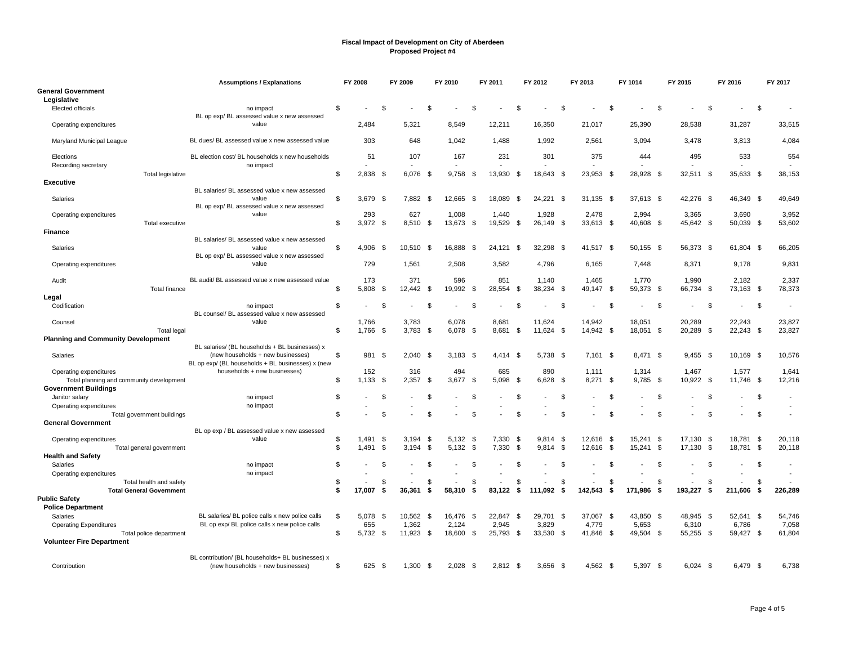|                                                    | <b>Assumptions / Explanations</b>                                                                |                | FY 2008      |      | FY 2009         |      | FY 2010         |              | FY 2011         |      | FY 2012             |      | FY 2013             |      | FY 1014            |      | FY 2015            |      | FY 2016            |      | FY 2017         |
|----------------------------------------------------|--------------------------------------------------------------------------------------------------|----------------|--------------|------|-----------------|------|-----------------|--------------|-----------------|------|---------------------|------|---------------------|------|--------------------|------|--------------------|------|--------------------|------|-----------------|
| <b>General Government</b><br>Legislative           |                                                                                                  |                |              |      |                 |      |                 |              |                 |      |                     |      |                     |      |                    |      |                    |      |                    |      |                 |
| <b>Elected officials</b>                           | no impact<br>BL op exp/ BL assessed value x new assessed                                         | \$             |              | . ፍ  |                 | \$.  |                 | \$           |                 | £.   |                     | - \$ |                     | \$.  |                    | \$   |                    | \$   |                    | \$.  |                 |
| Operating expenditures                             | value                                                                                            |                | 2.484        |      | 5,321           |      | 8,549           |              | 12,211          |      | 16,350              |      | 21,017              |      | 25,390             |      | 28,538             |      | 31,287             |      | 33,515          |
| Maryland Municipal League                          | BL dues/ BL assessed value x new assessed value                                                  |                | 303          |      | 648             |      | 1.042           |              | 1.488           |      | 1,992               |      | 2,561               |      | 3.094              |      | 3,478              |      | 3.813              |      | 4,084           |
| Elections<br>Recording secretary                   | BL election cost/ BL households x new households<br>no impact                                    |                | 51           |      | 107             |      | 167             |              | 231             |      | 301                 |      | 375                 |      | 444                |      | 495                |      | 533                |      | 554             |
| Total legislative                                  |                                                                                                  | \$             | 2,838        | - \$ | 6,076           | \$   | 9,758           | \$           | 13,930          | -\$  | 18,643 \$           |      | 23,953              | -9   | 28,928             | - \$ | 32,511 \$          |      | 35,633             | - \$ | 38,153          |
| <b>Executive</b>                                   | BL salaries/ BL assessed value x new assessed                                                    |                |              |      |                 |      |                 |              |                 |      |                     |      |                     |      |                    |      |                    |      |                    |      |                 |
| Salaries                                           | value<br>BL op exp/BL assessed value x new assessed                                              | -\$            | $3,679$ \$   |      | 7,882 \$        |      | 12,665          | -\$          | 18,089          | -\$  | 24,221 \$           |      | 31,135              | - \$ | 37,613 \$          |      | 42,276 \$          |      | 46,349 \$          |      | 49,649          |
| Operating expenditures                             | value                                                                                            |                | 293          |      | 627             |      | 1.008           |              | 1,440           |      | 1,928               |      | 2,478               |      | 2,994              |      | 3,365              |      | 3,690              |      | 3,952           |
| Total executive<br><b>Finance</b>                  |                                                                                                  | \$             | $3,972$ \$   |      | 8,510           | - \$ | 13,673          | - \$         | 19,529          | - \$ | 26,149 \$           |      | 33,613              | - \$ | 40,608 \$          |      | 45,642 \$          |      | 50,039 \$          |      | 53,602          |
|                                                    | BL salaries/ BL assessed value x new assessed                                                    |                |              |      |                 |      |                 |              |                 |      |                     |      |                     |      |                    |      |                    |      |                    |      |                 |
| Salaries                                           | value<br>BL op exp/ BL assessed value x new assessed                                             | \$             | 4,906 \$     |      | 10,510          | - \$ | 16,888          | -\$          | 24,121          | - \$ | 32,298 \$           |      | 41,517              | - \$ | 50,155 \$          |      | 56,373 \$          |      | 61,804 \$          |      | 66,205          |
| Operating expenditures                             | value                                                                                            |                | 729          |      | 1,561           |      | 2,508           |              | 3,582           |      | 4,796               |      | 6,165               |      | 7,448              |      | 8,371              |      | 9,178              |      | 9,831           |
| Audit<br>Total finance                             | BL audit/ BL assessed value x new assessed value                                                 | \$             | 173<br>5,808 | \$   | 371<br>12,442   | - \$ | 596<br>19,992   | \$           | 851<br>28,554   | \$   | 1,140<br>38,234 \$  |      | 1,465<br>49,147     | - \$ | 1.770<br>59,373 \$ |      | 1,990<br>66,734 \$ |      | 2,182<br>73,163 \$ |      | 2,337<br>78,373 |
| Legal                                              |                                                                                                  |                |              |      |                 |      |                 |              |                 |      |                     |      |                     |      |                    |      |                    |      |                    |      |                 |
| Codification                                       | no impact                                                                                        | $\mathfrak{F}$ |              | \$   |                 | \$   |                 | -96          |                 | £.   |                     | - \$ |                     | £.   |                    | \$.  |                    | - \$ |                    | -\$  |                 |
|                                                    | BL counsel/ BL assessed value x new assessed<br>value                                            |                | 1,766        |      | 3,783           |      | 6,078           |              |                 |      |                     |      |                     |      | 18,051             |      | 20,289             |      | 22,243             |      | 23,827          |
| Counsel<br><b>Total legal</b>                      |                                                                                                  | \$             | 1.766 \$     |      | $3.783$ \$      |      | 6.078           | - \$         | 8,681<br>8.681  | - \$ | 11,624<br>11.624 \$ |      | 14,942<br>14,942 \$ |      | 18,051 \$          |      | 20,289             | - \$ | $22,243$ \$        |      | 23,827          |
| <b>Planning and Community Development</b>          |                                                                                                  |                |              |      |                 |      |                 |              |                 |      |                     |      |                     |      |                    |      |                    |      |                    |      |                 |
| Salaries                                           | BL salaries/ (BL households + BL businesses) x<br>(new households + new businesses)              | \$             | 981          | \$   | 2.040           | - \$ | $3.183$ \$      |              | 4.414           | - \$ | 5.738 \$            |      | 7.161               | - \$ | 8.471 \$           |      | $9.455$ \$         |      | 10,169 \$          |      | 10,576          |
| Operating expenditures                             | BL op exp/ (BL households + BL businesses) x (new<br>households + new businesses)                |                | 152          |      | 316             |      | 494             |              | 685             |      | 890                 |      | 1,111               |      | 1,314              |      | 1,467              |      | 1,577              |      | 1,641           |
| Total planning and community development           |                                                                                                  | -\$            | 1.133        | - \$ | 2.357           | - \$ | 3,677           | - \$         | 5.098           | - \$ | 6,628               | - \$ | 8.271               | - \$ | 9.785              | - \$ | 10.922             | - \$ | 11,746 \$          |      | 12,216          |
| <b>Government Buildings</b>                        |                                                                                                  |                |              |      |                 |      |                 |              |                 |      |                     |      |                     |      |                    |      |                    |      |                    |      |                 |
| Janitor salary<br>Operating expenditures           | no impact<br>no impact                                                                           | \$             |              | \$   |                 | \$   |                 | $\mathbf{s}$ |                 | \$   |                     | \$   |                     | \$.  |                    | \$   |                    | \$   |                    | \$   |                 |
| Total government buildings                         |                                                                                                  | \$             |              | - \$ |                 | \$.  |                 | \$           |                 | ٩    |                     | . ፍ  |                     | \$   |                    | \$   |                    | \$   |                    | \$.  |                 |
| <b>General Government</b>                          |                                                                                                  |                |              |      |                 |      |                 |              |                 |      |                     |      |                     |      |                    |      |                    |      |                    |      |                 |
|                                                    | BL op exp / BL assessed value x new assessed<br>value                                            | \$             | 1,491        | - \$ | 3,194           | \$   | 5,132           | -\$          | 7,330           | -\$  | 9,814               | -\$  | 12,616              | -\$  | 15,241             | - \$ | 17,130             | - \$ | 18,781             | - \$ | 20,118          |
| Operating expenditures<br>Total general government |                                                                                                  | \$             | 1,491        | \$   | 3,194           | - \$ | 5,132           | \$           | 7,330           | \$   | 9,814               | \$   | 12,616              | \$   | 15,241             | - \$ | 17,130 \$          |      | 18,781 \$          |      | 20,118          |
| <b>Health and Safety</b>                           |                                                                                                  |                |              |      |                 |      |                 |              |                 |      |                     |      |                     |      |                    |      |                    |      |                    |      |                 |
| Salaries                                           | no impact                                                                                        | \$             |              | \$   |                 | \$   |                 | \$           |                 | \$   |                     | \$   |                     | \$.  |                    | \$   |                    | - \$ |                    | \$   |                 |
| Operating expenditures<br>Total health and safety  | no impact                                                                                        | - \$           |              | - \$ |                 | \$   |                 | -S           |                 | \$   |                     | \$   |                     | \$   |                    | \$   |                    | \$   |                    | \$   |                 |
| <b>Total General Government</b>                    |                                                                                                  | \$             | 17.007       | S.   | 36.361          | \$   | 58.310          | S.           | 83.122          | - \$ | 111.092             | S.   | 142,543             | S.   | 171.986            | S.   | 193.227            | S.   | 211.606            | -\$  | 226,289         |
| <b>Public Safety</b>                               |                                                                                                  |                |              |      |                 |      |                 |              |                 |      |                     |      |                     |      |                    |      |                    |      |                    |      |                 |
| <b>Police Department</b>                           |                                                                                                  |                |              |      |                 |      |                 |              |                 |      |                     |      |                     |      |                    |      |                    |      |                    |      |                 |
| Salaries<br><b>Operating Expenditures</b>          | BL salaries/ BL police calls x new police calls<br>BL op exp/ BL police calls x new police calls | -\$            | 5,078<br>655 | - \$ | 10.562<br>1,362 | - \$ | 16.476<br>2,124 | - \$         | 22,847<br>2,945 | - \$ | 29,701 \$<br>3,829  |      | 37,067<br>4,779     | - \$ | 43,850 \$<br>5,653 |      | 48,945 \$<br>6,310 |      | 52,641 \$<br>6,786 |      | 54,746<br>7,058 |
| Total police department                            |                                                                                                  | \$             | 5,732 \$     |      | 11,923 \$       |      | 18,600 \$       |              | 25,793          | - \$ | 33,530 \$           |      | 41,846              | - \$ | 49,504 \$          |      | 55,255 \$          |      | 59,427 \$          |      | 61,804          |
| <b>Volunteer Fire Department</b>                   |                                                                                                  |                |              |      |                 |      |                 |              |                 |      |                     |      |                     |      |                    |      |                    |      |                    |      |                 |
|                                                    | BL contribution/ (BL households+ BL businesses) x                                                |                |              |      |                 |      |                 |              |                 |      |                     |      |                     |      |                    |      |                    |      |                    |      |                 |
| Contribution                                       | (new households + new businesses)                                                                | \$             | 625 \$       |      | 1,300           | - \$ | 2,028           | - \$         | $2,812$ \$      |      | $3,656$ \$          |      | 4,562 \$            |      | 5,397 \$           |      | $6,024$ \$         |      | 6.479 \$           |      | 6,738           |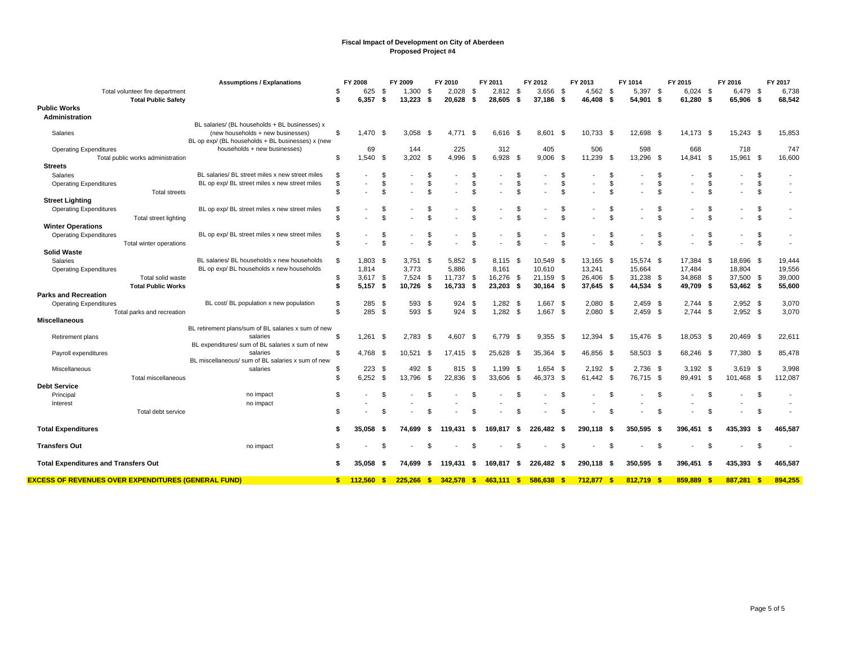|                                                            | <b>Assumptions / Explanations</b>                   | FY 2008   |            |          | FY 2009        |                      | FY 2010                  |          | FY 2011    |      | FY 2012     |                                 | FY 2013    |          | FY 1014        |           | FY 2015    |                     | FY 2016                  |                | FY 2017 |
|------------------------------------------------------------|-----------------------------------------------------|-----------|------------|----------|----------------|----------------------|--------------------------|----------|------------|------|-------------|---------------------------------|------------|----------|----------------|-----------|------------|---------------------|--------------------------|----------------|---------|
| Total volunteer fire department                            |                                                     | \$        | 625        | - \$     | $1,300$ \$     |                      | 2.028                    | - \$     | $2,812$ \$ |      | $3.656$ \$  |                                 | $4.562$ \$ |          | 5,397 \$       |           | $6,024$ \$ |                     | 6,479 \$                 |                | 6,738   |
| <b>Total Public Safety</b>                                 |                                                     | \$        | 6,357      | S.       | 13,223         | \$                   | 20,628                   | - \$     | 28,605     | Ŝ.   | 37,186 \$   |                                 | 46,408     | - \$     | 54,901 \$      |           | 61,280 \$  |                     | 65,906 \$                |                | 68,542  |
| <b>Public Works</b><br>Administration                      |                                                     |           |            |          |                |                      |                          |          |            |      |             |                                 |            |          |                |           |            |                     |                          |                |         |
|                                                            | BL salaries/ (BL households + BL businesses) x      |           |            |          |                |                      |                          |          |            |      |             |                                 |            |          |                |           |            |                     |                          |                |         |
| Salaries                                                   | (new households + new businesses)                   | S         | $1,470$ \$ |          | $3,058$ \$     |                      | 4.771 \$                 |          | 6.616      | - \$ | $8,601$ \$  |                                 | 10,733 \$  |          | 12,698 \$      |           | 14.173 \$  |                     | 15,243 \$                |                | 15,853  |
|                                                            | BL op exp/ (BL households + BL businesses) x (new   |           |            |          |                |                      |                          |          |            |      |             |                                 |            |          |                |           |            |                     |                          |                |         |
| <b>Operating Expenditures</b>                              | households + new businesses)                        |           | 69         |          | 144            |                      | 225                      |          | 312        |      | 405         |                                 | 506        |          | 598            |           | 668        |                     | 718                      |                | 747     |
| Total public works administration                          |                                                     | \$        | $1,540$ \$ |          | 3,202          | - \$                 | 4,996                    | - \$     | 6,928      | -S   | $9,006$ \$  |                                 | 11,239     | - \$     | 13,296         | - \$      | 14,841 \$  |                     | 15,961 \$                |                | 16,600  |
| <b>Streets</b>                                             |                                                     |           |            |          |                |                      |                          |          |            |      |             |                                 |            |          |                |           |            |                     |                          |                |         |
| Salaries                                                   | BL salaries/ BL street miles x new street miles     | \$        |            | \$       |                | \$                   |                          | \$       |            |      |             | - \$                            |            | \$       |                | S         |            | \$.                 |                          | \$             |         |
| <b>Operating Expenditures</b>                              | BL op exp/ BL street miles x new street miles       | \$<br>\$. |            | \$<br>£. | $\blacksquare$ | \$<br>$\mathfrak{s}$ | $\overline{\phantom{a}}$ | \$<br>\$ |            |      | ٠           | $\mathfrak{s}$<br>$\mathcal{F}$ |            | \$<br>\$ | $\blacksquare$ | \$<br>\$. |            | \$<br>$\mathcal{F}$ | $\overline{\phantom{a}}$ | \$<br>\$       |         |
| <b>Total streets</b><br><b>Street Lighting</b>             |                                                     |           |            |          |                |                      |                          |          |            |      |             |                                 |            |          |                |           |            |                     |                          |                |         |
| <b>Operating Expenditures</b>                              | BL op exp/ BL street miles x new street miles       | \$        |            | S        |                | S                    |                          | S        |            |      |             |                                 |            | S        |                | S         |            |                     |                          | \$             |         |
| <b>Total street lighting</b>                               |                                                     | \$        |            |          |                | $\mathfrak{L}$       |                          | \$       |            |      |             |                                 |            |          |                | \$        |            |                     |                          | $\mathfrak{L}$ |         |
| <b>Winter Operations</b>                                   |                                                     |           |            |          |                |                      |                          |          |            |      |             |                                 |            |          |                |           |            |                     |                          |                |         |
| <b>Operating Expenditures</b>                              | BL op exp/ BL street miles x new street miles       | \$        |            | £        |                | \$                   |                          | \$       |            |      |             | \$                              |            |          |                | \$        |            |                     |                          | \$             |         |
| Total winter operations                                    |                                                     | \$.       |            | \$       |                | $\mathfrak{s}$       |                          | \$       |            |      |             | $\mathcal{F}$                   |            | \$       |                | \$        |            | \$                  |                          | \$             |         |
| <b>Solid Waste</b>                                         |                                                     |           |            |          |                |                      |                          |          |            |      |             |                                 |            |          |                |           |            |                     |                          |                |         |
| Salaries                                                   | BL salaries/ BL households x new households         | \$        | 1,803      | - \$     | 3,751          | -\$                  | 5,852                    | - \$     | 8,115      | - \$ | 10,549 \$   |                                 | 13,165     | - \$     | 15,574 \$      |           | 17,384 \$  |                     | 18,696 \$                |                | 19,444  |
| <b>Operating Expenditures</b>                              | BL op exp/ BL households x new households           |           | 1,814      |          | 3.773          |                      | 5,886                    |          | 8.161      |      | 10,610      |                                 | 13,241     |          | 15,664         |           | 17,484     |                     | 18,804                   |                | 19,556  |
| Total solid waste                                          |                                                     | \$        | $3,617$ \$ |          | 7,524          | -\$                  | 11,737                   | \$       | 16,276 \$  |      | 21,159 \$   |                                 | 26,406 \$  |          | 31,238 \$      |           | 34,868 \$  |                     | 37,500 \$                |                | 39,000  |
| <b>Total Public Works</b>                                  |                                                     | \$        | $5,157$ \$ |          | 10.726         | -\$                  | 16,733                   | - \$     | 23,203     | - \$ | $30,164$ \$ |                                 | 37,645 \$  |          | 44,534 \$      |           | 49,709 \$  |                     | 53,462 \$                |                | 55,600  |
| <b>Parks and Recreation</b>                                |                                                     |           |            |          |                |                      |                          |          |            |      |             |                                 |            |          |                |           |            |                     |                          |                |         |
| <b>Operating Expenditures</b>                              | BL cost/ BL population x new population             | \$        | 285        | - \$     | 593 \$         |                      | 924                      | \$       | 1,282      | - \$ | $1,667$ \$  |                                 | $2,080$ \$ |          | $2,459$ \$     |           | $2,744$ \$ |                     | $2,952$ \$               |                | 3,070   |
| Total parks and recreation<br><b>Miscellaneous</b>         |                                                     | \$        | 285        | \$       | 593 \$         |                      | 924                      | <b>S</b> | $1,282$ \$ |      | $1,667$ \$  |                                 | 2,080      | \$       | $2,459$ \$     |           | $2,744$ \$ |                     | $2,952$ \$               |                | 3,070   |
|                                                            | BL retirement plans/sum of BL salaries x sum of new |           |            |          |                |                      |                          |          |            |      |             |                                 |            |          |                |           |            |                     |                          |                |         |
| Retirement plans                                           | salaries                                            | \$        | 1,261      | - \$     | 2,783          | - \$                 | 4,607                    | - \$     | 6,779      | -\$  | $9,355$ \$  |                                 | 12,394 \$  |          | 15,476 \$      |           | 18,053 \$  |                     | 20,469 \$                |                | 22,611  |
|                                                            | BL expenditures/ sum of BL salaries x sum of new    |           |            |          |                |                      |                          |          |            |      |             |                                 |            |          |                |           |            |                     |                          |                |         |
| Payroll expenditures                                       | salaries                                            | \$.       | 4,768 \$   |          | 10,521         | -\$                  | 17,415 \$                |          | 25,628     | - \$ | 35,364 \$   |                                 | 46,856 \$  |          | 58,503 \$      |           | 68,246 \$  |                     | 77,380 \$                |                | 85,478  |
|                                                            | BL miscellaneous/ sum of BL salaries x sum of new   |           |            |          |                |                      |                          |          |            |      |             |                                 |            |          |                |           |            |                     |                          |                |         |
| Miscellaneous                                              | salaries                                            | S         | 223        | - \$     | 492            | -\$                  | 815                      | - \$     | 1,199      | - \$ | 1,654       | - \$                            | $2,192$ \$ |          | 2,736 \$       |           | $3,192$ \$ |                     | $3,619$ \$               |                | 3,998   |
| Total miscellaneous<br><b>Debt Service</b>                 |                                                     | \$        | 6,252      | \$       | 13,796         | \$                   | 22,836                   | \$       | 33,606     | \$   | 46,373      | - \$                            | 61,442     | - \$     | 76,715 \$      |           | 89,491 \$  |                     | 101,468 \$               |                | 112,087 |
| Principal                                                  | no impact                                           | \$.       |            | \$       |                | -S                   |                          | \$       |            | \$   |             | . ድ                             |            | \$       |                | \$        |            |                     |                          | \$             |         |
| Interest                                                   | no impact                                           |           |            |          |                |                      |                          |          |            |      |             |                                 |            |          |                |           |            |                     |                          |                |         |
| Total debt service                                         |                                                     | \$        |            | £        |                | \$                   |                          | S        |            |      |             |                                 |            | g        |                | S         |            | - \$                |                          | \$             |         |
|                                                            |                                                     |           |            |          |                |                      |                          |          |            |      |             |                                 |            |          |                |           |            |                     |                          |                |         |
| <b>Total Expenditures</b>                                  |                                                     | S         | 35.058     | - 5      | 74,699         | -\$                  | 119.431                  | - \$     | 169.817    | - \$ | 226,482     | - 56                            | 290.118    | - 5      | 350,595        | - 5       | 396,451 \$ |                     | 435.393                  | - \$           | 465,587 |
| <b>Transfers Out</b>                                       | no impact                                           | \$.       |            | \$       |                | .ኖ                   |                          | \$       |            | \$   |             | . ድ                             |            | - \$     |                | \$        |            | - \$                |                          | \$             |         |
|                                                            |                                                     |           |            |          |                |                      |                          |          |            |      |             |                                 |            |          |                |           |            |                     |                          |                |         |
| <b>Total Expenditures and Transfers Out</b>                |                                                     | \$        | 35.058     | - 5      | 74.699         | - \$                 | 119.431                  | - \$     | 169.817 \$ |      | 226.482     | - \$                            | 290.118    | - 5      | 350.595        | - \$      | 396.451 \$ |                     | 435.393                  | - \$           | 465,587 |
| <b>EXCESS OF REVENUES OVER EXPENDITURES (GENERAL FUND)</b> |                                                     | S.        | 112.560 S  |          | 225,266        | \$                   | 342.578                  | S        | 463.111 \$ |      | 586.638     | $\mathbf{s}$                    | 712.877    | -96      | 812.719        | -\$       | 859.889    | - \$                | 887.281                  | <b>S</b>       | 894.255 |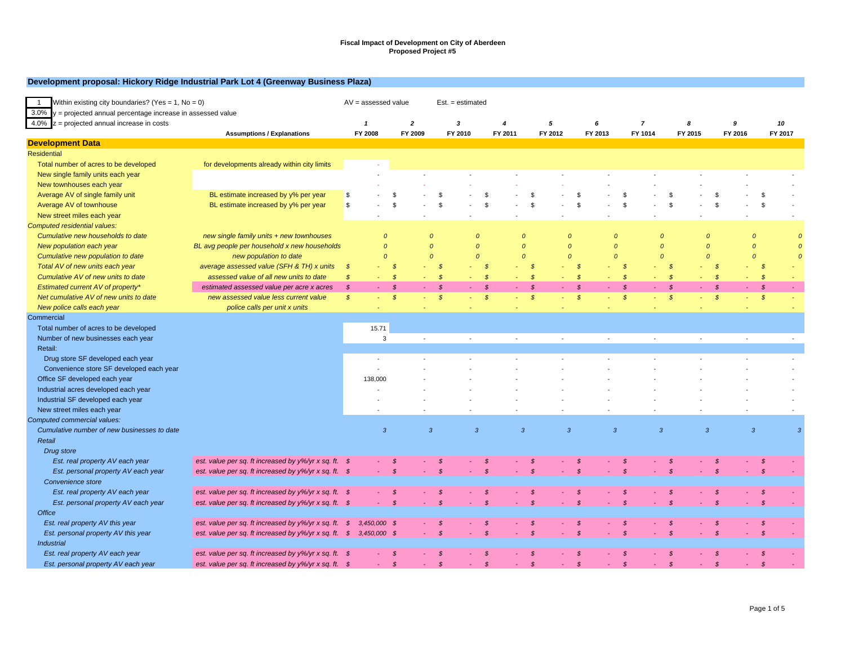#### **Development proposal: Hickory Ridge Industrial Park Lot 4 (Greenway Business Plaza)**

| Within existing city boundaries? (Yes = 1, No = 0)<br>$\overline{1}$ |                                                       |               | $AV =$ assessed value     |                           |                |               | $Est. = estimated$ |                           |                |               |                |                |                |               |                           |                |              |                |              |                |               |                |
|----------------------------------------------------------------------|-------------------------------------------------------|---------------|---------------------------|---------------------------|----------------|---------------|--------------------|---------------------------|----------------|---------------|----------------|----------------|----------------|---------------|---------------------------|----------------|--------------|----------------|--------------|----------------|---------------|----------------|
| $3.0\%$ y = projected annual percentage increase in assessed value   |                                                       |               |                           |                           |                |               |                    |                           |                |               |                |                |                |               |                           |                |              |                |              |                |               |                |
| $4.0\%$ z = projected annual increase in costs                       |                                                       |               | $\overline{1}$<br>FY 2008 | $\overline{2}$<br>FY 2009 |                |               | 3<br>FY 2010       | $\overline{4}$<br>FY 2011 |                |               | 5<br>FY 2012   |                | 6<br>FY 2013   |               | $\overline{7}$<br>FY 1014 |                | 8<br>FY 2015 |                | 9<br>FY 2016 |                | 10<br>FY 2017 |                |
| <b>Development Data</b>                                              | <b>Assumptions / Explanations</b>                     |               |                           |                           |                |               |                    |                           |                |               |                |                |                |               |                           |                |              |                |              |                |               |                |
| <b>Residential</b>                                                   |                                                       |               |                           |                           |                |               |                    |                           |                |               |                |                |                |               |                           |                |              |                |              |                |               |                |
| Total number of acres to be developed                                | for developments already within city limits           |               |                           |                           |                |               |                    |                           |                |               |                |                |                |               |                           |                |              |                |              |                |               |                |
| New single family units each year                                    |                                                       |               |                           |                           |                |               |                    |                           |                |               |                |                |                |               |                           |                |              |                |              |                |               |                |
| New townhouses each year                                             |                                                       |               |                           |                           |                |               |                    |                           |                |               |                |                |                |               |                           |                |              |                |              |                |               |                |
| Average AV of single family unit                                     | BL estimate increased by y% per year                  | \$            |                           | S                         |                | -S            |                    |                           |                | - \$          |                | -S             |                | - \$          |                           | - \$           |              | -S             |              | \$             |               |                |
| Average AV of townhouse                                              | BL estimate increased by y% per year                  | \$            |                           | S                         |                | <sup>\$</sup> |                    |                           |                | \$            |                | \$             |                | <b>S</b>      |                           | $\mathfrak{s}$ |              | <sup>\$</sup>  |              | \$             |               |                |
| New street miles each year                                           |                                                       |               |                           |                           |                |               |                    |                           | $\sim$         |               |                |                |                |               |                           |                |              |                |              |                |               |                |
| Computed residential values:                                         |                                                       |               |                           |                           |                |               |                    |                           |                |               |                |                |                |               |                           |                |              |                |              |                |               |                |
| Cumulative new households to date                                    | new single family units + new townhouses              |               | $\Omega$                  |                           | $\Omega$       |               | $\mathcal{O}$      |                           | $\Omega$       |               |                | $\Omega$       | $\Omega$       |               | $\Omega$                  |                |              | $\mathcal{O}$  |              | $\Omega$       |               |                |
| New population each year                                             | BL avg people per household x new households          |               | $\mathcal{O}$             |                           | $\Omega$       |               | $\mathcal{O}$      |                           | $\Omega$       |               | $\Omega$       |                | $\Omega$       |               | $\Omega$                  |                |              | $\mathcal{O}$  |              | $\Omega$       |               |                |
| Cumulative new population to date                                    | new population to date                                |               | $\mathcal{O}$             |                           | $\Omega$       |               | $\mathcal{O}$      |                           | $\Omega$       |               |                | $\overline{O}$ | $\Omega$       |               | $\Omega$                  |                |              | $\mathcal{O}$  |              | $\Omega$       |               | $\epsilon$     |
| Total AV of new units each year                                      | average assessed value (SFH & TH) x units             | $\mathcal{S}$ |                           | $\mathcal{S}$             |                | $\mathcal{S}$ |                    | $\mathcal{S}$             |                | - \$          |                | -8             |                | - \$          |                           | $\mathcal{S}$  |              | -8             |              | $\mathcal{S}$  |               |                |
| Cumulative AV of new units to date                                   | assessed value of all new units to date               | $\mathcal{S}$ |                           | $\mathcal{S}$             |                | $\mathcal{S}$ |                    | $\mathcal{S}$             |                | $\mathcal{S}$ |                | - \$           |                | $\mathcal{S}$ |                           | $\mathcal{S}$  |              | $\mathcal{S}$  |              | $\mathcal{S}$  |               |                |
| Estimated current AV of property*                                    | estimated assessed value per acre x acres             | $\mathcal{S}$ |                           | $\mathcal{S}$             |                | $\mathcal{S}$ |                    | $\mathcal{S}$             |                | $\mathcal{S}$ |                | -\$            |                | $\mathcal{S}$ |                           | $\mathcal{S}$  |              | $\mathcal{S}$  |              | $\mathcal{S}$  |               |                |
| Net cumulative AV of new units to date                               | new assessed value less current value                 | $\mathcal{S}$ |                           | $\mathcal{S}$             |                | $\mathcal{S}$ |                    | $\mathcal{S}$             |                | $\mathcal{S}$ |                | \$             | ÷              | $\mathcal{S}$ | $\sim$                    | $\mathcal{S}$  |              | $\mathcal{S}$  |              | $\mathcal{S}$  |               |                |
| New police calls each year                                           | police calls per unit x units                         |               |                           |                           |                |               |                    |                           |                |               |                |                |                |               |                           |                |              |                |              |                |               |                |
| Commercial                                                           |                                                       |               |                           |                           |                |               |                    |                           |                |               |                |                |                |               |                           |                |              |                |              |                |               |                |
| Total number of acres to be developed                                |                                                       |               | 15.71                     |                           |                |               |                    |                           |                |               |                |                |                |               |                           |                |              |                |              |                |               |                |
| Number of new businesses each year                                   |                                                       |               | 3                         |                           | $\sim$         |               | $\sim$             |                           | $\sim$         |               | $\sim$         |                | $\sim$         |               | $\sim$                    |                | $\sim$       |                | $\sim$       |                |               | $\sim$         |
| Retail:                                                              |                                                       |               |                           |                           |                |               |                    |                           |                |               |                |                |                |               |                           |                |              |                |              |                |               |                |
| Drug store SF developed each year                                    |                                                       |               |                           |                           |                |               |                    |                           |                |               |                |                |                |               |                           |                |              |                |              |                |               |                |
| Convenience store SF developed each year                             |                                                       |               |                           |                           |                |               |                    |                           |                |               |                |                |                |               |                           |                |              |                |              |                |               |                |
| Office SF developed each year                                        |                                                       |               | 138,000                   |                           |                |               |                    |                           |                |               |                |                |                |               |                           |                |              |                |              |                |               |                |
| Industrial acres developed each year                                 |                                                       |               |                           |                           |                |               |                    |                           |                |               |                |                |                |               |                           |                |              |                |              |                |               |                |
| Industrial SF developed each year                                    |                                                       |               |                           |                           |                |               |                    |                           |                |               |                |                |                |               |                           |                |              |                |              |                |               |                |
| New street miles each year                                           |                                                       |               |                           |                           |                |               |                    |                           |                |               |                |                |                |               |                           |                |              |                |              |                |               |                |
| Computed commercial values:                                          |                                                       |               |                           |                           |                |               |                    |                           |                |               |                |                |                |               |                           |                |              |                |              |                |               |                |
| Cumulative number of new businesses to date                          |                                                       |               | $\overline{3}$            |                           | $\overline{3}$ |               | $\overline{3}$     |                           | $\overline{3}$ |               | $\overline{3}$ |                | $\overline{3}$ |               | $\overline{3}$            |                |              | $\overline{3}$ |              | $\overline{3}$ |               | $\overline{3}$ |
| Retail                                                               |                                                       |               |                           |                           |                |               |                    |                           |                |               |                |                |                |               |                           |                |              |                |              |                |               |                |
| Drug store                                                           |                                                       |               |                           |                           |                |               |                    |                           |                |               |                |                |                |               |                           |                |              |                |              |                |               |                |
| Est. real property AV each year                                      | est. value per sq. ft increased by y%/yr x sq. ft. \$ |               |                           | <b>S</b>                  |                |               |                    |                           |                |               |                | - \$           |                |               |                           | S              |              | - \$           |              | S.             |               |                |
| Est. personal property AV each year                                  | est. value per sq. ft increased by y%/yr x sq. ft. \$ |               |                           | $\mathcal{S}$             |                | $\mathcal{S}$ |                    | $\mathcal{S}$             |                |               |                |                |                | $\mathcal{S}$ |                           | $\mathcal{S}$  |              | $\mathcal{S}$  |              | $\mathcal{S}$  |               |                |
| Convenience store                                                    |                                                       |               |                           |                           |                |               |                    |                           |                |               |                |                |                |               |                           |                |              |                |              |                |               |                |
| Est. real property AV each year                                      | est. value per sq. ft increased by y%/yr x sq. ft. \$ |               |                           | S                         |                | S             |                    | S                         |                |               |                | - \$           |                | S             |                           | - \$           |              | - \$           |              | - \$           |               |                |
| Est. personal property AV each year                                  | est. value per sq. ft increased by y%/yr x sq. ft. \$ |               |                           | $\mathcal{S}$             |                | $\mathcal{S}$ |                    | $\mathcal{S}$             |                | $\mathcal{S}$ |                | $\mathcal{S}$  |                | $\mathcal{S}$ |                           | $\mathcal{S}$  |              | $\mathcal{S}$  |              |                |               |                |
| <b>Office</b>                                                        |                                                       |               |                           |                           |                |               |                    |                           |                |               |                |                |                |               |                           |                |              |                |              |                |               |                |
| Est. real property AV this year                                      | est. value per sq. ft increased by y%/yr x sq. ft. \$ |               | 3,450,000 \$              |                           |                | S             |                    |                           |                |               |                |                |                |               |                           |                |              |                |              |                |               |                |
| Est. personal property AV this year                                  | est. value per sq. ft increased by y%/yr x sq. ft. \$ |               | 3,450,000 \$              |                           |                | $\mathcal{S}$ |                    |                           |                |               |                |                |                |               |                           |                |              |                |              |                |               |                |
| <b>Industrial</b>                                                    |                                                       |               |                           |                           |                |               |                    |                           |                |               |                |                |                |               |                           |                |              |                |              |                |               |                |
| Est. real property AV each year                                      | est. value per sq. ft increased by y%/yr x sq. ft. \$ |               |                           | $\mathcal{S}$             |                | - \$          |                    | $\mathcal{S}$             |                | - \$          |                | -\$            |                | - \$          |                           | - \$           |              | $\mathcal{S}$  |              | $\mathcal{S}$  |               |                |
| Est. personal property AV each year                                  | est. value per sq. ft increased by y%/yr x sq. ft. \$ |               |                           | $\mathcal{S}$             |                | $\mathcal{S}$ |                    | $\mathcal{S}$             |                | $\mathcal{S}$ |                | $\mathcal{S}$  |                | $\mathcal{S}$ |                           | $\mathcal{S}$  |              | $\mathcal{S}$  |              | $\mathcal{S}$  |               |                |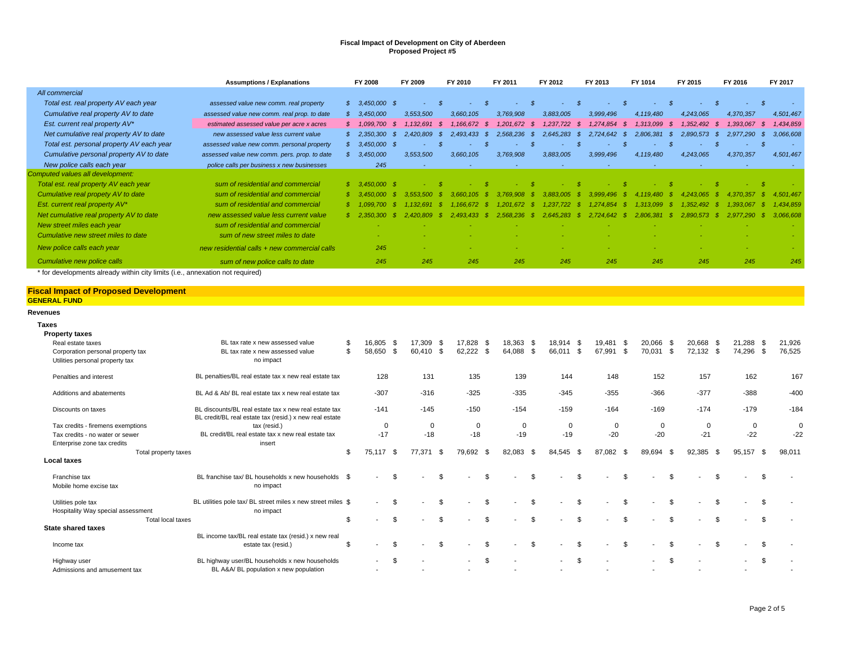|                                                                               | <b>Assumptions / Explanations</b>            |    | FY 2008         | FY 2009   |     | FY 2010   |      | FY 2011   |      | FY 2012   |      | FY 2013        |      | FY 1014   |      | FY 2015    |      | FY 2016        | FY 2017        |
|-------------------------------------------------------------------------------|----------------------------------------------|----|-----------------|-----------|-----|-----------|------|-----------|------|-----------|------|----------------|------|-----------|------|------------|------|----------------|----------------|
| All commercial                                                                |                                              |    |                 |           |     |           |      |           |      |           |      |                |      |           |      |            |      |                |                |
| Total est. real property AV each year                                         | assessed value new comm. real property       | s. | $3.450,000$ \$  |           |     |           |      |           |      |           |      |                |      |           |      |            |      |                |                |
| Cumulative real property AV to date                                           | assessed value new comm. real prop. to date  |    | 3,450,000       | 3,553,500 |     | 3,660,105 |      | 3,769,908 |      | 3,883,005 |      | 3,999,496      |      | 4,119,480 |      | 4,243,065  |      | 4,370,357      | 4,501,467      |
| Est. current real property AV*                                                | estimated assessed value per acre x acres    |    | \$ 1.099.700    | 1.132.691 | -S  | 1.166.672 | - \$ | 1.201.672 | - \$ | 1.237.722 | - \$ | 1.274.854      | - \$ | 1.313.099 |      | 1,352,492  | - 55 | 1.393.067      | 1,434,859      |
| Net cumulative real property AV to date                                       | new assessed value less current value        |    | \$2,350,300     | 2.420.809 | -SS | 2.493.433 | - \$ | 2.568.236 | S.   | 2.645.283 |      | $2.724.642$ \$ |      | 2.806.381 | - \$ | 2.890.573  | - SS | 2,977,290      | 3,066,608      |
| Total est. personal property AV each year                                     | assessed value new comm. personal property   |    | $$3,450,000$ \$ |           |     |           |      |           |      |           |      |                |      |           |      |            |      | <b>Section</b> |                |
| Cumulative personal property AV to date                                       | assessed value new comm. pers. prop. to date | s. | 3,450,000       | 3,553,500 |     | 3,660,105 |      | 3,769,908 |      | 3,883,005 |      | 3,999,496      |      | 4,119,480 |      | 4,243,065  |      | 4,370,357      | 4,501,467      |
| New police calls each year                                                    | police calls per business x new businesses   |    | 245             | $\sim$    |     |           |      |           |      |           |      |                |      |           |      |            |      |                |                |
| Computed values all development:                                              |                                              |    |                 |           |     |           |      |           |      |           |      |                |      |           |      |            |      |                |                |
| Total est. real property AV each year                                         | sum of residential and commercial            |    | $$3,450,000$ \$ |           |     |           |      |           |      |           |      |                |      |           |      |            |      |                |                |
| Cumulative real propety AV to date                                            | sum of residential and commercial            |    | \$ 3.450.000    | 3.553.500 |     |           |      |           |      | 3.883.005 |      | 3999496        |      | 4 119 480 |      | 065        |      |                | 501.467        |
| Est. current real property AV*                                                | sum of residential and commercial            |    |                 |           |     |           |      |           |      | 722       |      |                |      | 3.099     |      | 492<br>352 |      |                | .434.859       |
| Net cumulative real property AV to date                                       | new assessed value less current value        |    | \$2.350.300     | 2.420.809 | -80 | 2.493.433 |      | 2.568.236 |      | 2.645.283 |      | 2.724.642      |      | 2.806.381 |      |            |      |                | 3.066.608      |
| New street miles each year                                                    | sum of residential and commercial            |    |                 |           |     |           |      |           |      |           |      |                |      |           |      |            |      |                | <b>Section</b> |
| Cumulative new street miles to date                                           | sum of new street miles to date              |    |                 |           |     |           |      |           |      |           |      |                |      |           |      |            |      |                |                |
| New police calls each year                                                    | new residential calls + new commercial calls |    | 245             |           |     |           |      |           |      |           |      |                |      |           |      |            |      |                |                |
| Cumulative new police calls                                                   | sum of new police calls to date              |    | 245             | 245       |     | 245       |      | 245       |      | 245       |      | 245            |      | 245       |      | 245        |      | 245            | 245            |
| * for developments already within city limits (i.e., annexation not required) |                                              |    |                 |           |     |           |      |           |      |           |      |                |      |           |      |            |      |                |                |

# **Fiscal Impact of Proposed Development GENERAL FUND Revenues**

| <b>Taxes</b>                       |                                                                         |                      |           |                |                |      |                |                          |            |             |      |           |                |                          |                |                          |    |        |
|------------------------------------|-------------------------------------------------------------------------|----------------------|-----------|----------------|----------------|------|----------------|--------------------------|------------|-------------|------|-----------|----------------|--------------------------|----------------|--------------------------|----|--------|
| <b>Property taxes</b>              |                                                                         |                      |           |                |                |      |                |                          |            |             |      |           |                |                          |                |                          |    |        |
| Real estate taxes                  | BL tax rate x new assessed value                                        | \$<br>16,805 \$      | 17,309 \$ |                | 17,828 \$      |      | 18,363 \$      | 18,914 \$                |            | 19,481      | - \$ | 20,066 \$ |                | 20,668 \$                |                | 21,288 \$                |    | 21,926 |
| Corporation personal property tax  | BL tax rate x new assessed value                                        | \$<br>58,650<br>. ጽ  | 60,410 \$ |                | 62,222<br>- \$ |      | 64,088 \$      | 66,011                   | $^{\circ}$ | 67,991      | - \$ | 70,031    | $\mathbf{s}$   | 72,132 \$                |                | 74,296 \$                |    | 76,525 |
| Utilities personal property tax    | no impact                                                               |                      |           |                |                |      |                |                          |            |             |      |           |                |                          |                |                          |    |        |
| Penalties and interest             | BL penalties/BL real estate tax x new real estate tax                   | 128                  | 131       |                | 135            |      | 139            | 144                      |            | 148         |      | 152       |                | 157                      |                | 162                      |    | 167    |
| Additions and abatements           | BL Ad & Ab/ BL real estate tax x new real estate tax                    | $-307$               | $-316$    |                | $-325$         |      | $-335$         | $-345$                   |            | $-355$      |      | $-366$    |                | $-377$                   |                | $-388$                   |    | $-400$ |
| Discounts on taxes                 | BL discounts/BL real estate tax x new real estate tax                   | $-141$               | $-145$    |                | $-150$         |      | $-154$         | $-159$                   |            | $-164$      |      | $-169$    |                | $-174$                   |                | $-179$                   |    | $-184$ |
| Tax credits - firemens exemptions  | BL credit/BL real estate tax (resid.) x new real estate<br>tax (resid.) |                      |           | $\overline{0}$ | $\mathbf 0$    |      | $\mathbf 0$    |                          | 0          | $\mathbf 0$ |      | $\Omega$  |                | $\Omega$                 |                | 0                        |    | 0      |
| Tax credits - no water or sewer    | BL credit/BL real estate tax x new real estate tax                      | 0<br>$-17$           | $-18$     |                | $-18$          |      | $-19$          | $-19$                    |            | $-20$       |      | $-20$     |                | $-21$                    |                | $-22$                    |    | $-22$  |
| Enterprise zone tax credits        | insert                                                                  |                      |           |                |                |      |                |                          |            |             |      |           |                |                          |                |                          |    |        |
| Total property taxes               |                                                                         | \$<br>75.117<br>- \$ | 77.371    | - \$           | 79,692         | - \$ | 82,083<br>- \$ | 84,545                   | - \$       | 87,082      | - \$ | 89.694    | - \$           | 92,385                   | - \$           | 95,157 \$                |    | 98,011 |
| <b>Local taxes</b>                 |                                                                         |                      |           |                |                |      |                |                          |            |             |      |           |                |                          |                |                          |    |        |
|                                    |                                                                         |                      |           |                |                |      |                |                          |            |             |      |           |                |                          |                |                          |    |        |
| Franchise tax                      | BL franchise tax/ BL households x new households \$                     | -S<br>$\sim$         |           | \$.            |                | \$.  | \$             | $\sim$                   | \$         |             | \$   | ٠         | \$             | $\overline{\phantom{a}}$ | \$             | $\blacksquare$           | \$ |        |
| Mobile home excise tax             | no impact                                                               |                      |           |                |                |      |                |                          |            |             |      |           |                |                          |                |                          |    |        |
| Utilities pole tax                 | BL utilities pole tax/ BL street miles x new street miles \$            | \$                   |           | \$.            |                | \$.  | \$             |                          | \$         |             | \$   |           | $\mathfrak{L}$ |                          | \$.            | $\overline{\phantom{a}}$ | \$ |        |
| Hospitality Way special assessment | no impact                                                               |                      |           |                |                |      |                |                          |            |             |      |           |                |                          |                |                          |    |        |
| Total local taxes                  |                                                                         | \$<br>$\mathfrak{L}$ |           | \$.            |                | \$.  | \$             |                          | \$         |             | \$   |           | $\mathfrak{L}$ |                          | $\mathfrak{L}$ | $\overline{\phantom{a}}$ | -S |        |
| <b>State shared taxes</b>          |                                                                         |                      |           |                |                |      |                |                          |            |             |      |           |                |                          |                |                          |    |        |
|                                    | BL income tax/BL real estate tax (resid.) x new real                    |                      |           |                |                |      |                |                          |            |             |      |           |                |                          |                |                          |    |        |
| Income tax                         | estate tax (resid.)                                                     | \$<br>\$.<br>$\sim$  |           | \$             |                | \$   | \$             | $\overline{\phantom{a}}$ | \$         |             | \$   |           | \$             |                          | \$             | $\overline{\phantom{a}}$ | \$ |        |
| Highway user                       | BL highway user/BL households x new households                          | -S<br>$\sim$         |           |                | $\sim$         | \$.  |                | $\sim$                   | \$.        |             |      | $\sim$    | \$.            |                          |                | $\sim$                   | \$ |        |
| Admissions and amusement tax       | BL A&A/ BL population x new population                                  |                      |           |                |                |      |                |                          |            |             |      |           |                |                          |                |                          |    |        |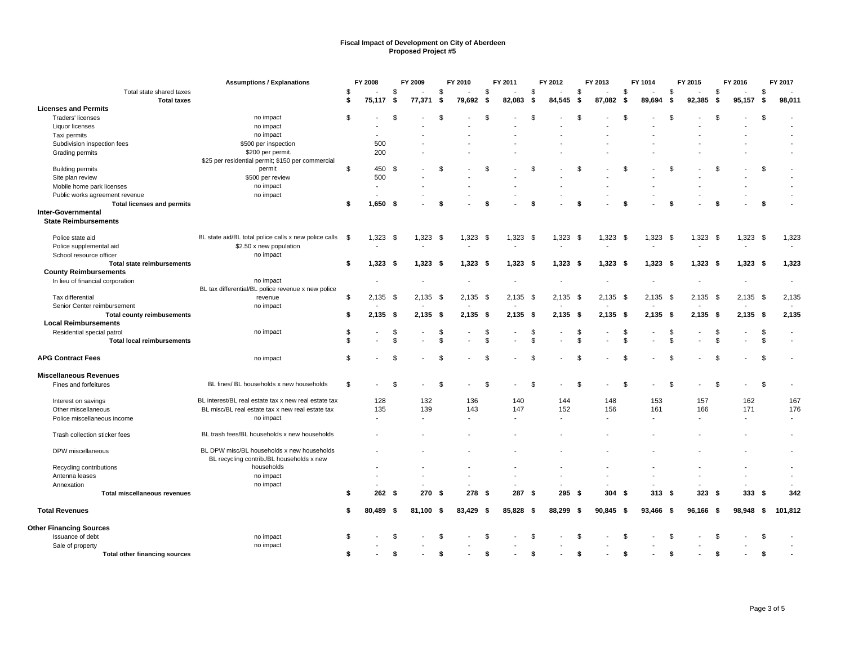|                                                    | <b>Assumptions / Explanations</b>                     |                | FY 2008        |      | FY 2009        |                | FY 2010 |      | FY 2011    |      | FY 2012    |      | FY 2013                  |                | FY 1014    |      | FY 2015    |          | FY 2016                  |              | FY 2017        |
|----------------------------------------------------|-------------------------------------------------------|----------------|----------------|------|----------------|----------------|---------|------|------------|------|------------|------|--------------------------|----------------|------------|------|------------|----------|--------------------------|--------------|----------------|
| Total state shared taxes                           |                                                       | \$             |                | \$   |                | \$             |         | -S   |            | \$   |            | \$   |                          | \$             |            | S    |            | \$       |                          | \$           |                |
| <b>Total taxes</b>                                 |                                                       | \$             | 75,117         | \$   | 77,371         | -\$            | 79,692  | \$   | 82,083     | Ŝ.   | 84,545     | \$   | 87,082                   | - \$           | 89,694     | -\$  | 92,385     | -\$      | 95,157                   | \$           | 98,011         |
| <b>Licenses and Permits</b>                        |                                                       |                |                |      |                |                |         |      |            |      |            |      |                          |                |            |      |            |          |                          |              |                |
| Traders' licenses                                  | no impact                                             | \$             |                | \$   |                | \$             |         | \$   |            | \$   |            | \$   |                          | \$             |            | \$.  |            | <b>S</b> |                          | \$           |                |
| Liquor licenses                                    | no impact                                             |                |                |      |                |                |         |      |            |      |            |      |                          |                |            |      |            |          |                          |              |                |
| Taxi permits                                       | no impact                                             |                |                |      |                |                |         |      |            |      |            |      |                          |                |            |      |            |          |                          |              |                |
| Subdivision inspection fees                        | \$500 per inspection                                  |                | 500            |      |                |                |         |      |            |      |            |      |                          |                |            |      |            |          |                          |              |                |
| Grading permits                                    | \$200 per permit.                                     |                | 200            |      |                |                |         |      |            |      |            |      |                          |                |            |      |            |          |                          |              |                |
|                                                    | \$25 per residential permit; \$150 per commercial     |                |                |      |                |                |         |      |            |      |            |      |                          |                |            |      |            |          |                          |              |                |
| <b>Building permits</b>                            | permit                                                | \$             | 450 \$         |      |                | \$             |         | \$   |            | \$   |            | \$   |                          | \$             |            | \$   |            | \$       |                          | \$           |                |
| Site plan review                                   | \$500 per review                                      |                | 500            |      |                |                |         |      |            |      |            |      |                          |                |            |      |            |          |                          |              |                |
| Mobile home park licenses                          | no impact                                             |                | $\blacksquare$ |      |                |                |         |      |            |      |            |      |                          |                |            |      |            |          |                          |              |                |
| Public works agreement revenue                     | no impact                                             |                |                |      |                |                |         |      |            |      |            |      |                          |                |            |      |            |          |                          |              |                |
| <b>Total licenses and permits</b>                  |                                                       | \$             | 1,650          | - \$ |                | \$             |         |      |            | £.   |            |      |                          |                |            |      |            | S        |                          | -9           |                |
| Inter-Governmental                                 |                                                       |                |                |      |                |                |         |      |            |      |            |      |                          |                |            |      |            |          |                          |              |                |
| <b>State Reimbursements</b>                        |                                                       |                |                |      |                |                |         |      |            |      |            |      |                          |                |            |      |            |          |                          |              |                |
| Police state aid                                   | BL state aid/BL total police calls x new police calls | - \$           | 1,323          | - \$ | 1,323          | - \$           | 1,323   |      | $1,323$ \$ |      | 1,323      |      | $1,323$ \$               |                | 1,323      | - \$ | $1,323$ \$ |          | 1,323                    | \$           | 1,323          |
|                                                    | \$2.50 x new population                               |                |                |      |                |                |         | - \$ |            |      |            | - \$ |                          |                |            |      |            |          |                          |              |                |
| Police supplemental aid<br>School resource officer | no impact                                             |                |                |      |                |                |         |      |            |      |            |      |                          |                |            |      |            |          |                          |              |                |
| <b>Total state reimbursements</b>                  |                                                       | \$             | 1,323          | - \$ | $1,323$ \$     |                | 1,323   |      | $1,323$ \$ |      | $1,323$ \$ |      | $1,323$ \$               |                | $1,323$ \$ |      | $1,323$ \$ |          | $1,323$ \$               |              | 1,323          |
| <b>County Reimbursements</b>                       |                                                       |                |                |      |                |                |         | - \$ |            |      |            |      |                          |                |            |      |            |          |                          |              |                |
|                                                    | no impact                                             |                |                |      |                |                |         |      |            |      |            |      |                          |                |            |      |            |          | $\overline{a}$           |              | $\overline{a}$ |
| In lieu of financial corporation                   | BL tax differential/BL police revenue x new police    |                |                |      |                |                |         |      |            |      |            |      |                          |                |            |      |            |          |                          |              |                |
| Tax differential                                   | revenue                                               | \$             | 2,135          | - \$ | $2,135$ \$     |                | 2,135   | -\$  | $2,135$ \$ |      | 2,135      | \$   | $2,135$ \$               |                | 2,135      | - \$ | $2,135$ \$ |          | 2,135                    | \$           | 2,135          |
| Senior Center reimbursement                        | no impact                                             |                |                |      |                |                |         |      |            |      |            |      |                          |                |            |      |            |          |                          |              |                |
| <b>Total county reimbusements</b>                  |                                                       | \$             | 2,135          | - \$ | $2,135$ \$     |                | 2,135   | - \$ | $2,135$ \$ |      | $2,135$ \$ |      | $2.135$ \$               |                | $2,135$ \$ |      | $2.135$ \$ |          | $2.135$ \$               |              | 2,135          |
| <b>Local Reimbursements</b>                        |                                                       |                |                |      |                |                |         |      |            |      |            |      |                          |                |            |      |            |          |                          |              |                |
| Residential special patrol                         | no impact                                             | \$             |                | \$   |                | -\$            |         |      |            | S.   |            | S    |                          | S              |            | S    |            | S.       |                          | \$           |                |
| <b>Total local reimbursements</b>                  |                                                       | $\mathfrak{L}$ |                | \$   |                | \$             |         |      |            | \$   |            | \$   |                          | \$             |            | \$   |            | \$       |                          | \$           |                |
|                                                    |                                                       |                |                |      |                |                |         |      |            |      |            |      |                          |                |            |      |            |          |                          |              |                |
| <b>APG Contract Fees</b>                           | no impact                                             | \$             |                | \$.  |                | $\mathfrak{L}$ |         |      |            | - \$ |            | £.   |                          | £.             |            | 9.   |            | \$       |                          | $\mathbf{s}$ |                |
| <b>Miscellaneous Revenues</b>                      |                                                       |                |                |      |                |                |         |      |            |      |            |      |                          |                |            |      |            |          |                          |              |                |
| Fines and forfeitures                              | BL fines/ BL households x new households              | \$             |                | \$.  |                | \$             |         | -96  |            | \$   |            | \$   |                          | $\mathfrak{L}$ |            | \$.  |            | - \$     |                          | \$           |                |
|                                                    |                                                       |                |                |      |                |                |         |      |            |      |            |      |                          |                |            |      |            |          |                          |              |                |
| Interest on savings                                | BL interest/BL real estate tax x new real estate tax  |                | 128            |      | 132            |                | 136     |      | 140        |      | 144        |      | 148                      |                | 153        |      | 157        |          | 162                      |              | 167            |
| Other miscellaneous                                | BL misc/BL real estate tax x new real estate tax      |                | 135            |      | 139            |                | 143     |      | 147        |      | 152        |      | 156                      |                | 161        |      | 166        |          | 171                      |              | 176            |
| Police miscellaneous income                        | no impact                                             |                | $\blacksquare$ |      | $\blacksquare$ |                |         |      |            |      |            |      | $\overline{\phantom{a}}$ |                |            |      |            |          | $\overline{\phantom{a}}$ |              |                |
|                                                    |                                                       |                |                |      |                |                |         |      |            |      |            |      |                          |                |            |      |            |          |                          |              |                |
| Trash collection sticker fees                      | BL trash fees/BL households x new households          |                |                |      |                |                |         |      |            |      |            |      |                          |                |            |      |            |          |                          |              |                |
| DPW miscellaneous                                  | BL DPW misc/BL households x new households            |                |                |      |                |                |         |      |            |      |            |      |                          |                |            |      |            |          |                          |              |                |
|                                                    | BL recycling contrib./BL households x new             |                |                |      |                |                |         |      |            |      |            |      |                          |                |            |      |            |          |                          |              |                |
| Recycling contributions                            | households                                            |                |                |      |                |                |         |      |            |      |            |      |                          |                |            |      |            |          |                          |              |                |
| Antenna leases                                     | no impact                                             |                |                |      |                |                |         |      |            |      |            |      |                          |                |            |      |            |          |                          |              |                |
| Annexation                                         | no impact                                             |                |                |      |                |                |         |      |            |      |            |      |                          |                |            |      |            |          |                          |              |                |
| <b>Total miscellaneous revenues</b>                |                                                       | \$             | 262            | - \$ | 270S           |                | 278S    |      | 287 \$     |      | 295S       |      | 304                      | - \$           | 313S       |      | 323S       |          | 333                      | - \$         | 342            |
| <b>Total Revenues</b>                              |                                                       | s.             | 80,489         | -\$  | $81,100$ \$    |                | 83,429  | -\$  | 85,828 \$  |      | 88,299 \$  |      | 90,845 \$                |                | 93,466 \$  |      | 96,166 \$  |          | 98,948 \$                |              | 101,812        |
| <b>Other Financing Sources</b>                     |                                                       |                |                |      |                |                |         |      |            |      |            |      |                          |                |            |      |            |          |                          |              |                |
| Issuance of debt                                   | no impact                                             | \$             |                | \$.  |                | \$             |         |      |            | \$.  |            | \$   |                          | \$             |            | \$   |            | \$       |                          | \$           |                |
| Sale of property                                   | no impact                                             |                |                |      |                |                |         |      |            |      |            |      |                          |                |            |      |            |          |                          |              |                |
| <b>Total other financing sources</b>               |                                                       | \$             |                | \$   |                | \$             |         |      |            |      |            |      |                          |                |            |      |            | \$       |                          | Ŝ.           |                |
|                                                    |                                                       |                |                |      |                |                |         |      |            |      |            |      |                          |                |            |      |            |          |                          |              |                |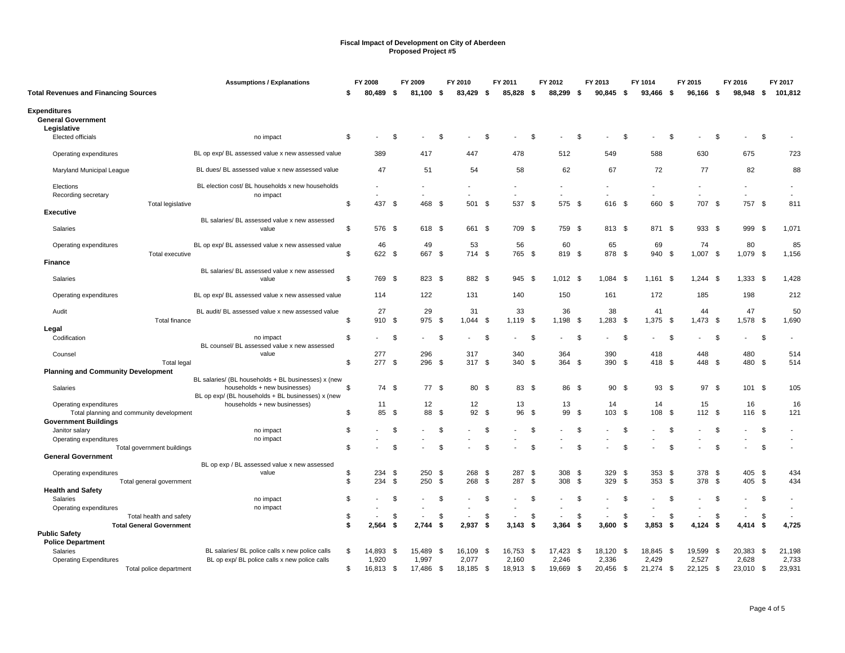|                                                                 | <b>Assumptions / Explanations</b>                                                 |    | FY 2008   |      | FY 2009   |          | FY 2010     |      | FY 2011     |          | FY 2012     |          | FY 2013          |      | FY 1014     |      | FY 2015     |      | FY 2016     |      | FY 2017                  |
|-----------------------------------------------------------------|-----------------------------------------------------------------------------------|----|-----------|------|-----------|----------|-------------|------|-------------|----------|-------------|----------|------------------|------|-------------|------|-------------|------|-------------|------|--------------------------|
| <b>Total Revenues and Financing Sources</b>                     |                                                                                   | S  | 80,489    | - \$ | 81.100 \$ |          | 83,429 \$   |      | 85,828 \$   |          | 88,299      | -\$      | $90,845$ \$      |      | 93,466      | - \$ | 96,166      | -\$  | 98,948      | - \$ | 101,812                  |
| <b>Expenditures</b><br><b>General Government</b><br>Legislative |                                                                                   |    |           |      |           |          |             |      |             |          |             |          |                  |      |             |      |             |      |             |      |                          |
| Elected officials                                               | no impact                                                                         | \$ |           | Ŝ.   |           | \$       |             | \$   |             | \$       |             | S        |                  | Ŝ.   |             | Ŝ.   |             | -\$  |             | \$   |                          |
| Operating expenditures                                          | BL op exp/ BL assessed value x new assessed value                                 |    | 389       |      | 417       |          | 447         |      | 478         |          | 512         |          | 549              |      | 588         |      | 630         |      | 675         |      | 723                      |
| Maryland Municipal League                                       | BL dues/ BL assessed value x new assessed value                                   |    | 47        |      | 51        |          | 54          |      | 58          |          | 62          |          | 67               |      | 72          |      | 77          |      | 82          |      | 88                       |
| Elections                                                       | BL election cost/ BL households x new households                                  |    |           |      |           |          |             |      |             |          |             |          |                  |      |             |      |             |      |             |      |                          |
| Recording secretary<br>Total legislative                        | no impact                                                                         | \$ | 437       | - \$ | 468       | - \$     | 501 \$      |      | 537 \$      |          | 575 \$      |          | ÷<br>616 \$      |      | 660 \$      |      | 707 \$      |      | 757 \$      |      | 811                      |
| <b>Executive</b>                                                |                                                                                   |    |           |      |           |          |             |      |             |          |             |          |                  |      |             |      |             |      |             |      |                          |
| Salaries                                                        | BL salaries/ BL assessed value x new assessed<br>value                            | \$ | 576 \$    |      | 618 \$    |          | 661 \$      |      | 709 \$      |          | 759         | - \$     | 813 \$           |      | 871 \$      |      | 933 \$      |      | 999         | - \$ | 1,071                    |
| Operating expenditures                                          | BL op exp/ BL assessed value x new assessed value                                 |    | 46        |      | 49        |          | 53          |      | 56          |          | 60          |          | 65               |      | 69          |      | 74          |      | 80          |      | 85                       |
| Total executive                                                 |                                                                                   | \$ | 622 \$    |      | 667 \$    |          | 714 \$      |      | 765 \$      |          | 819 \$      |          | 878 \$           |      | 940 \$      |      | 1,007       | \$   | 1,079       | \$   | 1,156                    |
| <b>Finance</b>                                                  | BL salaries/ BL assessed value x new assessed                                     |    |           |      |           |          |             |      |             |          |             |          |                  |      |             |      |             |      |             |      |                          |
| Salaries                                                        | value                                                                             | \$ | 769 \$    |      | 823 \$    |          | 882 \$      |      | 945 \$      |          | $1,012$ \$  |          | $1,084$ \$       |      | $1,161$ \$  |      | $1,244$ \$  |      | $1,333$ \$  |      | 1,428                    |
| Operating expenditures                                          | BL op exp/ BL assessed value x new assessed value                                 |    | 114       |      | 122       |          | 131         |      | 140         |          | 150         |          | 161              |      | 172         |      | 185         |      | 198         |      | 212                      |
| Audit<br><b>Total finance</b>                                   | BL audit/ BL assessed value x new assessed value                                  | \$ | 27<br>910 | \$   | 29<br>975 | \$       | 31<br>1,044 | \$   | 33<br>1,119 | \$       | 36<br>1,198 | -\$      | 38<br>1,283      | - \$ | 41<br>1,375 | \$   | 44<br>1,473 | \$   | 47<br>1,578 | \$   | 50<br>1,690              |
| Legal                                                           |                                                                                   |    |           |      |           |          |             |      |             |          |             |          |                  |      |             |      |             |      |             |      |                          |
| Codification                                                    | no impact                                                                         | \$ |           | \$   |           | - \$     |             | - \$ |             | \$       |             | -9       |                  | -\$  |             | -\$  |             | \$   |             | \$   |                          |
| Counsel                                                         | BL counsel/ BL assessed value x new assessed<br>value                             |    | 277       |      | 296       |          | 317         |      | 340         |          | 364         |          | 390              |      | 418         |      | 448         |      | 480         |      | 514                      |
| <b>Total legal</b>                                              |                                                                                   | \$ | 277 \$    |      | 296 \$    |          | 317S        |      | 340 \$      |          | 364         | - \$     | 390 \$           |      | 418 \$      |      | 448 \$      |      | 480 \$      |      | 514                      |
| <b>Planning and Community Development</b>                       |                                                                                   |    |           |      |           |          |             |      |             |          |             |          |                  |      |             |      |             |      |             |      |                          |
|                                                                 | BL salaries/ (BL households + BL businesses) x (new                               |    |           |      | 77 \$     |          |             |      | 83          |          |             |          |                  |      |             |      |             |      |             |      |                          |
| Salaries                                                        | households + new businesses)<br>BL op exp/ (BL households + BL businesses) x (new | \$ | 74 \$     |      |           |          | 80 \$       |      |             | - \$     | 86 \$       |          | 90               | - \$ | 93S         |      | 97S         |      | 101 \$      |      | 105                      |
| Operating expenditures                                          | households + new businesses)                                                      |    | 11        |      | 12        |          | 12          |      | 13          |          | 13          |          | 14               |      | 14          |      | 15          |      | 16          |      | 16                       |
| Total planning and community development                        |                                                                                   | \$ | 85        | - \$ | 88        | <b>S</b> | 92 \$       |      | 96          | <b>S</b> | 99          | <b>S</b> | 103 <sup>5</sup> |      | 108         | \$   | 112S        |      | 116 \$      |      | 121                      |
| <b>Government Buildings</b>                                     |                                                                                   |    |           |      |           |          |             |      |             |          |             |          |                  |      |             |      |             |      |             |      |                          |
| Janitor salary                                                  | no impact                                                                         | \$ |           | \$   |           | \$       |             | \$   |             | \$       |             | \$       |                  | Ŝ.   |             | \$   |             | \$   |             | \$   |                          |
| Operating expenditures                                          | no impact                                                                         |    |           |      |           |          |             |      |             |          |             |          |                  |      |             |      |             |      |             |      | $\overline{\phantom{a}}$ |
| Total government buildings                                      |                                                                                   | \$ |           | \$.  |           | .ፍ       |             | .S   |             | \$.      |             | £.       |                  | \$.  |             | .ኖ   |             | \$   |             | \$.  |                          |
| <b>General Government</b>                                       | BL op exp / BL assessed value x new assessed                                      |    |           |      |           |          |             |      |             |          |             |          |                  |      |             |      |             |      |             |      |                          |
| Operating expenditures                                          | value                                                                             | \$ | 234       | \$   | 250       | - \$     | 268         | - \$ | 287         | \$       | 308         | - \$     | 329 \$           |      | 353         | \$   | 378 \$      |      | 405 \$      |      | 434                      |
| Total general government                                        |                                                                                   | \$ | 234       | \$   | 250       | - \$     | 268         | - \$ | 287         | - \$     | 308         | - \$     | 329              | - \$ | 353         | \$   | 378 \$      |      | 405         | -\$  | 434                      |
| <b>Health and Safety</b>                                        |                                                                                   |    |           |      |           |          |             |      |             |          |             |          |                  |      |             |      |             |      |             |      |                          |
| Salaries                                                        | no impact                                                                         | \$ |           | \$.  |           |          |             | . ፍ  |             | \$       |             | \$       |                  | £.   |             | \$   |             | - \$ |             | \$.  |                          |
| Operating expenditures                                          | no impact                                                                         |    |           |      |           |          |             |      |             |          |             |          |                  |      |             |      |             |      |             |      |                          |
| Total health and safety                                         |                                                                                   | \$ |           | -96  |           | - 96     |             | \$   |             | \$       |             | S        |                  | -S   |             | \$   |             | - \$ |             | \$   |                          |
| <b>Total General Government</b>                                 |                                                                                   | \$ | 2,564     | \$   | 2,744     | -96      | 2,937       | \$   | 3,143       | - \$     | 3,364       | -\$      | 3,600            | -\$  | 3,853       | -\$  | 4,124       | - \$ | 4,414       | \$   | 4,725                    |
| <b>Public Safety</b>                                            |                                                                                   |    |           |      |           |          |             |      |             |          |             |          |                  |      |             |      |             |      |             |      |                          |
| <b>Police Department</b>                                        |                                                                                   |    |           |      |           |          |             |      |             |          |             |          |                  |      |             |      |             |      |             |      |                          |
| Salaries                                                        | BL salaries/ BL police calls x new police calls                                   | \$ | 14,893    | - \$ | 15,489    | -\$      | 16,109      | - \$ | 16,753 \$   |          | 17,423      | - \$     | 18,120 \$        |      | 18,845 \$   |      | 19,599      | - \$ | 20,383 \$   |      | 21,198                   |
| <b>Operating Expenditures</b>                                   | BL op exp/ BL police calls x new police calls                                     |    | 1,920     |      | 1,997     |          | 2,077       |      | 2,160       |          | 2,246       |          | 2,336            |      | 2,429       |      | 2,527       |      | 2,628       |      | 2,733                    |
| Total police department                                         |                                                                                   | \$ | 16,813 \$ |      | 17,486    | - \$     | 18,185      | - \$ | 18,913 \$   |          | 19,669 \$   |          | 20,456 \$        |      | 21,274 \$   |      | $22,125$ \$ |      | 23,010 \$   |      | 23,931                   |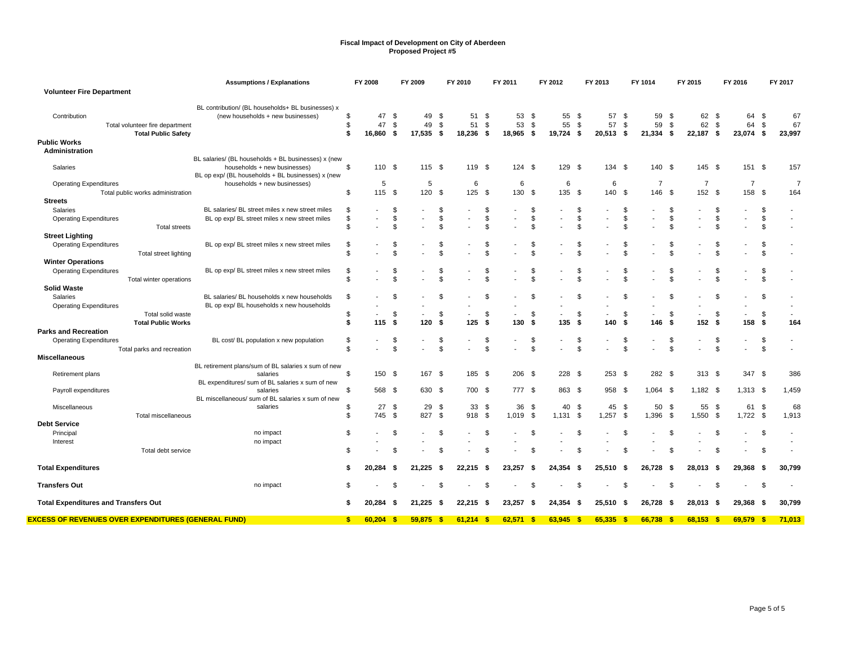|                                                                               | <b>Assumptions / Explanations</b>                                                      |                | FY 2008               |                | FY 2009               |                | FY 2010                  |                   | FY 2011               |                | FY 2012                  |                | FY 2013                 |                | FY 1014                 |                | FY 2015                  |                | FY 2016                  |               | FY 2017            |
|-------------------------------------------------------------------------------|----------------------------------------------------------------------------------------|----------------|-----------------------|----------------|-----------------------|----------------|--------------------------|-------------------|-----------------------|----------------|--------------------------|----------------|-------------------------|----------------|-------------------------|----------------|--------------------------|----------------|--------------------------|---------------|--------------------|
| <b>Volunteer Fire Department</b>                                              |                                                                                        |                |                       |                |                       |                |                          |                   |                       |                |                          |                |                         |                |                         |                |                          |                |                          |               |                    |
| Contribution<br>Total volunteer fire department<br><b>Total Public Safety</b> | BL contribution/ (BL households+ BL businesses) x<br>(new households + new businesses) | \$<br>\$<br>\$ | 47<br>47<br>16,860 \$ | \$<br>\$       | 49<br>49<br>17,535 \$ | - \$<br>\$     | 51<br>51<br>18,236       | - \$<br>\$<br>-\$ | 53<br>53<br>18,965 \$ | - \$<br>- \$   | 55<br>55<br>19,724 \$    | -\$<br>\$      | 57<br>57<br>$20,513$ \$ | - \$<br>\$     | 59<br>59<br>$21,334$ \$ | -\$<br>\$      | 62 \$<br>62<br>22,187 \$ | \$             | 64<br>64<br>23,074 \$    | \$<br>\$      | 67<br>67<br>23,997 |
| <b>Public Works</b>                                                           |                                                                                        |                |                       |                |                       |                |                          |                   |                       |                |                          |                |                         |                |                         |                |                          |                |                          |               |                    |
| Administration                                                                |                                                                                        |                |                       |                |                       |                |                          |                   |                       |                |                          |                |                         |                |                         |                |                          |                |                          |               |                    |
|                                                                               | BL salaries/ (BL households + BL businesses) x (new                                    |                |                       |                |                       |                |                          |                   |                       |                |                          |                |                         |                |                         |                |                          |                |                          |               |                    |
| Salaries                                                                      | households + new businesses)<br>BL op exp/ (BL households + BL businesses) x (new      | \$             | 110 \$                |                | 115S                  |                | 119 \$                   |                   | 124S                  |                | 129                      | - \$           | $134 \quad $$           |                | 140 \$                  |                | $145$ \$                 |                | 151 \$                   |               | 157                |
| <b>Operating Expenditures</b>                                                 | households + new businesses)                                                           |                | 5                     |                | 5                     |                | 6                        |                   | 6                     |                | 6                        |                | 6                       |                | 7                       |                | $\overline{7}$           |                | 7                        |               | $\overline{7}$     |
| Total public works administration                                             |                                                                                        | \$             | 115                   | - \$           | 120 \$                |                | 125                      | \$                | 130                   | - \$           | 135                      | \$             | 140 \$                  |                | 146                     | \$             | 152 \$                   |                | 158                      | <b>S</b>      | 164                |
| <b>Streets</b>                                                                |                                                                                        |                |                       |                |                       |                |                          |                   |                       |                |                          |                |                         |                |                         |                |                          |                |                          |               |                    |
| Salaries                                                                      | BL salaries/ BL street miles x new street miles                                        | \$             |                       | -S             |                       | \$             |                          | \$                |                       | \$             |                          | \$             |                         | \$.            |                         | \$             |                          | \$             |                          | \$            |                    |
| <b>Operating Expenditures</b>                                                 | BL op exp/ BL street miles x new street miles                                          | \$             |                       | $\mathfrak{L}$ |                       | \$             |                          | \$                | $\blacksquare$        | \$             |                          | \$             |                         | $\mathfrak{L}$ |                         | \$             |                          | \$             | $\blacksquare$           | \$            |                    |
| <b>Total streets</b>                                                          |                                                                                        | \$             |                       |                |                       | \$             |                          | £                 |                       | \$             |                          | \$             |                         | \$             |                         | $\mathfrak{L}$ |                          | \$             |                          | \$            |                    |
| <b>Street Lighting</b>                                                        |                                                                                        |                |                       |                |                       |                |                          |                   |                       |                |                          |                |                         |                |                         |                |                          |                |                          |               |                    |
| <b>Operating Expenditures</b>                                                 | BL op exp/BL street miles x new street miles                                           | \$             |                       |                |                       | S              |                          | £                 |                       | \$             |                          | \$             |                         | S              |                         | \$             |                          | \$             |                          | \$            |                    |
|                                                                               |                                                                                        | \$             |                       |                |                       | $\mathfrak{L}$ |                          | \$.               |                       | $\mathfrak{s}$ |                          | $\mathfrak{s}$ |                         | $\mathfrak{R}$ |                         | $\mathfrak{L}$ |                          | $\mathfrak{L}$ |                          | \$            |                    |
| Total street lighting                                                         |                                                                                        |                |                       |                |                       |                |                          |                   |                       |                |                          |                |                         |                |                         |                |                          |                |                          |               |                    |
| <b>Winter Operations</b>                                                      |                                                                                        |                |                       |                |                       |                |                          |                   |                       |                |                          |                |                         |                |                         |                |                          |                |                          |               |                    |
| <b>Operating Expenditures</b>                                                 | BL op exp/ BL street miles x new street miles                                          | \$             |                       |                |                       | S              |                          | £                 |                       | \$             |                          | \$             |                         | \$             |                         | \$             |                          | \$             |                          | \$            |                    |
| Total winter operations                                                       |                                                                                        | $\mathfrak{L}$ |                       |                |                       | £.             |                          | £                 |                       | $\mathbf{\$}$  |                          | $\mathbf{S}$   |                         | $\mathfrak{R}$ |                         | $\mathfrak{L}$ |                          | \$             |                          | $\mathbf{\$}$ |                    |
| <b>Solid Waste</b>                                                            |                                                                                        |                |                       |                |                       |                |                          |                   |                       |                |                          |                |                         |                |                         |                |                          |                |                          |               |                    |
| Salaries                                                                      | BL salaries/ BL households x new households                                            | \$             |                       | .ፍ             |                       | £.             |                          | \$                |                       | \$             |                          | \$             |                         | \$             |                         | \$.            |                          | \$             |                          | \$            |                    |
| <b>Operating Expenditures</b>                                                 | BL op exp/ BL households x new households                                              |                |                       |                |                       |                |                          |                   |                       |                |                          |                |                         |                |                         |                |                          |                |                          |               |                    |
| Total solid waste                                                             |                                                                                        | \$             |                       | -S             |                       | \$             | $\overline{\phantom{a}}$ | \$                |                       | \$             | $\overline{\phantom{a}}$ | \$             |                         | - \$           | $\sim$                  | \$             |                          | \$             | $\sim$                   | \$            |                    |
| <b>Total Public Works</b>                                                     |                                                                                        | \$             | 115                   | -\$            | 120                   | - \$           | 125                      | - \$              | 130                   | - \$           | 135                      | -\$            | 140                     | - \$           | 146                     | Ŝ.             | 152S                     |                | 158                      | - \$          | 164                |
| <b>Parks and Recreation</b>                                                   |                                                                                        |                |                       |                |                       |                |                          |                   |                       |                |                          |                |                         |                |                         |                |                          |                |                          |               |                    |
| <b>Operating Expenditures</b>                                                 | BL cost/ BL population x new population                                                | \$             |                       | \$.            |                       | \$             |                          | \$                |                       | \$             | $\blacksquare$           | \$             |                         | \$             |                         | \$.            |                          | \$             | $\overline{\phantom{a}}$ | \$            |                    |
| Total parks and recreation                                                    |                                                                                        | \$             |                       |                |                       | \$             |                          | \$                |                       | \$             |                          | \$             |                         | \$.            |                         | \$.            |                          | \$             |                          | $\mathbf{\$}$ |                    |
| <b>Miscellaneous</b>                                                          |                                                                                        |                |                       |                |                       |                |                          |                   |                       |                |                          |                |                         |                |                         |                |                          |                |                          |               |                    |
|                                                                               | BL retirement plans/sum of BL salaries x sum of new                                    |                |                       |                |                       |                |                          |                   |                       |                |                          |                |                         |                |                         |                |                          |                |                          |               |                    |
| Retirement plans                                                              | salaries                                                                               | \$             | 150 \$                |                | 167 \$                |                | 185 \$                   |                   | 206 \$                |                | $228$ \$                 |                | $253$ \$                |                | 282 \$                  |                | $313 \quad $$            |                | 347 \$                   |               | 386                |
|                                                                               | BL expenditures/ sum of BL salaries x sum of new                                       |                |                       |                |                       |                |                          |                   |                       |                |                          |                |                         |                |                         |                |                          |                |                          |               |                    |
| Payroll expenditures                                                          | salaries                                                                               | \$             | 568 \$                |                | 630 \$                |                | 700 \$                   |                   | 777 \$                |                | 863 \$                   |                | 958 \$                  |                | $1,064$ \$              |                | $1,182$ \$               |                | $1,313$ \$               |               | 1,459              |
|                                                                               | BL miscellaneous/ sum of BL salaries x sum of new                                      |                |                       |                |                       |                |                          |                   |                       |                |                          |                |                         |                |                         |                |                          |                |                          |               |                    |
| Miscellaneous                                                                 | salaries                                                                               | \$             | 27                    | - \$           | 29 \$                 |                | 33                       | \$                | 36                    | -\$            | 40                       | \$             | 45 \$                   |                | 50                      | -\$            | 55                       | - \$           | 61                       | \$            | 68                 |
| <b>Total miscellaneous</b>                                                    |                                                                                        | \$             | 745                   | <b>S</b>       | 827                   | \$             | 918                      | \$                | 1,019 \$              |                | 1,131                    | \$             | $1,257$ \$              |                | 1,396                   | \$             | 1,550                    | \$             | 1,722                    | \$            | 1,913              |
| <b>Debt Service</b>                                                           |                                                                                        |                |                       |                |                       |                |                          |                   |                       |                |                          |                |                         |                |                         |                |                          |                |                          |               |                    |
|                                                                               |                                                                                        | \$             |                       | \$.            |                       | \$             |                          | $\mathfrak{S}$    |                       | $\mathfrak{S}$ |                          | \$             |                         | \$             |                         | \$             |                          | \$             |                          |               |                    |
| Principal                                                                     | no impact                                                                              |                |                       |                |                       |                |                          |                   |                       |                |                          |                |                         |                |                         |                |                          |                |                          | \$            |                    |
| Interest                                                                      | no impact                                                                              |                |                       |                |                       |                |                          |                   |                       |                |                          |                |                         |                |                         |                |                          |                |                          |               |                    |
| Total debt service                                                            |                                                                                        | \$             |                       |                |                       | £.             |                          | £                 |                       | \$             |                          | \$             |                         | -\$            |                         | -S             |                          | \$             |                          | \$            |                    |
|                                                                               |                                                                                        |                |                       |                |                       |                |                          |                   |                       |                |                          |                |                         |                |                         |                |                          |                |                          |               |                    |
| <b>Total Expenditures</b>                                                     |                                                                                        | S              | 20,284                | -S             | 21,225                | - 5            | 22,215                   | - 5               | 23,257                | -\$            | 24,354                   | -\$            | 25,510                  | - \$           | 26,728                  | - 5            | 28,013                   | - \$           | 29,368                   | - \$          | 30,799             |
|                                                                               |                                                                                        |                |                       |                |                       |                |                          |                   |                       |                |                          |                |                         |                |                         |                |                          |                |                          |               |                    |
| <b>Transfers Out</b>                                                          | no impact                                                                              | \$             |                       |                |                       | \$.            |                          |                   |                       | \$             |                          | $\mathbf{S}$   |                         | -S             |                         | \$.            |                          | \$             |                          | \$            |                    |
|                                                                               |                                                                                        |                |                       |                |                       |                |                          |                   |                       |                |                          |                |                         |                |                         |                |                          |                |                          |               |                    |
| <b>Total Expenditures and Transfers Out</b>                                   |                                                                                        | \$             | 20.284                | - \$           | $21.225$ \$           |                | 22.215                   | - \$              | 23.257                | - \$           | 24.354                   | -\$            | 25.510                  | - \$           | 26.728                  | - \$           | 28.013                   | - \$           | 29.368                   | - \$          | 30,799             |
| <u>EXCESS OF REVENUES OVER EXPENDITURES (GENERAL FUND)</u>                    |                                                                                        | \$.            | 60,204                | - \$           | $59,875$ \$           |                | $61,214$ \$              |                   | $62,571$ \$           |                | $63,945$ \$              |                | $65,335$ \$             |                | 66,738                  | - \$           | $68,153$ \$              |                | 69,579 \$                |               | 71,013             |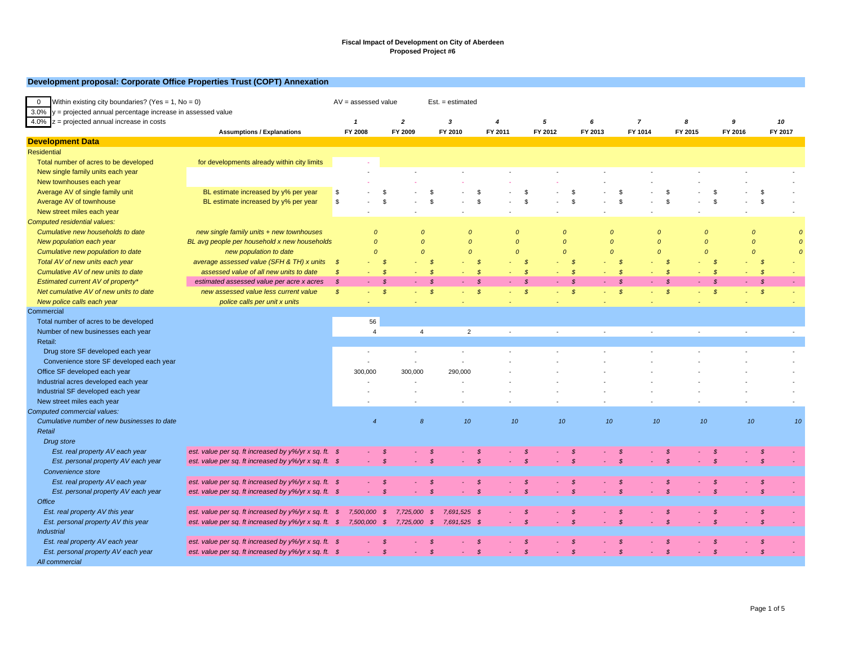|  |  |  |  | Development proposal: Corporate Office Properties Trust (COPT) Annexation |  |  |
|--|--|--|--|---------------------------------------------------------------------------|--|--|
|--|--|--|--|---------------------------------------------------------------------------|--|--|

| Within existing city boundaries? (Yes = $1$ , No = 0)<br>$\overline{0}$<br>$3.0\%$ y = projected annual percentage increase in assessed value |                                                                                                  | $AV = assessed value$      |                                                   |                  |               | $Est. = estimated$ |                |                             |                  |                         |                  |                     |         |                  |         |               |            |
|-----------------------------------------------------------------------------------------------------------------------------------------------|--------------------------------------------------------------------------------------------------|----------------------------|---------------------------------------------------|------------------|---------------|--------------------|----------------|-----------------------------|------------------|-------------------------|------------------|---------------------|---------|------------------|---------|---------------|------------|
| 4.0% $z =$ projected annual increase in costs                                                                                                 |                                                                                                  | $\mathbf{1}$               |                                                   | $\boldsymbol{2}$ |               | 3                  |                | $\overline{4}$              | 5                | 6                       | $\overline{7}$   |                     | 8       |                  | 9       |               | 10         |
|                                                                                                                                               | <b>Assumptions / Explanations</b>                                                                | FY 2008                    |                                                   | FY 2009          |               | FY 2010            |                | FY 2011                     | FY 2012          | FY 2013                 | FY 1014          |                     | FY 2015 |                  | FY 2016 |               | FY 2017    |
| <b>Development Data</b>                                                                                                                       |                                                                                                  |                            |                                                   |                  |               |                    |                |                             |                  |                         |                  |                     |         |                  |         |               |            |
| <b>Residential</b>                                                                                                                            |                                                                                                  |                            |                                                   |                  |               |                    |                |                             |                  |                         |                  |                     |         |                  |         |               |            |
| Total number of acres to be developed                                                                                                         | for developments already within city limits                                                      |                            |                                                   |                  |               |                    |                |                             |                  |                         |                  |                     |         |                  |         |               |            |
| New single family units each year                                                                                                             |                                                                                                  |                            |                                                   |                  |               |                    |                |                             |                  |                         |                  |                     |         |                  |         |               |            |
| New townhouses each year                                                                                                                      |                                                                                                  |                            |                                                   |                  |               |                    |                |                             |                  |                         |                  |                     |         |                  |         |               |            |
| Average AV of single family unit                                                                                                              | BL estimate increased by y% per year                                                             | \$                         |                                                   |                  |               |                    |                | - \$                        |                  | £.                      |                  | \$                  |         |                  |         | -S            |            |
| Average AV of townhouse                                                                                                                       | BL estimate increased by y% per year                                                             | \$                         | \$                                                |                  | $\mathcal{R}$ |                    | $\mathfrak{L}$ | $\mathfrak{s}$              |                  | $\mathfrak{s}$          | $\mathfrak{R}$   | $\mathfrak{L}$      |         | $\mathbf{s}$     |         | <b>S</b>      |            |
| New street miles each year                                                                                                                    |                                                                                                  |                            |                                                   |                  |               |                    |                |                             |                  |                         |                  |                     |         |                  |         |               |            |
| Computed residential values:                                                                                                                  |                                                                                                  |                            |                                                   |                  |               |                    |                |                             |                  |                         |                  |                     |         |                  |         |               |            |
| Cumulative new households to date                                                                                                             | new single family units $+$ new townhouses                                                       |                            | $\Omega$                                          | $\Omega$         |               | $\Omega$           |                | $\Omega$                    | $\Omega$         |                         | $\overline{0}$   | $\Omega$            |         | $\boldsymbol{0}$ |         | $\Omega$      |            |
| New population each year                                                                                                                      | BL avg people per household x new households                                                     |                            | $\overline{0}$                                    | $\Omega$         |               | $\mathcal{O}$      |                | $\Omega$                    | $\mathcal{O}$    |                         | $\Omega$         | $\boldsymbol{o}$    |         | $\mathcal{O}$    |         | $\Omega$      | $\epsilon$ |
| Cumulative new population to date                                                                                                             | new population to date                                                                           |                            | $\Omega$                                          | $\Omega$         |               | $\mathcal{O}$      |                | $\Omega$                    | $\Omega$         |                         | $\Omega$         | $\mathcal{O}$       |         | $\Omega$         |         | $\Omega$      | $\epsilon$ |
| Total AV of new units each year                                                                                                               | average assessed value (SFH & TH) x units                                                        | $\boldsymbol{\mathcal{S}}$ | $\mathcal{S}$                                     |                  | $\mathcal{S}$ |                    | - \$           | $\mathcal{S}$               |                  | <b>S</b>                | - \$             | $\mathcal{S}$       |         | $\mathcal{S}$    |         | - \$          |            |
| Cumulative AV of new units to date                                                                                                            | assessed value of all new units to date                                                          | $\mathcal{S}$              | $\mathcal{S}$<br>$\sim$                           |                  | $\mathcal{S}$ |                    | $\mathcal{S}$  | - \$<br>÷                   | $\sim$           | $\mathcal{S}$           | $\mathcal{S}$    | $\mathcal{S}$<br>a. |         | $\mathcal{S}$    |         | $\mathcal{S}$ |            |
| Estimated current AV of property*                                                                                                             | estimated assessed value per acre x acres                                                        | $\mathcal{S}$              | $\mathcal S$                                      |                  | $\mathcal{S}$ |                    | $\mathcal{S}$  | $\mathcal{S}$               |                  | $\mathcal{S}$           | $\mathcal{S}$    | $\mathcal{S}$       |         | $\mathcal{S}$    |         | $\mathcal{S}$ |            |
| Net cumulative AV of new units to date                                                                                                        | new assessed value less current value                                                            | $\mathcal{S}$              | $\boldsymbol{\mathcal{S}}$<br>$\omega_{\rm{eff}}$ |                  | $\mathcal{S}$ |                    | $\mathcal{S}$  | $\mathcal{S}$<br>÷.         | ÷.               | $\mathcal{S}$           | $\mathcal{S}$    | $\mathcal{S}$       |         | $\mathcal{S}$    | ÷       | $\mathcal{S}$ |            |
| New police calls each year                                                                                                                    | police calls per unit x units                                                                    |                            |                                                   |                  |               |                    |                |                             |                  |                         |                  |                     |         |                  |         |               |            |
| Commercial                                                                                                                                    |                                                                                                  |                            |                                                   |                  |               |                    |                |                             |                  |                         |                  |                     |         |                  |         |               |            |
| Total number of acres to be developed                                                                                                         |                                                                                                  |                            | 56                                                |                  |               |                    |                |                             |                  |                         |                  |                     |         |                  |         |               |            |
| Number of new businesses each year                                                                                                            |                                                                                                  |                            | $\overline{4}$                                    | $\overline{4}$   |               | $\overline{2}$     |                |                             |                  |                         |                  |                     |         |                  |         |               |            |
| Retail:                                                                                                                                       |                                                                                                  |                            |                                                   |                  |               |                    |                |                             |                  |                         |                  |                     |         |                  |         |               |            |
| Drug store SF developed each year                                                                                                             |                                                                                                  |                            |                                                   |                  |               |                    |                |                             |                  |                         |                  |                     |         |                  |         |               |            |
| Convenience store SF developed each year                                                                                                      |                                                                                                  |                            |                                                   | $\sim$           |               |                    |                |                             |                  |                         |                  |                     |         |                  |         |               |            |
| Office SF developed each year                                                                                                                 |                                                                                                  |                            | 300,000                                           | 300,000          |               | 290,000            |                |                             |                  |                         |                  |                     |         |                  |         |               |            |
| Industrial acres developed each year                                                                                                          |                                                                                                  |                            |                                                   |                  |               |                    |                |                             |                  |                         |                  |                     |         |                  |         |               |            |
| Industrial SF developed each year                                                                                                             |                                                                                                  |                            |                                                   |                  |               |                    |                |                             |                  |                         |                  |                     |         |                  |         |               |            |
| New street miles each year                                                                                                                    |                                                                                                  |                            |                                                   |                  |               |                    |                |                             |                  |                         |                  |                     |         |                  |         |               |            |
| Computed commercial values:                                                                                                                   |                                                                                                  |                            |                                                   |                  |               |                    |                |                             |                  |                         |                  |                     |         |                  |         |               |            |
| Cumulative number of new businesses to date                                                                                                   |                                                                                                  |                            | $\overline{4}$                                    | $\boldsymbol{8}$ |               | 10                 |                | 10 <sub>10</sub>            | 10 <sup>10</sup> |                         | 10 <sub>10</sub> | 10                  |         | 10               | 10      |               | 10         |
| Retail                                                                                                                                        |                                                                                                  |                            |                                                   |                  |               |                    |                |                             |                  |                         |                  |                     |         |                  |         |               |            |
| Drug store                                                                                                                                    |                                                                                                  |                            |                                                   |                  |               |                    |                |                             |                  |                         |                  |                     |         |                  |         |               |            |
| Est. real property AV each year                                                                                                               | est. value per sq. ft increased by y%/yr x sq. ft. \$                                            |                            | $\mathcal{S}$<br>$\sim$                           |                  | $\mathcal{S}$ |                    | - \$           | -\$                         |                  | - \$                    | - \$             | $\mathcal{S}$       |         | $\mathcal{S}$    | ÷.      | \$            |            |
| Est. personal property AV each year                                                                                                           | est. value per sq. ft increased by $y\frac{1}{y}$ x sq. ft. \$                                   |                            | $\mathcal{S}$<br>$\omega_{\rm{eff}}$              |                  | $\mathcal{S}$ |                    | $\mathcal{S}$  | $\mathcal{S}$               |                  | $\mathcal{S}$           | $\mathcal{S}$    | $\mathcal{S}$       |         | $\mathcal{S}$    | ÷.      | - \$          |            |
| Convenience store                                                                                                                             |                                                                                                  |                            |                                                   |                  |               |                    |                |                             |                  |                         |                  |                     |         |                  |         |               |            |
| Est. real property AV each year                                                                                                               | est. value per sq. ft increased by y%/yr x sq. ft. \$                                            |                            | $\mathcal{S}$                                     |                  |               |                    |                | - \$                        |                  | S                       |                  |                     |         | <b>S</b>         |         | $\mathcal{S}$ |            |
| Est. personal property AV each year                                                                                                           | est. value per sq. ft increased by y%/yr x sq. ft. \$                                            |                            | $\mathcal{S}$                                     |                  | $\mathcal{S}$ |                    | $\mathcal{S}$  | $\mathcal{S}_{\mathcal{S}}$ |                  |                         |                  |                     |         |                  |         | $\mathcal{S}$ |            |
| <b>Office</b>                                                                                                                                 |                                                                                                  |                            |                                                   |                  |               |                    |                |                             |                  |                         |                  |                     |         |                  |         |               |            |
| Est. real property AV this year                                                                                                               | est. value per sq. ft increased by $y\frac{6}{y}r \times$ sq. ft. $\$$                           |                            | 7,500,000 \$                                      | 7,725,000        | $\mathcal{S}$ | 7,691,525 \$       |                | - 3                         |                  | - \$                    | - \$             | $\mathcal{S}$       |         | $\mathcal{S}$    |         | $\mathcal{S}$ |            |
| Est. personal property AV this year                                                                                                           | est. value per sq. ft increased by $y\frac{6}{y}r \times sq$ . ft. $$7,500,000$ $$7,725,000$ $$$ |                            |                                                   |                  |               | 7,691,525 \$       |                | - \$                        |                  | $\mathcal{S}$           | $\mathcal{S}$    | $\mathcal{S}$       |         | $\mathcal{S}$    |         | $\mathcal{S}$ |            |
| <b>Industrial</b>                                                                                                                             |                                                                                                  |                            |                                                   |                  |               |                    |                |                             |                  |                         |                  |                     |         |                  |         |               |            |
|                                                                                                                                               | est. value per sq. ft increased by y%/yr x sq. ft. \$                                            |                            | - \$                                              |                  |               |                    | - \$           | $\mathcal{S}$               |                  | - \$                    | £.               |                     |         | $\mathcal{S}$    |         | - \$          |            |
| Est. real property AV each year                                                                                                               | est. value per sq. ft increased by y%/yr x sq. ft. \$                                            |                            | $\mathcal{S}$<br>$\sim$                           |                  | $\mathcal{S}$ |                    | $\mathcal{S}$  | $\mathcal{S}$               | ×                | $\mathcal{S}$<br>$\sim$ | $\mathcal{S}$    | $\mathcal{S}$       |         | $\mathcal S$     |         | $\mathcal{S}$ |            |
| Est. personal property AV each year                                                                                                           |                                                                                                  |                            |                                                   |                  |               |                    |                |                             |                  |                         |                  |                     |         |                  |         |               |            |
| All commercial                                                                                                                                |                                                                                                  |                            |                                                   |                  |               |                    |                |                             |                  |                         |                  |                     |         |                  |         |               |            |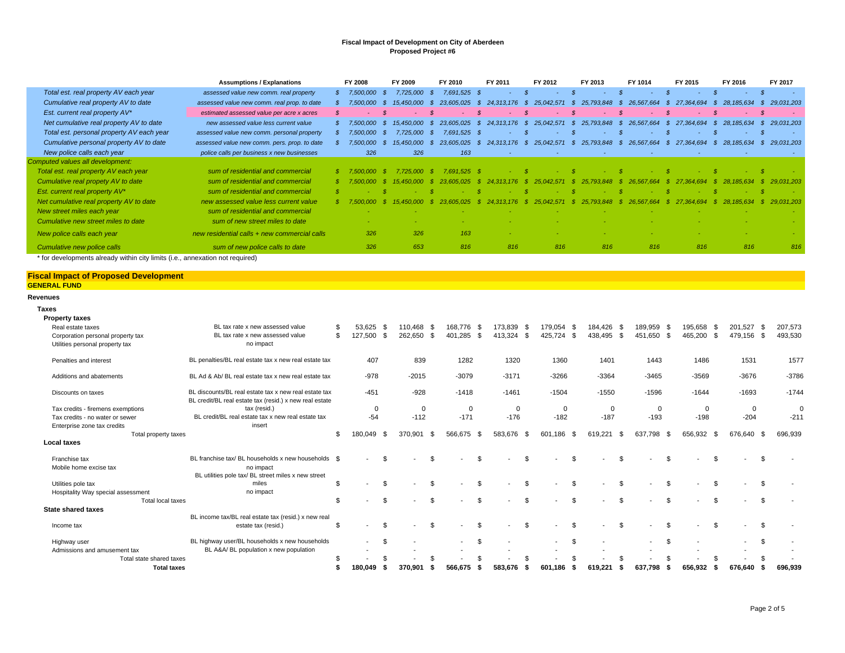|                                           | <b>Assumptions / Explanations</b>            | FY 2008     | FY 2009      |      | FY 2010        |      | FY 2011    |      | FY 2012                  |      | FY 2013         | FY 1014       |     | FY 2015    | FY 2016          | FY 2017        |
|-------------------------------------------|----------------------------------------------|-------------|--------------|------|----------------|------|------------|------|--------------------------|------|-----------------|---------------|-----|------------|------------------|----------------|
| Total est. real property AV each year     | assessed value new comm. real property       | 7,500,000   | 7.725.000    | - 55 | 7,691,525 \$   |      |            |      | ۰.                       |      |                 | <b>м.</b>     |     |            | <b>Section</b>   | - 14           |
| Cumulative real property AV to date       | assessed value new comm. real prop. to date  | 7.500.000   |              |      | 15.025         |      | 24.313.176 | - 55 | 25.042.571               | - 55 | 25,793,848      | 26.567.664    |     | 27.364.694 | 28.185.634       | 29.031.203     |
| Est. current real property AV*            | estimated assessed value per acre x acres    |             |              |      |                |      |            | -8   | ۰.                       |      |                 | <b>F</b>      |     |            | $\sim$ 10 $\pm$  | $\sim$         |
| Net cumulative real property AV to date   | new assessed value less current value        | \$7,500,000 | 15.450.000   | - SS | 23.605.025     | - \$ | 24.313.176 | -SS  | 25.042.571               | - \$ | 25,793,848 \$   | 26.567.664    | - S | 27.364.694 | 28.185.634       | 29.031.203     |
| Total est. personal property AV each year | assessed value new comm. personal property   | 7,500,000   | 7.725.000 \$ |      | 7.691.525 \$   |      |            |      | $\sim$                   |      |                 |               |     |            | $\Delta \sim 10$ | <b>Contact</b> |
| Cumulative personal property AV to date   | assessed value new comm. pers. prop. to date | 7.500.000   | 15.450.000   | -83  | 23.605.025     | -8   | 24.313.176 | - 85 | 25.042.571               | - S  | 25,793,848 \$   | 26.567.664 \$ |     | 27.364.694 | 28.185.634       | 29.031.203     |
| New police calls each year                | police calls per business x new businesses   | 326         | 326          |      | 163            |      |            |      | $\overline{\phantom{a}}$ |      | $\sim$          |               |     |            |                  |                |
| Computed values all development:          |                                              |             |              |      |                |      |            |      |                          |      |                 |               |     |            |                  |                |
| Total est. real property AV each year     | sum of residential and commercial            |             | 7.725.000    | - 80 | .525S<br>7.691 |      |            |      |                          |      |                 |               |     |            |                  |                |
| Cumulative real propety AV to date        | sum of residential and commercial            |             |              |      |                |      |            |      |                          |      |                 |               |     |            |                  |                |
| Est. current real property AV*            | sum of residential and commercial            |             |              |      |                |      |            |      |                          |      |                 |               |     |            |                  |                |
| Net cumulative real property AV to date   | new assessed value less current value        |             |              |      | .025           |      | 24.313.176 |      | 25.042.571               | - 55 | 793.848<br>-25. |               |     |            |                  | 29.031.203     |
| New street miles each year                | sum of residential and commercial            |             |              |      |                |      |            |      |                          |      |                 |               |     |            |                  |                |
| Cumulative new street miles to date       | sum of new street miles to date              |             |              |      |                |      |            |      |                          |      |                 |               |     |            |                  |                |
| New police calls each year                | new residential calls + new commercial calls | 326         | 326          |      | 163            |      |            |      |                          |      |                 |               |     |            |                  |                |
| Cumulative new police calls               | sum of new police calls to date              | 326         | 653          |      | 816            |      | 816        |      | 816                      |      | 816             | 816           |     | 816        | 816              | 816            |

\* for developments already within city limits (i.e., annexation not required)

## **Fiscal Impact of Proposed Development GENERAL FUND**

#### **Revenues**

**Taxes**

| <b>Property taxes</b>              |                                                                                                                  |     |                          |      |                          |      |                          |      |             |      |                |          |                |      |             |     |                          |          |                          |     |         |
|------------------------------------|------------------------------------------------------------------------------------------------------------------|-----|--------------------------|------|--------------------------|------|--------------------------|------|-------------|------|----------------|----------|----------------|------|-------------|-----|--------------------------|----------|--------------------------|-----|---------|
| Real estate taxes                  | BL tax rate x new assessed value                                                                                 | \$. | 53,625                   | - \$ | 110.468 \$               |      | 168.776 \$               |      | 173,839 \$  |      | 179,054        | - \$     | 184,426 \$     |      | 189,959 \$  |     | 195.658                  | - \$     | 201,527 \$               |     | 207,573 |
| Corporation personal property tax  | BL tax rate x new assessed value                                                                                 | \$  | 127,500 \$               |      | 262,650                  | - \$ | 401,285 \$               |      | 413,324     | - \$ | 425,724        | - \$     | 438,495 \$     |      | 451,650 \$  |     | 465,200                  | - \$     | 479,156 \$               |     | 493,530 |
| Utilities personal property tax    | no impact                                                                                                        |     |                          |      |                          |      |                          |      |             |      |                |          |                |      |             |     |                          |          |                          |     |         |
| Penalties and interest             | BL penalties/BL real estate tax x new real estate tax                                                            |     | 407                      |      | 839                      |      | 1282                     |      | 1320        |      | 1360           |          | 1401           |      | 1443        |     | 1486                     |          | 1531                     |     | 1577    |
| Additions and abatements           | BL Ad & Ab/ BL real estate tax x new real estate tax                                                             |     | $-978$                   |      | $-2015$                  |      | $-3079$                  |      | $-3171$     |      | $-3266$        |          | $-3364$        |      | $-3465$     |     | $-3569$                  |          | $-3676$                  |     | $-3786$ |
| Discounts on taxes                 | BL discounts/BL real estate tax x new real estate tax<br>BL credit/BL real estate tax (resid.) x new real estate |     | $-451$                   |      | $-928$                   |      | $-1418$                  |      | $-1461$     |      | $-1504$        |          | $-1550$        |      | $-1596$     |     | $-1644$                  |          | $-1693$                  |     | $-1744$ |
| Tax credits - firemens exemptions  | tax (resid.)                                                                                                     |     | $\mathbf{0}$             |      | $\mathbf 0$              |      | $\mathbf 0$              |      | $\mathbf 0$ |      | $\Omega$       |          | 0              |      | $\mathbf 0$ |     | $\Omega$                 |          | 0                        |     | C       |
| Tax credits - no water or sewer    | BL credit/BL real estate tax x new real estate tax                                                               |     | $-54$                    |      | $-112$                   |      | $-171$                   |      | $-176$      |      | $-182$         |          | $-187$         |      | $-193$      |     | $-198$                   |          | $-204$                   |     | $-211$  |
| Enterprise zone tax credits        | insert                                                                                                           |     |                          |      |                          |      |                          |      |             |      |                |          |                |      |             |     |                          |          |                          |     |         |
| Total property taxes               |                                                                                                                  | \$. | 180,049                  | - 96 | 370.901                  | - 96 | 566,675                  | - \$ | 583.676     | - \$ | 601<br>186     | -96      | 619.221        | - 96 | 637.798     | . ጽ | 656,932                  |          | 676,640 \$               |     | 696,939 |
| Local taxes                        |                                                                                                                  |     |                          |      |                          |      |                          |      |             |      |                |          |                |      |             |     |                          |          |                          |     |         |
| Franchise tax                      | BL franchise tax/ BL households x new households \$                                                              |     | $\overline{\phantom{a}}$ | . ፍ  | $\overline{\phantom{a}}$ | \$   | $\overline{\phantom{a}}$ | \$.  |             | \$.  | $\blacksquare$ | \$.      | $\blacksquare$ | \$   |             | \$. | $\overline{\phantom{a}}$ | - \$     |                          |     |         |
| Mobile home excise tax             | no impact                                                                                                        |     |                          |      |                          |      |                          |      |             |      |                |          |                |      |             |     |                          |          |                          |     |         |
|                                    | BL utilities pole tax/ BL street miles x new street                                                              |     |                          |      |                          |      |                          |      |             |      |                |          |                |      |             |     |                          |          |                          |     |         |
| Utilities pole tax                 | miles                                                                                                            | \$. |                          | . ድ  |                          | \$   |                          | \$   |             | \$   |                | <b>β</b> |                | . ፍ  |             | \$  |                          | . ጽ      |                          |     |         |
| Hospitality Way special assessment | no impact                                                                                                        |     |                          |      |                          |      |                          |      |             |      |                |          |                |      |             |     |                          |          |                          |     |         |
| Total local taxes                  |                                                                                                                  | \$  |                          | \$   |                          | \$   | $\blacksquare$           | \$   |             | \$   | $\sim$         | \$       | $\overline{a}$ | \$   |             | \$. | $\overline{\phantom{a}}$ | <b>S</b> | $\overline{\phantom{a}}$ | -\$ |         |
| <b>State shared taxes</b>          |                                                                                                                  |     |                          |      |                          |      |                          |      |             |      |                |          |                |      |             |     |                          |          |                          |     |         |
|                                    | BL income tax/BL real estate tax (resid.) x new real                                                             |     |                          |      |                          |      |                          |      |             |      |                |          |                |      |             |     |                          |          |                          |     |         |
| Income tax                         | estate tax (resid.)                                                                                              |     |                          |      |                          | . ፍ  |                          | .ኖ   |             |      |                |          |                |      |             |     |                          |          |                          |     |         |
| Highway user                       | BL highway user/BL households x new households                                                                   |     | $\sim$                   | . ድ  |                          |      | $\overline{\phantom{a}}$ | \$   |             |      | $\sim$         | \$       |                |      |             | \$. |                          |          | $\overline{\phantom{a}}$ | \$  |         |
| Admissions and amusement tax       | BL A&A/ BL population x new population                                                                           |     |                          |      |                          |      |                          |      |             |      |                |          |                |      |             |     |                          |          |                          |     |         |
| Total state shared taxes           |                                                                                                                  |     |                          |      |                          |      |                          |      |             |      |                |          |                |      |             |     |                          |          |                          |     |         |
| <b>Total taxes</b>                 |                                                                                                                  |     | 180.049                  |      | 370.901                  |      | 566.675                  |      | 583.676     | -5   | 601.186        |          | 619.221        |      | 637.798     |     | 656.932                  |          | 676.640                  |     | 696,939 |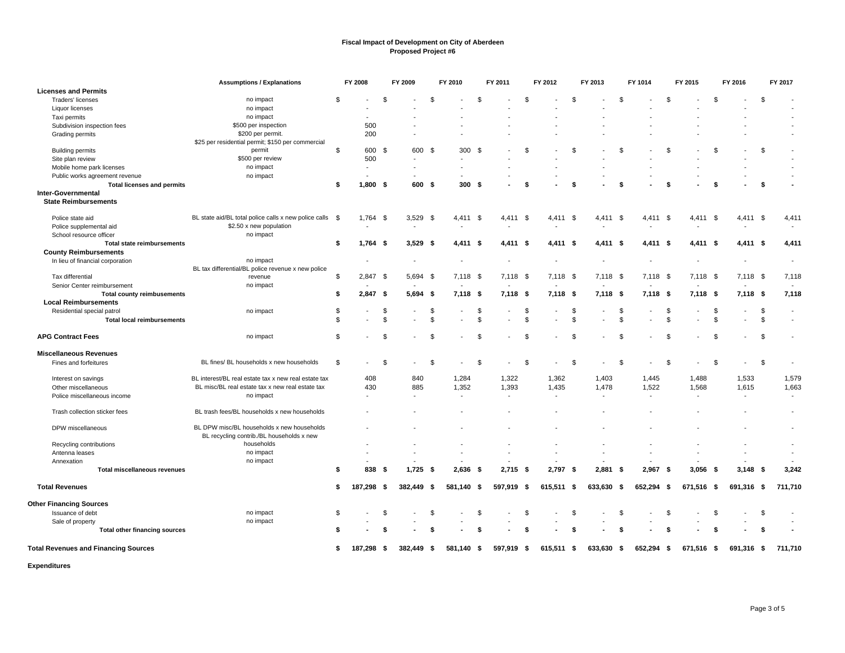|                                                   | <b>Assumptions / Explanations</b>                     |                | FY 2008    |      | FY 2009    |               | FY 2010                  |                | FY 2011    |               | FY 2012    |               | FY 2013    |      | FY 1014        |      | FY 2015    |      | FY 2016    |    | FY 2017        |
|---------------------------------------------------|-------------------------------------------------------|----------------|------------|------|------------|---------------|--------------------------|----------------|------------|---------------|------------|---------------|------------|------|----------------|------|------------|------|------------|----|----------------|
| <b>Licenses and Permits</b>                       |                                                       |                |            |      |            |               |                          |                |            |               |            |               |            |      |                |      |            |      |            |    |                |
| Traders' licenses                                 | no impact                                             | \$             |            | \$   |            | \$            |                          | \$             |            | \$            |            | \$            |            | \$   |                | \$.  |            | \$   |            | \$ |                |
| Liquor licenses                                   | no impact                                             |                |            |      |            |               |                          |                |            |               |            |               |            |      |                |      |            |      |            |    |                |
| Taxi permits                                      | no impact                                             |                |            |      |            |               |                          |                |            |               |            |               |            |      |                |      |            |      |            |    |                |
| Subdivision inspection fees                       | \$500 per inspection                                  |                | 500        |      |            |               |                          |                |            |               |            |               |            |      |                |      |            |      |            |    |                |
| Grading permits                                   | \$200 per permit.                                     |                | 200        |      |            |               |                          |                |            |               |            |               |            |      |                |      |            |      |            |    |                |
|                                                   | \$25 per residential permit; \$150 per commercial     |                |            |      |            |               |                          |                |            |               |            |               |            |      |                |      |            |      |            |    |                |
| <b>Building permits</b>                           | permit                                                | $\mathfrak{L}$ | 600        | - \$ | 600        | \$            | 300 \$                   |                |            | $\mathcal{F}$ |            | $\mathcal{F}$ |            |      |                | \$   |            | \$   |            | \$ |                |
| Site plan review                                  | \$500 per review                                      |                | 500        |      |            |               |                          |                |            |               |            |               |            |      |                |      |            |      |            |    |                |
| Mobile home park licenses                         | no impact                                             |                |            |      |            |               |                          |                |            |               |            |               |            |      |                |      |            |      |            |    |                |
| Public works agreement revenue                    | no impact                                             |                |            |      |            |               |                          |                |            |               |            |               |            |      |                |      |            |      |            |    |                |
| <b>Total licenses and permits</b>                 |                                                       | \$             | $1,800$ \$ |      | 600 \$     |               | 300 <sup>5</sup>         |                |            | -S            |            | - \$          |            | S.   |                | \$   |            | \$   |            | \$ |                |
| Inter-Governmental<br><b>State Reimbursements</b> |                                                       |                |            |      |            |               |                          |                |            |               |            |               |            |      |                |      |            |      |            |    |                |
| Police state aid                                  | BL state aid/BL total police calls x new police calls | <b>S</b>       | 1,764      | - \$ | $3,529$ \$ |               | 4,411 \$                 |                | 4,411 \$   |               | 4,411 \$   |               | 4,411 \$   |      | 4,411 \$       |      | 4,411      | - \$ | 4,411 \$   |    | 4,411          |
| Police supplemental aid                           | \$2.50 x new population                               |                |            |      |            |               |                          |                |            |               |            |               |            |      |                |      |            |      |            |    |                |
| School resource officer                           | no impact                                             |                |            |      |            |               |                          |                |            |               |            |               |            |      |                |      |            |      |            |    |                |
| <b>Total state reimbursements</b>                 |                                                       | \$             | 1,764      | - \$ | $3,529$ \$ |               | 4,411 \$                 |                | 4,411 \$   |               | 4,411 \$   |               | 4,411 \$   |      | 4,411 \$       |      | 4,411 \$   |      | 4,411 \$   |    | 4,411          |
| <b>County Reimbursements</b>                      |                                                       |                |            |      |            |               |                          |                |            |               |            |               |            |      |                |      |            |      |            |    |                |
| In lieu of financial corporation                  | no impact                                             |                |            |      |            |               |                          |                |            |               |            |               |            |      |                |      |            |      |            |    | $\overline{a}$ |
|                                                   | BL tax differential/BL police revenue x new police    |                |            |      |            |               |                          |                |            |               |            |               |            |      |                |      |            |      |            |    |                |
| Tax differential                                  | revenue                                               | \$             | 2,847      | - \$ | 5,694 \$   |               | 7,118 \$                 |                | 7,118 \$   |               | 7,118 \$   |               | 7,118 \$   |      | 7,118 \$       |      | 7,118 \$   |      | $7,118$ \$ |    | 7,118          |
| Senior Center reimbursement                       | no impact                                             |                |            |      |            |               |                          |                |            |               |            |               |            |      |                |      |            |      |            |    |                |
| <b>Total county reimbusements</b>                 |                                                       | S.             | 2,847      | - \$ | $5,694$ \$ |               | $7,118$ \$               |                | $7,118$ \$ |               | $7,118$ \$ |               | $7,118$ \$ |      | $7,118$ \$     |      | $7,118$ \$ |      | $7,118$ \$ |    | 7,118          |
| <b>Local Reimbursements</b>                       |                                                       |                |            |      |            |               |                          |                |            |               |            |               |            |      |                |      |            |      |            |    |                |
| Residential special patrol                        | no impact                                             | \$             |            | \$   |            | \$            |                          | \$             |            | \$            |            | \$            |            | -S   |                | \$   |            | S    |            | \$ | $\sim$         |
| <b>Total local reimbursements</b>                 |                                                       | \$             |            | \$   |            | $\mathbf{\$}$ |                          | $\mathfrak{L}$ |            | \$            |            | \$            |            |      |                | \$   |            | \$   |            | \$ |                |
| <b>APG Contract Fees</b>                          | no impact                                             | \$             |            | \$   |            | \$            |                          | \$             |            | \$            |            | \$            |            |      |                | \$   |            | £.   |            | \$ |                |
| <b>Miscellaneous Revenues</b>                     |                                                       |                |            |      |            |               |                          |                |            |               |            |               |            |      |                |      |            |      |            |    |                |
| Fines and forfeitures                             | BL fines/ BL households x new households              | \$             |            | \$   |            | \$            |                          | \$             |            | -S            |            | \$            |            |      |                | \$   |            | \$   |            | \$ |                |
| Interest on savings                               | BL interest/BL real estate tax x new real estate tax  |                | 408        |      | 840        |               | 1,284                    |                | 1,322      |               | 1,362      |               | 1,403      |      | 1,445          |      | 1,488      |      | 1,533      |    | 1,579          |
| Other miscellaneous                               | BL misc/BL real estate tax x new real estate tax      |                | 430        |      | 885        |               | 1,352                    |                | 1,393      |               | 1,435      |               | 1,478      |      | 1,522          |      | 1,568      |      | 1,615      |    | 1,663          |
| Police miscellaneous income                       | no impact                                             |                |            |      |            |               | $\overline{\phantom{a}}$ |                | ÷,         |               |            |               |            |      | $\blacksquare$ |      |            |      | $\sim$     |    |                |
|                                                   |                                                       |                |            |      |            |               |                          |                |            |               |            |               |            |      |                |      |            |      |            |    |                |
| Trash collection sticker fees                     | BL trash fees/BL households x new households          |                |            |      |            |               |                          |                |            |               |            |               |            |      |                |      |            |      |            |    |                |
| DPW miscellaneous                                 | BL DPW misc/BL households x new households            |                |            |      |            |               |                          |                |            |               |            |               |            |      |                |      |            |      |            |    |                |
|                                                   | BL recycling contrib./BL households x new             |                |            |      |            |               |                          |                |            |               |            |               |            |      |                |      |            |      |            |    |                |
| Recycling contributions                           | households                                            |                |            |      |            |               |                          |                |            |               |            |               |            |      |                |      |            |      |            |    |                |
| Antenna leases                                    | no impact                                             |                |            |      |            |               |                          |                |            |               |            |               |            |      |                |      |            |      |            |    |                |
| Annexation                                        | no impact                                             |                |            |      |            |               |                          |                |            |               |            |               |            |      |                |      |            |      |            |    |                |
| <b>Total miscellaneous revenues</b>               |                                                       | Ŝ.             | 838        | - \$ | 1,725      | - \$          | $2,636$ \$               |                | $2,715$ \$ |               | 2,797 \$   |               | 2,881      | - \$ | 2,967          | - \$ | 3.056      | - \$ | $3,148$ \$ |    | 3,242          |
| <b>Total Revenues</b>                             |                                                       | \$             | 187,298    | - \$ | 382,449 \$ |               | 581,140 \$               |                | 597,919    | -\$           | 615,511 \$ |               | 633,630    | -\$  | 652,294        | -\$  | 671,516 \$ |      | 691,316 \$ |    | 711,710        |
| <b>Other Financing Sources</b>                    |                                                       |                |            |      |            |               |                          |                |            |               |            |               |            |      |                |      |            |      |            |    |                |
| Issuance of debt                                  | no impact                                             | \$             |            | \$   |            | \$            |                          | \$             |            | \$            |            | S.            |            | -S   |                | \$   |            | S    |            | \$ |                |
| Sale of property                                  | no impact                                             |                |            |      |            |               |                          |                |            |               |            |               |            |      |                |      |            |      |            |    |                |
| Total other financing sources                     |                                                       |                |            |      |            | -\$           |                          | \$             |            | - \$          |            | \$            |            |      |                | \$   |            | \$   |            | S. |                |
| <b>Total Revenues and Financing Sources</b>       |                                                       | S.             | 187.298    | - \$ | 382.449 \$ |               | 581.140                  | - \$           | 597,919    | - \$          | 615,511 \$ |               | 633,630 \$ |      | 652,294        | - \$ | 671,516 \$ |      | 691,316 \$ |    | 711,710        |
|                                                   |                                                       |                |            |      |            |               |                          |                |            |               |            |               |            |      |                |      |            |      |            |    |                |

**Expenditures**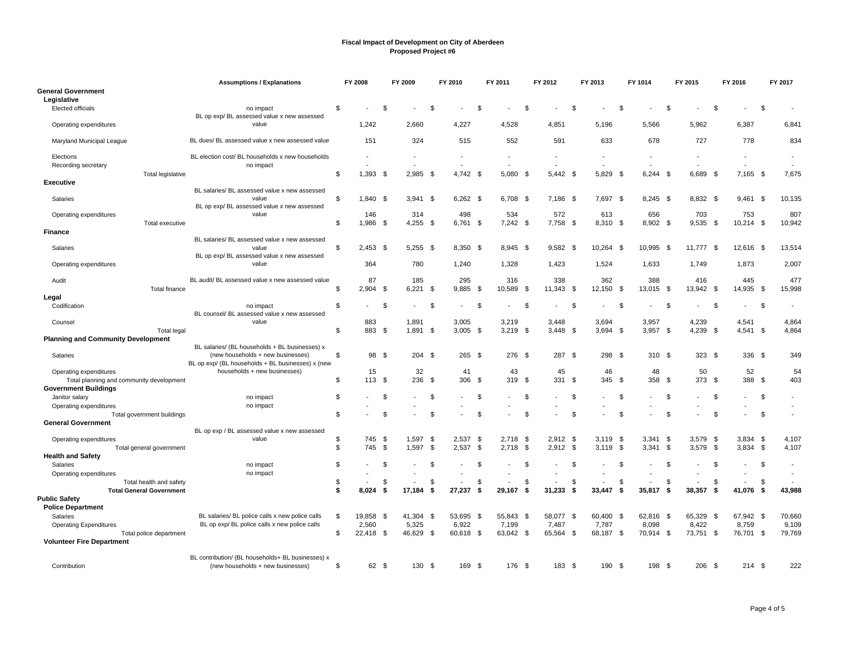|                                                         | <b>Assumptions / Explanations</b>                                                                |                | FY 2008         |      | FY 2009            |               | FY 2010                  |      | FY 2011            |      | FY 2012            |      | FY 2013         |      | FY 1014                  |      | FY 2015         |      | FY 2016            |      | FY 2017         |
|---------------------------------------------------------|--------------------------------------------------------------------------------------------------|----------------|-----------------|------|--------------------|---------------|--------------------------|------|--------------------|------|--------------------|------|-----------------|------|--------------------------|------|-----------------|------|--------------------|------|-----------------|
| <b>General Government</b><br>Legislative                |                                                                                                  |                |                 |      |                    |               |                          |      |                    |      |                    |      |                 |      |                          |      |                 |      |                    |      |                 |
| <b>Elected officials</b>                                | no impact<br>BL op exp/BL assessed value x new assessed                                          | \$             |                 | £.   |                    | \$            |                          | \$   |                    | \$.  |                    | - \$ |                 | £    |                          | - \$ |                 | \$   |                    | \$   |                 |
| Operating expenditures                                  | value                                                                                            |                | 1,242           |      | 2,660              |               | 4,227                    |      | 4,528              |      | 4,851              |      | 5,196           |      | 5,566                    |      | 5,962           |      | 6,387              |      | 6,841           |
| Maryland Municipal League                               | BL dues/ BL assessed value x new assessed value                                                  |                | 151             |      | 324                |               | 515                      |      | 552                |      | 591                |      | 633             |      | 678                      |      | 727             |      | 778                |      | 834             |
| Elections<br>Recording secretary                        | BL election cost/ BL households x new households<br>no impact                                    |                |                 |      |                    |               | $\overline{\phantom{a}}$ |      |                    |      | $\overline{a}$     |      | $\overline{a}$  |      | $\overline{\phantom{a}}$ |      | $\overline{a}$  |      |                    |      |                 |
| Total legislative                                       |                                                                                                  | \$             | 1,393           | - \$ | 2,985              | - \$          | 4,742                    | -\$  | 5,080              | - \$ | 5,442 \$           |      | 5,829           | - \$ | $6,244$ \$               |      | 6,689           | -\$  | 7,165              | - \$ | 7,675           |
| <b>Executive</b>                                        | BL salaries/ BL assessed value x new assessed                                                    |                |                 |      |                    |               |                          |      |                    |      |                    |      |                 |      |                          |      |                 |      |                    |      |                 |
| Salaries                                                | value<br>BL op exp/BL assessed value x new assessed                                              | \$             | 1,840 \$        |      | $3,941$ \$         |               | $6,262$ \$               |      | 6,708 \$           |      | 7,186 \$           |      | 7,697 \$        |      | 8,245 \$                 |      | 8,832 \$        |      | $9,461$ \$         |      | 10,135          |
| Operating expenditures                                  | value                                                                                            |                | 146             |      | 314                |               | 498                      |      | 534                |      | 572                |      | 613             |      | 656                      |      | 703             |      | 753                |      | 807             |
| Total executive<br><b>Finance</b>                       |                                                                                                  | \$             | 1,986           | \$   | $4,255$ \$         |               | 6,761                    | \$   | 7,242 \$           |      | 7,758 \$           |      | 8,310 \$        |      | 8,902 \$                 |      | 9,535           | \$   | 10,214 \$          |      | 10,942          |
|                                                         | BL salaries/ BL assessed value x new assessed                                                    |                |                 |      |                    |               |                          |      |                    |      |                    |      |                 |      |                          |      |                 |      |                    |      |                 |
| Salaries                                                | value<br>BL op exp/BL assessed value x new assessed                                              | \$             | $2,453$ \$      |      | $5,255$ \$         |               | 8,350                    | - \$ | 8,945 \$           |      | 9,582              | - \$ | 10,264          | - \$ | 10,995                   | - \$ | 11,777          | - \$ | 12,616 \$          |      | 13,514          |
| Operating expenditures                                  | value                                                                                            |                | 364             |      | 780                |               | 1,240                    |      | 1,328              |      | 1,423              |      | 1,524           |      | 1,633                    |      | 1,749           |      | 1,873              |      | 2,007           |
| Audit<br>Total finance                                  | BL audit/ BL assessed value x new assessed value                                                 | \$             | 87<br>2,904     | \$   | 185<br>$6,221$ \$  |               | 295<br>9,885             | \$   | 316<br>10,589      | - \$ | 338<br>11,343 \$   |      | 362<br>12,150   | \$   | 388<br>13,015            | - \$ | 416<br>13,942   | - \$ | 445<br>14,935 \$   |      | 477<br>15,998   |
| Legal                                                   |                                                                                                  |                |                 |      |                    |               |                          |      |                    |      |                    |      |                 |      |                          |      |                 |      |                    |      |                 |
| Codification                                            | no impact<br>BL counsel/ BL assessed value x new assessed                                        | $\mathfrak{L}$ |                 | -9   |                    | - \$          |                          | \$   |                    | \$   |                    | - \$ |                 | \$   |                          | . ጽ  |                 | -S   |                    | \$   |                 |
| Counsel                                                 | value                                                                                            |                | 883             |      | 1,891              |               | 3,005                    |      | 3,219              |      | 3,448              |      | 3,694           |      | 3,957                    |      | 4,239           |      | 4,541              |      | 4,864           |
| <b>Total legal</b>                                      |                                                                                                  | $\mathfrak{L}$ | 883 \$          |      | $1.891$ \$         |               | 3.005                    | - \$ | $3.219$ \$         |      | $3.448$ \$         |      | 3.694           | - \$ | $3.957$ \$               |      | 4.239           | - \$ | $4,541$ \$         |      | 4,864           |
| <b>Planning and Community Development</b>               |                                                                                                  |                |                 |      |                    |               |                          |      |                    |      |                    |      |                 |      |                          |      |                 |      |                    |      |                 |
| Salaries                                                | BL salaries/ (BL households + BL businesses) x<br>(new households + new businesses)              | \$             | 98 \$           |      | 204S               |               | 265S                     |      | 276 \$             |      | 287 \$             |      | 298             | - \$ | 310 \$                   |      | 323S            |      | $336$ \$           |      | 349             |
| Operating expenditures                                  | BL op exp/ (BL households + BL businesses) x (new<br>households + new businesses)                |                | 15              |      | 32                 |               | 41                       |      | 43                 |      | 45                 |      | 46              |      | 48                       |      | 50              |      | 52                 |      | 54              |
| Total planning and community development                |                                                                                                  | $\mathfrak{L}$ | 113             | - \$ | 236                | - \$          | 306                      | - \$ | 319                | - \$ | 331 \$             |      | 345             | - \$ | 358                      | - \$ | 373             | - \$ | 388                | - \$ | 403             |
| <b>Government Buildings</b>                             |                                                                                                  |                |                 |      |                    |               |                          |      |                    |      |                    |      |                 |      |                          |      |                 |      |                    |      |                 |
| Janitor salary                                          | no impact                                                                                        | \$             |                 | \$   |                    | \$            |                          | \$   |                    | \$   |                    | - \$ |                 | £.   |                          | \$   |                 | -S   |                    | \$   |                 |
| Operating expenditures                                  | no impact                                                                                        | \$             |                 | \$   |                    | \$            |                          | \$   |                    | \$.  |                    | - \$ |                 | ٩.   |                          | ۰ĥ   |                 | \$   |                    | \$   | $\blacksquare$  |
| Total government buildings<br><b>General Government</b> |                                                                                                  |                |                 |      |                    |               |                          |      |                    |      |                    |      |                 |      |                          |      |                 |      |                    |      |                 |
|                                                         | BL op exp / BL assessed value x new assessed                                                     |                |                 |      |                    |               |                          |      |                    |      |                    |      |                 |      |                          |      |                 |      |                    |      |                 |
| Operating expenditures                                  | value                                                                                            | \$             | 745             | - \$ | 1,597              | $\sqrt[6]{3}$ | 2,537                    | -\$  | 2,718              | - \$ | 2,912              | - \$ | 3,119           | - \$ | $3,341$ \$               |      | 3,579           | -\$  | $3,834$ \$         |      | 4,107           |
| Total general government                                |                                                                                                  | \$             | 745             | \$   | 1,597              | - \$          | 2,537                    | \$   | 2,718              | \$   | $2,912$ \$         |      | 3,119           | \$   | $3,341$ \$               |      | 3,579           | \$   | $3,834$ \$         |      | 4,107           |
| <b>Health and Safety</b><br>Salaries                    | no impact                                                                                        | \$             |                 | - \$ |                    | \$            |                          | \$   |                    | \$.  |                    | - \$ |                 | £.   |                          | - \$ |                 | -S   |                    | \$   |                 |
| Operating expenditures                                  | no impact                                                                                        |                |                 |      |                    |               |                          |      |                    |      |                    |      |                 |      |                          |      |                 |      |                    |      |                 |
| Total health and safety                                 |                                                                                                  | \$             |                 | \$   |                    | \$            |                          | \$   |                    | \$   |                    | \$   |                 | S    |                          | \$   |                 | -S   |                    | \$   |                 |
| <b>Total General Government</b>                         |                                                                                                  | \$             | 8,024           | \$   | 17.184             | \$            | 27.237                   | \$   | 29,167             | \$   | 31.233             | -S   | 33.447          | S.   | 35.817                   | - \$ | 38,357          | S.   | 41.076             | S.   | 43,988          |
| <b>Public Safety</b>                                    |                                                                                                  |                |                 |      |                    |               |                          |      |                    |      |                    |      |                 |      |                          |      |                 |      |                    |      |                 |
| <b>Police Department</b>                                |                                                                                                  |                |                 |      |                    |               |                          |      |                    |      |                    |      |                 |      |                          |      |                 |      |                    |      |                 |
| Salaries<br><b>Operating Expenditures</b>               | BL salaries/ BL police calls x new police calls<br>BL op exp/ BL police calls x new police calls | \$             | 19,858<br>2,560 | - \$ | 41,304 \$<br>5,325 |               | 53,695<br>6,922          | - \$ | 55,843 \$<br>7,199 |      | 58,077 \$<br>7,487 |      | 60,400<br>7,787 | - \$ | 62,816<br>8,098          | - \$ | 65,329<br>8,422 | - \$ | 67,942 \$<br>8,759 |      | 70,660<br>9,109 |
| Total police department                                 |                                                                                                  | \$             | 22,418 \$       |      | 46,629 \$          |               | 60,618 \$                |      | 63,042 \$          |      | 65,564 \$          |      | 68,187 \$       |      | 70,914 \$                |      | 73,751          | - \$ | 76,701 \$          |      | 79,769          |
| <b>Volunteer Fire Department</b>                        |                                                                                                  |                |                 |      |                    |               |                          |      |                    |      |                    |      |                 |      |                          |      |                 |      |                    |      |                 |
|                                                         | BL contribution/ (BL households+ BL businesses) x                                                |                |                 |      |                    |               |                          |      |                    |      |                    |      |                 |      |                          |      |                 |      |                    |      |                 |
| Contribution                                            | (new households + new businesses)                                                                | \$             | 62 \$           |      | 130 \$             |               | 169                      | -\$  | 176 \$             |      | $183 - $$          |      | 190             | - \$ | 198                      | - \$ | 206             | - \$ | $214$ \$           |      | 222             |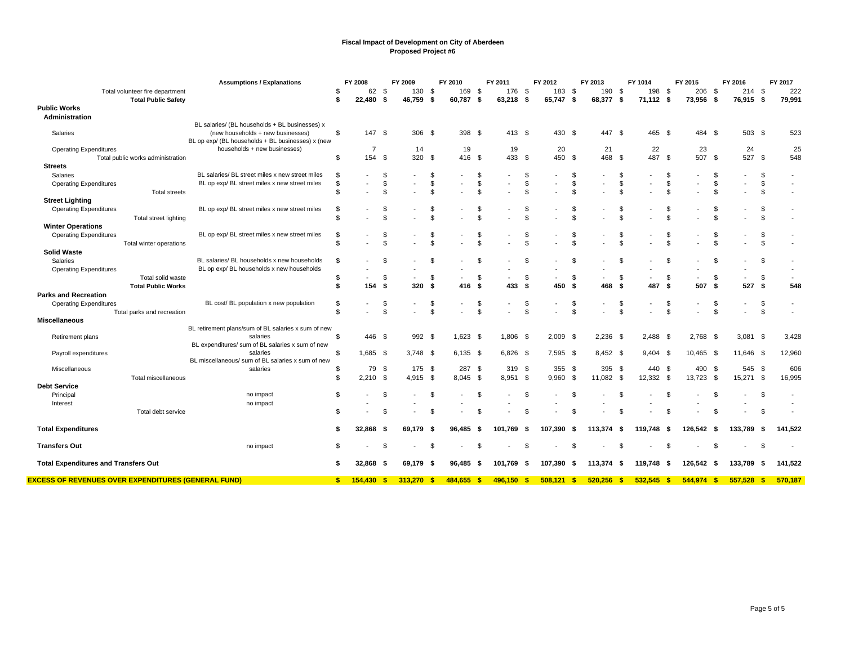|                                                            | <b>Assumptions / Explanations</b>                                                      |          | FY 2008        |          | FY 2009                  |                      | FY 2010    |              | FY 2011    |                      | FY 2012                  |                          | FY 2013  |          | FY 1014    |               | FY 2015                  |      | FY 2016                  |                | FY 2017 |
|------------------------------------------------------------|----------------------------------------------------------------------------------------|----------|----------------|----------|--------------------------|----------------------|------------|--------------|------------|----------------------|--------------------------|--------------------------|----------|----------|------------|---------------|--------------------------|------|--------------------------|----------------|---------|
| Total volunteer fire department                            |                                                                                        | S        | 62             | - \$     | 130 \$                   |                      | 169        | \$           | 176 \$     |                      | 183 \$                   |                          | 190      | -\$      | 198 \$     |               | 206                      | - \$ | $214$ \$                 |                | 222     |
| <b>Total Public Safety</b>                                 |                                                                                        | \$       | 22,480         | -\$      | 46,759                   | S.                   | 60,787     | S.           | 63,218     | - \$                 | 65,747 \$                |                          | 68,377   | -\$      | 71,112 \$  |               | 73,956                   | - \$ | 76,915                   | -\$            | 79,991  |
| <b>Public Works</b><br>Administration                      |                                                                                        |          |                |          |                          |                      |            |              |            |                      |                          |                          |          |          |            |               |                          |      |                          |                |         |
|                                                            | BL salaries/ (BL households + BL businesses) x                                         |          |                |          |                          |                      |            |              |            |                      |                          |                          |          |          |            |               |                          |      |                          |                |         |
| Salaries                                                   | (new households + new businesses)<br>BL op exp/ (BL households + BL businesses) x (new | \$       | 147 \$         |          | 306 \$                   |                      | 398 \$     |              | 413 \$     |                      | 430 \$                   |                          | 447 \$   |          | 465 \$     |               | 484 \$                   |      | 503 \$                   |                | 523     |
| <b>Operating Expenditures</b>                              | households + new businesses)                                                           |          | $\overline{7}$ |          | 14                       |                      | 19         |              | 19         |                      | 20                       |                          | 21       |          | 22         |               | 23                       |      | 24                       |                | 25      |
| Total public works administration                          |                                                                                        | \$       | 154 \$         |          | 320                      | \$                   | 416 \$     |              | 433 \$     |                      | 450 \$                   |                          | 468      | - \$     | 487 \$     |               | 507                      | - \$ | 527                      | - \$           | 548     |
| <b>Streets</b>                                             |                                                                                        |          |                |          |                          |                      |            |              |            |                      |                          |                          |          |          |            |               |                          |      |                          |                |         |
| Salaries                                                   | BL salaries/ BL street miles x new street miles                                        | \$       |                | \$.      |                          | \$                   |            | \$           |            | \$                   |                          | \$                       |          | S        |            |               |                          |      | $\blacksquare$           | \$             |         |
| <b>Operating Expenditures</b>                              | BL op exp/ BL street miles x new street miles                                          | \$       |                | \$       |                          | \$                   |            | \$           |            | \$                   |                          | \$                       |          | \$       |            | \$            |                          | \$   | $\overline{\phantom{a}}$ | \$             |         |
| <b>Total streets</b>                                       |                                                                                        | \$       |                | \$       |                          | \$.                  |            | \$.          |            | \$                   |                          | Ŝ.                       |          | \$       |            | \$            |                          |      |                          | \$             |         |
| <b>Street Lighting</b>                                     |                                                                                        |          |                |          |                          |                      |            |              |            |                      |                          |                          |          |          |            |               |                          |      |                          |                |         |
| <b>Operating Expenditures</b>                              | BL op exp/ BL street miles x new street miles                                          | \$       |                | £.       |                          | \$                   |            | \$           |            | \$                   |                          | S.                       |          | S        |            | S             |                          |      |                          | \$             |         |
| Total street lighting                                      |                                                                                        | \$       |                |          |                          | $\mathfrak{s}$       |            | \$           |            | $\mathfrak{F}$       |                          | $\mathfrak{L}$           |          | \$       |            |               |                          |      |                          | $\mathfrak{s}$ |         |
| <b>Winter Operations</b>                                   |                                                                                        |          |                |          |                          |                      |            |              |            |                      |                          |                          |          |          |            |               |                          |      |                          |                |         |
| <b>Operating Expenditures</b>                              | BL op exp/ BL street miles x new street miles                                          | \$       |                | S        |                          | \$                   |            | \$           |            | \$                   |                          | \$                       |          |          |            |               |                          |      |                          | \$             |         |
| Total winter operations                                    |                                                                                        | \$       |                |          |                          | \$                   |            | \$           |            | \$                   |                          | <sup>\$</sup>            |          |          |            | $\mathcal{F}$ |                          |      |                          | \$             |         |
| <b>Solid Waste</b>                                         |                                                                                        |          |                |          |                          |                      |            |              |            |                      |                          |                          |          |          |            |               |                          |      |                          |                |         |
| Salaries                                                   | BL salaries/ BL households x new households                                            | \$       |                |          |                          | \$                   |            | \$.          |            | \$                   |                          | - \$                     |          | \$       |            | \$            |                          |      |                          | \$             |         |
| <b>Operating Expenditures</b>                              | BL op exp/ BL households x new households                                              |          |                |          |                          |                      |            |              |            |                      |                          |                          |          |          |            |               |                          |      |                          |                |         |
| Total solid waste                                          |                                                                                        | \$       |                | - \$     | $\overline{\phantom{a}}$ | \$                   |            | \$           |            | \$                   | $\overline{\phantom{a}}$ | \$                       |          | \$       |            | \$            | $\overline{\phantom{a}}$ | \$   | $\overline{\phantom{a}}$ | \$             |         |
| <b>Total Public Works</b>                                  |                                                                                        | \$       | 154            | -\$      | 320                      | -\$                  | 416        | - \$         | 433        | S.                   | 450                      | \$                       | 468      | -S       | 487        | - \$          | 507                      | \$   | 527                      | -\$            | 548     |
| <b>Parks and Recreation</b>                                |                                                                                        |          |                |          |                          |                      |            |              |            |                      |                          |                          |          |          |            |               |                          |      |                          |                |         |
| <b>Operating Expenditures</b>                              | BL cost/ BL population x new population                                                | \$<br>\$ |                | \$<br>\$ |                          | \$<br>$\mathfrak{L}$ |            | \$<br>\$.    |            | \$<br>$\mathfrak{L}$ |                          | \$<br>$\mathbf{\hat{s}}$ |          | \$<br>\$ |            | \$<br>\$      |                          | \$.  | $\overline{\phantom{a}}$ | \$<br>\$       |         |
| Total parks and recreation<br><b>Miscellaneous</b>         |                                                                                        |          |                |          |                          |                      |            |              |            |                      |                          |                          |          |          |            |               |                          |      |                          |                |         |
|                                                            | BL retirement plans/sum of BL salaries x sum of new                                    |          |                |          |                          |                      |            |              |            |                      |                          |                          |          |          |            |               |                          |      |                          |                |         |
| Retirement plans                                           | salaries                                                                               | \$.      | 446 \$         |          | 992                      | - \$                 | $1.623$ \$ |              | 1.806 \$   |                      | $2.009$ \$               |                          | 2,236    | - \$     | 2.488 \$   |               | 2,768                    | - \$ | $3,081$ \$               |                | 3,428   |
|                                                            | BL expenditures/ sum of BL salaries x sum of new                                       |          |                |          |                          |                      |            |              |            |                      |                          |                          |          |          |            |               |                          |      |                          |                |         |
| Payroll expenditures                                       | salaries                                                                               | \$       | $1.685$ \$     |          | $3.748$ \$               |                      | $6.135$ \$ |              | $6,826$ \$ |                      | $7.595$ \$               |                          | 8,452 \$ |          | $9.404$ \$ |               | 10,465 \$                |      | 11,646 \$                |                | 12,960  |
|                                                            | BL miscellaneous/ sum of BL salaries x sum of new                                      |          |                |          |                          |                      |            |              |            |                      |                          |                          |          |          |            |               |                          |      |                          |                |         |
| Miscellaneous                                              | salaries                                                                               | \$.      | 79             | - \$     | 175                      | -\$                  | 287        | - \$         | 319 \$     |                      | 355S                     |                          | 395      | -\$      | 440 \$     |               | 490                      | -S   | 545                      | - \$           | 606     |
| Total miscellaneous                                        |                                                                                        | \$       | 2.210          | - \$     | $4.915$ \$               |                      | 8.045 \$   |              | 8.951 \$   |                      | 9.960                    | - \$                     | 11,082   | - \$     | 12,332 \$  |               | 13,723                   | - \$ | 15,271                   | - \$           | 16,995  |
| <b>Debt Service</b>                                        |                                                                                        |          |                |          |                          |                      |            |              |            |                      |                          |                          |          |          |            |               |                          |      |                          |                |         |
| Principal                                                  | no impact                                                                              | \$       |                | \$       |                          | \$                   |            | \$           |            | \$                   |                          | \$                       |          | \$       |            | \$            |                          |      |                          | \$             |         |
| Interest                                                   | no impact                                                                              |          |                |          |                          |                      |            |              |            |                      |                          |                          |          |          |            |               |                          |      |                          |                |         |
| Total debt service                                         |                                                                                        | \$       |                |          |                          | .S                   |            | \$           |            | \$                   |                          | \$                       |          |          |            |               |                          |      |                          | \$             |         |
|                                                            |                                                                                        |          |                |          |                          |                      |            |              |            |                      |                          |                          |          |          |            |               |                          |      |                          |                |         |
| <b>Total Expenditures</b>                                  |                                                                                        | S        | 32,868         | - 5      | 69,179                   | - 5                  | 96,485     | - \$         | 101,769    | - 56                 | 107,390                  | -\$                      | 113,374  | - \$     | 119,748    | - 5           | 126,542                  | - 5  | 133,789                  | - \$           | 141,522 |
| <b>Transfers Out</b>                                       | no impact                                                                              | \$       |                | - 96     |                          | \$                   |            | \$           |            | \$                   |                          | - \$                     |          | £        |            | \$.           |                          |      |                          | \$             |         |
| <b>Total Expenditures and Transfers Out</b>                |                                                                                        | S        | 32,868         | -S       | 69.179                   | - 5                  | 96.485     | - \$         | 101.769    | - \$                 | 107.390                  | - \$                     | 113.374  | - \$     | 119.748    | - 5           | 126.542                  | - 5  | 133.789                  | - \$           | 141,522 |
| <b>EXCESS OF REVENUES OVER EXPENDITURES (GENERAL FUND)</b> |                                                                                        | s.       | 154.430 S      |          | 313,270 \$               |                      | 484.655    | $\mathbf{s}$ | 496.150    | -\$                  | 508.121                  | $\mathbf{s}$             | 520.256  | -\$      | 532.545    | - \$          | 544.974                  | -\$  | 557.528                  | -\$            | 570.187 |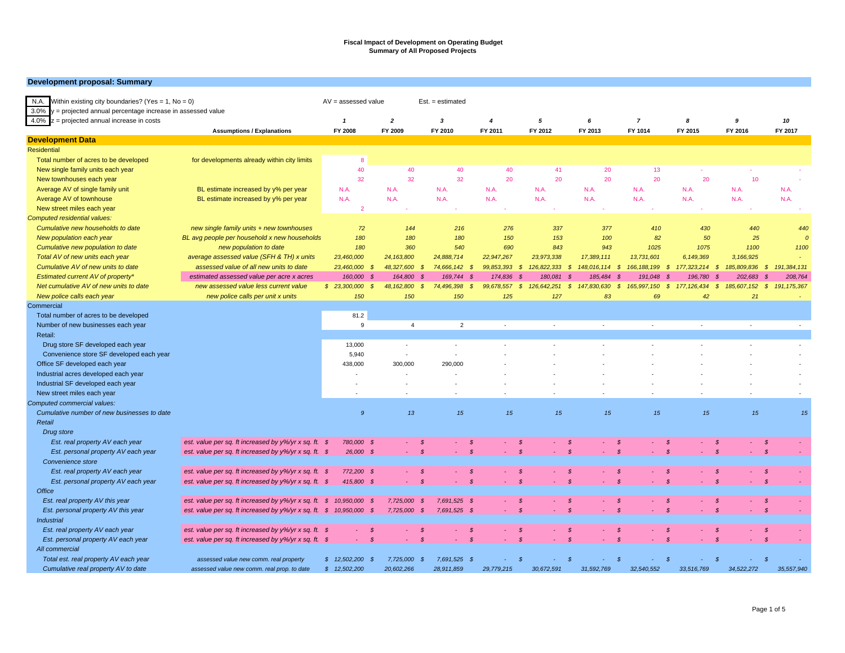#### **Development proposal: Summary**

| N.A.<br>Within existing city boundaries? (Yes = $1$ , No = 0)               |                                                                                    | $AV =$ assessed value          |                                           | $Est. = estimated$                     |                                               |                                         |                                         |                                         |                                                  |                                         |                                           |
|-----------------------------------------------------------------------------|------------------------------------------------------------------------------------|--------------------------------|-------------------------------------------|----------------------------------------|-----------------------------------------------|-----------------------------------------|-----------------------------------------|-----------------------------------------|--------------------------------------------------|-----------------------------------------|-------------------------------------------|
| 3.0%<br>= projected annual percentage increase in assessed value            |                                                                                    |                                |                                           |                                        |                                               |                                         |                                         |                                         |                                                  |                                         |                                           |
| 4.0%<br>$z =$ projected annual increase in costs                            |                                                                                    | $\mathbf{1}$                   | $\overline{a}$                            | $\boldsymbol{\mathsf{3}}$              | $\overline{4}$                                | 5                                       | 6                                       | $\overline{7}$                          | 8                                                | 9                                       | 10                                        |
|                                                                             | <b>Assumptions / Explanations</b>                                                  | FY 2008                        | FY 2009                                   | FY 2010                                | FY 2011                                       | FY 2012                                 | FY 2013                                 | FY 1014                                 | FY 2015                                          | FY 2016                                 | FY 2017                                   |
| <b>Development Data</b>                                                     |                                                                                    |                                |                                           |                                        |                                               |                                         |                                         |                                         |                                                  |                                         |                                           |
| <b>Residential</b>                                                          |                                                                                    |                                |                                           |                                        |                                               |                                         |                                         |                                         |                                                  |                                         |                                           |
| Total number of acres to be developed                                       | for developments already within city limits                                        | 8                              |                                           |                                        |                                               |                                         |                                         |                                         |                                                  |                                         |                                           |
| New single family units each year                                           |                                                                                    | 40                             | 40                                        | 40                                     | 40                                            | 41                                      | 20                                      | 13                                      | ÷                                                | in 19                                   |                                           |
| New townhouses each year                                                    |                                                                                    | 32                             | 32                                        | 32                                     | 20                                            | 20                                      | 20                                      | 20                                      | 20                                               | 10                                      |                                           |
| Average AV of single family unit                                            | BL estimate increased by y% per year                                               | N.A.                           | N.A                                       | N.A                                    | N.A.                                          | N.A.                                    | N.A                                     | N.A.                                    | N.A.                                             | N.A.                                    | N.A.                                      |
| Average AV of townhouse                                                     | BL estimate increased by y% per year                                               | N.A.                           | N.A                                       | N.A                                    | N.A.                                          | N.A.                                    | N.A                                     | N.A.                                    | N.A.                                             | N.A.                                    | N.A.                                      |
| New street miles each year                                                  |                                                                                    | $\overline{2}$                 | ×.                                        | ×                                      |                                               |                                         |                                         | ×                                       |                                                  |                                         |                                           |
| <b>Computed residential values:</b>                                         |                                                                                    |                                |                                           |                                        |                                               |                                         |                                         |                                         |                                                  |                                         |                                           |
| Cumulative new households to date                                           | new single family units + new townhouses                                           | 72                             | 144                                       | 216                                    | 276                                           | 337                                     | 377                                     | 410                                     | 430                                              | 440                                     | 440                                       |
| New population each year                                                    | BL avg people per household x new households                                       | 180                            | 180                                       | 180                                    | 150                                           | 153                                     | 100                                     | 82                                      | 50                                               | 25                                      |                                           |
| Cumulative new population to date                                           | new population to date                                                             | 180                            | 360                                       | 540                                    | 690                                           | 843                                     | 943                                     | 1025                                    | 1075                                             | 1100                                    | 1100                                      |
| Total AV of new units each year                                             | average assessed value (SFH & TH) x units                                          | 23,460,000                     | 24,163,800                                | 24,888,714                             | 22,947,267                                    | 23,973,338                              | 17,389,111                              | 13,731,601                              | 6,149,369                                        | 3,166,925                               |                                           |
| Cumulative AV of new units to date                                          | assessed value of all new units to date                                            | 23,460,000                     | 48,327,600<br>$\mathcal{S}$               | 74,666,142<br>- \$                     | 99,853,393<br>- \$                            | $\mathcal{S}$<br>126,822,333            | $\mathcal{S}$<br>148,016,114            | 166, 188, 199<br>s.                     | 177,323,214<br>$\mathcal{S}$                     | 185,809,836<br>$\mathcal{S}$            | 191,384,131<br>$\mathcal{S}$              |
|                                                                             |                                                                                    |                                | -9                                        |                                        |                                               | - \$                                    | - 8                                     |                                         |                                                  | - \$                                    |                                           |
| Estimated current AV of property*<br>Net cumulative AV of new units to date | estimated assessed value per acre x acres<br>new assessed value less current value | 160,000<br>\$23,300,000        | 164,800 \$<br>48,162,800<br>$\mathcal{S}$ | 169,744<br>74,496,398<br>$\mathcal{S}$ | 174,836<br>- 3<br>99,678,557<br>$\mathcal{S}$ | 180,081<br>126,642,251<br>$\mathcal{S}$ | 185,484<br>$\mathcal{S}$<br>147,830,630 | 191,048<br>165,997,150<br>$\mathcal{S}$ | 196,780<br>- 3<br>177, 126, 434<br>$\mathcal{S}$ | 202,683<br>$\mathcal{S}$<br>185,607,152 | 208,764<br>$\mathcal{S}$<br>191, 175, 367 |
|                                                                             | new police calls per unit x units                                                  | 150                            | 150                                       | 150                                    | 125                                           | 127                                     | 83                                      | 69                                      | 42                                               | 21                                      |                                           |
| New police calls each year                                                  |                                                                                    |                                |                                           |                                        |                                               |                                         |                                         |                                         |                                                  |                                         |                                           |
| Commercial                                                                  |                                                                                    |                                |                                           |                                        |                                               |                                         |                                         |                                         |                                                  |                                         |                                           |
| Total number of acres to be developed                                       |                                                                                    | 81.2                           |                                           |                                        | $\sim$                                        |                                         | $\sim$                                  |                                         |                                                  | $\sim$                                  |                                           |
| Number of new businesses each year                                          |                                                                                    | 9                              | $\overline{4}$                            | $\overline{2}$                         |                                               | $\sim$                                  |                                         | ×.                                      | $\sim$                                           |                                         | $\sim$                                    |
| Retail:                                                                     |                                                                                    |                                |                                           |                                        |                                               |                                         |                                         |                                         |                                                  |                                         |                                           |
| Drug store SF developed each year                                           |                                                                                    | 13,000                         | $\sim$                                    | $\sim$                                 |                                               |                                         |                                         |                                         |                                                  |                                         | $\sim$                                    |
| Convenience store SF developed each year                                    |                                                                                    | 5,940                          | $\sim$                                    | ×,                                     |                                               |                                         |                                         |                                         |                                                  |                                         |                                           |
| Office SF developed each year                                               |                                                                                    | 438,000                        | 300,000                                   | 290,000                                |                                               |                                         |                                         |                                         |                                                  |                                         |                                           |
| Industrial acres developed each year                                        |                                                                                    |                                |                                           |                                        |                                               |                                         |                                         |                                         |                                                  |                                         |                                           |
| Industrial SF developed each year                                           |                                                                                    |                                |                                           |                                        |                                               |                                         |                                         |                                         |                                                  |                                         |                                           |
| New street miles each year                                                  |                                                                                    |                                |                                           |                                        |                                               |                                         |                                         |                                         |                                                  |                                         |                                           |
| Computed commercial values:                                                 |                                                                                    |                                |                                           |                                        |                                               |                                         |                                         |                                         |                                                  |                                         |                                           |
| Cumulative number of new businesses to date                                 |                                                                                    | $\mathcal{G}$                  | 13                                        | 15                                     | 15                                            | 15                                      | 15                                      | 15                                      | 15                                               | 15                                      | 15                                        |
| Retail                                                                      |                                                                                    |                                |                                           |                                        |                                               |                                         |                                         |                                         |                                                  |                                         |                                           |
| Drug store                                                                  |                                                                                    |                                |                                           |                                        |                                               |                                         |                                         |                                         |                                                  |                                         |                                           |
| Est. real property AV each year                                             | est. value per sq. ft increased by y%/yr x sq. ft. \$                              | 780,000 \$                     |                                           | - \$                                   | $\boldsymbol{s}$                              | - \$                                    | - \$                                    | \$                                      | - \$                                             | - \$                                    | -\$                                       |
| Est. personal property AV each year                                         | est. value per sq. ft increased by y%/yr x sq. ft. \$                              | 26,000 \$                      |                                           | $\mathcal{S}$                          | $\mathcal{S}$                                 | $\mathcal{S}$                           | $\mathcal{S}$                           | $\mathcal{S}$                           | $\mathcal{S}$                                    | $\mathcal{S}$                           | $\mathcal{S}$                             |
| Convenience store                                                           |                                                                                    |                                |                                           |                                        |                                               |                                         |                                         |                                         |                                                  |                                         |                                           |
| Est. real property AV each year                                             | est. value per sq. ft increased by y%/yr x sq. ft. \$                              | 772,200 \$                     |                                           | - \$                                   | $\mathcal{S}$                                 | - \$                                    | $\mathcal{S}$                           | $\mathcal{S}$                           | - \$                                             | -\$                                     | -\$                                       |
| Est. personal property AV each year                                         | est. value per sq. ft increased by y%/yr x sq. ft. \$                              | 415,800 \$                     |                                           | $\mathcal{S}$                          | $\mathcal{S}$                                 | $\mathcal{S}$                           | $\mathcal{S}$                           | $\mathcal{S}$                           | $\mathcal{S}$                                    | $\mathcal{S}$                           | $\mathcal{S}$                             |
| <b>Office</b>                                                               |                                                                                    |                                |                                           |                                        |                                               |                                         |                                         |                                         |                                                  |                                         |                                           |
| Est. real property AV this year                                             | est. value per sq. ft increased by y%/yr x sq. ft.                                 | $\mathcal{S}$<br>10,950,000 \$ | 7,725,000                                 | 7,691,525 \$<br>$\mathcal{S}$          |                                               | - \$                                    | $\mathcal{S}$                           | $\mathcal{S}$                           | - \$                                             | $\mathcal{S}$                           | $\mathcal{S}$                             |
| Est. personal property AV this year                                         | est. value per sq. ft increased by $y\frac{9}{7}$ x sq. ft. \$ 10,950,000 \$       |                                | 7,725,000 \$                              | 7,691,525 \$                           |                                               | - \$                                    |                                         | $\mathcal{S}$                           | S                                                | $\mathcal{S}$                           | $\mathcal{S}$                             |
| <b>Industrial</b>                                                           |                                                                                    |                                |                                           |                                        |                                               |                                         |                                         |                                         |                                                  |                                         |                                           |
| Est. real property AV each year                                             | est. value per sq. ft increased by y%/yr x sq. ft. \$                              |                                | - \$                                      | -\$                                    | $\mathcal{S}$                                 | - \$                                    | - \$                                    | $\mathcal{S}$                           | - \$                                             | -\$                                     | -\$                                       |
| Est. personal property AV each year                                         | est. value per sq. ft increased by y%/yr x sq. ft. \$                              | ×.                             | $\mathcal{S}$                             | $\mathcal{S}$<br>÷.                    | $\mathcal{S}$                                 | - \$                                    | $\mathcal{S}$                           | $\mathbb S$                             | s                                                | $\mathcal{S}$                           | $\mathcal{S}$                             |
| All commercial                                                              |                                                                                    |                                |                                           |                                        |                                               |                                         |                                         |                                         |                                                  |                                         |                                           |
| Total est. real property AV each year                                       | assessed value new comm. real property                                             | \$12.502.200                   | 7,725,000<br>- \$                         | 7,691,525 \$<br>- \$                   |                                               | -8                                      |                                         | -8                                      | S                                                |                                         | $\mathcal{S}$                             |
| Cumulative real property AV to date                                         | assessed value new comm. real prop. to date                                        | \$12,502,200                   | 20.602.266                                | 28.911.859                             | 29.779.215                                    | 30.672.591                              | 31,592,769                              | 32.540.552                              | 33.516.769                                       | 34.522.272                              | 35.557.940                                |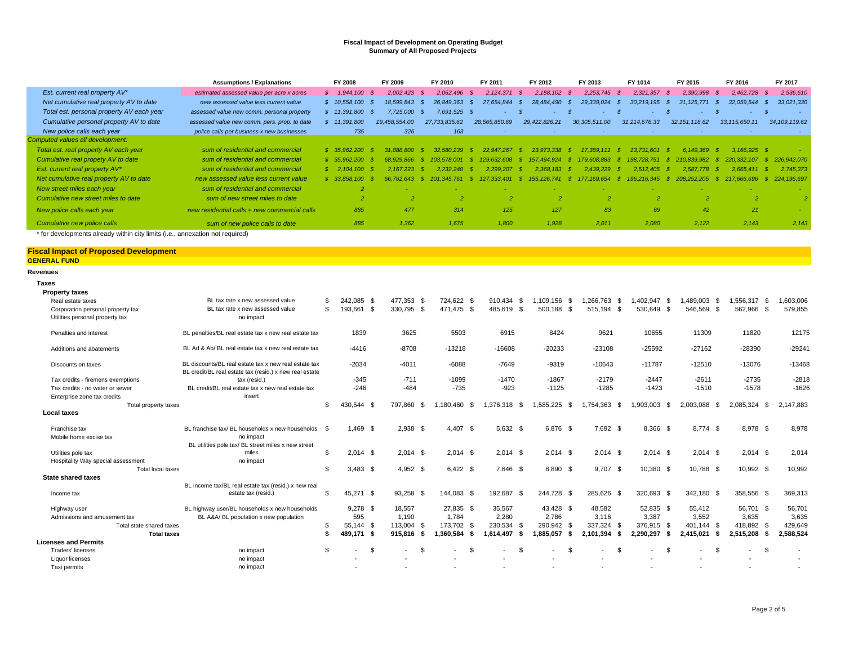|                                                                            | <b>Assumptions / Explanations</b>            | FY 2008                | FY 2009        | FY 2010        | FY 2011             | FY 2012                       | FY 2013        | FY 1014         | FY 2015            | FY 2016             | FY 2017             |
|----------------------------------------------------------------------------|----------------------------------------------|------------------------|----------------|----------------|---------------------|-------------------------------|----------------|-----------------|--------------------|---------------------|---------------------|
| Est. current real property AV*                                             | estimated assessed value per acre x acres    | $$1,944,100$ \$        | $2.002.423$ \$ | 2.062.496      | 2.124.371<br>- S    | 2.188.102<br>- \$             | 2.253.745      | 2.321.357<br>-8 | 2,390,998<br>- \$  | 2.462.728           | 2,536,610           |
| Net cumulative real property AV to date                                    | new assessed value less current value        | \$10,558,100           | 18.599.843 \$  | 26.849.363     | 27.654.844<br>- 85  | 28.484.490<br>- 35            | 29.339.024     | 30.219.195      | 31.125.771<br>- 56 | 32.059.544          | 33,021,330          |
| Total est. personal property AV each year                                  | assessed value new comm. personal property   | \$11,391,800           | 7.725.000      | 7.691.525 \$   | ۰                   | ۰.                            |                |                 |                    | <b>State Street</b> | ۰.                  |
| Cumulative personal property AV to date                                    | assessed value new comm. pers. prop. to date | 11,391,800             | 19.458.554.00  | 27.733.835.62  | 28,565,850.69       | 29,422,826.21                 | 30,305,511.00  | 31,214,676.33   | 32, 151, 116.62    | 33, 115, 650.11     | 34, 109, 119.62     |
| New police calls each year                                                 | police calls per business x new businesses   | 735                    | 326            | 163            |                     | $\sim$                        |                |                 |                    | <b>Section</b>      |                     |
| Computed values all development:                                           |                                              |                        |                |                |                     |                               |                |                 |                    |                     |                     |
| Total est. real property AV each year                                      | sum of residential and commercial            | \$35.962.200           |                | 32.580<br>239  | 267<br>22.947.      | 338<br>23.97                  |                | 13.73<br>601    | 6 1 4 9<br>369     | $3.166.925$ \$      |                     |
| Cumulative real propety AV to date                                         | sum of residential and commercial            | \$35.962.200           | 68.929.866     | 103.578.001    | 129.632.608<br>- 53 | 157.494.924 \$ 179.60<br>- \$ | 08.883.        | 198.728.751     | \$210.839.982      | 220.332.107         | 226,942,070<br>- \$ |
| Est. current real property AV*                                             | sum of residential and commercial            | $$2.104.100$ S         | 2.167.223      | $2.232.240$ \$ | 2.299.207           | $2.368.183$ \$<br>- 53        | 2.439.229      | 2.512.405       | 2.587.778<br>- 53  | 2.665.411           | 2.745.373<br>- \$   |
| Net cumulative real property AV to date                                    | new assessed value less current value        | $$33.858$ .<br>$100 -$ |                |                | 13 401              | -8<br>741<br>155.             | 654            |                 |                    | .696                | 224.196.697         |
| New street miles each year                                                 | sum of residential and commercial            |                        |                |                |                     |                               |                |                 |                    |                     |                     |
| Cumulative new street miles to date                                        | sum of new street miles to date              |                        |                |                |                     |                               | $\overline{2}$ |                 |                    |                     |                     |
| New police calls each year                                                 | new residential calls + new commercial calls | 885                    | 477            | 314            | 125                 | 127                           | 83             | 69              | 42                 | 21                  |                     |
| Cumulative new police calls                                                | sum of new police calls to date              | 885                    | 1,362          | 1.675          | 1.800               | 1,928                         | 2.011          | 2,080           | 2,122              | 2,143               | 2,143               |
| t fer developmente elrendu within ein limite G.e. proprietien net remired) |                                              |                        |                |                |                     |                               |                |                 |                    |                     |                     |

\* for developments already within city limits (i.e., annexation not required)

#### **Fiscal Impact of Proposed Development GENERAL FUND**

**Revenues Taxes**

| laxes                              |                                                                                                                  |     |            |          |            |      |                          |      |                          |      |                                 |                          |              |                          |                |            |                    |                                |           |
|------------------------------------|------------------------------------------------------------------------------------------------------------------|-----|------------|----------|------------|------|--------------------------|------|--------------------------|------|---------------------------------|--------------------------|--------------|--------------------------|----------------|------------|--------------------|--------------------------------|-----------|
| <b>Property taxes</b>              |                                                                                                                  |     |            |          |            |      |                          |      |                          |      |                                 |                          |              |                          |                |            |                    |                                |           |
| Real estate taxes                  | BL tax rate x new assessed value                                                                                 | \$. | 242,085 \$ |          | 477.353    | - \$ | 724.622 \$               |      | 910.434 \$               |      | 1.109.156 \$                    | 1.266.763                | - \$         | 402.947 \$               |                | .489.003   | - \$               | ,556,317 \$                    | 1,603,006 |
| Corporation personal property tax  | BL tax rate x new assessed value                                                                                 | \$  | 193,661    | - \$     | 330,795 \$ |      | 471.475 \$               |      | 485,619 \$               |      | 500,188 \$                      | 515,194                  | - \$         | 530.649 \$               |                | 546,569 \$ |                    | 562,966 \$                     | 579,855   |
| Utilities personal property tax    | no impact                                                                                                        |     |            |          |            |      |                          |      |                          |      |                                 |                          |              |                          |                |            |                    |                                |           |
| Penalties and interest             | BL penalties/BL real estate tax x new real estate tax                                                            |     | 1839       |          | 3625       |      | 5503                     |      | 6915                     |      | 8424                            | 9621                     |              | 10655                    |                | 11309      |                    | 11820                          | 12175     |
| Additions and abatements           | BL Ad & Ab/ BL real estate tax x new real estate tax                                                             |     | $-4416$    |          | $-8708$    |      | $-13218$                 |      | $-16608$                 |      | $-20233$                        | $-23108$                 |              | $-25592$                 |                | $-27162$   |                    | $-28390$                       | $-29241$  |
| Discounts on taxes                 | BL discounts/BL real estate tax x new real estate tax<br>BL credit/BL real estate tax (resid.) x new real estate |     | $-2034$    |          | $-4011$    |      | $-6088$                  |      | $-7649$                  |      | $-9319$                         | $-10643$                 |              | $-11787$                 |                | $-12510$   |                    | $-13076$                       | $-13468$  |
| Tax credits - firemens exemptions  | tax (resid.)                                                                                                     |     | $-345$     |          | $-711$     |      | $-1099$                  |      | $-1470$                  |      | $-1867$                         | $-2179$                  |              | $-2447$                  |                | $-2611$    |                    | $-2735$                        | $-2818$   |
| Tax credits - no water or sewer    | BL credit/BL real estate tax x new real estate tax                                                               |     | $-246$     |          | $-484$     |      | $-735$                   |      | $-923$                   |      | $-1125$                         | $-1285$                  |              | $-1423$                  |                | $-1510$    |                    | $-1578$                        | $-1626$   |
| Enterprise zone tax credits        | insert                                                                                                           |     |            |          |            |      |                          |      |                          |      |                                 |                          |              |                          |                |            |                    |                                |           |
| Total property taxes               |                                                                                                                  | \$. | 430.544 \$ |          | 797.860    | - \$ | .180.460                 | - \$ | .376.318 \$              |      | 1.585.225<br>- \$               | 1.754.363                | - \$         | 1.903.003                | - \$           | 2.003.088  | - \$               | 2.085.324<br>- \$              | 2.147.883 |
| Local taxes                        |                                                                                                                  |     |            |          |            |      |                          |      |                          |      |                                 |                          |              |                          |                |            |                    |                                |           |
| Franchise tax                      | BL franchise tax/ BL households x new households \$                                                              |     | $1.469$ \$ |          | 2,938 \$   |      | 4.407 \$                 |      | $5.632$ \$               |      | 6.876 \$                        | 7.692 \$                 |              | 8,366 \$                 |                | 8.774 \$   |                    | 8.978 \$                       | 8,978     |
| Mobile home excise tax             | no impact                                                                                                        |     |            |          |            |      |                          |      |                          |      |                                 |                          |              |                          |                |            |                    |                                |           |
|                                    | BL utilities pole tax/ BL street miles x new street                                                              |     |            |          |            |      |                          |      |                          |      |                                 |                          |              |                          |                |            |                    |                                |           |
| Utilities pole tax                 | miles                                                                                                            | \$  | $2,014$ \$ |          | $2,014$ \$ |      | $2,014$ \$               |      | $2.014$ \$               |      | $2,014$ \$                      | $2,014$ \$               |              | $2,014$ \$               |                | $2,014$ \$ |                    | $2,014$ \$                     | 2,014     |
| Hospitality Way special assessment | no impact                                                                                                        |     |            |          |            |      |                          |      |                          |      |                                 |                          |              |                          |                |            |                    |                                |           |
| Total local taxes                  |                                                                                                                  | \$  | $3.483$ \$ |          | $4.952$ \$ |      | $6.422$ \$               |      | 7.646 \$                 |      | 8,890 \$                        | $9.707$ \$               |              | 10,380 \$                |                | 10.788 \$  |                    | 10.992 \$                      | 10,992    |
| <b>State shared taxes</b>          |                                                                                                                  |     |            |          |            |      |                          |      |                          |      |                                 |                          |              |                          |                |            |                    |                                |           |
|                                    | BL income tax/BL real estate tax (resid.) x new real                                                             | \$  | 45,271     | <b>S</b> | 93,258 \$  |      | 144,083 \$               |      | 192,687 \$               |      | 244.728 \$                      | 285,626 \$               |              | 320,693 \$               |                | 342,180 \$ |                    | 358,556 \$                     | 369,313   |
| Income tax                         | estate tax (resid.)                                                                                              |     |            |          |            |      |                          |      |                          |      |                                 |                          |              |                          |                |            |                    |                                |           |
| Highway user                       | BL highway user/BL households x new households                                                                   |     | $9,278$ \$ |          | 18.557     |      | 27,835 \$                |      | 35,567                   |      | 43.428 \$                       | 48,582                   |              | 52.835 \$                |                | 55,412     |                    | 56.701 \$                      | 56,701    |
| Admissions and amusement tax       | BL A&A/ BL population x new population                                                                           |     | 595        |          | 1.190      |      | 1.784                    |      | 2.280                    |      | 2.786                           | 3.116                    |              | 3.387                    |                | 3.552      |                    | 3.635                          | 3,635     |
| Total state shared taxes           |                                                                                                                  | \$  | 55,144 \$  |          | 113,004 \$ |      | 173,702                  | - \$ | 230,534 \$               |      | 290.942 \$                      | 337,324 \$               |              | 376,915 \$               |                | 401.144 \$ |                    | 418,892 \$                     | 429,649   |
| <b>Total taxes</b>                 |                                                                                                                  |     | 489,171 \$ |          | 915,816    | - \$ | 1,360,584                | - \$ | .614.497                 | - \$ | 1,885,057<br>-S                 | 2,101,394                | - 5          | 2,290,297 \$             |                | 2,415,021  |                    | 2,515,208<br>- \$              | 2,588,524 |
| <b>Licenses and Permits</b>        |                                                                                                                  |     |            |          |            |      |                          |      |                          |      |                                 |                          |              |                          |                |            |                    |                                |           |
| Traders' licenses                  | no impact                                                                                                        | \$  |            | \$       |            | \$   | $\overline{\phantom{a}}$ | \$   | $\overline{\phantom{0}}$ | \$   | \$.<br>$\overline{\phantom{a}}$ | $\overline{\phantom{a}}$ | $\mathbf{s}$ | $\overline{\phantom{a}}$ | $\mathfrak{L}$ |            | $\mathbf{\hat{f}}$ | \$<br>$\overline{\phantom{a}}$ |           |
| Liquor licenses                    | no impact                                                                                                        |     |            |          |            |      |                          |      |                          |      |                                 |                          |              |                          |                |            |                    |                                |           |
| Taxi permits                       | no impact                                                                                                        |     |            |          |            |      |                          |      |                          |      |                                 |                          |              |                          |                |            |                    |                                |           |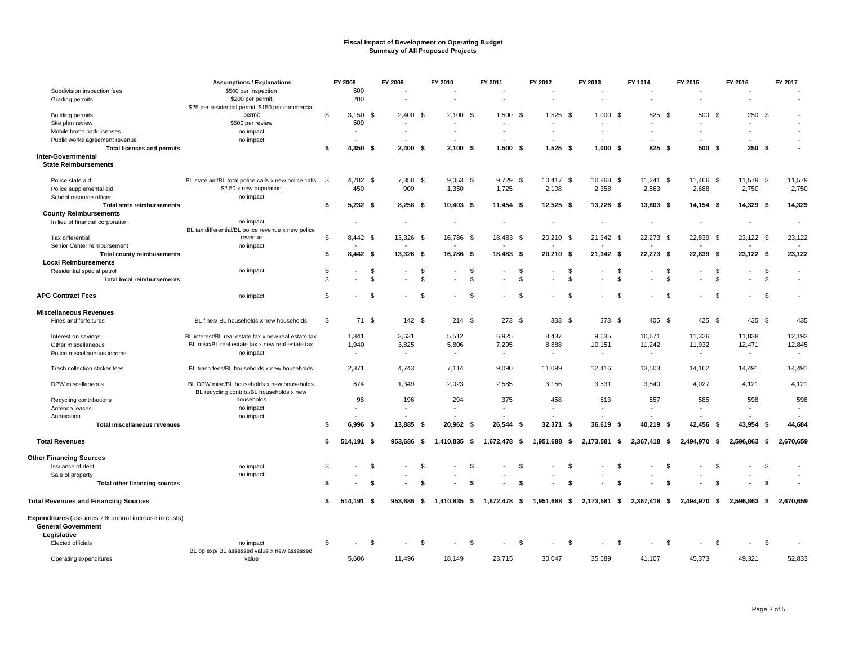|                                                    | <b>Assumptions / Explanations</b>                     |                | FY 2008                  | FY 2009                  |      | FY 2010                  |      | FY 2011                  |                | FY 2012                  |      | FY 2013                  |                | FY 1014                  |     | FY 2015                  |          | FY 2016                  |      | FY 2017                  |
|----------------------------------------------------|-------------------------------------------------------|----------------|--------------------------|--------------------------|------|--------------------------|------|--------------------------|----------------|--------------------------|------|--------------------------|----------------|--------------------------|-----|--------------------------|----------|--------------------------|------|--------------------------|
| Subdivision inspection fees                        | \$500 per inspection                                  |                | 500                      |                          |      |                          |      |                          |                |                          |      |                          |                |                          |     |                          |          |                          |      |                          |
| Grading permits                                    | \$200 per permit.                                     |                | 200                      |                          |      | $\overline{a}$           |      | $\overline{\phantom{a}}$ |                |                          |      |                          |                |                          |     | $\overline{\phantom{a}}$ |          | $\overline{\phantom{a}}$ |      |                          |
|                                                    | \$25 per residential permit; \$150 per commercial     |                |                          |                          |      |                          |      |                          |                |                          |      |                          |                |                          |     |                          |          |                          |      |                          |
| <b>Building permits</b>                            | permit                                                | \$             | $3,150$ \$               | $2.400$ \$               |      | 2.100                    | - \$ | 1,500                    | - \$           | 1,525                    | - \$ | $1.000$ \$               |                | 825 \$                   |     | 500                      | - \$     | 250                      | - \$ |                          |
| Site plan review                                   | \$500 per review                                      |                | 500                      |                          |      |                          |      |                          |                |                          |      |                          |                |                          |     |                          |          | $\overline{\phantom{a}}$ |      |                          |
| Mobile home park licenses                          | no impact                                             |                | $\overline{\phantom{a}}$ |                          |      | $\overline{\phantom{a}}$ |      | $\overline{\phantom{a}}$ |                |                          |      |                          |                |                          |     |                          |          |                          |      |                          |
| Public works agreement revenue                     | no impact                                             |                |                          |                          |      |                          |      |                          |                |                          |      |                          |                |                          |     |                          |          |                          |      |                          |
| <b>Total licenses and permits</b>                  |                                                       | \$             | $4,350$ \$               | $2,400$ \$               |      | $2,100$ \$               |      | $1,500$ \$               |                | $1,525$ \$               |      | $1,000$ \$               |                | $825$ \$                 |     | 500                      | -\$      | $250*$                   |      |                          |
| Inter-Governmental                                 |                                                       |                |                          |                          |      |                          |      |                          |                |                          |      |                          |                |                          |     |                          |          |                          |      |                          |
| <b>State Reimbursements</b>                        |                                                       |                |                          |                          |      |                          |      |                          |                |                          |      |                          |                |                          |     |                          |          |                          |      |                          |
|                                                    |                                                       |                |                          |                          |      |                          |      |                          |                |                          |      |                          |                |                          |     |                          |          |                          |      |                          |
| Police state aid                                   | BL state aid/BL total police calls x new police calls | - \$           | 4,782 \$                 | 7,358 \$                 |      | $9,053$ \$               |      | $9,729$ \$               |                | 10,417 \$                |      | 10,868 \$                |                | $11,241$ \$              |     | 11,466 \$                |          | 11,579 \$                |      | 11,579                   |
| Police supplemental aid                            | \$2.50 x new population                               |                | 450                      | 900                      |      | 1,350                    |      | 1,725                    |                | 2,108                    |      | 2,358                    |                | 2,563                    |     | 2,688                    |          | 2,750                    |      | 2,750                    |
| School resource officer                            | no impact                                             |                |                          |                          |      |                          |      |                          |                |                          |      |                          |                |                          |     |                          |          |                          |      |                          |
| <b>Total state reimbursements</b>                  |                                                       | \$             | $5,232$ \$               | $8,258$ \$               |      | $10,403$ \$              |      | $11,454$ \$              |                | $12,525$ \$              |      | 13,226 \$                |                | 13,803 \$                |     | $14,154$ \$              |          | 14,329 \$                |      | 14,329                   |
| <b>County Reimbursements</b>                       |                                                       |                |                          |                          |      |                          |      |                          |                |                          |      |                          |                |                          |     |                          |          |                          |      |                          |
| In lieu of financial corporation                   | no impact                                             |                |                          |                          |      |                          |      | $\overline{\phantom{a}}$ |                |                          |      |                          |                |                          |     |                          |          |                          |      | $\overline{\phantom{a}}$ |
|                                                    | BL tax differential/BL police revenue x new police    |                |                          |                          |      |                          |      |                          |                |                          |      |                          |                |                          |     |                          |          |                          |      |                          |
| Tax differential                                   | revenue                                               | \$             | 8,442 \$                 | 13,326 \$                |      | 16,786 \$                |      | 18,483 \$                |                | 20,210 \$                |      | 21,342 \$                |                | 22,273 \$                |     | 22,839 \$                |          | 23,122 \$                |      | 23,122                   |
| Senior Center reimbursement                        | no impact                                             |                |                          |                          |      |                          |      |                          |                |                          |      |                          |                |                          |     |                          |          |                          |      |                          |
| <b>Total county reimbusements</b>                  |                                                       | s.             | $8,442$ \$               | 13,326 \$                |      | 16,786 \$                |      | 18,483 \$                |                | 20,210 \$                |      | 21,342 \$                |                | 22,273 \$                |     | 22,839 \$                |          | 23,122 \$                |      | 23,122                   |
| <b>Local Reimbursements</b>                        |                                                       |                |                          |                          |      |                          |      |                          |                |                          |      |                          |                |                          |     |                          |          |                          |      |                          |
| Residential special patrol                         | no impact                                             | \$             |                          | \$<br>$\overline{a}$     | \$   | $\overline{a}$           | \$   |                          | \$             |                          | \$   |                          | -S             |                          | \$  |                          | \$       | $\overline{\phantom{a}}$ | \$   | $\overline{\phantom{a}}$ |
| <b>Total local reimbursements</b>                  |                                                       | $\mathfrak{L}$ |                          | \$                       | \$   |                          | \$   |                          | $\mathfrak{L}$ |                          | \$   |                          | \$             |                          | \$  |                          | \$       |                          | \$   |                          |
|                                                    |                                                       |                |                          |                          |      |                          |      |                          |                |                          |      |                          |                |                          |     |                          |          |                          |      |                          |
| <b>APG Contract Fees</b>                           | no impact                                             | \$             |                          | \$                       | \$   |                          | \$   |                          | \$             |                          | \$   |                          | \$             |                          | \$  |                          | <b>S</b> | $\sim$                   | \$   |                          |
| <b>Miscellaneous Revenues</b>                      |                                                       |                |                          |                          |      |                          |      |                          |                |                          |      |                          |                |                          |     |                          |          |                          |      |                          |
| Fines and forfeitures                              | BL fines/ BL households x new households              | \$             | 71 \$                    | $142$ \$                 |      | $214$ \$                 |      | 273 \$                   |                | 333 \$                   |      | 373 \$                   |                | 405 \$                   |     | 425 \$                   |          | 435 \$                   |      | 435                      |
|                                                    |                                                       |                |                          |                          |      |                          |      |                          |                |                          |      |                          |                |                          |     |                          |          |                          |      |                          |
| Interest on savings                                | BL interest/BL real estate tax x new real estate tax  |                | 1,841                    | 3,631                    |      | 5.512                    |      | 6,925                    |                | 8,437                    |      | 9,635                    |                | 10,671                   |     | 11,326                   |          | 11,838                   |      | 12,193                   |
| Other miscellaneous                                | BL misc/BL real estate tax x new real estate tax      |                | 1,940                    | 3,825                    |      | 5,806                    |      | 7,295                    |                | 8,888                    |      | 10,151                   |                | 11,242                   |     | 11,932                   |          | 12,471                   |      | 12,845                   |
| Police miscellaneous income                        | no impact                                             |                | $\overline{a}$           | $\overline{\phantom{a}}$ |      | $\sim$                   |      | $\overline{\phantom{a}}$ |                | $\overline{\phantom{a}}$ |      | $\overline{\phantom{a}}$ |                | $\overline{\phantom{a}}$ |     | $\overline{\phantom{a}}$ |          | $\overline{\phantom{a}}$ |      |                          |
|                                                    |                                                       |                |                          |                          |      |                          |      |                          |                |                          |      |                          |                |                          |     |                          |          |                          |      |                          |
| Trash collection sticker fees                      | BL trash fees/BL households x new households          |                | 2,371                    | 4,743                    |      | 7,114                    |      | 9,090                    |                | 11,099                   |      | 12,416                   |                | 13,503                   |     | 14,162                   |          | 14,491                   |      | 14,491                   |
|                                                    |                                                       |                |                          |                          |      |                          |      |                          |                |                          |      |                          |                |                          |     |                          |          |                          |      |                          |
| DPW miscellaneous                                  | BL DPW misc/BL households x new households            |                | 674                      | 1,349                    |      | 2,023                    |      | 2,585                    |                | 3,156                    |      | 3,531                    |                | 3,840                    |     | 4,027                    |          | 4,121                    |      | 4,121                    |
|                                                    | BL recycling contrib./BL households x new             |                |                          |                          |      |                          |      |                          |                |                          |      |                          |                |                          |     |                          |          |                          |      |                          |
| Recycling contributions                            | households                                            |                | 98                       | 196                      |      | 294                      |      | 375                      |                | 458                      |      | 513                      |                | 557                      |     | 585                      |          | 598                      |      | 598                      |
| Antenna leases                                     | no impact                                             |                |                          |                          |      |                          |      |                          |                |                          |      |                          |                |                          |     |                          |          |                          |      |                          |
| Annexation                                         | no impact                                             |                |                          |                          |      |                          |      |                          |                |                          |      |                          |                |                          |     |                          |          |                          |      |                          |
| <b>Total miscellaneous revenues</b>                |                                                       | s.             | $6,996$ \$               | 13,885 \$                |      | 20,962 \$                |      | 26,544 \$                |                | 32,371 \$                |      | 36,619 \$                |                | 40,219 \$                |     | 42,456                   | - S      | 43,954 \$                |      | 44,684                   |
| <b>Total Revenues</b>                              |                                                       | s.             | 514,191 \$               | 953,686                  | - \$ | 1,410,835                | - \$ | 1,672,478 \$             |                | 1,951,688                | - \$ | 2,173,581 \$             |                | 2,367,418                | -\$ | 2,494,970                | -\$      | 2,596,863 \$             |      | 2,670,659                |
|                                                    |                                                       |                |                          |                          |      |                          |      |                          |                |                          |      |                          |                |                          |     |                          |          |                          |      |                          |
| <b>Other Financing Sources</b>                     |                                                       |                |                          |                          |      |                          |      |                          |                |                          |      |                          |                |                          |     |                          |          |                          |      |                          |
| Issuance of debt                                   | no impact                                             | \$             |                          | \$                       | \$   |                          | \$   |                          | £              |                          | \$   |                          | \$             |                          | \$  |                          | \$       |                          | \$   |                          |
| Sale of property                                   | no impact                                             |                |                          |                          |      |                          |      |                          |                |                          |      |                          |                |                          |     |                          |          |                          |      |                          |
| Total other financing sources                      |                                                       | -96            |                          | \$                       | -S   |                          | \$   |                          | S              |                          | \$   |                          | £              |                          | S   |                          | S.       |                          | - \$ |                          |
|                                                    |                                                       |                |                          |                          |      |                          |      |                          |                |                          |      |                          |                |                          |     |                          |          |                          |      |                          |
| <b>Total Revenues and Financing Sources</b>        |                                                       | s.             | 514,191 \$               | 953,686 \$               |      | 1,410,835 \$             |      | 1,672,478 \$             |                | 1,951,688 \$             |      | 2,173,581 \$             |                | 2,367,418 \$             |     | 2,494,970 \$             |          | 2,596,863 \$             |      | 2,670,659                |
| Expenditures (assumes z% annual increase in costs) |                                                       |                |                          |                          |      |                          |      |                          |                |                          |      |                          |                |                          |     |                          |          |                          |      |                          |
| <b>General Government</b>                          |                                                       |                |                          |                          |      |                          |      |                          |                |                          |      |                          |                |                          |     |                          |          |                          |      |                          |
| Legislative                                        |                                                       |                |                          |                          |      |                          |      |                          |                |                          |      |                          |                |                          |     |                          |          |                          |      |                          |
| Elected officials                                  | no impact                                             | \$             |                          | \$                       | \$   |                          | \$   |                          | \$             |                          | \$   |                          | $\mathfrak{s}$ |                          | \$  |                          | \$       |                          | \$   |                          |
|                                                    | BL op exp/ BL assessed value x new assessed           |                |                          |                          |      |                          |      |                          |                |                          |      |                          |                |                          |     |                          |          |                          |      |                          |
| Operating expenditures                             | value                                                 |                | 5,606                    | 11.496                   |      | 18.149                   |      | 23,715                   |                | 30,047                   |      | 35,689                   |                | 41,107                   |     | 45.373                   |          | 49,321                   |      | 52,833                   |
|                                                    |                                                       |                |                          |                          |      |                          |      |                          |                |                          |      |                          |                |                          |     |                          |          |                          |      |                          |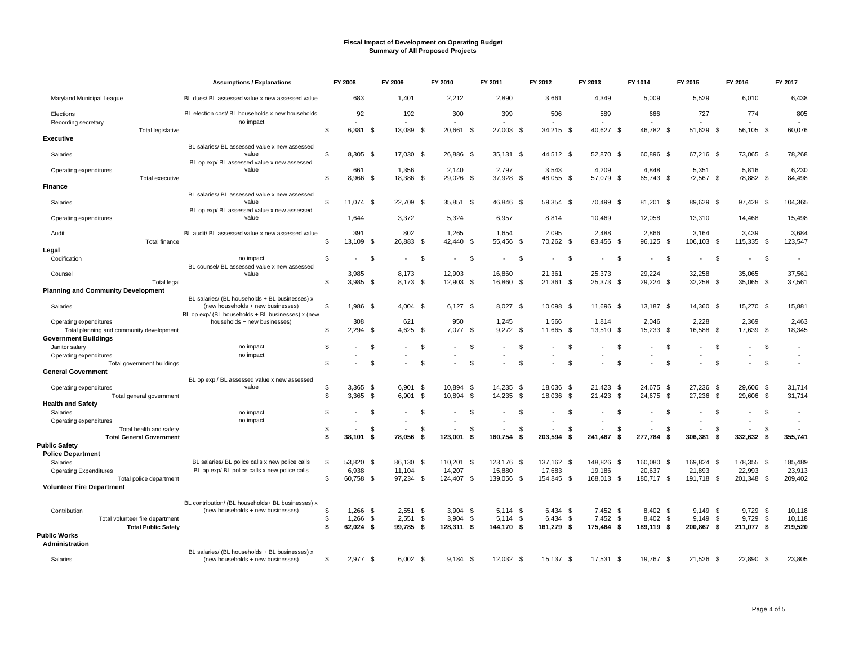|                                                                         |                                 | <b>Assumptions / Explanations</b>                                                                     |     | FY 2008             |      | FY 2009                  |      | FY 2010                  |      | FY 2011             |            | FY 2012                  | FY 2013 |                          | FY 1014            |           | FY 2015             |          | FY 2016             | FY 2017          |
|-------------------------------------------------------------------------|---------------------------------|-------------------------------------------------------------------------------------------------------|-----|---------------------|------|--------------------------|------|--------------------------|------|---------------------|------------|--------------------------|---------|--------------------------|--------------------|-----------|---------------------|----------|---------------------|------------------|
| Maryland Municipal League                                               |                                 | BL dues/ BL assessed value x new assessed value                                                       |     | 683                 |      | 1,401                    |      | 2,212                    |      | 2,890               |            | 3,661                    |         | 4,349                    | 5,009              |           | 5,529               |          | 6,010               | 6,438            |
| Elections<br>Recording secretary                                        |                                 | BL election cost/ BL households x new households<br>no impact                                         |     | 92                  |      | 192                      |      | 300                      |      | 399                 |            | 506                      |         | 589                      |                    | 666       | 727                 |          | 774                 | 805              |
| <b>Executive</b>                                                        | Total legislative               |                                                                                                       | \$  | 6,381 \$            |      | 13,089 \$                |      | 20,661                   | \$   | 27,003 \$           |            | 34,215 \$                |         | 40,627                   | - \$               | 46,782 \$ | 51,629 \$           |          | 56,105 \$           | 60,076           |
|                                                                         |                                 | BL salaries/ BL assessed value x new assessed                                                         |     |                     |      |                          |      |                          |      |                     |            |                          |         |                          |                    |           |                     |          |                     |                  |
| Salaries                                                                |                                 | value<br>BL op exp/ BL assessed value x new assessed                                                  | \$. | $8.305$ \$          |      | 17.030                   | - \$ | 26.886                   | - \$ | 35.131<br>- \$      |            | 44,512 \$                |         | 52.870 \$                | 60.896             | - \$      | 67.216 \$           |          | 73.065 \$           | 78,268           |
| Operating expenditures                                                  | Total executive                 | value                                                                                                 | \$  | 661<br>8.966 \$     |      | 1,356<br>18.386 \$       |      | 2,140<br>29.026 \$       |      | 2,797<br>37.928 \$  |            | 3,543<br>48,055 \$       |         | 4,209<br>57,079 \$       | 4,848              | 65,743 \$ | 5,351<br>72,567 \$  |          | 5,816<br>78,882 \$  | 6,230<br>84,498  |
| Finance                                                                 |                                 |                                                                                                       |     |                     |      |                          |      |                          |      |                     |            |                          |         |                          |                    |           |                     |          |                     |                  |
| Salaries                                                                |                                 | BL salaries/ BL assessed value x new assessed<br>value<br>BL op exp/ BL assessed value x new assessed | \$  | 11,074 \$           |      | 22,709 \$                |      | 35,851 \$                |      | 46,846 \$           |            | 59,354 \$                |         | 70,499 \$                |                    | 81,201 \$ | 89,629 \$           |          | 97,428 \$           | 104,365          |
| Operating expenditures                                                  |                                 | value                                                                                                 |     | 1,644               |      | 3,372                    |      | 5,324                    |      | 6,957               |            | 8,814                    |         | 10,469                   | 12,058             |           | 13,310              |          | 14,468              | 15,498           |
| Audit                                                                   |                                 | BL audit/ BL assessed value x new assessed value                                                      |     | 391                 |      | 802                      |      | 1,265                    |      | 1,654               |            | 2,095                    |         | 2,488                    | 2,866              |           | 3,164               |          | 3,439               | 3,684            |
|                                                                         | <b>Total finance</b>            |                                                                                                       | \$  | 13,109 \$           |      | 26,883 \$                |      | 42,440                   | - \$ | 55,456              | - \$       | 70,262 \$                |         | 83,456 \$                |                    | 96,125 \$ | 106,103             | - \$     | 115,335 \$          | 123,547          |
| Legal<br>Codification                                                   |                                 |                                                                                                       | \$  |                     | \$   | $\overline{\phantom{a}}$ | \$   | $\overline{\phantom{a}}$ | -\$  |                     | \$         | - \$                     |         |                          | \$                 | -S        |                     | - \$     | \$                  |                  |
|                                                                         |                                 | no impact<br>BL counsel/ BL assessed value x new assessed                                             |     |                     |      |                          |      |                          |      |                     |            |                          |         |                          |                    |           |                     |          |                     |                  |
| Counsel                                                                 | <b>Total legal</b>              | value                                                                                                 | \$  | 3.985<br>$3.985$ \$ |      | 8.173<br>8.173 \$        |      | 12.903<br>12,903 \$      |      | 16.860<br>16,860 \$ |            | 21.361<br>21,361 \$      |         | 25,373<br>25,373 \$      | 29.224             | 29,224 \$ | 32.258<br>32,258 \$ |          | 35.065<br>35,065 \$ | 37,561<br>37.561 |
| <b>Planning and Community Development</b>                               |                                 |                                                                                                       |     |                     |      |                          |      |                          |      |                     |            |                          |         |                          |                    |           |                     |          |                     |                  |
|                                                                         |                                 | BL salaries/ (BL households + BL businesses) x                                                        |     |                     |      |                          |      |                          |      |                     |            |                          |         |                          |                    |           |                     |          |                     |                  |
| Salaries                                                                |                                 | (new households + new businesses)<br>BL op exp/ (BL households + BL businesses) x (new                | \$  | 1,986 \$            |      | $4,004$ \$               |      | $6,127$ \$               |      | 8,027 \$            |            | 10,098 \$                |         | 11,696 \$                |                    | 13,187 \$ | 14,360 \$           |          | 15,270 \$           | 15,881           |
| Operating expenditures                                                  |                                 | households + new businesses)                                                                          |     | 308                 |      | 621                      |      | 950                      |      | 1,245               |            | 1,566                    |         | 1,814                    | 2,046              |           | 2,228               |          | 2,369               | 2,463            |
| Total planning and community development<br><b>Government Buildings</b> |                                 |                                                                                                       | \$  | $2,294$ \$          |      | 4,625                    | \$   | 7,077                    | \$   | 9,272               | - \$       | 11,665<br>- \$           |         | 13,510                   | - \$<br>15,233     | - \$      | 16,588              | - \$     | 17,639 \$           | 18,345           |
| Janitor salary                                                          |                                 | no impact<br>no impact                                                                                | \$  |                     | \$   |                          | \$   |                          | \$   |                     | \$         | $\mathfrak{L}$           |         |                          | \$                 | S.        |                     | \$       | \$                  |                  |
| Operating expenditures                                                  | Total government buildings      |                                                                                                       | \$. |                     | \$   |                          | \$   |                          | £.   |                     | \$         | $\mathfrak{F}$           |         |                          | \$                 | \$        |                     | \$       | \$                  |                  |
| <b>General Government</b>                                               |                                 |                                                                                                       |     |                     |      |                          |      |                          |      |                     |            |                          |         |                          |                    |           |                     |          |                     |                  |
|                                                                         |                                 | BL op exp / BL assessed value x new assessed                                                          |     |                     |      |                          |      |                          |      |                     |            |                          |         |                          |                    |           |                     |          |                     |                  |
| Operating expenditures                                                  |                                 | value                                                                                                 | \$  | 3,365               | - \$ | 6.901                    | \$   | 10,894                   | - \$ | 14,235<br>- \$      |            | 18.036 \$                |         | 21,423<br>- \$           | 24.675             | - \$      | 27,236 \$           |          | 29,606 \$           | 31,714           |
| <b>Health and Safety</b>                                                | Total general government        |                                                                                                       | \$  | 3,365               | - \$ | 6,901                    | - \$ | 10,894                   | - \$ | 14,235              | - \$       | 18,036 \$                |         | 21,423                   | - \$<br>24,675     | - \$      | 27,236              | - \$     | 29,606 \$           | 31,714           |
| Salaries                                                                |                                 | no impact                                                                                             | \$  |                     | \$   | $\overline{\phantom{a}}$ | \$   | $\overline{\phantom{a}}$ | \$   |                     | \$         | -\$                      |         |                          | \$                 | S.        |                     | \$       | -\$                 |                  |
| Operating expenditures                                                  |                                 | no impact                                                                                             |     |                     |      |                          |      | $\overline{\phantom{a}}$ |      |                     |            | $\overline{\phantom{a}}$ |         | $\overline{\phantom{a}}$ |                    |           |                     |          | $\overline{a}$      |                  |
|                                                                         | Total health and safety         |                                                                                                       | \$  |                     | \$   |                          | \$   |                          | \$   |                     | \$         | Ŝ                        |         |                          | <b>S</b>           | \$        |                     | \$       | <sup>\$</sup>       |                  |
|                                                                         | <b>Total General Government</b> |                                                                                                       | \$  | 38.101              | - \$ | 78.056                   | \$   | 123.001                  | - \$ | 160.754             | $\sqrt{2}$ | 203.594<br>- \$          |         | 241.467                  | - \$<br>277.784    | - \$      | 306.381             | - \$     | 332,632 \$          | 355.741          |
| <b>Public Safety</b>                                                    |                                 |                                                                                                       |     |                     |      |                          |      |                          |      |                     |            |                          |         |                          |                    |           |                     |          |                     |                  |
| <b>Police Department</b><br>Salaries                                    |                                 | BL salaries/ BL police calls x new police calls                                                       | \$  | 53,820 \$           |      | 86,130                   | - \$ | 110,201                  | - \$ | 123,176<br>- \$     |            | 137,162 \$               |         | 148,826 \$               | 160,080            | - \$      | 169,824 \$          |          | 178,355 \$          | 185,489          |
| <b>Operating Expenditures</b>                                           |                                 | BL op exp/ BL police calls x new police calls                                                         |     | 6.938               |      | 11.104                   |      | 14,207                   |      | 15,880              |            | 17,683                   |         | 19,186                   | 20,637             |           | 21,893              |          | 22.993              | 23,913           |
|                                                                         | Total police department         |                                                                                                       | \$  | 60,758 \$           |      | 97,234 \$                |      | 124,407                  | \$   | 139,056 \$          |            | 154,845 \$               |         | 168,013 \$               | 180,717 \$         |           | 191,718 \$          |          | 201,348 \$          | 209,402          |
| <b>Volunteer Fire Department</b>                                        |                                 |                                                                                                       |     |                     |      |                          |      |                          |      |                     |            |                          |         |                          |                    |           |                     |          |                     |                  |
|                                                                         |                                 | BL contribution/ (BL households+ BL businesses) x                                                     |     |                     |      |                          |      |                          |      |                     |            |                          |         |                          |                    |           |                     |          |                     |                  |
| Contribution                                                            |                                 | (new households + new businesses)                                                                     | \$. | $1,266$ \$          |      | 2,551                    | \$   | 3.904                    | - \$ | $5.114$ \$          |            | 6,434 \$                 |         | $7.452$ \$               |                    | 8.402 \$  | $9.149$ \$          |          | $9,729$ \$          | 10.118           |
|                                                                         | Total volunteer fire department |                                                                                                       | \$. | 1,266               | -\$  | 2.551                    | - \$ | 3.904                    | \$   | <b>S</b><br>5.114   |            | 6.434<br>- \$            |         | 7.452                    | - \$<br>8,402      | - \$      | 9.149               | <b>S</b> | - \$<br>9,729       | 10,118           |
|                                                                         | <b>Total Public Safety</b>      |                                                                                                       | \$  | 62.024 \$           |      | 99.785 \$                |      | 128,311 \$               |      | 144.170 \$          |            | 161,279 \$               |         | 175,464                  | 189,119 \$<br>- \$ |           | 200,867 \$          |          | 211,077 \$          | 219,520          |
| <b>Public Works</b><br>Administration                                   |                                 |                                                                                                       |     |                     |      |                          |      |                          |      |                     |            |                          |         |                          |                    |           |                     |          |                     |                  |
|                                                                         |                                 | BL salaries/ (BL households + BL businesses) x                                                        |     |                     |      |                          |      |                          |      |                     |            |                          |         |                          |                    |           |                     |          |                     |                  |
| Salaries                                                                |                                 | (new households + new businesses)                                                                     | \$  | $2,977$ \$          |      | $6,002$ \$               |      | 9.184                    | - \$ | 12,032 \$           |            | 15,137 \$                |         | 17,531                   | 19,767<br>- \$     | - \$      | 21,526 \$           |          | 22,890 \$           | 23,805           |